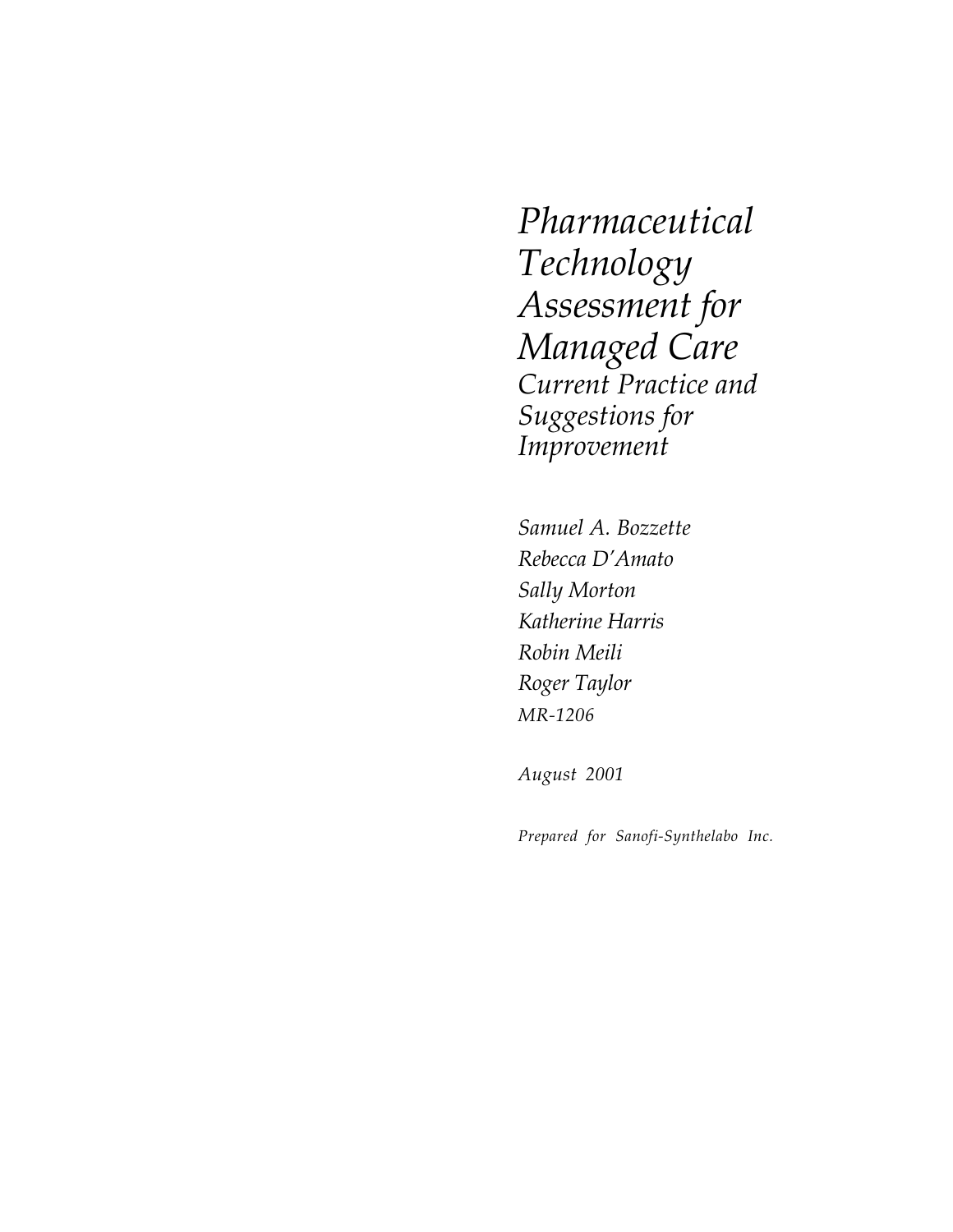*Pharmaceutical Technology Assessment for Managed Care Current Practice and Suggestions for Improvement*

*Samuel A. Bozzette Rebecca D'Amato Sally Morton Katherine Harris Robin Meili Roger Taylor MR-1206*

*August 2001*

*Prepared for Sanofi-Synthelabo Inc.*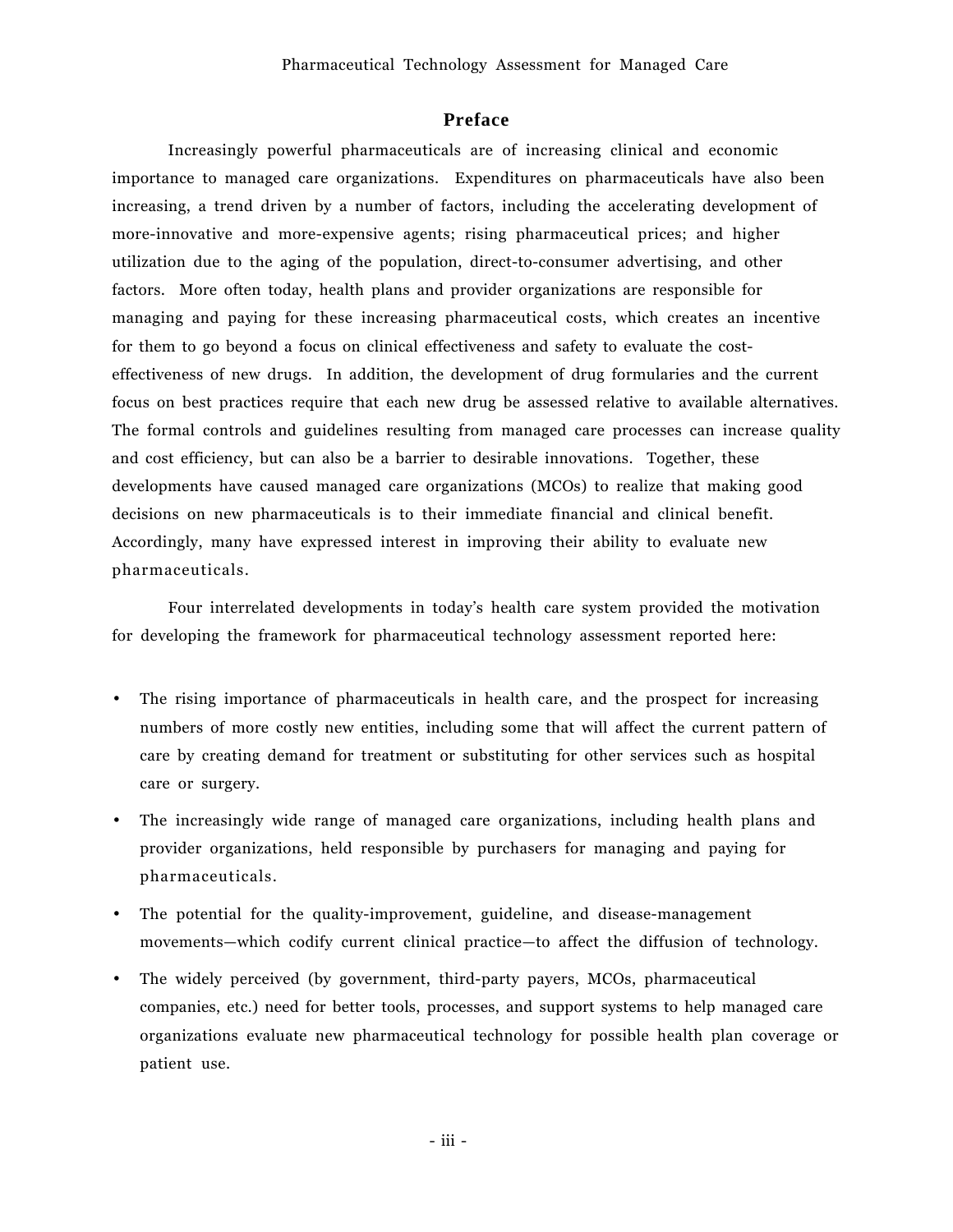# **Preface**

Increasingly powerful pharmaceuticals are of increasing clinical and economic importance to managed care organizations. Expenditures on pharmaceuticals have also been increasing, a trend driven by a number of factors, including the accelerating development of more-innovative and more-expensive agents; rising pharmaceutical prices; and higher utilization due to the aging of the population, direct-to-consumer advertising, and other factors. More often today, health plans and provider organizations are responsible for managing and paying for these increasing pharmaceutical costs, which creates an incentive for them to go beyond a focus on clinical effectiveness and safety to evaluate the costeffectiveness of new drugs. In addition, the development of drug formularies and the current focus on best practices require that each new drug be assessed relative to available alternatives. The formal controls and guidelines resulting from managed care processes can increase quality and cost efficiency, but can also be a barrier to desirable innovations. Together, these developments have caused managed care organizations (MCOs) to realize that making good decisions on new pharmaceuticals is to their immediate financial and clinical benefit. Accordingly, many have expressed interest in improving their ability to evaluate new pharmaceuticals.

Four interrelated developments in todayís health care system provided the motivation for developing the framework for pharmaceutical technology assessment reported here:

- The rising importance of pharmaceuticals in health care, and the prospect for increasing numbers of more costly new entities, including some that will affect the current pattern of care by creating demand for treatment or substituting for other services such as hospital care or surgery.
- The increasingly wide range of managed care organizations, including health plans and provider organizations, held responsible by purchasers for managing and paying for pharmaceuticals.
- The potential for the quality-improvement, guideline, and disease-management movements-which codify current clinical practice-to affect the diffusion of technology.
- The widely perceived (by government, third-party payers, MCOs, pharmaceutical companies, etc.) need for better tools, processes, and support systems to help managed care organizations evaluate new pharmaceutical technology for possible health plan coverage or patient use.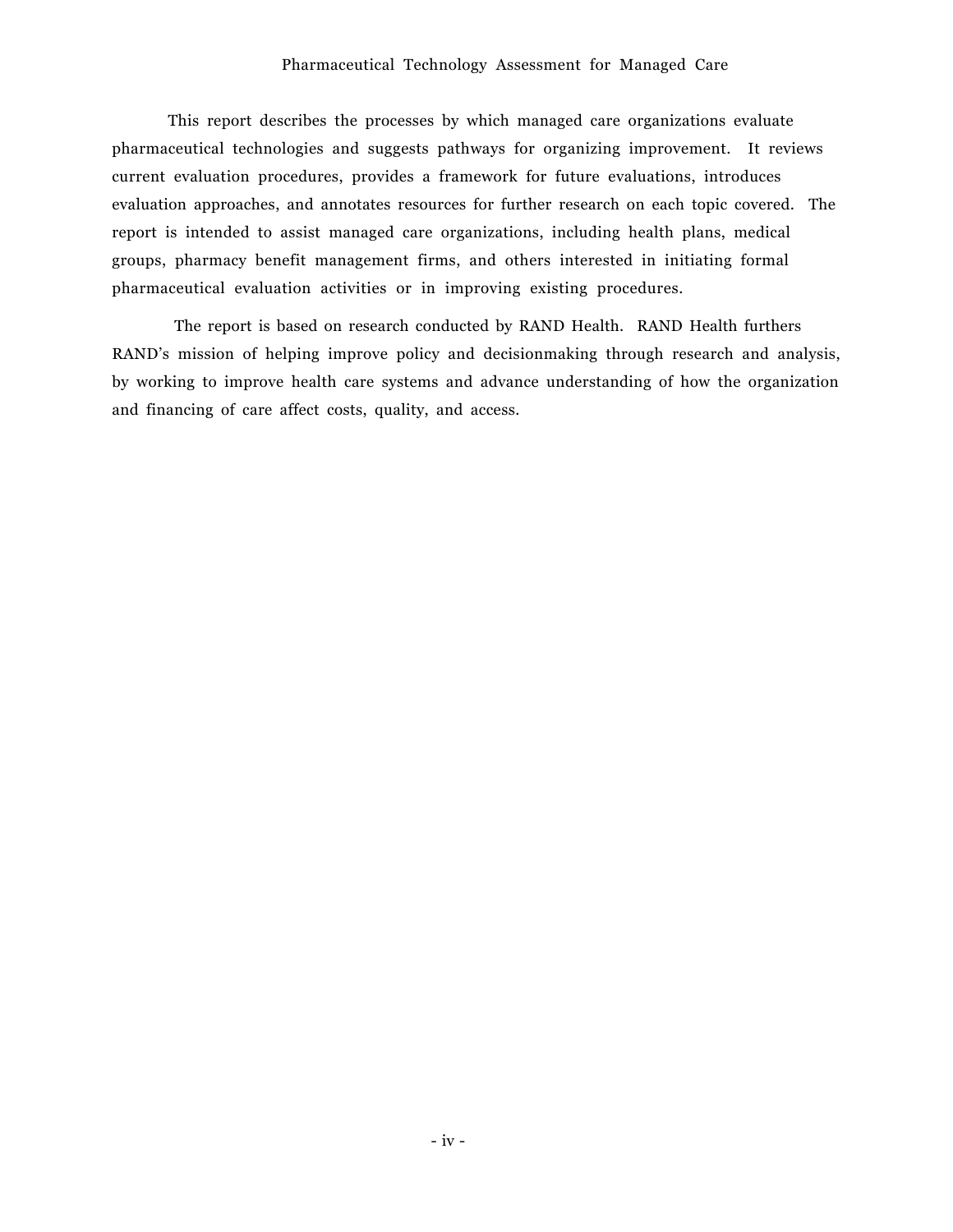#### Pharmaceutical Technology Assessment for Managed Care

This report describes the processes by which managed care organizations evaluate pharmaceutical technologies and suggests pathways for organizing improvement. It reviews current evaluation procedures, provides a framework for future evaluations, introduces evaluation approaches, and annotates resources for further research on each topic covered. The report is intended to assist managed care organizations, including health plans, medical groups, pharmacy benefit management firms, and others interested in initiating formal pharmaceutical evaluation activities or in improving existing procedures.

 The report is based on research conducted by RAND Health. RAND Health furthers RAND's mission of helping improve policy and decisionmaking through research and analysis, by working to improve health care systems and advance understanding of how the organization and financing of care affect costs, quality, and access.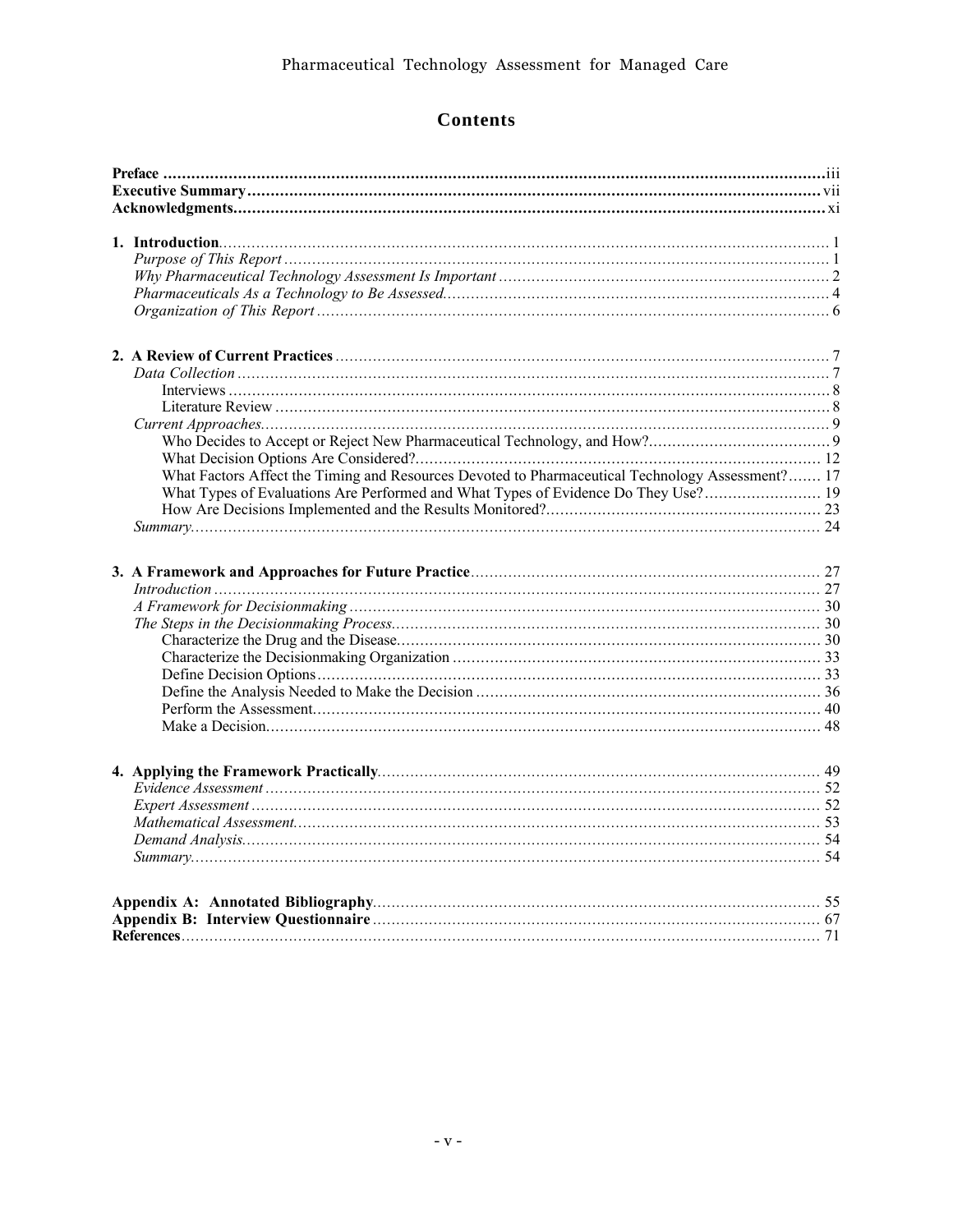# **Contents**

|  | What Factors Affect the Timing and Resources Devoted to Pharmaceutical Technology Assessment? 17 |  |  |
|--|--------------------------------------------------------------------------------------------------|--|--|
|  |                                                                                                  |  |  |
|  |                                                                                                  |  |  |
|  |                                                                                                  |  |  |
|  |                                                                                                  |  |  |
|  |                                                                                                  |  |  |
|  | $Introduction \dots 27$                                                                          |  |  |
|  |                                                                                                  |  |  |
|  |                                                                                                  |  |  |
|  |                                                                                                  |  |  |
|  |                                                                                                  |  |  |
|  |                                                                                                  |  |  |
|  |                                                                                                  |  |  |
|  |                                                                                                  |  |  |
|  |                                                                                                  |  |  |
|  |                                                                                                  |  |  |
|  |                                                                                                  |  |  |
|  |                                                                                                  |  |  |
|  |                                                                                                  |  |  |
|  |                                                                                                  |  |  |
|  |                                                                                                  |  |  |
|  |                                                                                                  |  |  |
|  |                                                                                                  |  |  |
|  |                                                                                                  |  |  |
|  |                                                                                                  |  |  |
|  |                                                                                                  |  |  |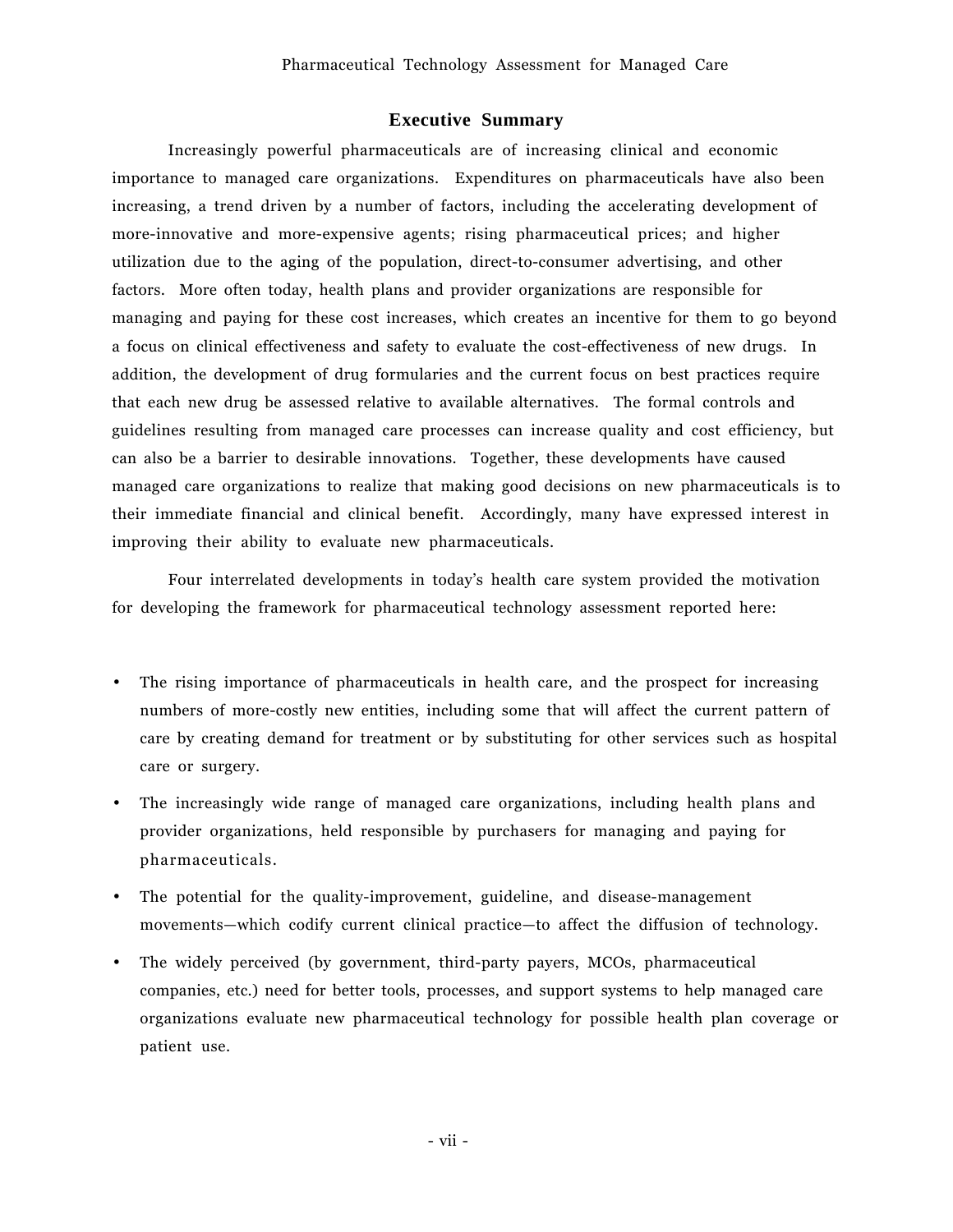### **Executive Summary**

Increasingly powerful pharmaceuticals are of increasing clinical and economic importance to managed care organizations. Expenditures on pharmaceuticals have also been increasing, a trend driven by a number of factors, including the accelerating development of more-innovative and more-expensive agents; rising pharmaceutical prices; and higher utilization due to the aging of the population, direct-to-consumer advertising, and other factors. More often today, health plans and provider organizations are responsible for managing and paying for these cost increases, which creates an incentive for them to go beyond a focus on clinical effectiveness and safety to evaluate the cost-effectiveness of new drugs. In addition, the development of drug formularies and the current focus on best practices require that each new drug be assessed relative to available alternatives. The formal controls and guidelines resulting from managed care processes can increase quality and cost efficiency, but can also be a barrier to desirable innovations. Together, these developments have caused managed care organizations to realize that making good decisions on new pharmaceuticals is to their immediate financial and clinical benefit. Accordingly, many have expressed interest in improving their ability to evaluate new pharmaceuticals.

Four interrelated developments in todayís health care system provided the motivation for developing the framework for pharmaceutical technology assessment reported here:

- The rising importance of pharmaceuticals in health care, and the prospect for increasing numbers of more-costly new entities, including some that will affect the current pattern of care by creating demand for treatment or by substituting for other services such as hospital care or surgery.
- The increasingly wide range of managed care organizations, including health plans and provider organizations, held responsible by purchasers for managing and paying for pharmaceuticals.
- The potential for the quality-improvement, guideline, and disease-management movements—which codify current clinical practice—to affect the diffusion of technology.
- The widely perceived (by government, third-party payers, MCOs, pharmaceutical companies, etc.) need for better tools, processes, and support systems to help managed care organizations evaluate new pharmaceutical technology for possible health plan coverage or patient use.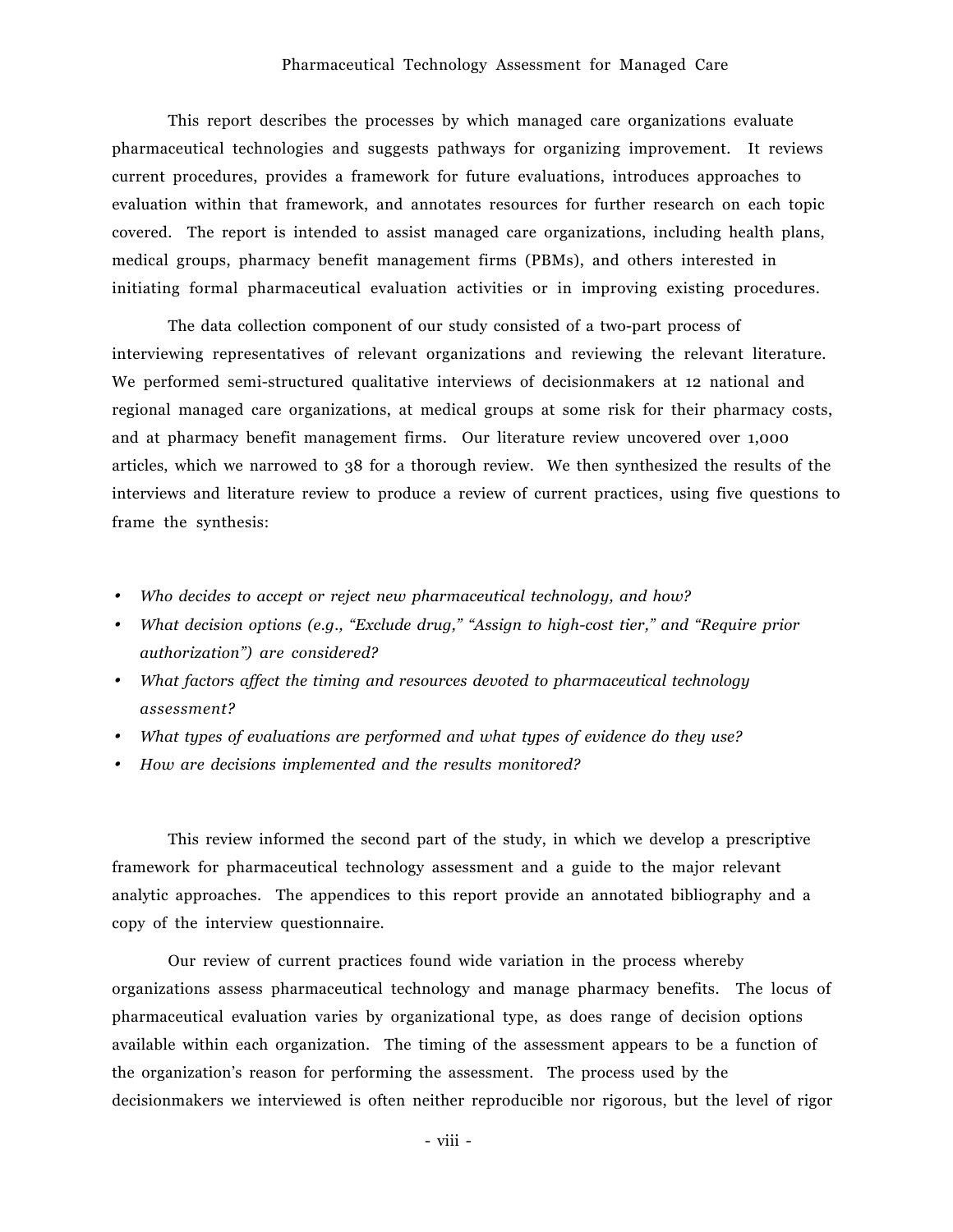#### Pharmaceutical Technology Assessment for Managed Care

This report describes the processes by which managed care organizations evaluate pharmaceutical technologies and suggests pathways for organizing improvement. It reviews current procedures, provides a framework for future evaluations, introduces approaches to evaluation within that framework, and annotates resources for further research on each topic covered. The report is intended to assist managed care organizations, including health plans, medical groups, pharmacy benefit management firms (PBMs), and others interested in initiating formal pharmaceutical evaluation activities or in improving existing procedures.

The data collection component of our study consisted of a two-part process of interviewing representatives of relevant organizations and reviewing the relevant literature. We performed semi-structured qualitative interviews of decisionmakers at 12 national and regional managed care organizations, at medical groups at some risk for their pharmacy costs, and at pharmacy benefit management firms. Our literature review uncovered over 1,000 articles, which we narrowed to 38 for a thorough review. We then synthesized the results of the interviews and literature review to produce a review of current practices, using five questions to frame the synthesis:

- *Who decides to accept or reject new pharmaceutical technology, and how?*
- *What decision options (e.g., "Exclude drug," "Assign to high-cost tier," and "Require prior authorizationî) are considered?*
- *What factors affect the timing and resources devoted to pharmaceutical technology assessment?*
- *What types of evaluations are performed and what types of evidence do they use?*
- *How are decisions implemented and the results monitored?*

This review informed the second part of the study, in which we develop a prescriptive framework for pharmaceutical technology assessment and a guide to the major relevant analytic approaches. The appendices to this report provide an annotated bibliography and a copy of the interview questionnaire.

Our review of current practices found wide variation in the process whereby organizations assess pharmaceutical technology and manage pharmacy benefits. The locus of pharmaceutical evaluation varies by organizational type, as does range of decision options available within each organization. The timing of the assessment appears to be a function of the organizationís reason for performing the assessment. The process used by the decisionmakers we interviewed is often neither reproducible nor rigorous, but the level of rigor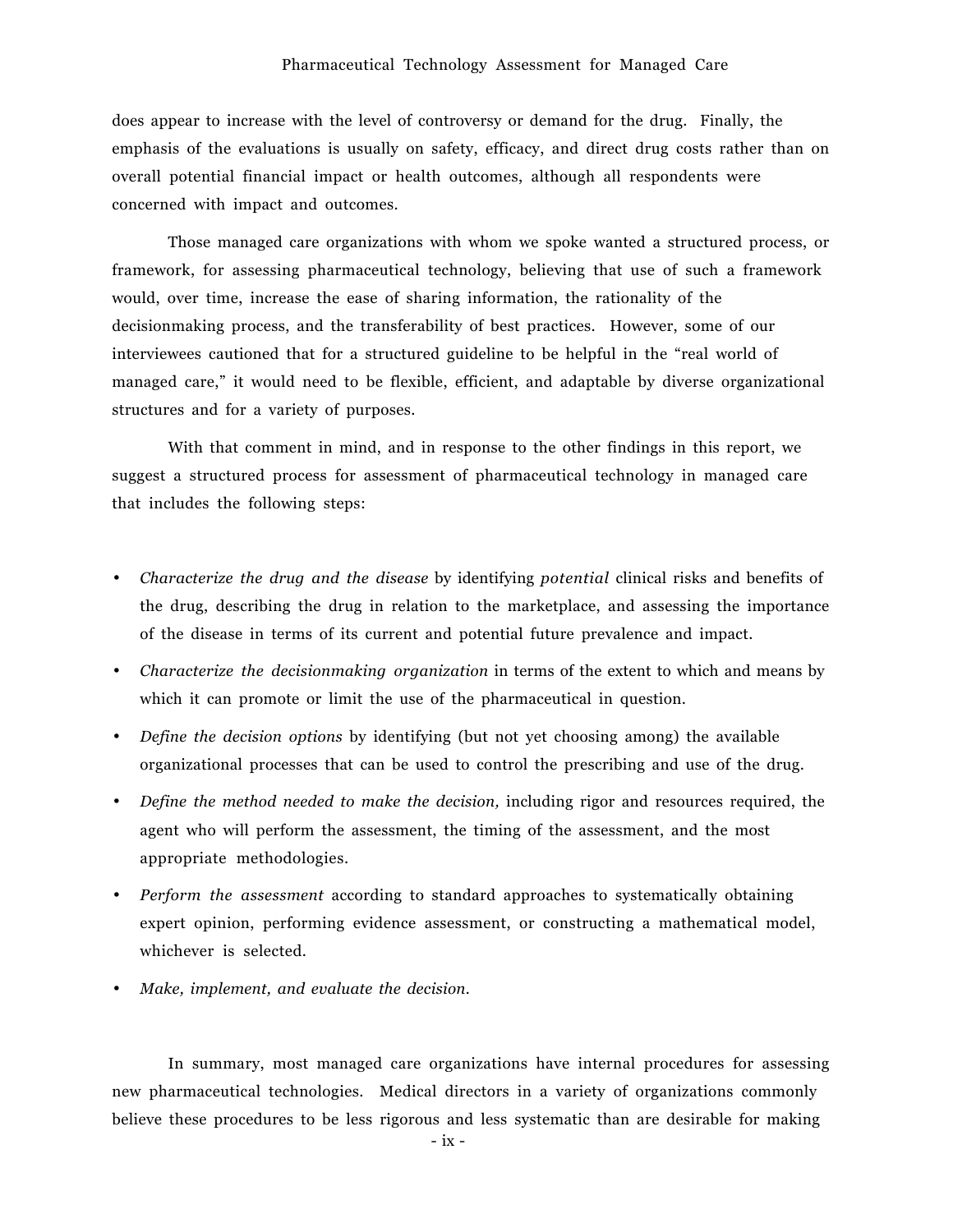does appear to increase with the level of controversy or demand for the drug. Finally, the emphasis of the evaluations is usually on safety, efficacy, and direct drug costs rather than on overall potential financial impact or health outcomes, although all respondents were concerned with impact and outcomes.

Those managed care organizations with whom we spoke wanted a structured process, or framework, for assessing pharmaceutical technology, believing that use of such a framework would, over time, increase the ease of sharing information, the rationality of the decisionmaking process, and the transferability of best practices. However, some of our interviewees cautioned that for a structured guideline to be helpful in the "real world of managed care," it would need to be flexible, efficient, and adaptable by diverse organizational structures and for a variety of purposes.

With that comment in mind, and in response to the other findings in this report, we suggest a structured process for assessment of pharmaceutical technology in managed care that includes the following steps:

- *Characterize the drug and the disease* by identifying *potential* clinical risks and benefits of the drug, describing the drug in relation to the marketplace, and assessing the importance of the disease in terms of its current and potential future prevalence and impact.
- *Characterize the decisionmaking organization* in terms of the extent to which and means by which it can promote or limit the use of the pharmaceutical in question.
- *Define the decision options* by identifying (but not yet choosing among) the available organizational processes that can be used to control the prescribing and use of the drug.
- *Define the method needed to make the decision,* including rigor and resources required, the agent who will perform the assessment, the timing of the assessment, and the most appropriate methodologies.
- *Perform the assessment* according to standard approaches to systematically obtaining expert opinion, performing evidence assessment, or constructing a mathematical model, whichever is selected.
- *Make, implement, and evaluate the decision.*

In summary, most managed care organizations have internal procedures for assessing new pharmaceutical technologies. Medical directors in a variety of organizations commonly believe these procedures to be less rigorous and less systematic than are desirable for making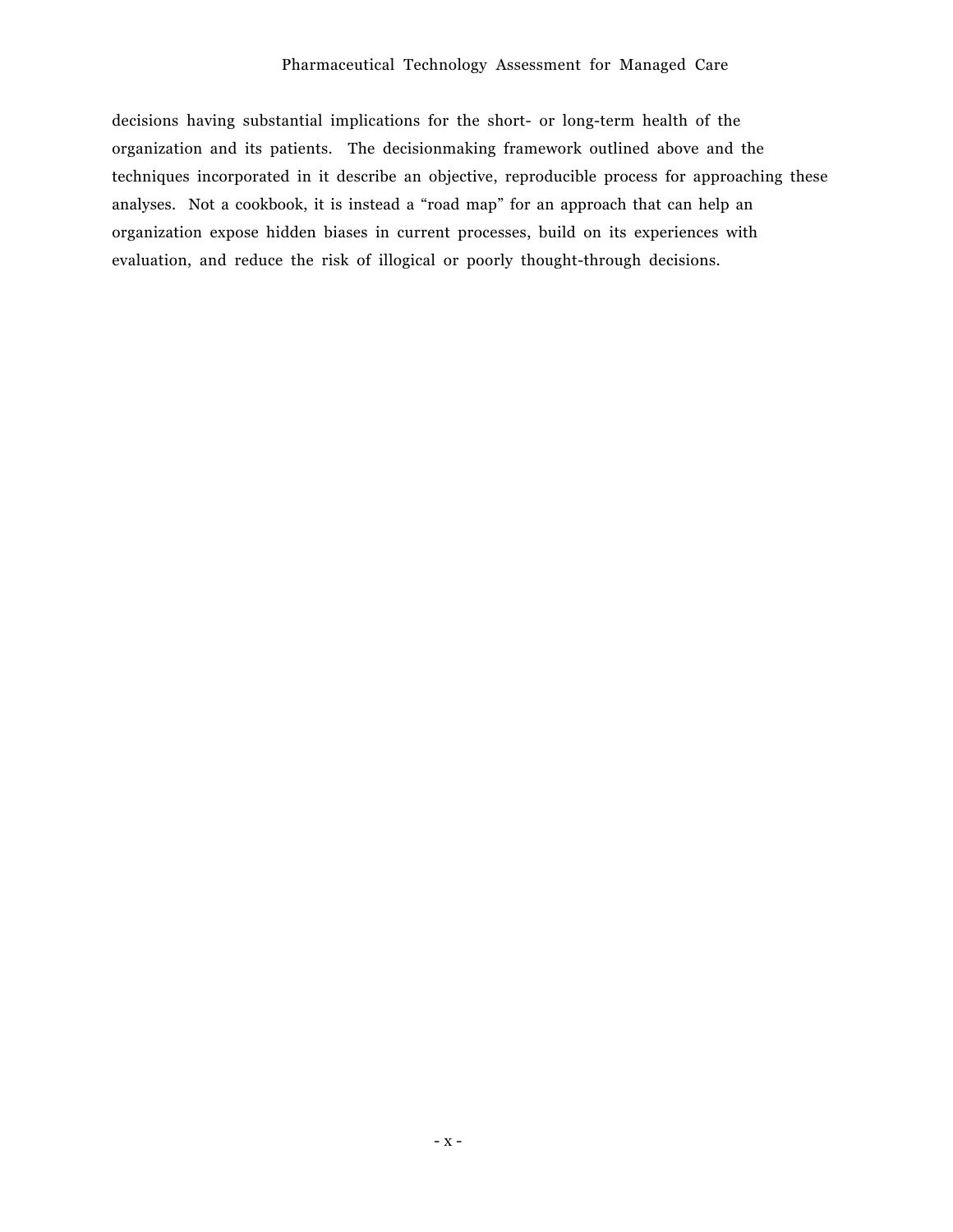decisions having substantial implications for the short- or long-term health of the organization and its patients. The decisionmaking framework outlined above and the techniques incorporated in it describe an objective, reproducible process for approaching these analyses. Not a cookbook, it is instead a "road map" for an approach that can help an organization expose hidden biases in current processes, build on its experiences with evaluation, and reduce the risk of illogical or poorly thought-through decisions.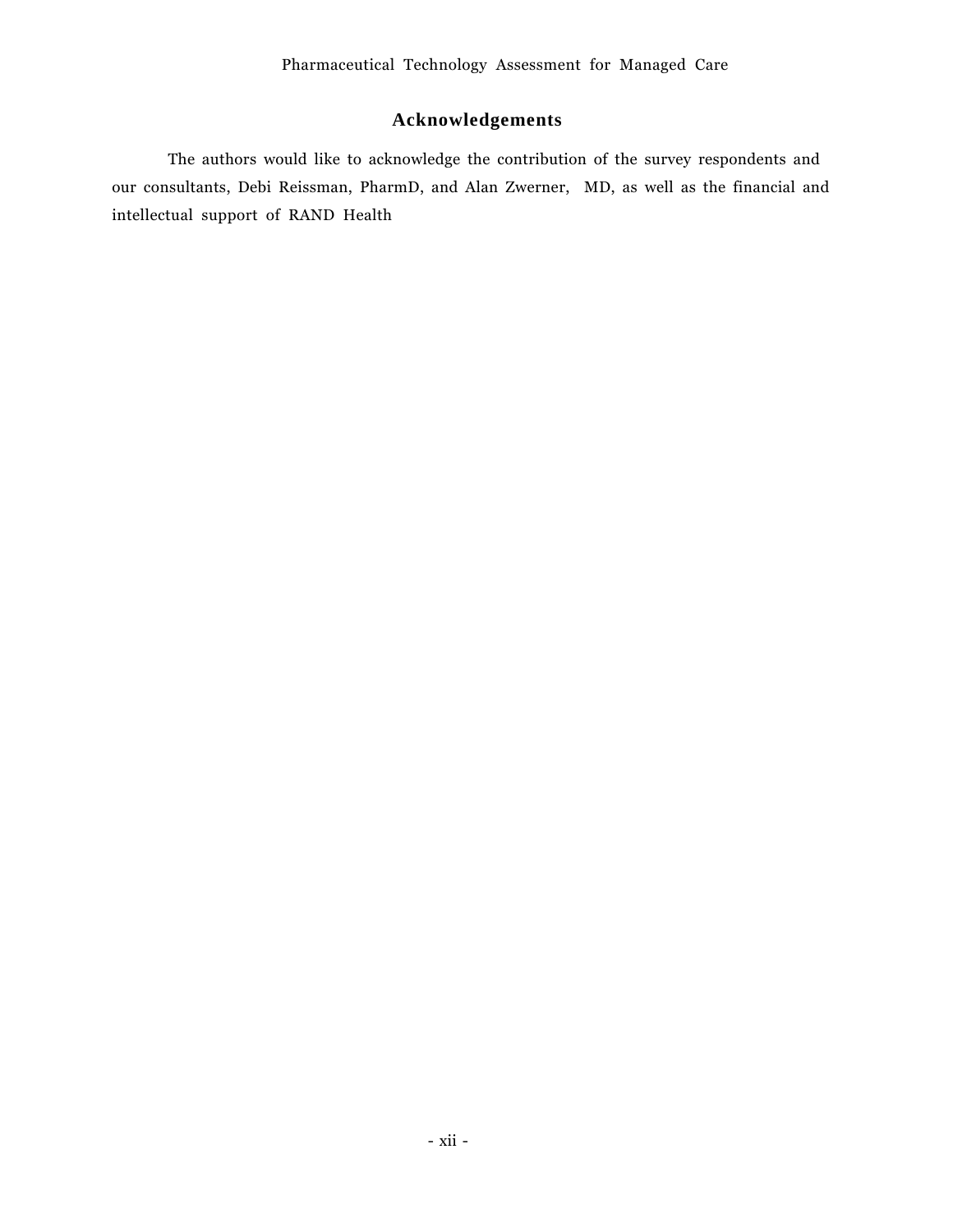# **Acknowledgements**

The authors would like to acknowledge the contribution of the survey respondents and our consultants, Debi Reissman, PharmD, and Alan Zwerner, MD, as well as the financial and intellectual support of RAND Health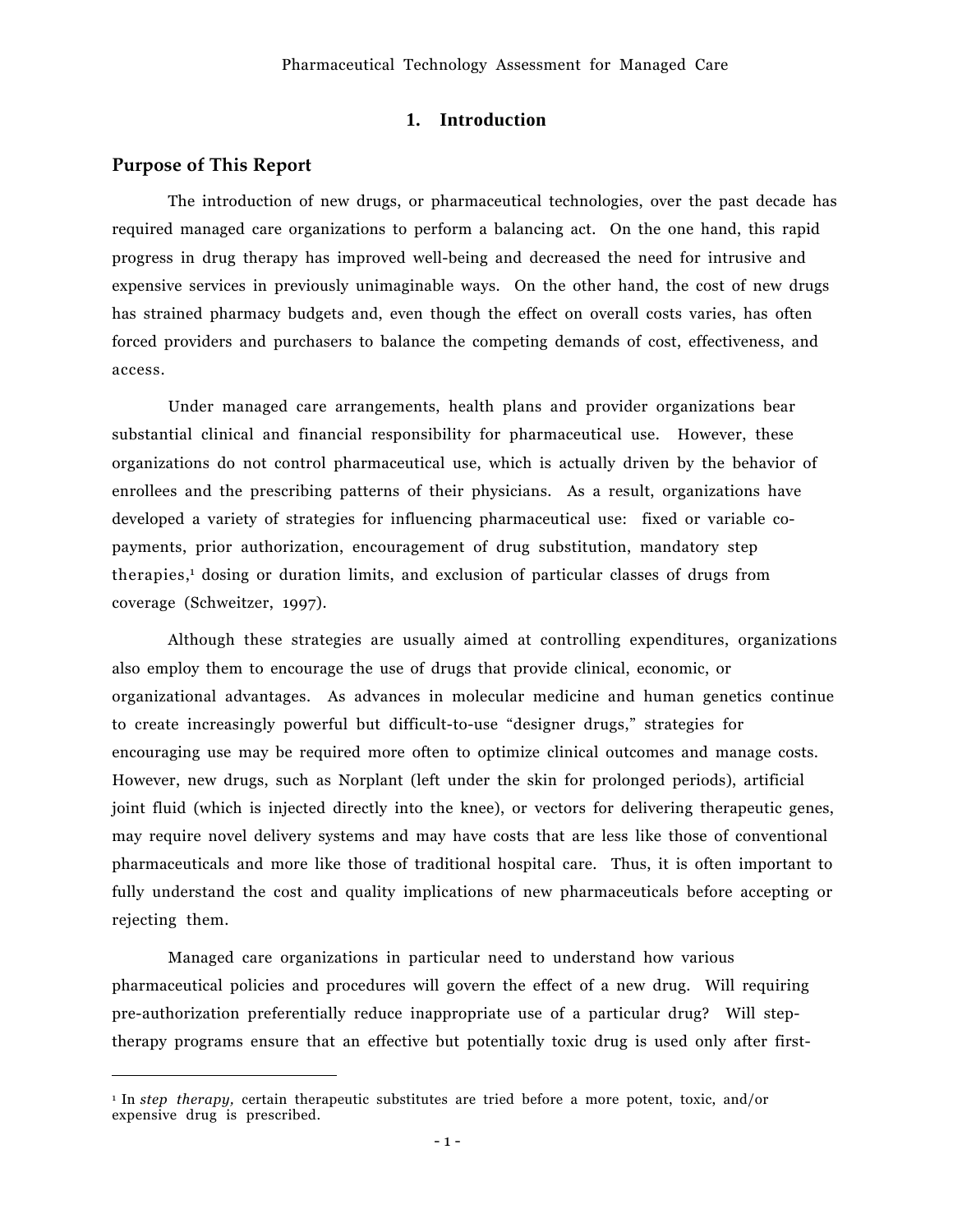### **1. Introduction**

### **Purpose of This Report**

 $\overline{a}$ 

The introduction of new drugs, or pharmaceutical technologies, over the past decade has required managed care organizations to perform a balancing act. On the one hand, this rapid progress in drug therapy has improved well-being and decreased the need for intrusive and expensive services in previously unimaginable ways. On the other hand, the cost of new drugs has strained pharmacy budgets and, even though the effect on overall costs varies, has often forced providers and purchasers to balance the competing demands of cost, effectiveness, and access.

Under managed care arrangements, health plans and provider organizations bear substantial clinical and financial responsibility for pharmaceutical use. However, these organizations do not control pharmaceutical use, which is actually driven by the behavior of enrollees and the prescribing patterns of their physicians. As a result, organizations have developed a variety of strategies for influencing pharmaceutical use: fixed or variable copayments, prior authorization, encouragement of drug substitution, mandatory step therapies,<sup>1</sup> dosing or duration limits, and exclusion of particular classes of drugs from coverage (Schweitzer, 1997).

Although these strategies are usually aimed at controlling expenditures, organizations also employ them to encourage the use of drugs that provide clinical, economic, or organizational advantages. As advances in molecular medicine and human genetics continue to create increasingly powerful but difficult-to-use "designer drugs," strategies for encouraging use may be required more often to optimize clinical outcomes and manage costs. However, new drugs, such as Norplant (left under the skin for prolonged periods), artificial joint fluid (which is injected directly into the knee), or vectors for delivering therapeutic genes, may require novel delivery systems and may have costs that are less like those of conventional pharmaceuticals and more like those of traditional hospital care. Thus, it is often important to fully understand the cost and quality implications of new pharmaceuticals before accepting or rejecting them.

Managed care organizations in particular need to understand how various pharmaceutical policies and procedures will govern the effect of a new drug. Will requiring pre-authorization preferentially reduce inappropriate use of a particular drug? Will steptherapy programs ensure that an effective but potentially toxic drug is used only after first-

<sup>1</sup> In *step therapy,* certain therapeutic substitutes are tried before a more potent, toxic, and/or expensive drug is prescribed.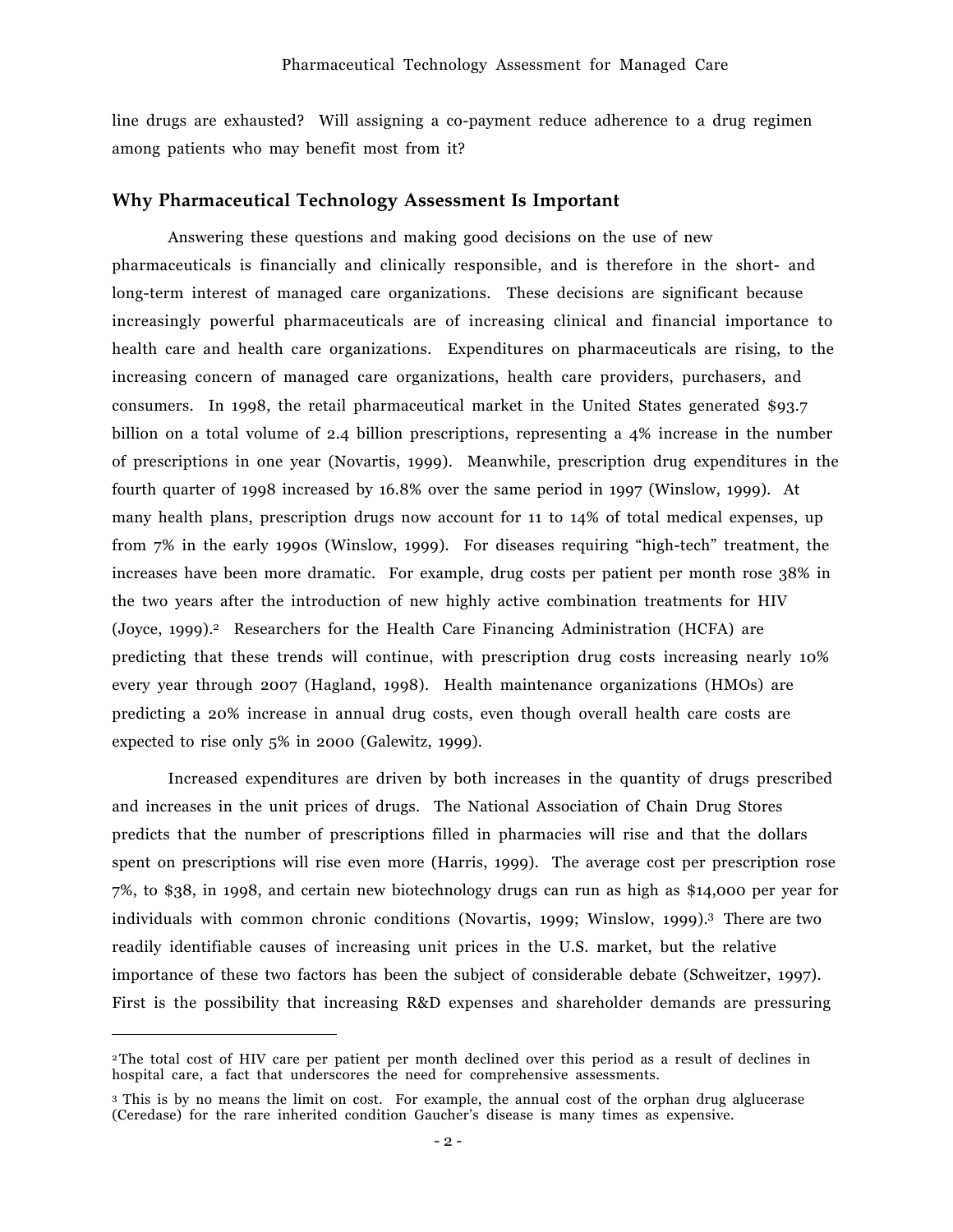line drugs are exhausted? Will assigning a co-payment reduce adherence to a drug regimen among patients who may benefit most from it?

#### **Why Pharmaceutical Technology Assessment Is Important**

Answering these questions and making good decisions on the use of new pharmaceuticals is financially and clinically responsible, and is therefore in the short- and long-term interest of managed care organizations. These decisions are significant because increasingly powerful pharmaceuticals are of increasing clinical and financial importance to health care and health care organizations. Expenditures on pharmaceuticals are rising, to the increasing concern of managed care organizations, health care providers, purchasers, and consumers. In 1998, the retail pharmaceutical market in the United States generated \$93.7 billion on a total volume of 2.4 billion prescriptions, representing a 4% increase in the number of prescriptions in one year (Novartis, 1999). Meanwhile, prescription drug expenditures in the fourth quarter of 1998 increased by 16.8% over the same period in 1997 (Winslow, 1999). At many health plans, prescription drugs now account for 11 to 14% of total medical expenses, up from  $7\%$  in the early 1990s (Winslow, 1999). For diseases requiring "high-tech" treatment, the increases have been more dramatic. For example, drug costs per patient per month rose 38% in the two years after the introduction of new highly active combination treatments for HIV (Joyce, 1999).2 Researchers for the Health Care Financing Administration (HCFA) are predicting that these trends will continue, with prescription drug costs increasing nearly 10% every year through 2007 (Hagland, 1998). Health maintenance organizations (HMOs) are predicting a 20% increase in annual drug costs, even though overall health care costs are expected to rise only 5% in 2000 (Galewitz, 1999).

Increased expenditures are driven by both increases in the quantity of drugs prescribed and increases in the unit prices of drugs. The National Association of Chain Drug Stores predicts that the number of prescriptions filled in pharmacies will rise and that the dollars spent on prescriptions will rise even more (Harris, 1999). The average cost per prescription rose 7%, to \$38, in 1998, and certain new biotechnology drugs can run as high as \$14,000 per year for individuals with common chronic conditions (Novartis, 1999; Winslow, 1999).3 There are two readily identifiable causes of increasing unit prices in the U.S. market, but the relative importance of these two factors has been the subject of considerable debate (Schweitzer, 1997). First is the possibility that increasing R&D expenses and shareholder demands are pressuring

 $\overline{a}$ 

<sup>2</sup>The total cost of HIV care per patient per month declined over this period as a result of declines in hospital care, a fact that underscores the need for comprehensive assessments.

<sup>3</sup> This is by no means the limit on cost. For example, the annual cost of the orphan drug alglucerase (Ceredase) for the rare inherited condition Gaucherís disease is many times as expensive.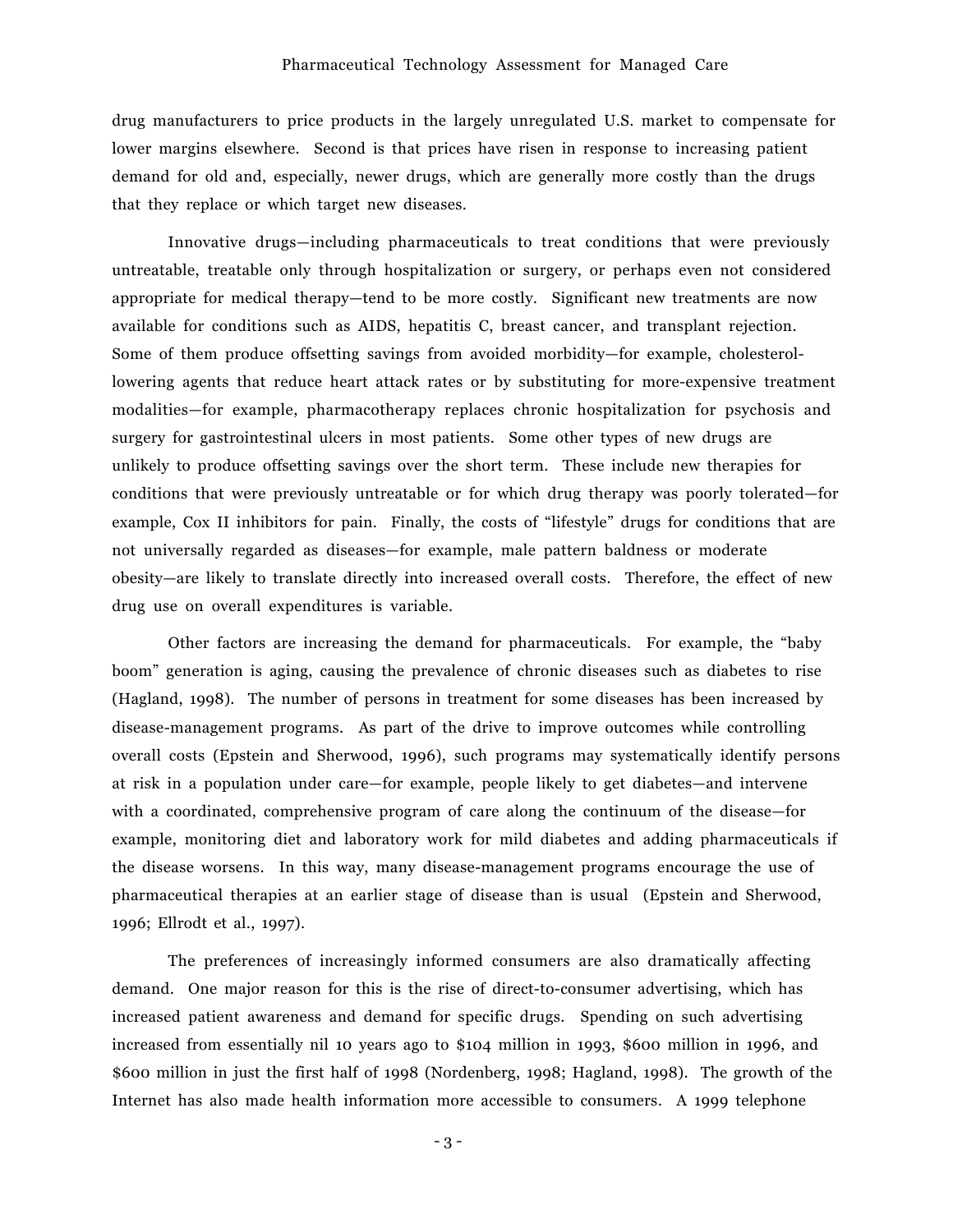drug manufacturers to price products in the largely unregulated U.S. market to compensate for lower margins elsewhere. Second is that prices have risen in response to increasing patient demand for old and, especially, newer drugs, which are generally more costly than the drugs that they replace or which target new diseases.

Innovative drugs—including pharmaceuticals to treat conditions that were previously untreatable, treatable only through hospitalization or surgery, or perhaps even not considered appropriate for medical therapy—tend to be more costly. Significant new treatments are now available for conditions such as AIDS, hepatitis C, breast cancer, and transplant rejection. Some of them produce offsetting savings from avoided morbidity—for example, cholesterollowering agents that reduce heart attack rates or by substituting for more-expensive treatment modalities—for example, pharmacotherapy replaces chronic hospitalization for psychosis and surgery for gastrointestinal ulcers in most patients. Some other types of new drugs are unlikely to produce offsetting savings over the short term. These include new therapies for conditions that were previously untreatable or for which drug therapy was poorly tolerated–for example, Cox II inhibitors for pain. Finally, the costs of "lifestyle" drugs for conditions that are not universally regarded as diseases—for example, male pattern baldness or moderate obesity—are likely to translate directly into increased overall costs. Therefore, the effect of new drug use on overall expenditures is variable.

Other factors are increasing the demand for pharmaceuticals. For example, the "baby" boomî generation is aging, causing the prevalence of chronic diseases such as diabetes to rise (Hagland, 1998). The number of persons in treatment for some diseases has been increased by disease-management programs. As part of the drive to improve outcomes while controlling overall costs (Epstein and Sherwood, 1996), such programs may systematically identify persons at risk in a population under care—for example, people likely to get diabetes—and intervene with a coordinated, comprehensive program of care along the continuum of the disease–for example, monitoring diet and laboratory work for mild diabetes and adding pharmaceuticals if the disease worsens. In this way, many disease-management programs encourage the use of pharmaceutical therapies at an earlier stage of disease than is usual (Epstein and Sherwood, 1996; Ellrodt et al., 1997).

The preferences of increasingly informed consumers are also dramatically affecting demand. One major reason for this is the rise of direct-to-consumer advertising, which has increased patient awareness and demand for specific drugs. Spending on such advertising increased from essentially nil 10 years ago to \$104 million in 1993, \$600 million in 1996, and \$600 million in just the first half of 1998 (Nordenberg, 1998; Hagland, 1998). The growth of the Internet has also made health information more accessible to consumers. A 1999 telephone

- 3 -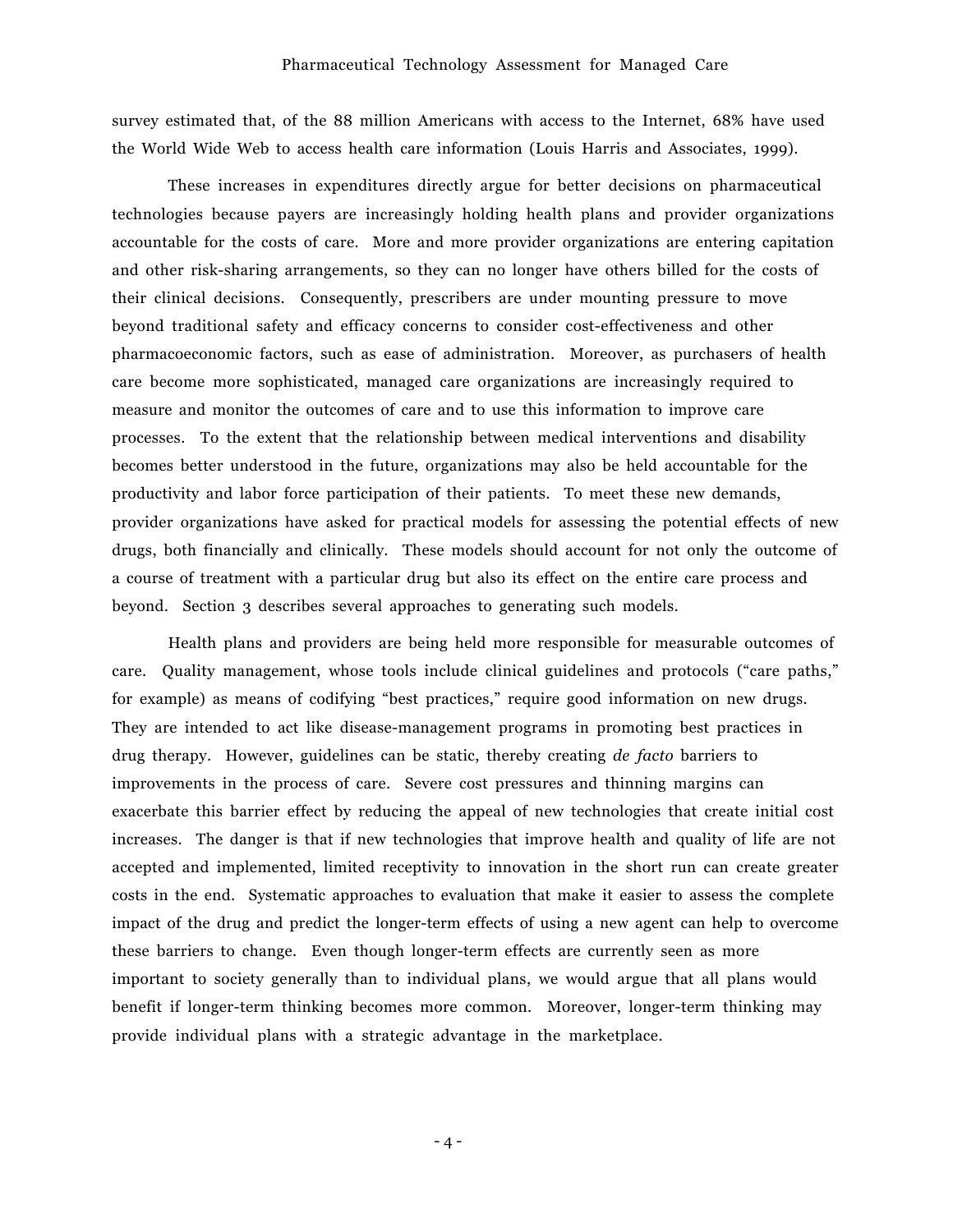survey estimated that, of the 88 million Americans with access to the Internet, 68% have used the World Wide Web to access health care information (Louis Harris and Associates, 1999).

These increases in expenditures directly argue for better decisions on pharmaceutical technologies because payers are increasingly holding health plans and provider organizations accountable for the costs of care. More and more provider organizations are entering capitation and other risk-sharing arrangements, so they can no longer have others billed for the costs of their clinical decisions. Consequently, prescribers are under mounting pressure to move beyond traditional safety and efficacy concerns to consider cost-effectiveness and other pharmacoeconomic factors, such as ease of administration. Moreover, as purchasers of health care become more sophisticated, managed care organizations are increasingly required to measure and monitor the outcomes of care and to use this information to improve care processes. To the extent that the relationship between medical interventions and disability becomes better understood in the future, organizations may also be held accountable for the productivity and labor force participation of their patients. To meet these new demands, provider organizations have asked for practical models for assessing the potential effects of new drugs, both financially and clinically. These models should account for not only the outcome of a course of treatment with a particular drug but also its effect on the entire care process and beyond. Section 3 describes several approaches to generating such models.

Health plans and providers are being held more responsible for measurable outcomes of care. Quality management, whose tools include clinical guidelines and protocols ("care paths," for example) as means of codifying "best practices," require good information on new drugs. They are intended to act like disease-management programs in promoting best practices in drug therapy. However, guidelines can be static, thereby creating *de facto* barriers to improvements in the process of care. Severe cost pressures and thinning margins can exacerbate this barrier effect by reducing the appeal of new technologies that create initial cost increases. The danger is that if new technologies that improve health and quality of life are not accepted and implemented, limited receptivity to innovation in the short run can create greater costs in the end. Systematic approaches to evaluation that make it easier to assess the complete impact of the drug and predict the longer-term effects of using a new agent can help to overcome these barriers to change. Even though longer-term effects are currently seen as more important to society generally than to individual plans, we would argue that all plans would benefit if longer-term thinking becomes more common. Moreover, longer-term thinking may provide individual plans with a strategic advantage in the marketplace.

- 4 -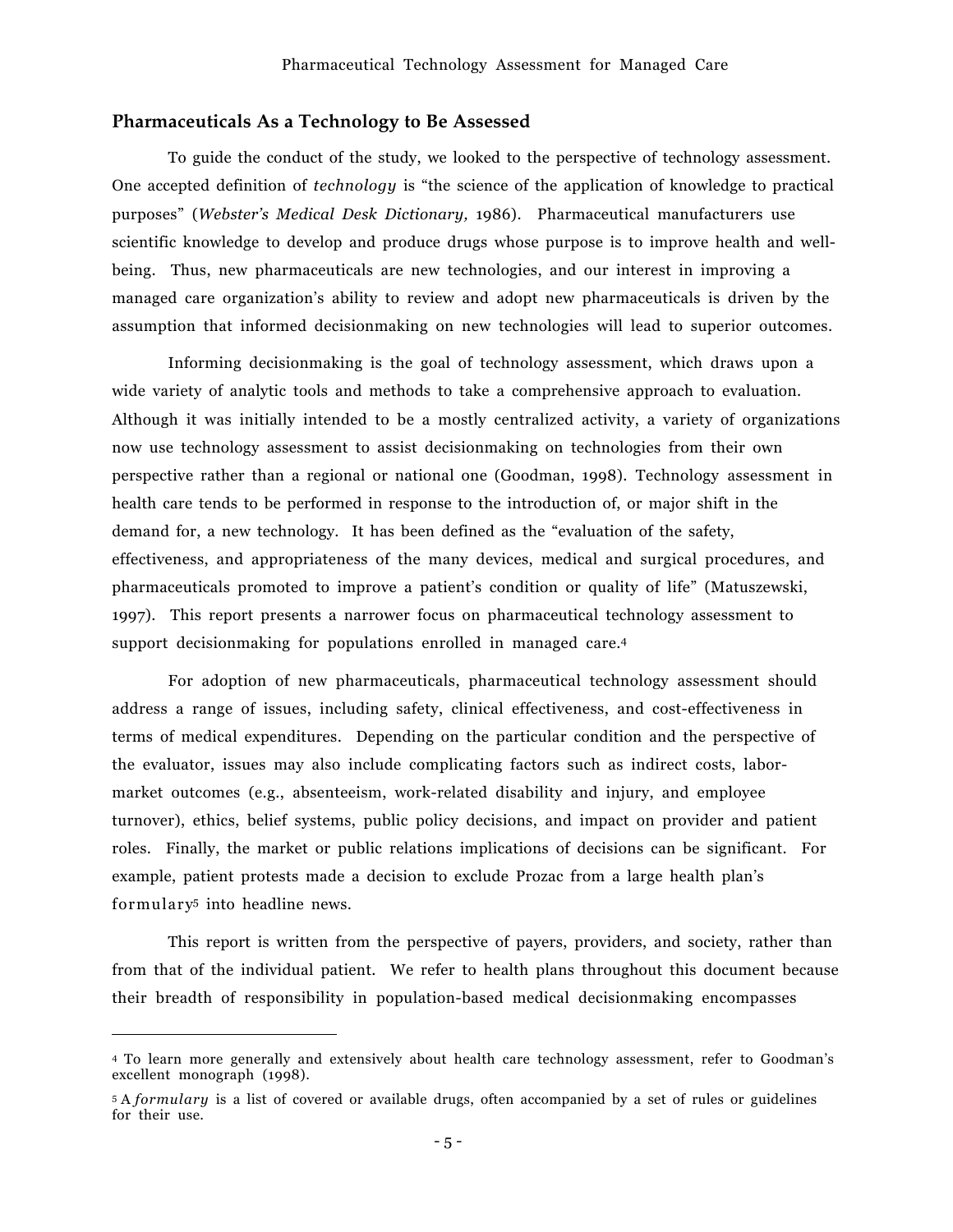#### **Pharmaceuticals As a Technology to Be Assessed**

To guide the conduct of the study, we looked to the perspective of technology assessment. One accepted definition of *technology* is "the science of the application of knowledge to practical purposesî (*Websterís Medical Desk Dictionary,* 1986). Pharmaceutical manufacturers use scientific knowledge to develop and produce drugs whose purpose is to improve health and wellbeing. Thus, new pharmaceuticals are new technologies, and our interest in improving a managed care organizationís ability to review and adopt new pharmaceuticals is driven by the assumption that informed decisionmaking on new technologies will lead to superior outcomes.

Informing decisionmaking is the goal of technology assessment, which draws upon a wide variety of analytic tools and methods to take a comprehensive approach to evaluation. Although it was initially intended to be a mostly centralized activity, a variety of organizations now use technology assessment to assist decisionmaking on technologies from their own perspective rather than a regional or national one (Goodman, 1998). Technology assessment in health care tends to be performed in response to the introduction of, or major shift in the demand for, a new technology. It has been defined as the "evaluation of the safety, effectiveness, and appropriateness of the many devices, medical and surgical procedures, and pharmaceuticals promoted to improve a patientís condition or quality of lifeî (Matuszewski, 1997). This report presents a narrower focus on pharmaceutical technology assessment to support decisionmaking for populations enrolled in managed care.<sup>4</sup>

For adoption of new pharmaceuticals, pharmaceutical technology assessment should address a range of issues, including safety, clinical effectiveness, and cost-effectiveness in terms of medical expenditures. Depending on the particular condition and the perspective of the evaluator, issues may also include complicating factors such as indirect costs, labormarket outcomes (e.g., absenteeism, work-related disability and injury, and employee turnover), ethics, belief systems, public policy decisions, and impact on provider and patient roles. Finally, the market or public relations implications of decisions can be significant. For example, patient protests made a decision to exclude Prozac from a large health planís formulary5 into headline news.

This report is written from the perspective of payers, providers, and society, rather than from that of the individual patient. We refer to health plans throughout this document because their breadth of responsibility in population-based medical decisionmaking encompasses

 $\overline{a}$ 

<sup>4</sup> To learn more generally and extensively about health care technology assessment, refer to Goodmanís excellent monograph (1998).

<sup>5</sup> A *formulary* is a list of covered or available drugs, often accompanied by a set of rules or guidelines for their use.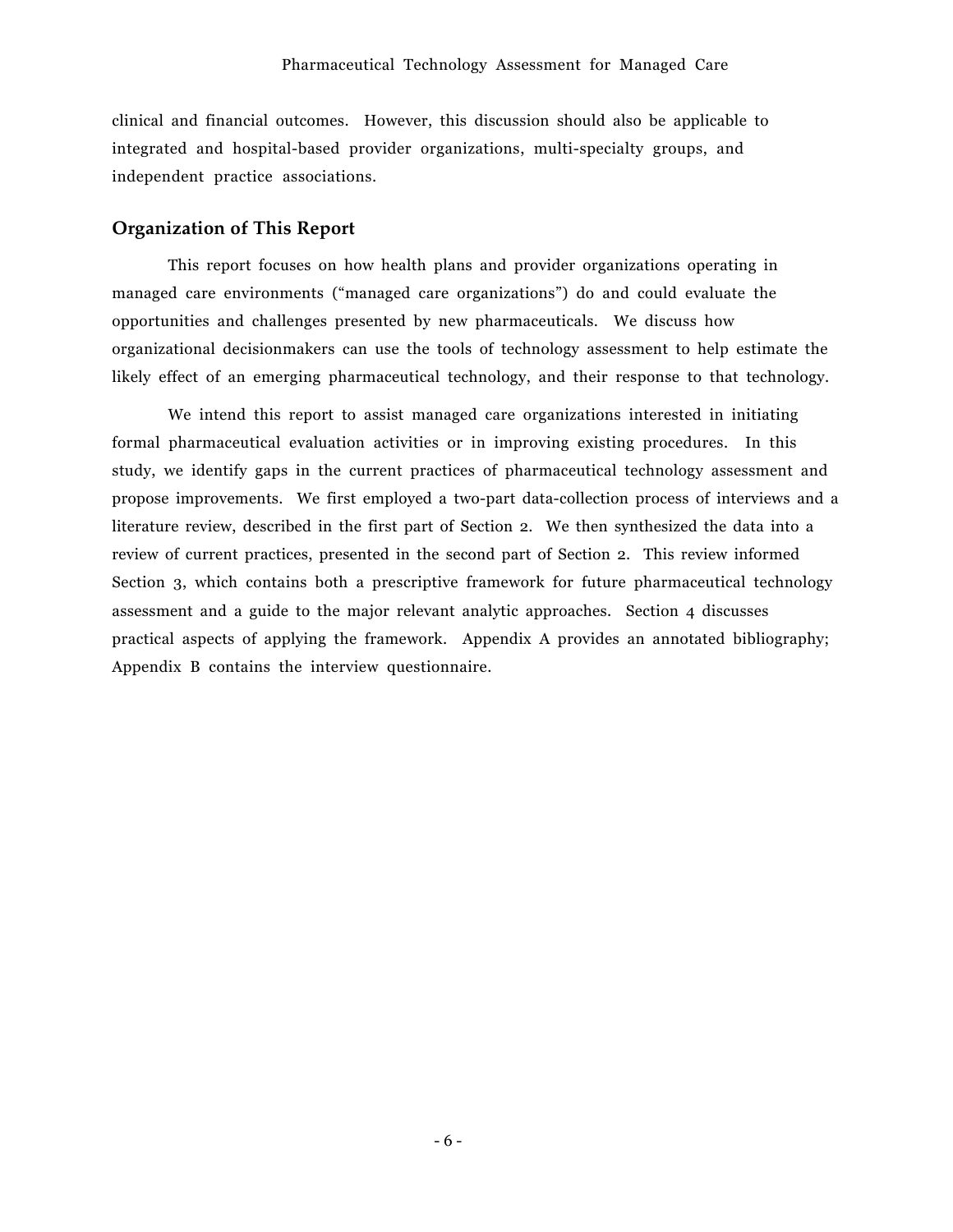clinical and financial outcomes. However, this discussion should also be applicable to integrated and hospital-based provider organizations, multi-specialty groups, and independent practice associations.

#### **Organization of This Report**

This report focuses on how health plans and provider organizations operating in managed care environments ("managed care organizations") do and could evaluate the opportunities and challenges presented by new pharmaceuticals. We discuss how organizational decisionmakers can use the tools of technology assessment to help estimate the likely effect of an emerging pharmaceutical technology, and their response to that technology.

We intend this report to assist managed care organizations interested in initiating formal pharmaceutical evaluation activities or in improving existing procedures. In this study, we identify gaps in the current practices of pharmaceutical technology assessment and propose improvements. We first employed a two-part data-collection process of interviews and a literature review, described in the first part of Section 2. We then synthesized the data into a review of current practices, presented in the second part of Section 2. This review informed Section 3, which contains both a prescriptive framework for future pharmaceutical technology assessment and a guide to the major relevant analytic approaches. Section 4 discusses practical aspects of applying the framework. Appendix A provides an annotated bibliography; Appendix B contains the interview questionnaire.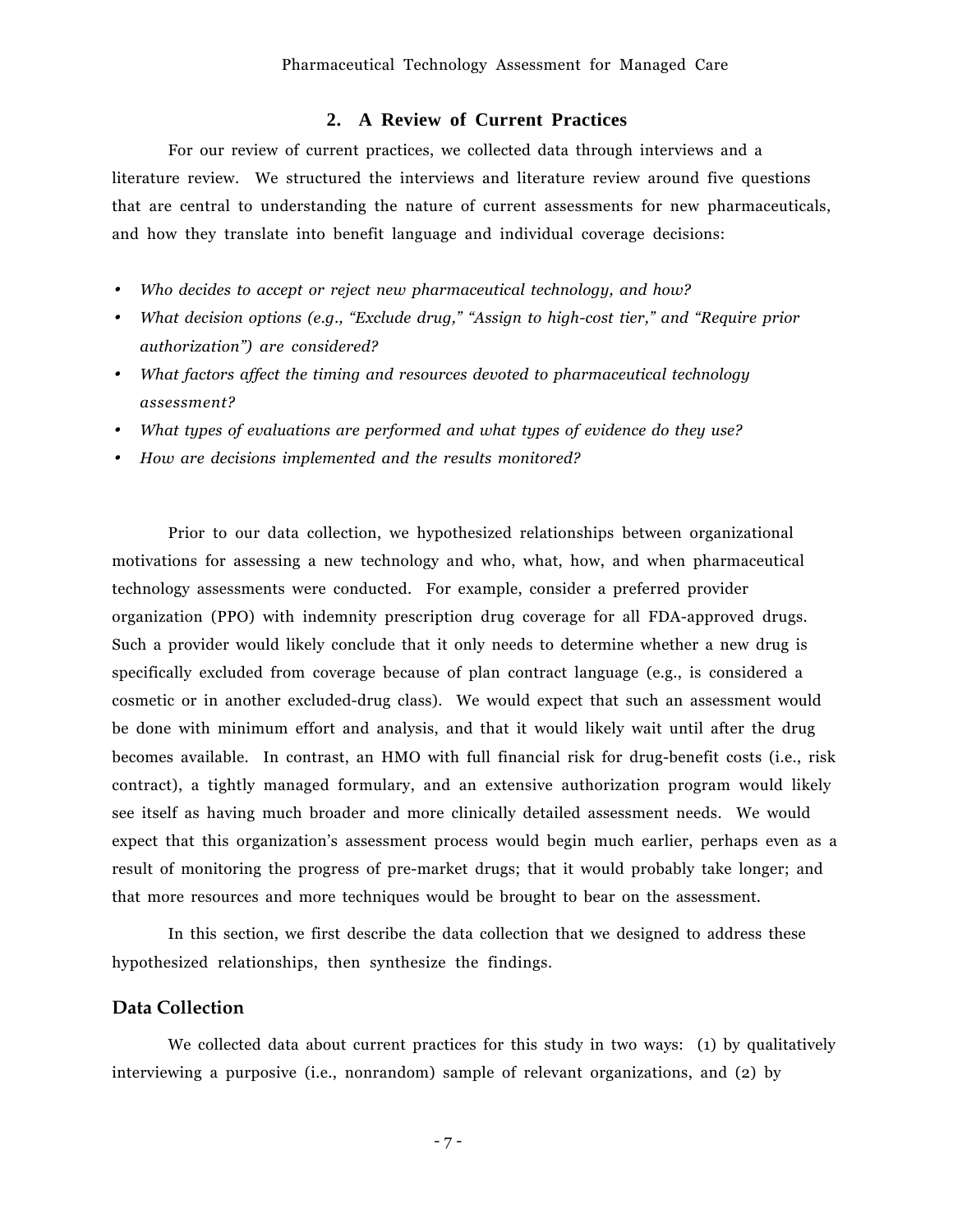#### **2. A Review of Current Practices**

For our review of current practices, we collected data through interviews and a literature review. We structured the interviews and literature review around five questions that are central to understanding the nature of current assessments for new pharmaceuticals, and how they translate into benefit language and individual coverage decisions:

- •*Who decides to accept or reject new pharmaceutical technology, and how?*
- •*What decision options (e.g., "Exclude drug," "Assign to high-cost tier," and "Require prior authorizationî) are considered?*
- *What factors affect the timing and resources devoted to pharmaceutical technology assessment?*
- *What types of evaluations are performed and what types of evidence do they use?*
- *How are decisions implemented and the results monitored?*

Prior to our data collection, we hypothesized relationships between organizational motivations for assessing a new technology and who, what, how, and when pharmaceutical technology assessments were conducted. For example, consider a preferred provider organization (PPO) with indemnity prescription drug coverage for all FDA-approved drugs. Such a provider would likely conclude that it only needs to determine whether a new drug is specifically excluded from coverage because of plan contract language (e.g., is considered a cosmetic or in another excluded-drug class). We would expect that such an assessment would be done with minimum effort and analysis, and that it would likely wait until after the drug becomes available. In contrast, an HMO with full financial risk for drug-benefit costs (i.e., risk contract), a tightly managed formulary, and an extensive authorization program would likely see itself as having much broader and more clinically detailed assessment needs. We would expect that this organization's assessment process would begin much earlier, perhaps even as a result of monitoring the progress of pre-market drugs; that it would probably take longer; and that more resources and more techniques would be brought to bear on the assessment.

In this section, we first describe the data collection that we designed to address these hypothesized relationships, then synthesize the findings.

## **Data Collection**

We collected data about current practices for this study in two ways: (1) by qualitatively interviewing a purposive (i.e., nonrandom) sample of relevant organizations, and (2) by

- 7 -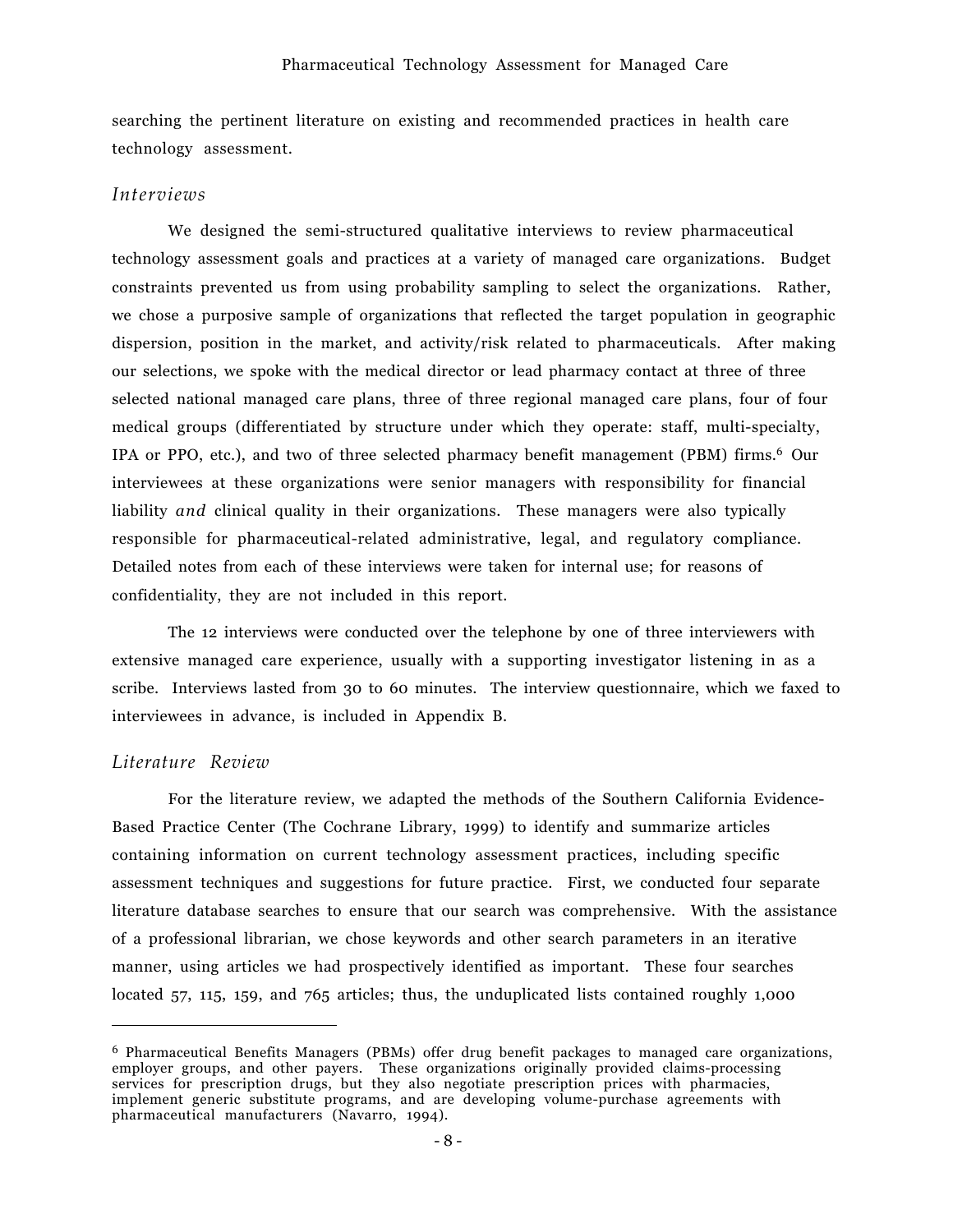searching the pertinent literature on existing and recommended practices in health care technology assessment.

#### *Interviews*

We designed the semi-structured qualitative interviews to review pharmaceutical technology assessment goals and practices at a variety of managed care organizations. Budget constraints prevented us from using probability sampling to select the organizations. Rather, we chose a purposive sample of organizations that reflected the target population in geographic dispersion, position in the market, and activity/risk related to pharmaceuticals. After making our selections, we spoke with the medical director or lead pharmacy contact at three of three selected national managed care plans, three of three regional managed care plans, four of four medical groups (differentiated by structure under which they operate: staff, multi-specialty, IPA or PPO, etc.), and two of three selected pharmacy benefit management (PBM) firms.6 Our interviewees at these organizations were senior managers with responsibility for financial liability *and* clinical quality in their organizations. These managers were also typically responsible for pharmaceutical-related administrative, legal, and regulatory compliance. Detailed notes from each of these interviews were taken for internal use; for reasons of confidentiality, they are not included in this report.

The 12 interviews were conducted over the telephone by one of three interviewers with extensive managed care experience, usually with a supporting investigator listening in as a scribe. Interviews lasted from 30 to 60 minutes. The interview questionnaire, which we faxed to interviewees in advance, is included in Appendix B.

### *Literature Review*

 $\overline{a}$ 

For the literature review, we adapted the methods of the Southern California Evidence-Based Practice Center (The Cochrane Library, 1999) to identify and summarize articles containing information on current technology assessment practices, including specific assessment techniques and suggestions for future practice. First, we conducted four separate literature database searches to ensure that our search was comprehensive. With the assistance of a professional librarian, we chose keywords and other search parameters in an iterative manner, using articles we had prospectively identified as important. These four searches located 57, 115, 159, and 765 articles; thus, the unduplicated lists contained roughly 1,000

<sup>6</sup> Pharmaceutical Benefits Managers (PBMs) offer drug benefit packages to managed care organizations, employer groups, and other payers. These organizations originally provided claims-processing services for prescription drugs, but they also negotiate prescription prices with pharmacies, implement generic substitute programs, and are developing volume-purchase agreements with pharmaceutical manufacturers (Navarro, 1994).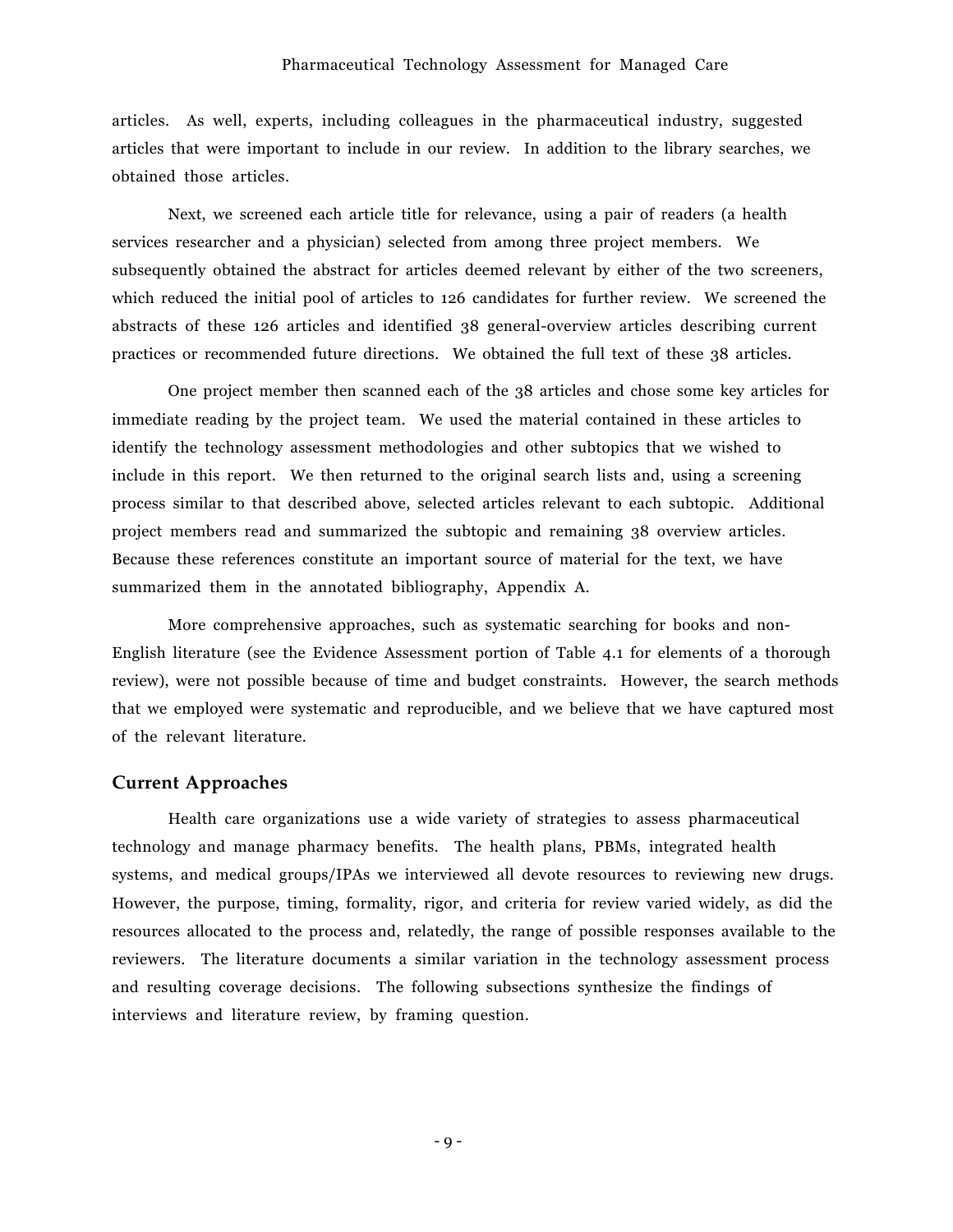#### Pharmaceutical Technology Assessment for Managed Care

articles. As well, experts, including colleagues in the pharmaceutical industry, suggested articles that were important to include in our review. In addition to the library searches, we obtained those articles.

Next, we screened each article title for relevance, using a pair of readers (a health services researcher and a physician) selected from among three project members. We subsequently obtained the abstract for articles deemed relevant by either of the two screeners, which reduced the initial pool of articles to 126 candidates for further review. We screened the abstracts of these 126 articles and identified 38 general-overview articles describing current practices or recommended future directions. We obtained the full text of these 38 articles.

One project member then scanned each of the 38 articles and chose some key articles for immediate reading by the project team. We used the material contained in these articles to identify the technology assessment methodologies and other subtopics that we wished to include in this report. We then returned to the original search lists and, using a screening process similar to that described above, selected articles relevant to each subtopic. Additional project members read and summarized the subtopic and remaining 38 overview articles. Because these references constitute an important source of material for the text, we have summarized them in the annotated bibliography, Appendix A.

More comprehensive approaches, such as systematic searching for books and non-English literature (see the Evidence Assessment portion of Table 4.1 for elements of a thorough review), were not possible because of time and budget constraints. However, the search methods that we employed were systematic and reproducible, and we believe that we have captured most of the relevant literature.

### **Current Approaches**

Health care organizations use a wide variety of strategies to assess pharmaceutical technology and manage pharmacy benefits. The health plans, PBMs, integrated health systems, and medical groups/IPAs we interviewed all devote resources to reviewing new drugs. However, the purpose, timing, formality, rigor, and criteria for review varied widely, as did the resources allocated to the process and, relatedly, the range of possible responses available to the reviewers. The literature documents a similar variation in the technology assessment process and resulting coverage decisions. The following subsections synthesize the findings of interviews and literature review, by framing question.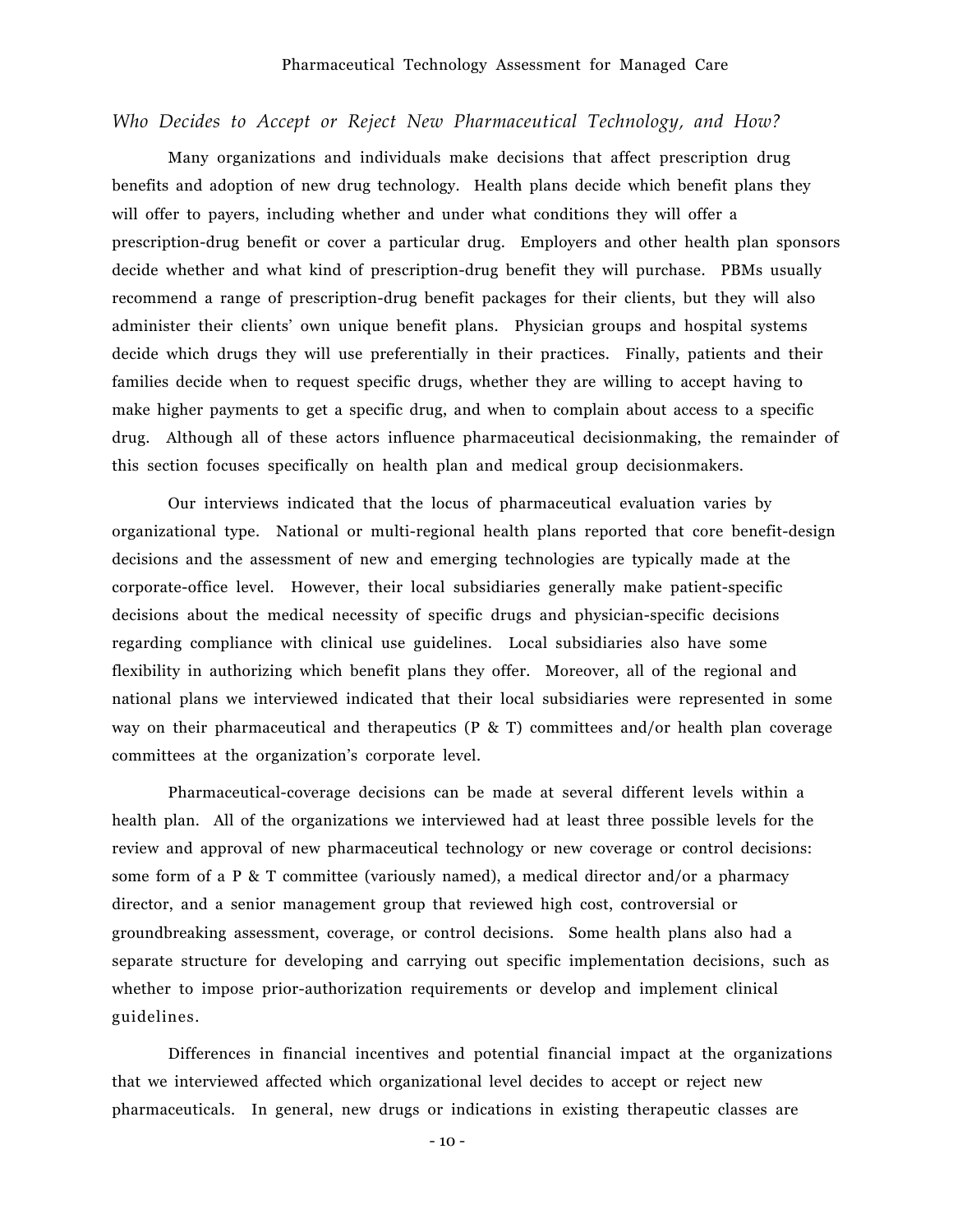### *Who Decides to Accept or Reject New Pharmaceutical Technology, and How?*

Many organizations and individuals make decisions that affect prescription drug benefits and adoption of new drug technology. Health plans decide which benefit plans they will offer to payers, including whether and under what conditions they will offer a prescription-drug benefit or cover a particular drug. Employers and other health plan sponsors decide whether and what kind of prescription-drug benefit they will purchase. PBMs usually recommend a range of prescription-drug benefit packages for their clients, but they will also administer their clients' own unique benefit plans. Physician groups and hospital systems decide which drugs they will use preferentially in their practices. Finally, patients and their families decide when to request specific drugs, whether they are willing to accept having to make higher payments to get a specific drug, and when to complain about access to a specific drug. Although all of these actors influence pharmaceutical decisionmaking, the remainder of this section focuses specifically on health plan and medical group decisionmakers.

Our interviews indicated that the locus of pharmaceutical evaluation varies by organizational type. National or multi-regional health plans reported that core benefit-design decisions and the assessment of new and emerging technologies are typically made at the corporate-office level. However, their local subsidiaries generally make patient-specific decisions about the medical necessity of specific drugs and physician-specific decisions regarding compliance with clinical use guidelines. Local subsidiaries also have some flexibility in authorizing which benefit plans they offer. Moreover, all of the regional and national plans we interviewed indicated that their local subsidiaries were represented in some way on their pharmaceutical and therapeutics (P & T) committees and/or health plan coverage committees at the organization's corporate level.

Pharmaceutical-coverage decisions can be made at several different levels within a health plan. All of the organizations we interviewed had at least three possible levels for the review and approval of new pharmaceutical technology or new coverage or control decisions: some form of a P & T committee (variously named), a medical director and/or a pharmacy director, and a senior management group that reviewed high cost, controversial or groundbreaking assessment, coverage, or control decisions. Some health plans also had a separate structure for developing and carrying out specific implementation decisions, such as whether to impose prior-authorization requirements or develop and implement clinical guidelines.

Differences in financial incentives and potential financial impact at the organizations that we interviewed affected which organizational level decides to accept or reject new pharmaceuticals. In general, new drugs or indications in existing therapeutic classes are

- 10 -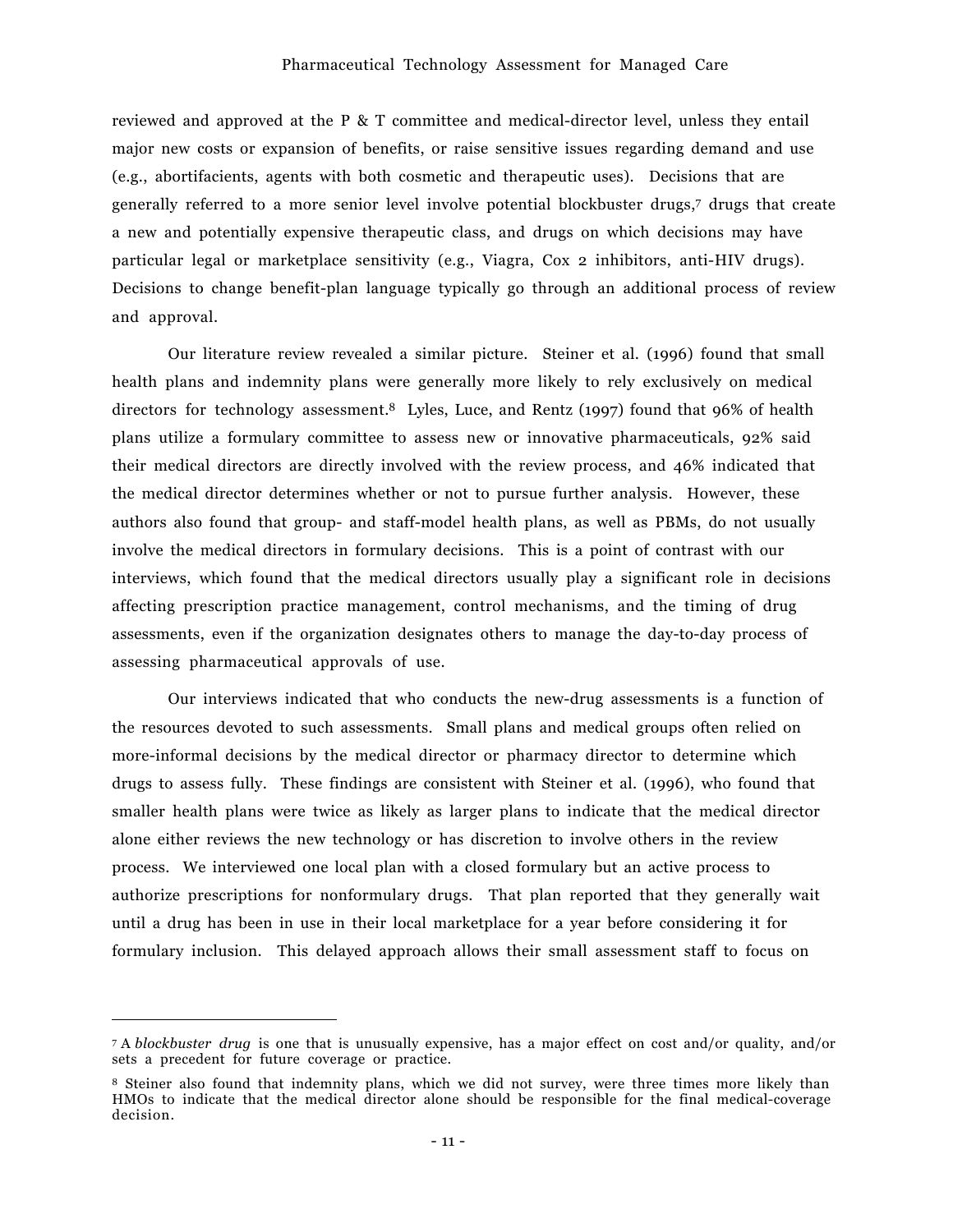reviewed and approved at the P & T committee and medical-director level, unless they entail major new costs or expansion of benefits, or raise sensitive issues regarding demand and use (e.g., abortifacients, agents with both cosmetic and therapeutic uses). Decisions that are generally referred to a more senior level involve potential blockbuster drugs,7 drugs that create a new and potentially expensive therapeutic class, and drugs on which decisions may have particular legal or marketplace sensitivity (e.g., Viagra, Cox 2 inhibitors, anti-HIV drugs). Decisions to change benefit-plan language typically go through an additional process of review and approval.

Our literature review revealed a similar picture. Steiner et al. (1996) found that small health plans and indemnity plans were generally more likely to rely exclusively on medical directors for technology assessment.<sup>8</sup> Lyles, Luce, and Rentz (1997) found that 96% of health plans utilize a formulary committee to assess new or innovative pharmaceuticals, 92% said their medical directors are directly involved with the review process, and 46% indicated that the medical director determines whether or not to pursue further analysis. However, these authors also found that group- and staff-model health plans, as well as PBMs, do not usually involve the medical directors in formulary decisions. This is a point of contrast with our interviews, which found that the medical directors usually play a significant role in decisions affecting prescription practice management, control mechanisms, and the timing of drug assessments, even if the organization designates others to manage the day-to-day process of assessing pharmaceutical approvals of use.

Our interviews indicated that who conducts the new-drug assessments is a function of the resources devoted to such assessments. Small plans and medical groups often relied on more-informal decisions by the medical director or pharmacy director to determine which drugs to assess fully. These findings are consistent with Steiner et al. (1996), who found that smaller health plans were twice as likely as larger plans to indicate that the medical director alone either reviews the new technology or has discretion to involve others in the review process. We interviewed one local plan with a closed formulary but an active process to authorize prescriptions for nonformulary drugs. That plan reported that they generally wait until a drug has been in use in their local marketplace for a year before considering it for formulary inclusion. This delayed approach allows their small assessment staff to focus on

 $\overline{a}$ 

<sup>7</sup> A *blockbuster drug* is one that is unusually expensive, has a major effect on cost and/or quality, and/or sets a precedent for future coverage or practice.

<sup>8</sup> Steiner also found that indemnity plans, which we did not survey, were three times more likely than HMOs to indicate that the medical director alone should be responsible for the final medical-coverage decision.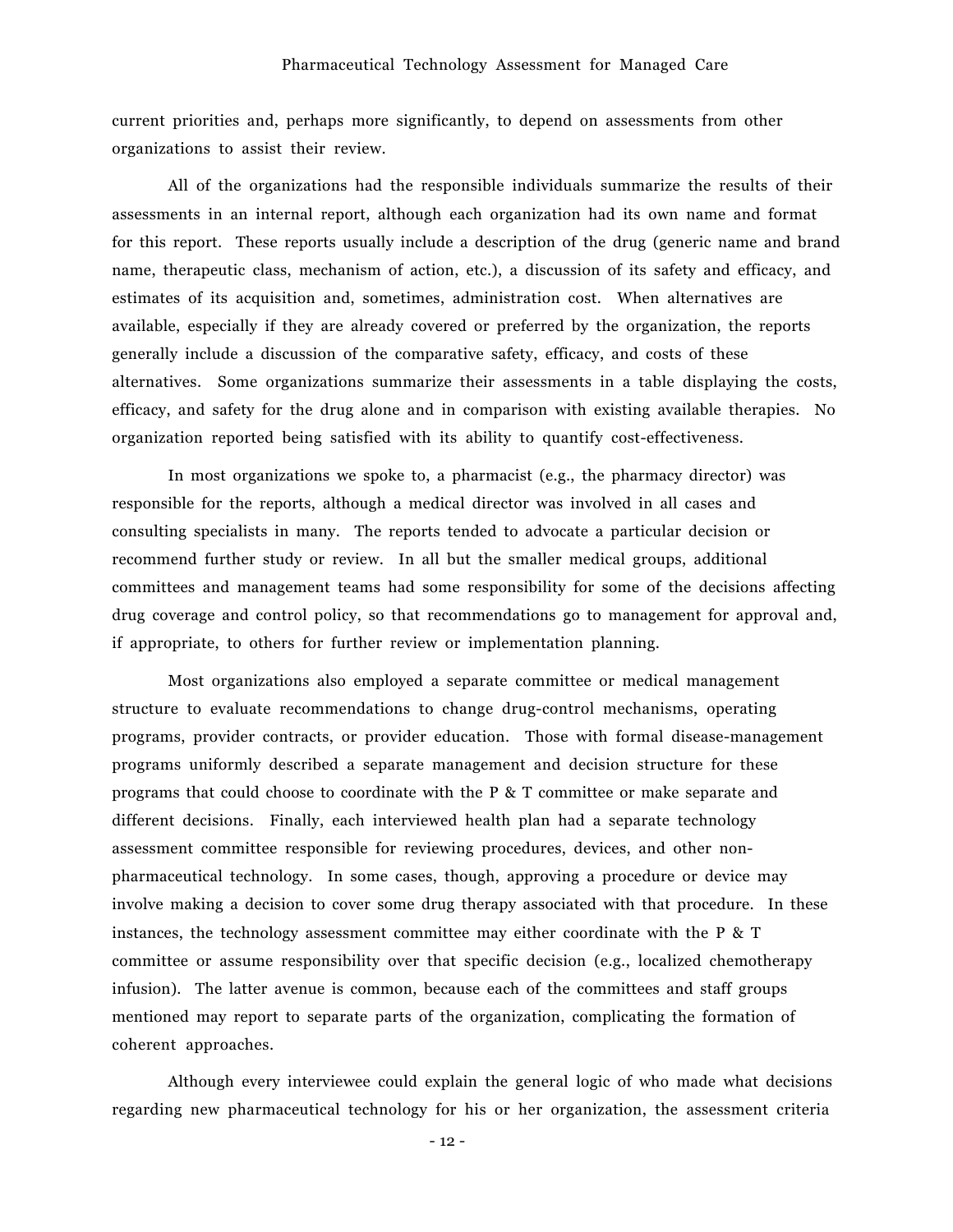current priorities and, perhaps more significantly, to depend on assessments from other organizations to assist their review.

All of the organizations had the responsible individuals summarize the results of their assessments in an internal report, although each organization had its own name and format for this report. These reports usually include a description of the drug (generic name and brand name, therapeutic class, mechanism of action, etc.), a discussion of its safety and efficacy, and estimates of its acquisition and, sometimes, administration cost. When alternatives are available, especially if they are already covered or preferred by the organization, the reports generally include a discussion of the comparative safety, efficacy, and costs of these alternatives. Some organizations summarize their assessments in a table displaying the costs, efficacy, and safety for the drug alone and in comparison with existing available therapies. No organization reported being satisfied with its ability to quantify cost-effectiveness.

In most organizations we spoke to, a pharmacist (e.g., the pharmacy director) was responsible for the reports, although a medical director was involved in all cases and consulting specialists in many. The reports tended to advocate a particular decision or recommend further study or review. In all but the smaller medical groups, additional committees and management teams had some responsibility for some of the decisions affecting drug coverage and control policy, so that recommendations go to management for approval and, if appropriate, to others for further review or implementation planning.

Most organizations also employed a separate committee or medical management structure to evaluate recommendations to change drug-control mechanisms, operating programs, provider contracts, or provider education. Those with formal disease-management programs uniformly described a separate management and decision structure for these programs that could choose to coordinate with the P & T committee or make separate and different decisions. Finally, each interviewed health plan had a separate technology assessment committee responsible for reviewing procedures, devices, and other nonpharmaceutical technology. In some cases, though, approving a procedure or device may involve making a decision to cover some drug therapy associated with that procedure. In these instances, the technology assessment committee may either coordinate with the P & T committee or assume responsibility over that specific decision (e.g., localized chemotherapy infusion). The latter avenue is common, because each of the committees and staff groups mentioned may report to separate parts of the organization, complicating the formation of coherent approaches.

Although every interviewee could explain the general logic of who made what decisions regarding new pharmaceutical technology for his or her organization, the assessment criteria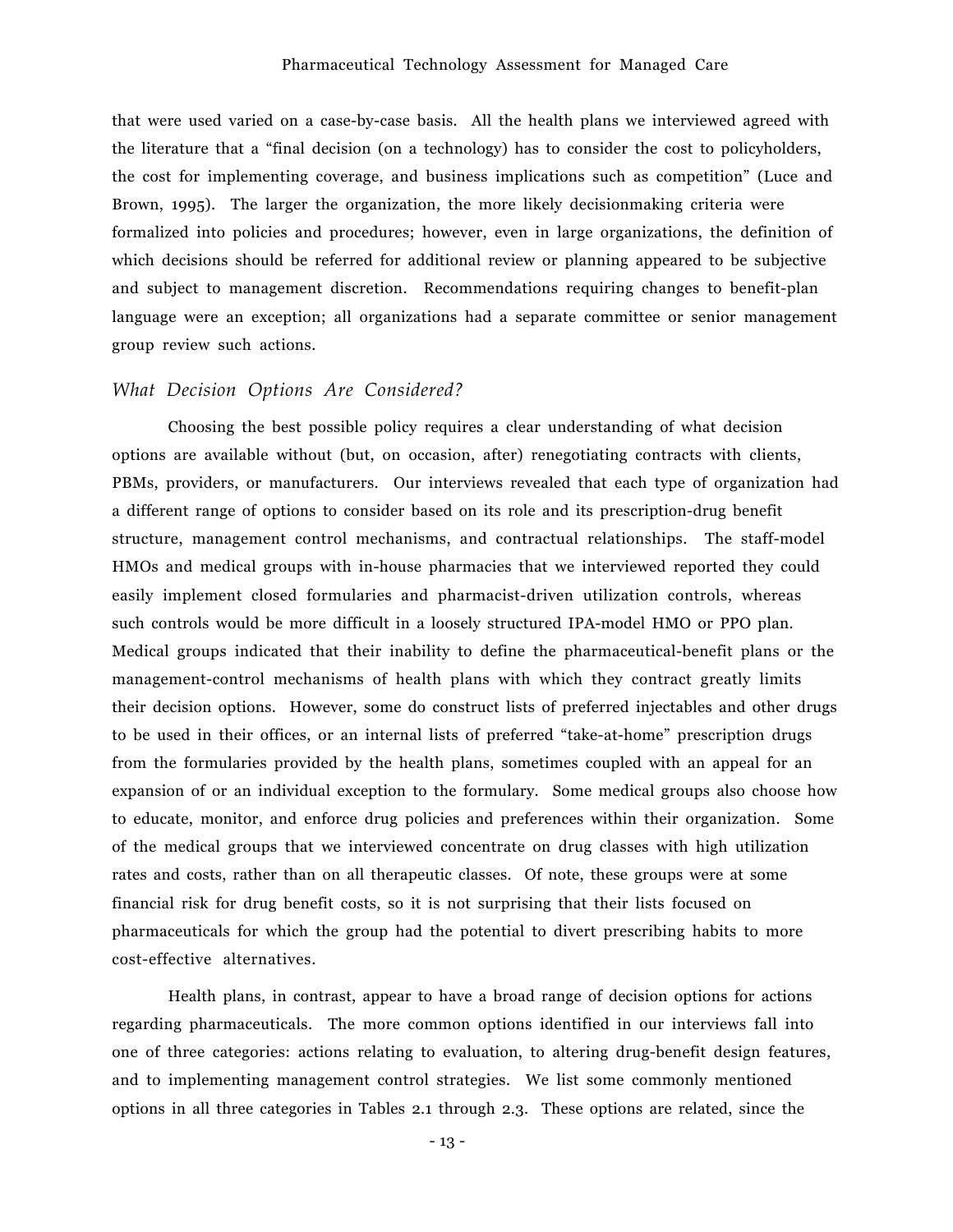#### Pharmaceutical Technology Assessment for Managed Care

that were used varied on a case-by-case basis. All the health plans we interviewed agreed with the literature that a "final decision (on a technology) has to consider the cost to policyholders, the cost for implementing coverage, and business implications such as competitionî (Luce and Brown, 1995). The larger the organization, the more likely decisionmaking criteria were formalized into policies and procedures; however, even in large organizations, the definition of which decisions should be referred for additional review or planning appeared to be subjective and subject to management discretion. Recommendations requiring changes to benefit-plan language were an exception; all organizations had a separate committee or senior management group review such actions.

#### *What Decision Options Are Considered?*

Choosing the best possible policy requires a clear understanding of what decision options are available without (but, on occasion, after) renegotiating contracts with clients, PBMs, providers, or manufacturers. Our interviews revealed that each type of organization had a different range of options to consider based on its role and its prescription-drug benefit structure, management control mechanisms, and contractual relationships. The staff-model HMOs and medical groups with in-house pharmacies that we interviewed reported they could easily implement closed formularies and pharmacist-driven utilization controls, whereas such controls would be more difficult in a loosely structured IPA-model HMO or PPO plan. Medical groups indicated that their inability to define the pharmaceutical-benefit plans or the management-control mechanisms of health plans with which they contract greatly limits their decision options. However, some do construct lists of preferred injectables and other drugs to be used in their offices, or an internal lists of preferred "take-at-home" prescription drugs from the formularies provided by the health plans, sometimes coupled with an appeal for an expansion of or an individual exception to the formulary. Some medical groups also choose how to educate, monitor, and enforce drug policies and preferences within their organization. Some of the medical groups that we interviewed concentrate on drug classes with high utilization rates and costs, rather than on all therapeutic classes. Of note, these groups were at some financial risk for drug benefit costs, so it is not surprising that their lists focused on pharmaceuticals for which the group had the potential to divert prescribing habits to more cost-effective alternatives.

Health plans, in contrast, appear to have a broad range of decision options for actions regarding pharmaceuticals. The more common options identified in our interviews fall into one of three categories: actions relating to evaluation, to altering drug-benefit design features, and to implementing management control strategies. We list some commonly mentioned options in all three categories in Tables 2.1 through 2.3. These options are related, since the

- 13 -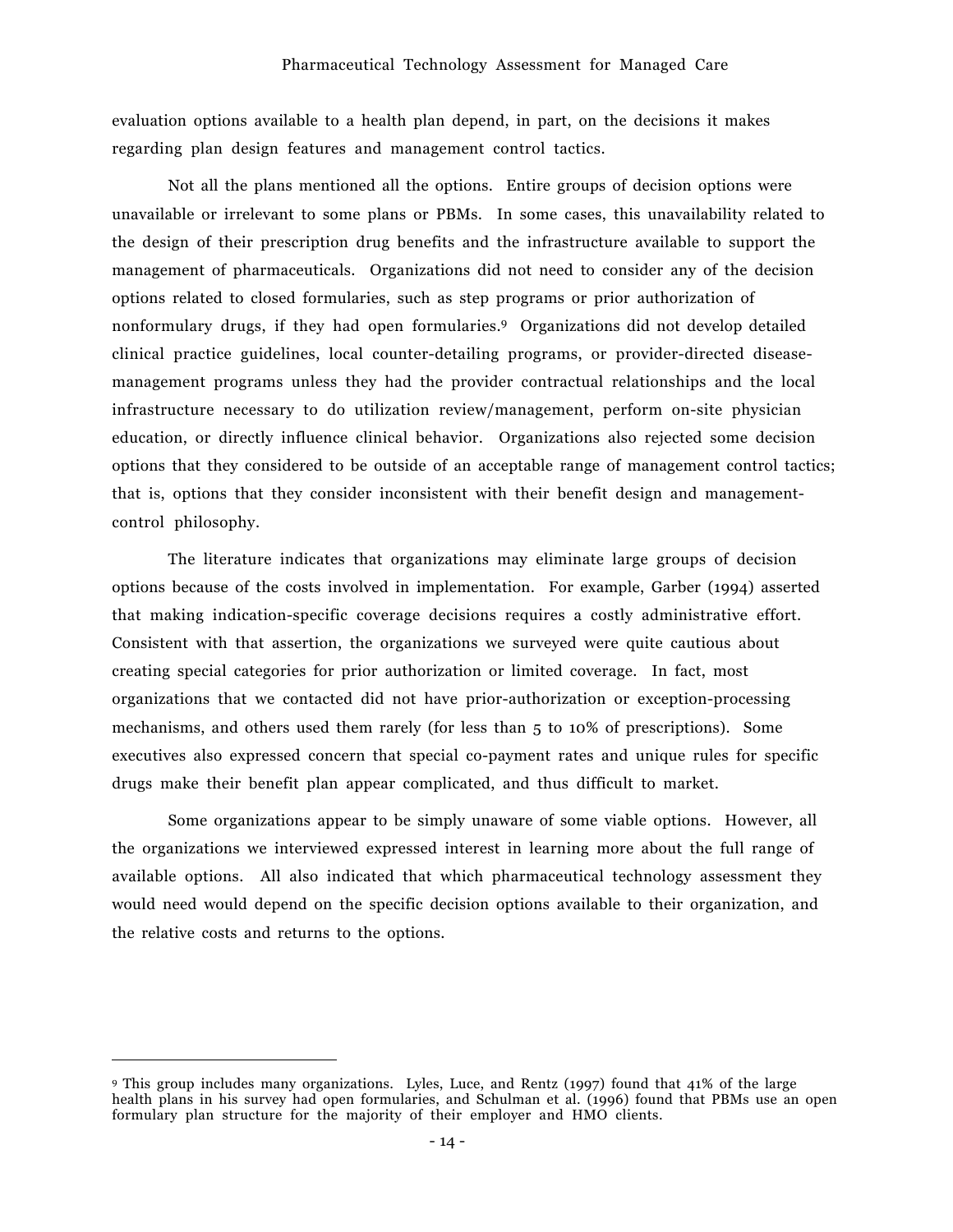evaluation options available to a health plan depend, in part, on the decisions it makes regarding plan design features and management control tactics.

Not all the plans mentioned all the options. Entire groups of decision options were unavailable or irrelevant to some plans or PBMs. In some cases, this unavailability related to the design of their prescription drug benefits and the infrastructure available to support the management of pharmaceuticals. Organizations did not need to consider any of the decision options related to closed formularies, such as step programs or prior authorization of nonformulary drugs, if they had open formularies.9 Organizations did not develop detailed clinical practice guidelines, local counter-detailing programs, or provider-directed diseasemanagement programs unless they had the provider contractual relationships and the local infrastructure necessary to do utilization review/management, perform on-site physician education, or directly influence clinical behavior. Organizations also rejected some decision options that they considered to be outside of an acceptable range of management control tactics; that is, options that they consider inconsistent with their benefit design and managementcontrol philosophy.

The literature indicates that organizations may eliminate large groups of decision options because of the costs involved in implementation. For example, Garber (1994) asserted that making indication-specific coverage decisions requires a costly administrative effort. Consistent with that assertion, the organizations we surveyed were quite cautious about creating special categories for prior authorization or limited coverage. In fact, most organizations that we contacted did not have prior-authorization or exception-processing mechanisms, and others used them rarely (for less than 5 to 10% of prescriptions). Some executives also expressed concern that special co-payment rates and unique rules for specific drugs make their benefit plan appear complicated, and thus difficult to market.

Some organizations appear to be simply unaware of some viable options. However, all the organizations we interviewed expressed interest in learning more about the full range of available options. All also indicated that which pharmaceutical technology assessment they would need would depend on the specific decision options available to their organization, and the relative costs and returns to the options.

 $\overline{a}$ 

<sup>9</sup> This group includes many organizations. Lyles, Luce, and Rentz (1997) found that 41% of the large health plans in his survey had open formularies, and Schulman et al. (1996) found that PBMs use an open formulary plan structure for the majority of their employer and HMO clients.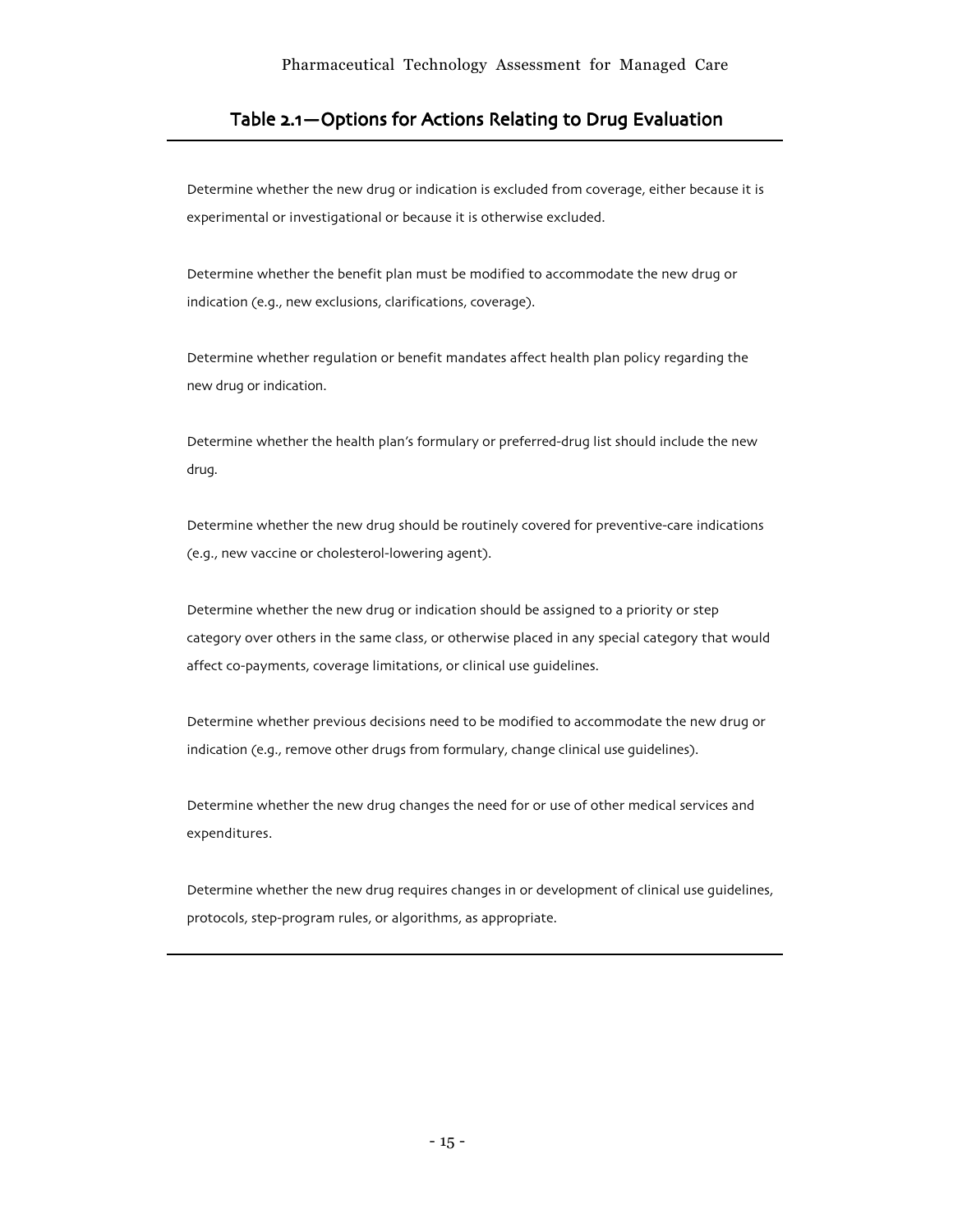# Table 2.1 – Options for Actions Relating to Drug Evaluation

Determine whether the new drug or indication is excluded from coverage, either because it is experimental or investigational or because it is otherwise excluded.

Determine whether the benefit plan must be modified to accommodate the new drug or indication (e.g., new exclusions, clarifications, coverage).

Determine whether regulation or benefit mandates affect health plan policy regarding the new drug or indication.

Determine whether the health plan's formulary or preferred-drug list should include the new drug.

Determine whether the new drug should be routinely covered for preventive-care indications (e.g., new vaccine or cholesterol-lowering agent).

Determine whether the new drug or indication should be assigned to a priority or step category over others in the same class, or otherwise placed in any special category that would affect co-payments, coverage limitations, or clinical use guidelines.

Determine whether previous decisions need to be modified to accommodate the new drug or indication (e.g., remove other drugs from formulary, change clinical use guidelines).

Determine whether the new drug changes the need for or use of other medical services and expenditures.

Determine whether the new drug requires changes in or development of clinical use guidelines, protocols, step-program rules, or algorithms, as appropriate.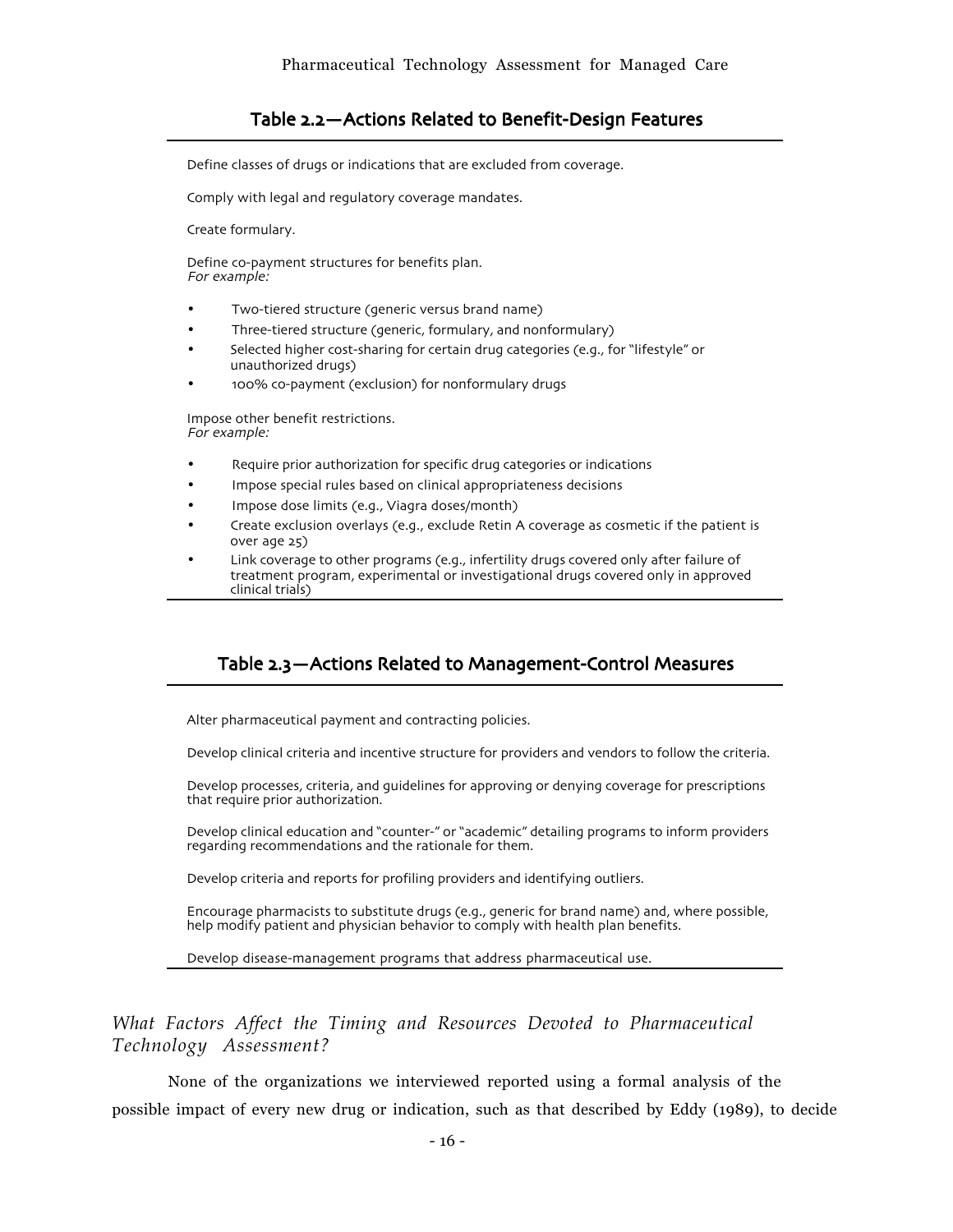# Table 2.2 - Actions Related to Benefit-Design Features

Define classes of drugs or indications that are excluded from coverage.

Comply with legal and regulatory coverage mandates.

Create formulary.

Define co-payment structures for benefits plan. For example:

- Two-tiered structure (generic versus brand name)
- Three-tiered structure (generic, formulary, and nonformulary)
- Selected higher cost-sharing for certain drug categories (e.g., for "lifestyle" or unauthorized drugs)
- 100% co-payment (exclusion) for nonformulary drugs

Impose other benefit restrictions. For example:

- Require prior authorization for specific drug categories or indications
- Impose special rules based on clinical appropriateness decisions
- Impose dose limits (e.g., Viagra doses/month)
- Create exclusion overlays (e.g., exclude Retin A coverage as cosmetic if the patient is over age 25)
- Link coverage to other programs (e.g., infertility drugs covered only after failure of treatment program, experimental or investigational drugs covered only in approved clinical trials)

# Table 2.3 - Actions Related to Management-Control Measures

Alter pharmaceutical payment and contracting policies.

Develop clinical criteria and incentive structure for providers and vendors to follow the criteria.

Develop processes, criteria, and guidelines for approving or denying coverage for prescriptions that require prior authorization.

Develop clinical education and "counter-" or "academic" detailing programs to inform providers regarding recommendations and the rationale for them.

Develop criteria and reports for profiling providers and identifying outliers.

Encourage pharmacists to substitute drugs (e.g., generic for brand name) and, where possible, help modify patient and physician behavior to comply with health plan benefits.

Develop disease-management programs that address pharmaceutical use.

# *What Factors Affect the Timing and Resources Devoted to Pharmaceutical Technology Assessment?*

None of the organizations we interviewed reported using a formal analysis of the possible impact of every new drug or indication, such as that described by Eddy (1989), to decide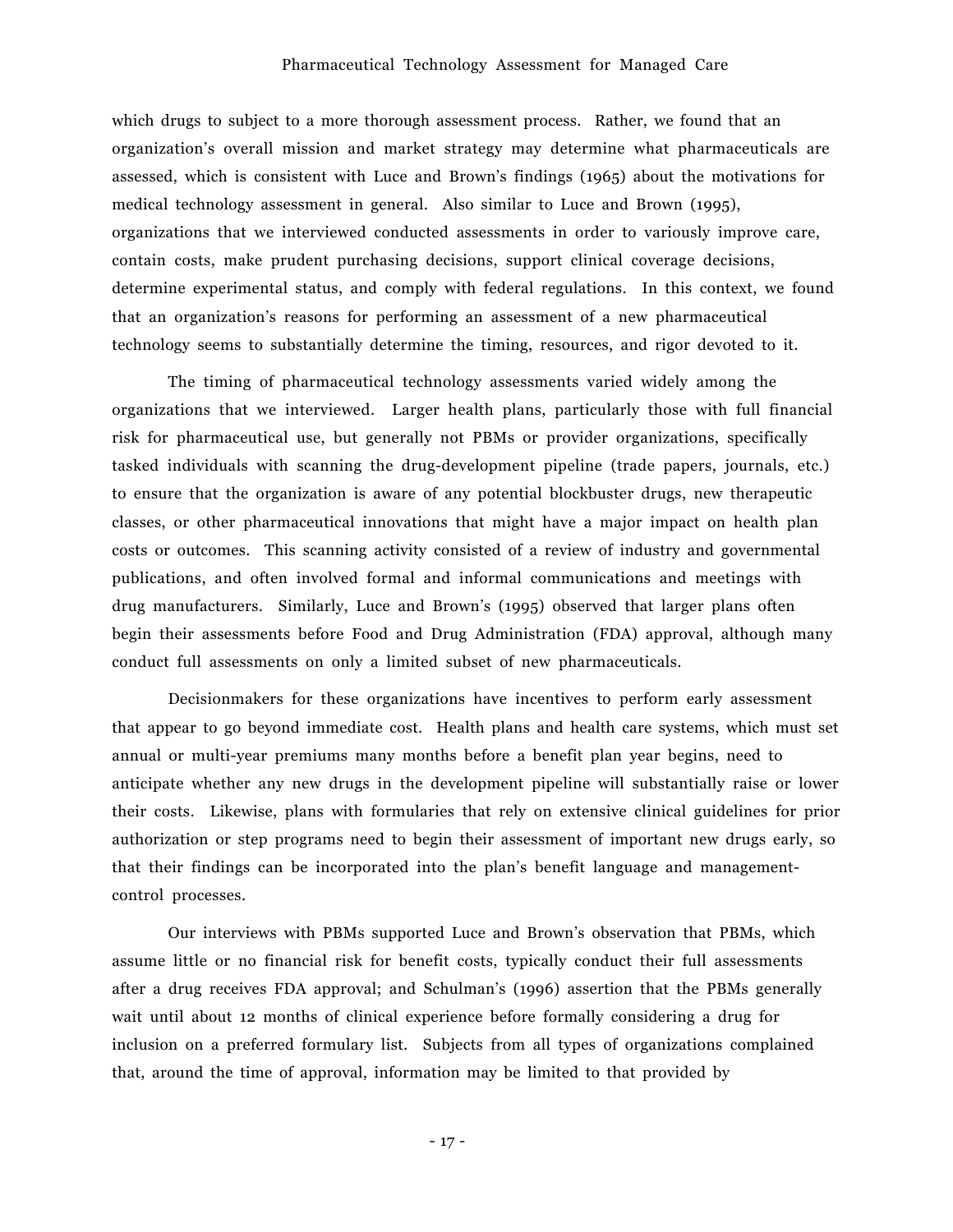#### Pharmaceutical Technology Assessment for Managed Care

which drugs to subject to a more thorough assessment process. Rather, we found that an organizationís overall mission and market strategy may determine what pharmaceuticals are assessed, which is consistent with Luce and Brownís findings (1965) about the motivations for medical technology assessment in general. Also similar to Luce and Brown (1995), organizations that we interviewed conducted assessments in order to variously improve care, contain costs, make prudent purchasing decisions, support clinical coverage decisions, determine experimental status, and comply with federal regulations. In this context, we found that an organizationís reasons for performing an assessment of a new pharmaceutical technology seems to substantially determine the timing, resources, and rigor devoted to it.

The timing of pharmaceutical technology assessments varied widely among the organizations that we interviewed. Larger health plans, particularly those with full financial risk for pharmaceutical use, but generally not PBMs or provider organizations, specifically tasked individuals with scanning the drug-development pipeline (trade papers, journals, etc.) to ensure that the organization is aware of any potential blockbuster drugs, new therapeutic classes, or other pharmaceutical innovations that might have a major impact on health plan costs or outcomes. This scanning activity consisted of a review of industry and governmental publications, and often involved formal and informal communications and meetings with drug manufacturers. Similarly, Luce and Brown's (1995) observed that larger plans often begin their assessments before Food and Drug Administration (FDA) approval, although many conduct full assessments on only a limited subset of new pharmaceuticals.

Decisionmakers for these organizations have incentives to perform early assessment that appear to go beyond immediate cost. Health plans and health care systems, which must set annual or multi-year premiums many months before a benefit plan year begins, need to anticipate whether any new drugs in the development pipeline will substantially raise or lower their costs. Likewise, plans with formularies that rely on extensive clinical guidelines for prior authorization or step programs need to begin their assessment of important new drugs early, so that their findings can be incorporated into the planís benefit language and managementcontrol processes.

Our interviews with PBMs supported Luce and Brown's observation that PBMs, which assume little or no financial risk for benefit costs, typically conduct their full assessments after a drug receives FDA approval; and Schulmanís (1996) assertion that the PBMs generally wait until about 12 months of clinical experience before formally considering a drug for inclusion on a preferred formulary list. Subjects from all types of organizations complained that, around the time of approval, information may be limited to that provided by

- 17 -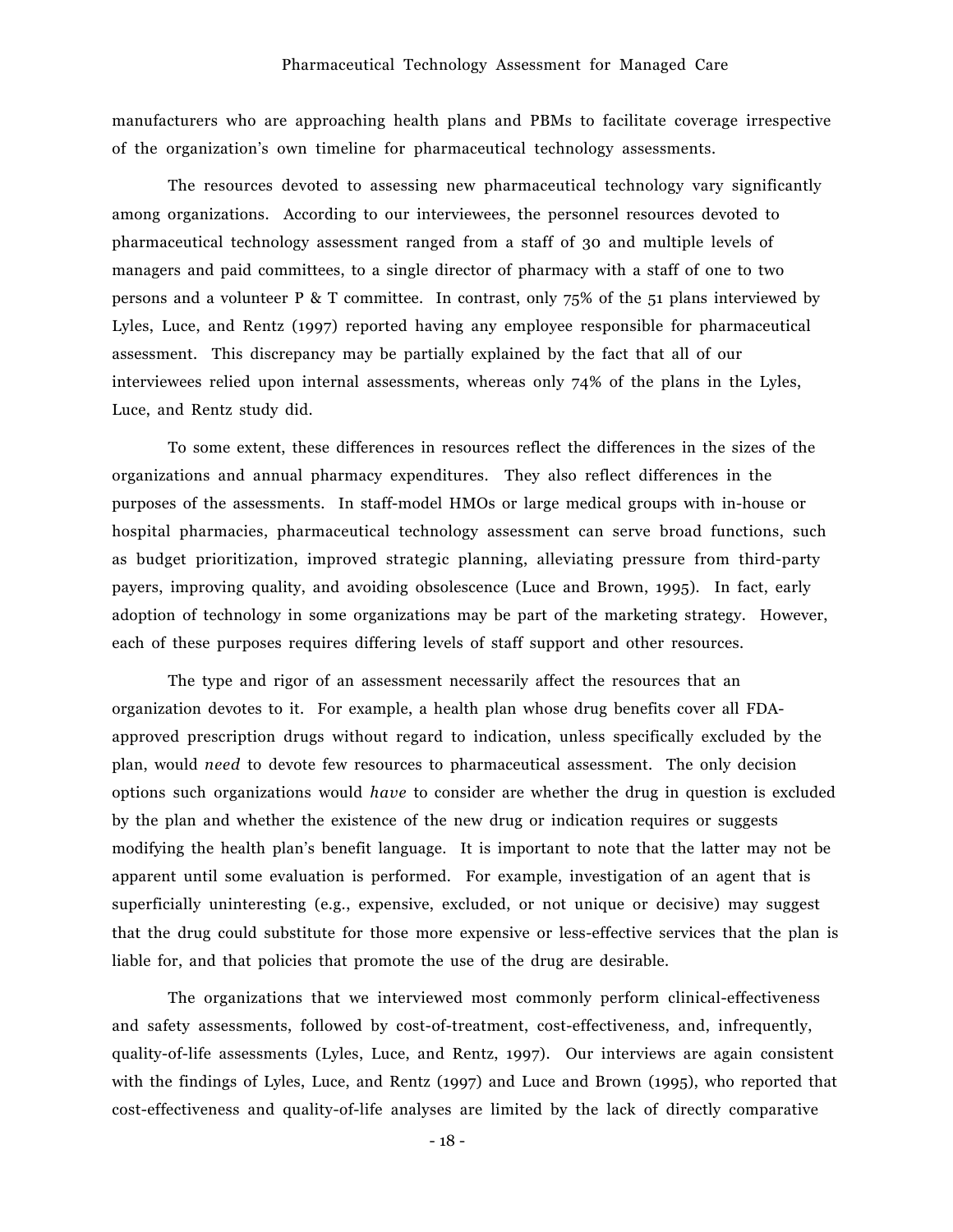manufacturers who are approaching health plans and PBMs to facilitate coverage irrespective of the organizationís own timeline for pharmaceutical technology assessments.

The resources devoted to assessing new pharmaceutical technology vary significantly among organizations. According to our interviewees, the personnel resources devoted to pharmaceutical technology assessment ranged from a staff of 30 and multiple levels of managers and paid committees, to a single director of pharmacy with a staff of one to two persons and a volunteer P & T committee. In contrast, only 75% of the 51 plans interviewed by Lyles, Luce, and Rentz (1997) reported having any employee responsible for pharmaceutical assessment. This discrepancy may be partially explained by the fact that all of our interviewees relied upon internal assessments, whereas only 74% of the plans in the Lyles, Luce, and Rentz study did.

To some extent, these differences in resources reflect the differences in the sizes of the organizations and annual pharmacy expenditures. They also reflect differences in the purposes of the assessments. In staff-model HMOs or large medical groups with in-house or hospital pharmacies, pharmaceutical technology assessment can serve broad functions, such as budget prioritization, improved strategic planning, alleviating pressure from third-party payers, improving quality, and avoiding obsolescence (Luce and Brown, 1995). In fact, early adoption of technology in some organizations may be part of the marketing strategy. However, each of these purposes requires differing levels of staff support and other resources.

The type and rigor of an assessment necessarily affect the resources that an organization devotes to it. For example, a health plan whose drug benefits cover all FDAapproved prescription drugs without regard to indication, unless specifically excluded by the plan, would *need* to devote few resources to pharmaceutical assessment. The only decision options such organizations would *have* to consider are whether the drug in question is excluded by the plan and whether the existence of the new drug or indication requires or suggests modifying the health planís benefit language. It is important to note that the latter may not be apparent until some evaluation is performed. For example, investigation of an agent that is superficially uninteresting (e.g., expensive, excluded, or not unique or decisive) may suggest that the drug could substitute for those more expensive or less-effective services that the plan is liable for, and that policies that promote the use of the drug are desirable.

The organizations that we interviewed most commonly perform clinical-effectiveness and safety assessments, followed by cost-of-treatment, cost-effectiveness, and, infrequently, quality-of-life assessments (Lyles, Luce, and Rentz, 1997). Our interviews are again consistent with the findings of Lyles, Luce, and Rentz (1997) and Luce and Brown (1995), who reported that cost-effectiveness and quality-of-life analyses are limited by the lack of directly comparative

- 18 -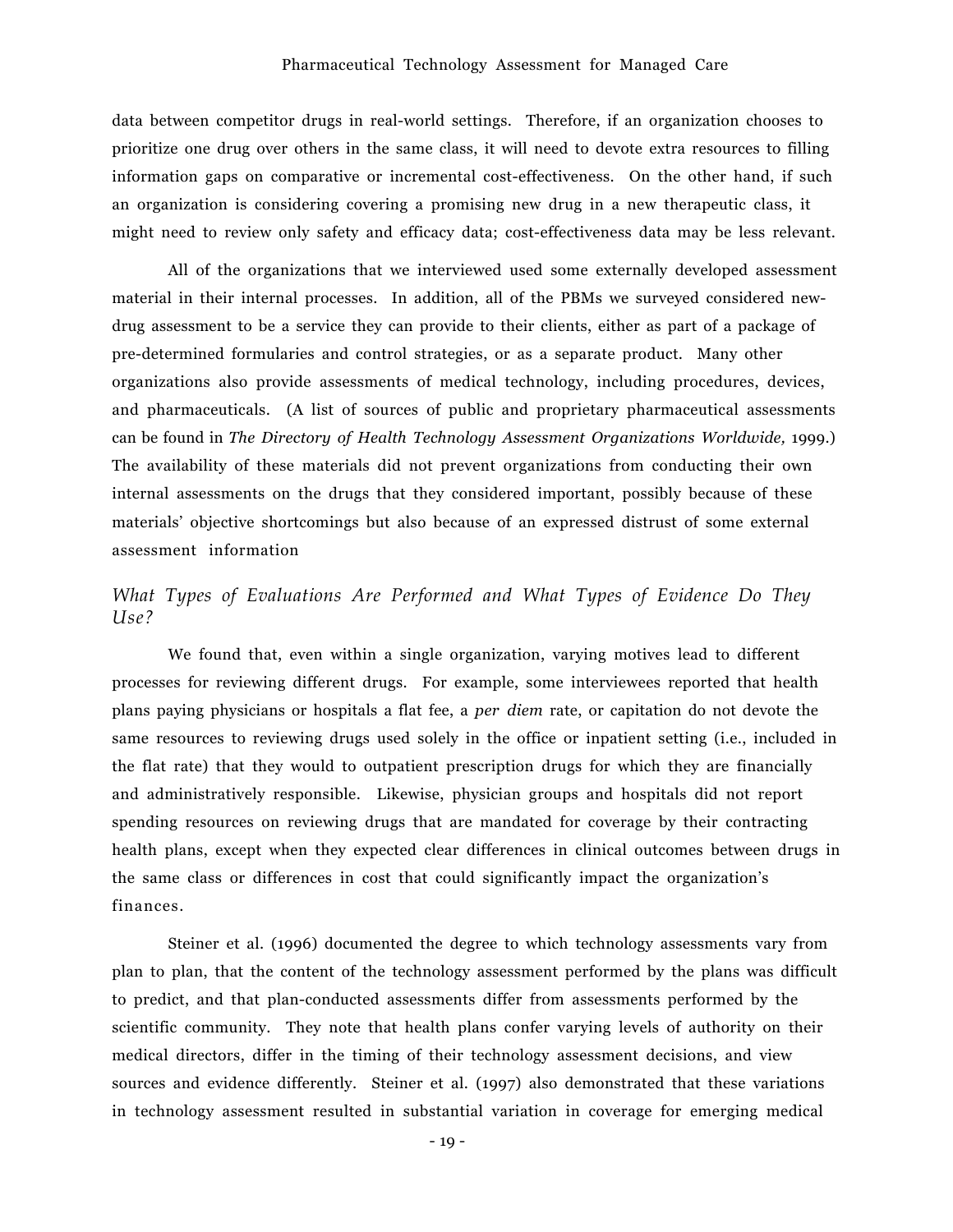data between competitor drugs in real-world settings. Therefore, if an organization chooses to prioritize one drug over others in the same class, it will need to devote extra resources to filling information gaps on comparative or incremental cost-effectiveness. On the other hand, if such an organization is considering covering a promising new drug in a new therapeutic class, it might need to review only safety and efficacy data; cost-effectiveness data may be less relevant.

All of the organizations that we interviewed used some externally developed assessment material in their internal processes. In addition, all of the PBMs we surveyed considered newdrug assessment to be a service they can provide to their clients, either as part of a package of pre-determined formularies and control strategies, or as a separate product. Many other organizations also provide assessments of medical technology, including procedures, devices, and pharmaceuticals. (A list of sources of public and proprietary pharmaceutical assessments can be found in *The Directory of Health Technology Assessment Organizations Worldwide,* 1999.) The availability of these materials did not prevent organizations from conducting their own internal assessments on the drugs that they considered important, possibly because of these materialsí objective shortcomings but also because of an expressed distrust of some external assessment information

# *What Types of Evaluations Are Performed and What Types of Evidence Do They Use?*

We found that, even within a single organization, varying motives lead to different processes for reviewing different drugs. For example, some interviewees reported that health plans paying physicians or hospitals a flat fee, a *per diem* rate, or capitation do not devote the same resources to reviewing drugs used solely in the office or inpatient setting (i.e., included in the flat rate) that they would to outpatient prescription drugs for which they are financially and administratively responsible. Likewise, physician groups and hospitals did not report spending resources on reviewing drugs that are mandated for coverage by their contracting health plans, except when they expected clear differences in clinical outcomes between drugs in the same class or differences in cost that could significantly impact the organizationís finances.

Steiner et al. (1996) documented the degree to which technology assessments vary from plan to plan, that the content of the technology assessment performed by the plans was difficult to predict, and that plan-conducted assessments differ from assessments performed by the scientific community. They note that health plans confer varying levels of authority on their medical directors, differ in the timing of their technology assessment decisions, and view sources and evidence differently. Steiner et al. (1997) also demonstrated that these variations in technology assessment resulted in substantial variation in coverage for emerging medical

- 19 -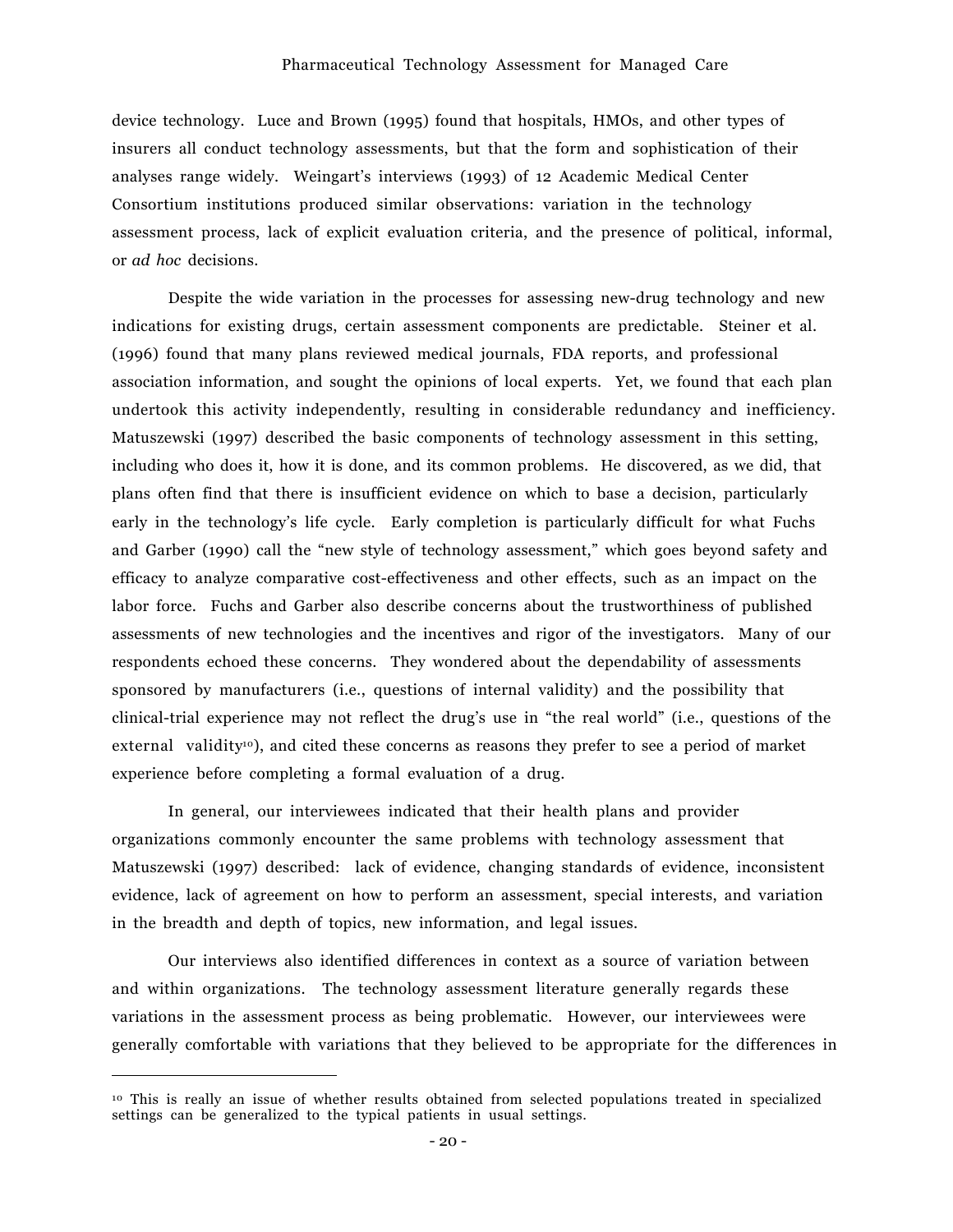device technology. Luce and Brown (1995) found that hospitals, HMOs, and other types of insurers all conduct technology assessments, but that the form and sophistication of their analyses range widely. Weingart's interviews (1993) of 12 Academic Medical Center Consortium institutions produced similar observations: variation in the technology assessment process, lack of explicit evaluation criteria, and the presence of political, informal, or *ad hoc* decisions.

Despite the wide variation in the processes for assessing new-drug technology and new indications for existing drugs, certain assessment components are predictable. Steiner et al. (1996) found that many plans reviewed medical journals, FDA reports, and professional association information, and sought the opinions of local experts. Yet, we found that each plan undertook this activity independently, resulting in considerable redundancy and inefficiency. Matuszewski (1997) described the basic components of technology assessment in this setting, including who does it, how it is done, and its common problems. He discovered, as we did, that plans often find that there is insufficient evidence on which to base a decision, particularly early in the technology's life cycle. Early completion is particularly difficult for what Fuchs and Garber (1990) call the "new style of technology assessment," which goes beyond safety and efficacy to analyze comparative cost-effectiveness and other effects, such as an impact on the labor force. Fuchs and Garber also describe concerns about the trustworthiness of published assessments of new technologies and the incentives and rigor of the investigators. Many of our respondents echoed these concerns. They wondered about the dependability of assessments sponsored by manufacturers (i.e., questions of internal validity) and the possibility that clinical-trial experience may not reflect the drug's use in "the real world" (i.e., questions of the external validity<sup>10</sup>), and cited these concerns as reasons they prefer to see a period of market experience before completing a formal evaluation of a drug.

In general, our interviewees indicated that their health plans and provider organizations commonly encounter the same problems with technology assessment that Matuszewski (1997) described: lack of evidence, changing standards of evidence, inconsistent evidence, lack of agreement on how to perform an assessment, special interests, and variation in the breadth and depth of topics, new information, and legal issues.

Our interviews also identified differences in context as a source of variation between and within organizations. The technology assessment literature generally regards these variations in the assessment process as being problematic. However, our interviewees were generally comfortable with variations that they believed to be appropriate for the differences in

 $\overline{a}$ 

<sup>10</sup> This is really an issue of whether results obtained from selected populations treated in specialized settings can be generalized to the typical patients in usual settings.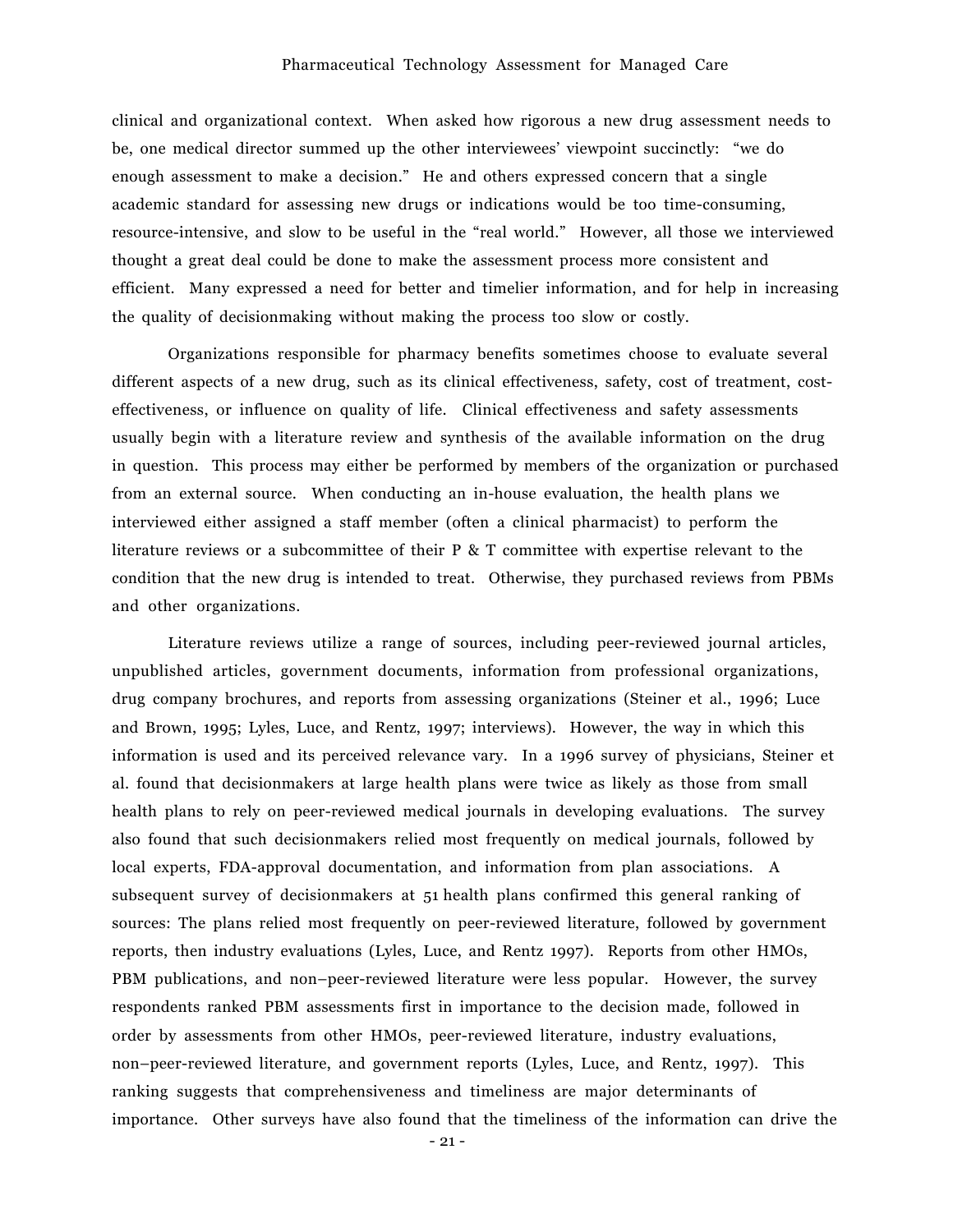#### Pharmaceutical Technology Assessment for Managed Care

clinical and organizational context. When asked how rigorous a new drug assessment needs to be, one medical director summed up the other interviewees' viewpoint succinctly: "we do enough assessment to make a decision." He and others expressed concern that a single academic standard for assessing new drugs or indications would be too time-consuming, resource-intensive, and slow to be useful in the "real world." However, all those we interviewed thought a great deal could be done to make the assessment process more consistent and efficient. Many expressed a need for better and timelier information, and for help in increasing the quality of decisionmaking without making the process too slow or costly.

Organizations responsible for pharmacy benefits sometimes choose to evaluate several different aspects of a new drug, such as its clinical effectiveness, safety, cost of treatment, costeffectiveness, or influence on quality of life. Clinical effectiveness and safety assessments usually begin with a literature review and synthesis of the available information on the drug in question. This process may either be performed by members of the organization or purchased from an external source. When conducting an in-house evaluation, the health plans we interviewed either assigned a staff member (often a clinical pharmacist) to perform the literature reviews or a subcommittee of their P & T committee with expertise relevant to the condition that the new drug is intended to treat. Otherwise, they purchased reviews from PBMs and other organizations.

Literature reviews utilize a range of sources, including peer-reviewed journal articles, unpublished articles, government documents, information from professional organizations, drug company brochures, and reports from assessing organizations (Steiner et al., 1996; Luce and Brown, 1995; Lyles, Luce, and Rentz, 1997; interviews). However, the way in which this information is used and its perceived relevance vary. In a 1996 survey of physicians, Steiner et al. found that decisionmakers at large health plans were twice as likely as those from small health plans to rely on peer-reviewed medical journals in developing evaluations. The survey also found that such decisionmakers relied most frequently on medical journals, followed by local experts, FDA-approval documentation, and information from plan associations. A subsequent survey of decisionmakers at 51 health plans confirmed this general ranking of sources: The plans relied most frequently on peer-reviewed literature, followed by government reports, then industry evaluations (Lyles, Luce, and Rentz 1997). Reports from other HMOs, PBM publications, and non-peer-reviewed literature were less popular. However, the survey respondents ranked PBM assessments first in importance to the decision made, followed in order by assessments from other HMOs, peer-reviewed literature, industry evaluations, non-peer-reviewed literature, and government reports (Lyles, Luce, and Rentz, 1997). This ranking suggests that comprehensiveness and timeliness are major determinants of importance. Other surveys have also found that the timeliness of the information can drive the

- 21 -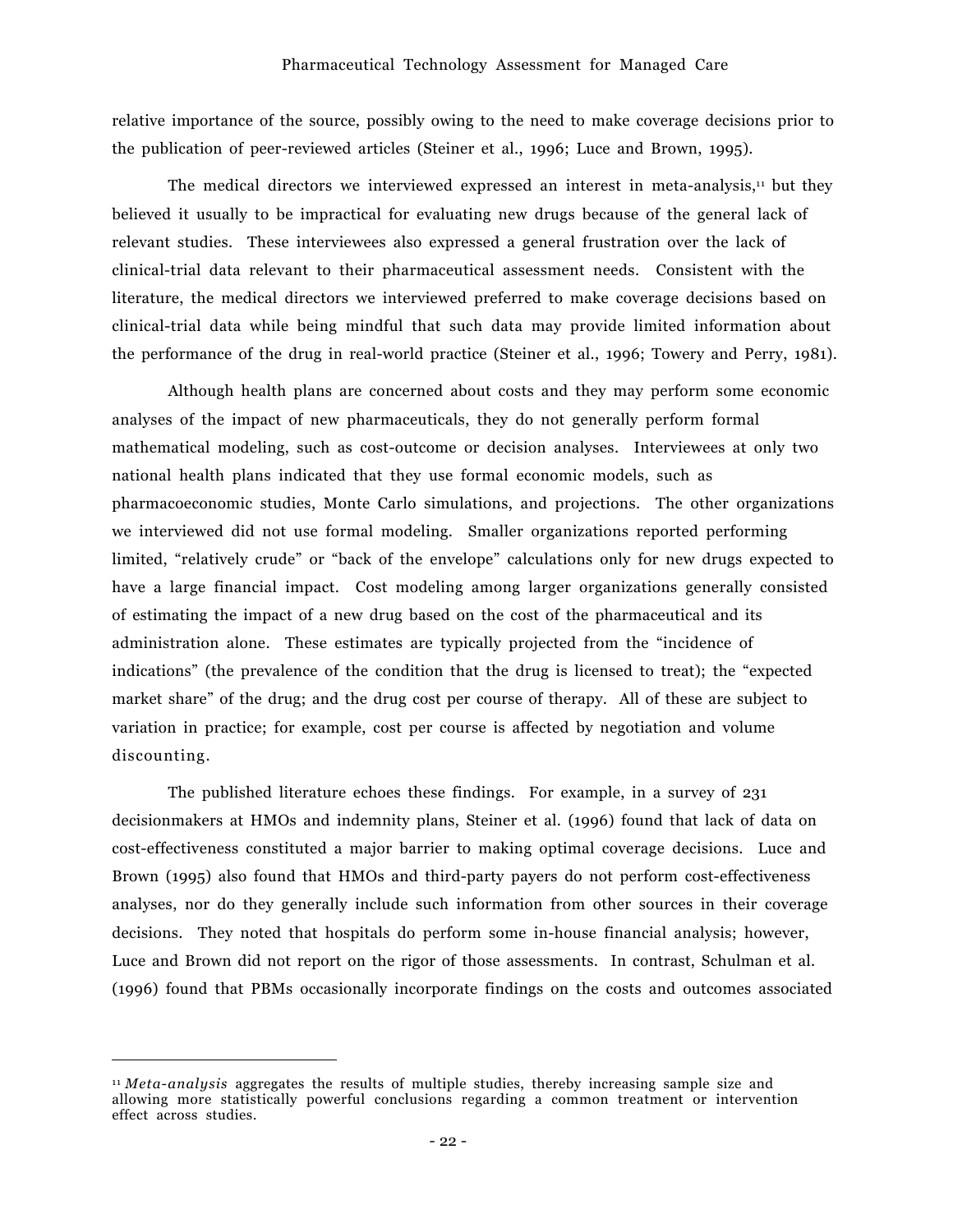relative importance of the source, possibly owing to the need to make coverage decisions prior to the publication of peer-reviewed articles (Steiner et al., 1996; Luce and Brown, 1995).

The medical directors we interviewed expressed an interest in meta-analysis, $\mu$  but they believed it usually to be impractical for evaluating new drugs because of the general lack of relevant studies. These interviewees also expressed a general frustration over the lack of clinical-trial data relevant to their pharmaceutical assessment needs. Consistent with the literature, the medical directors we interviewed preferred to make coverage decisions based on clinical-trial data while being mindful that such data may provide limited information about the performance of the drug in real-world practice (Steiner et al., 1996; Towery and Perry, 1981).

Although health plans are concerned about costs and they may perform some economic analyses of the impact of new pharmaceuticals, they do not generally perform formal mathematical modeling, such as cost-outcome or decision analyses. Interviewees at only two national health plans indicated that they use formal economic models, such as pharmacoeconomic studies, Monte Carlo simulations, and projections. The other organizations we interviewed did not use formal modeling. Smaller organizations reported performing limited, "relatively crude" or "back of the envelope" calculations only for new drugs expected to have a large financial impact. Cost modeling among larger organizations generally consisted of estimating the impact of a new drug based on the cost of the pharmaceutical and its administration alone. These estimates are typically projected from the "incidence of indications" (the prevalence of the condition that the drug is licensed to treat); the "expected market share" of the drug; and the drug cost per course of therapy. All of these are subject to variation in practice; for example, cost per course is affected by negotiation and volume discounting.

The published literature echoes these findings. For example, in a survey of 231 decisionmakers at HMOs and indemnity plans, Steiner et al. (1996) found that lack of data on cost-effectiveness constituted a major barrier to making optimal coverage decisions. Luce and Brown (1995) also found that HMOs and third-party payers do not perform cost-effectiveness analyses, nor do they generally include such information from other sources in their coverage decisions. They noted that hospitals do perform some in-house financial analysis; however, Luce and Brown did not report on the rigor of those assessments. In contrast, Schulman et al. (1996) found that PBMs occasionally incorporate findings on the costs and outcomes associated

 $\overline{a}$ 

<sup>11</sup> *Meta-analysis* aggregates the results of multiple studies, thereby increasing sample size and allowing more statistically powerful conclusions regarding a common treatment or intervention effect across studies.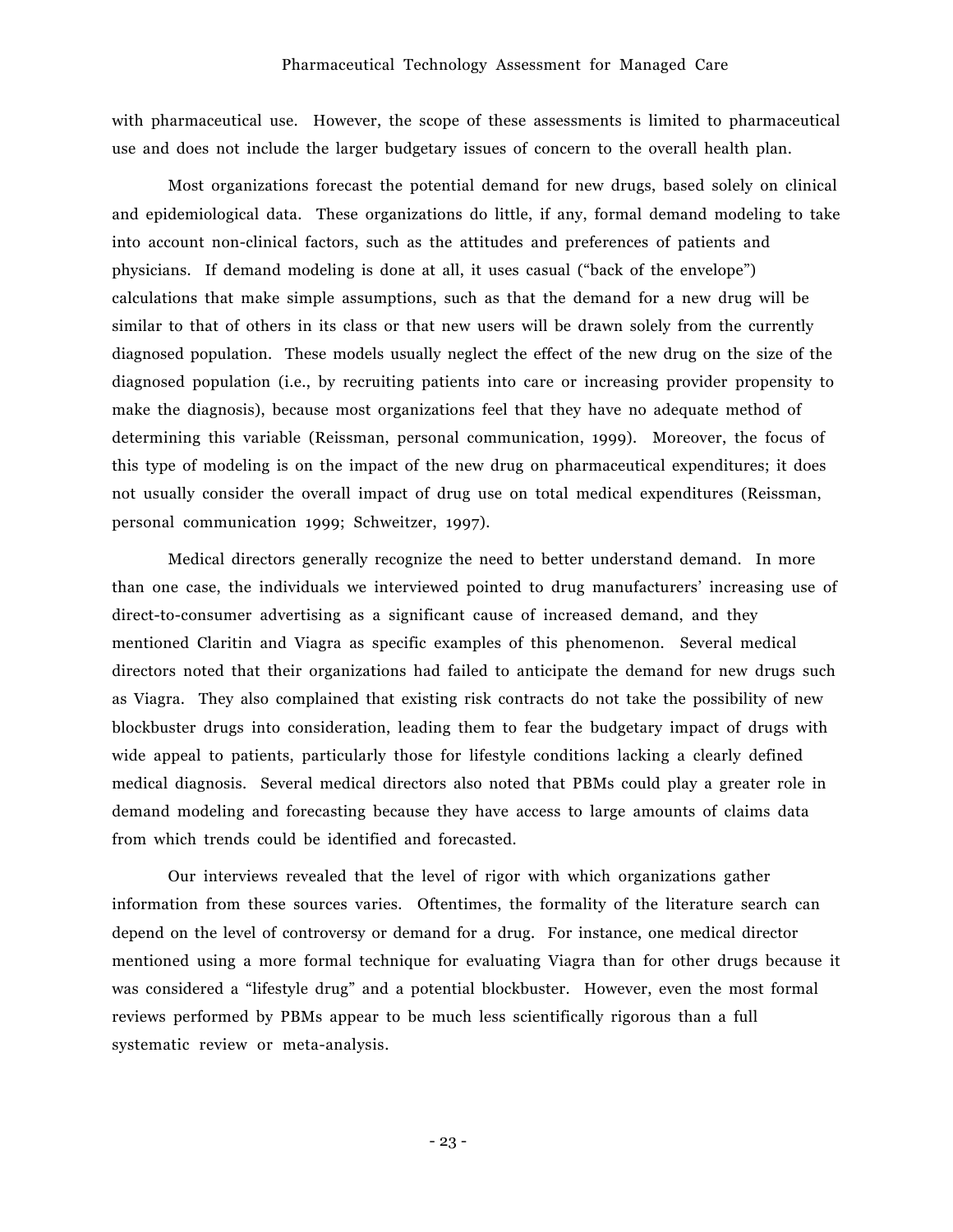with pharmaceutical use. However, the scope of these assessments is limited to pharmaceutical use and does not include the larger budgetary issues of concern to the overall health plan.

Most organizations forecast the potential demand for new drugs, based solely on clinical and epidemiological data. These organizations do little, if any, formal demand modeling to take into account non-clinical factors, such as the attitudes and preferences of patients and physicians. If demand modeling is done at all, it uses casual ("back of the envelope") calculations that make simple assumptions, such as that the demand for a new drug will be similar to that of others in its class or that new users will be drawn solely from the currently diagnosed population. These models usually neglect the effect of the new drug on the size of the diagnosed population (i.e., by recruiting patients into care or increasing provider propensity to make the diagnosis), because most organizations feel that they have no adequate method of determining this variable (Reissman, personal communication, 1999). Moreover, the focus of this type of modeling is on the impact of the new drug on pharmaceutical expenditures; it does not usually consider the overall impact of drug use on total medical expenditures (Reissman, personal communication 1999; Schweitzer, 1997).

Medical directors generally recognize the need to better understand demand. In more than one case, the individuals we interviewed pointed to drug manufacturers' increasing use of direct-to-consumer advertising as a significant cause of increased demand, and they mentioned Claritin and Viagra as specific examples of this phenomenon. Several medical directors noted that their organizations had failed to anticipate the demand for new drugs such as Viagra. They also complained that existing risk contracts do not take the possibility of new blockbuster drugs into consideration, leading them to fear the budgetary impact of drugs with wide appeal to patients, particularly those for lifestyle conditions lacking a clearly defined medical diagnosis. Several medical directors also noted that PBMs could play a greater role in demand modeling and forecasting because they have access to large amounts of claims data from which trends could be identified and forecasted.

Our interviews revealed that the level of rigor with which organizations gather information from these sources varies. Oftentimes, the formality of the literature search can depend on the level of controversy or demand for a drug. For instance, one medical director mentioned using a more formal technique for evaluating Viagra than for other drugs because it was considered a "lifestyle drug" and a potential blockbuster. However, even the most formal reviews performed by PBMs appear to be much less scientifically rigorous than a full systematic review or meta-analysis.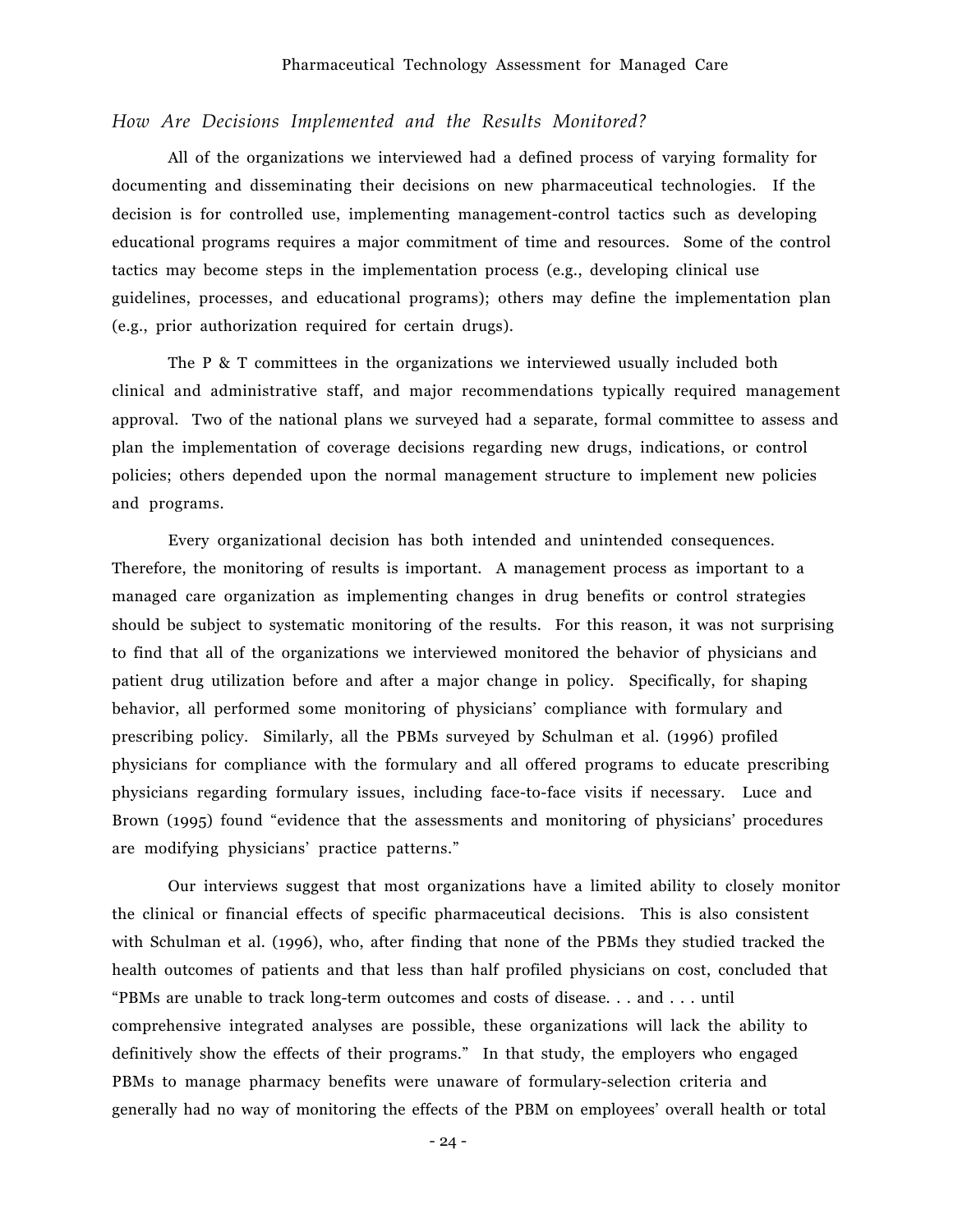# *How Are Decisions Implemented and the Results Monitored?*

All of the organizations we interviewed had a defined process of varying formality for documenting and disseminating their decisions on new pharmaceutical technologies. If the decision is for controlled use, implementing management-control tactics such as developing educational programs requires a major commitment of time and resources. Some of the control tactics may become steps in the implementation process (e.g., developing clinical use guidelines, processes, and educational programs); others may define the implementation plan (e.g., prior authorization required for certain drugs).

The P & T committees in the organizations we interviewed usually included both clinical and administrative staff, and major recommendations typically required management approval. Two of the national plans we surveyed had a separate, formal committee to assess and plan the implementation of coverage decisions regarding new drugs, indications, or control policies; others depended upon the normal management structure to implement new policies and programs.

Every organizational decision has both intended and unintended consequences. Therefore, the monitoring of results is important. A management process as important to a managed care organization as implementing changes in drug benefits or control strategies should be subject to systematic monitoring of the results. For this reason, it was not surprising to find that all of the organizations we interviewed monitored the behavior of physicians and patient drug utilization before and after a major change in policy. Specifically, for shaping behavior, all performed some monitoring of physicians' compliance with formulary and prescribing policy. Similarly, all the PBMs surveyed by Schulman et al. (1996) profiled physicians for compliance with the formulary and all offered programs to educate prescribing physicians regarding formulary issues, including face-to-face visits if necessary. Luce and Brown (1995) found "evidence that the assessments and monitoring of physicians' procedures are modifying physicians' practice patterns."

Our interviews suggest that most organizations have a limited ability to closely monitor the clinical or financial effects of specific pharmaceutical decisions. This is also consistent with Schulman et al. (1996), who, after finding that none of the PBMs they studied tracked the health outcomes of patients and that less than half profiled physicians on cost, concluded that ìPBMs are unable to track long-term outcomes and costs of disease. . . and . . . until comprehensive integrated analyses are possible, these organizations will lack the ability to definitively show the effects of their programs." In that study, the employers who engaged PBMs to manage pharmacy benefits were unaware of formulary-selection criteria and generally had no way of monitoring the effects of the PBM on employees' overall health or total

- 24 -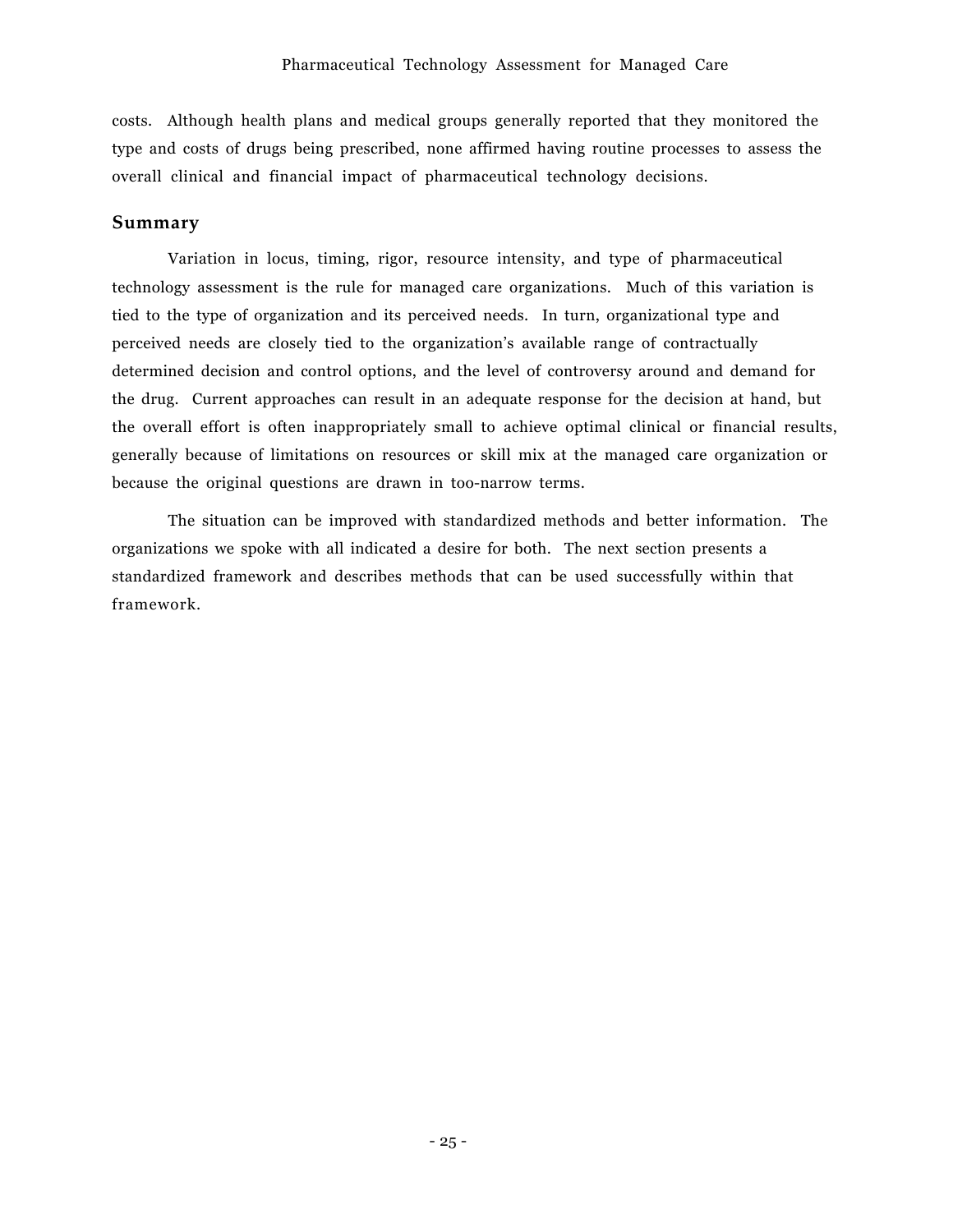costs. Although health plans and medical groups generally reported that they monitored the type and costs of drugs being prescribed, none affirmed having routine processes to assess the overall clinical and financial impact of pharmaceutical technology decisions.

# **Summary**

Variation in locus, timing, rigor, resource intensity, and type of pharmaceutical technology assessment is the rule for managed care organizations. Much of this variation is tied to the type of organization and its perceived needs. In turn, organizational type and perceived needs are closely tied to the organizationís available range of contractually determined decision and control options, and the level of controversy around and demand for the drug. Current approaches can result in an adequate response for the decision at hand, but the overall effort is often inappropriately small to achieve optimal clinical or financial results, generally because of limitations on resources or skill mix at the managed care organization or because the original questions are drawn in too-narrow terms.

The situation can be improved with standardized methods and better information. The organizations we spoke with all indicated a desire for both. The next section presents a standardized framework and describes methods that can be used successfully within that framework.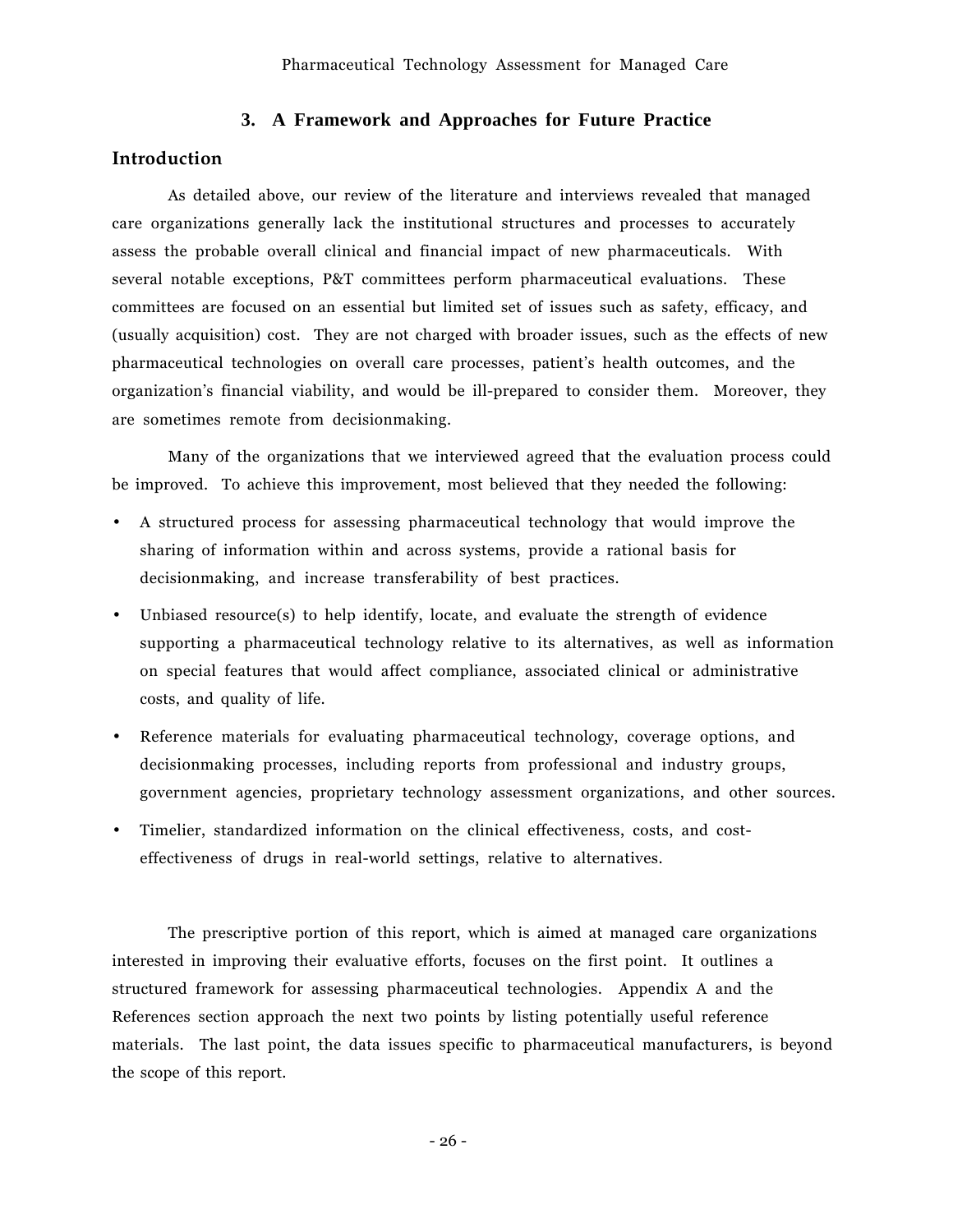# **3. A Framework and Approaches for Future Practice**

### **Introduction**

As detailed above, our review of the literature and interviews revealed that managed care organizations generally lack the institutional structures and processes to accurately assess the probable overall clinical and financial impact of new pharmaceuticals. With several notable exceptions, P&T committees perform pharmaceutical evaluations. These committees are focused on an essential but limited set of issues such as safety, efficacy, and (usually acquisition) cost. They are not charged with broader issues, such as the effects of new pharmaceutical technologies on overall care processes, patient's health outcomes, and the organizationís financial viability, and would be ill-prepared to consider them. Moreover, they are sometimes remote from decisionmaking.

Many of the organizations that we interviewed agreed that the evaluation process could be improved. To achieve this improvement, most believed that they needed the following:

- A structured process for assessing pharmaceutical technology that would improve the sharing of information within and across systems, provide a rational basis for decisionmaking, and increase transferability of best practices.
- Unbiased resource(s) to help identify, locate, and evaluate the strength of evidence supporting a pharmaceutical technology relative to its alternatives, as well as information on special features that would affect compliance, associated clinical or administrative costs, and quality of life.
- Reference materials for evaluating pharmaceutical technology, coverage options, and decisionmaking processes, including reports from professional and industry groups, government agencies, proprietary technology assessment organizations, and other sources.
- Timelier, standardized information on the clinical effectiveness, costs, and costeffectiveness of drugs in real-world settings, relative to alternatives.

The prescriptive portion of this report, which is aimed at managed care organizations interested in improving their evaluative efforts, focuses on the first point. It outlines a structured framework for assessing pharmaceutical technologies. Appendix A and the References section approach the next two points by listing potentially useful reference materials. The last point, the data issues specific to pharmaceutical manufacturers, is beyond the scope of this report.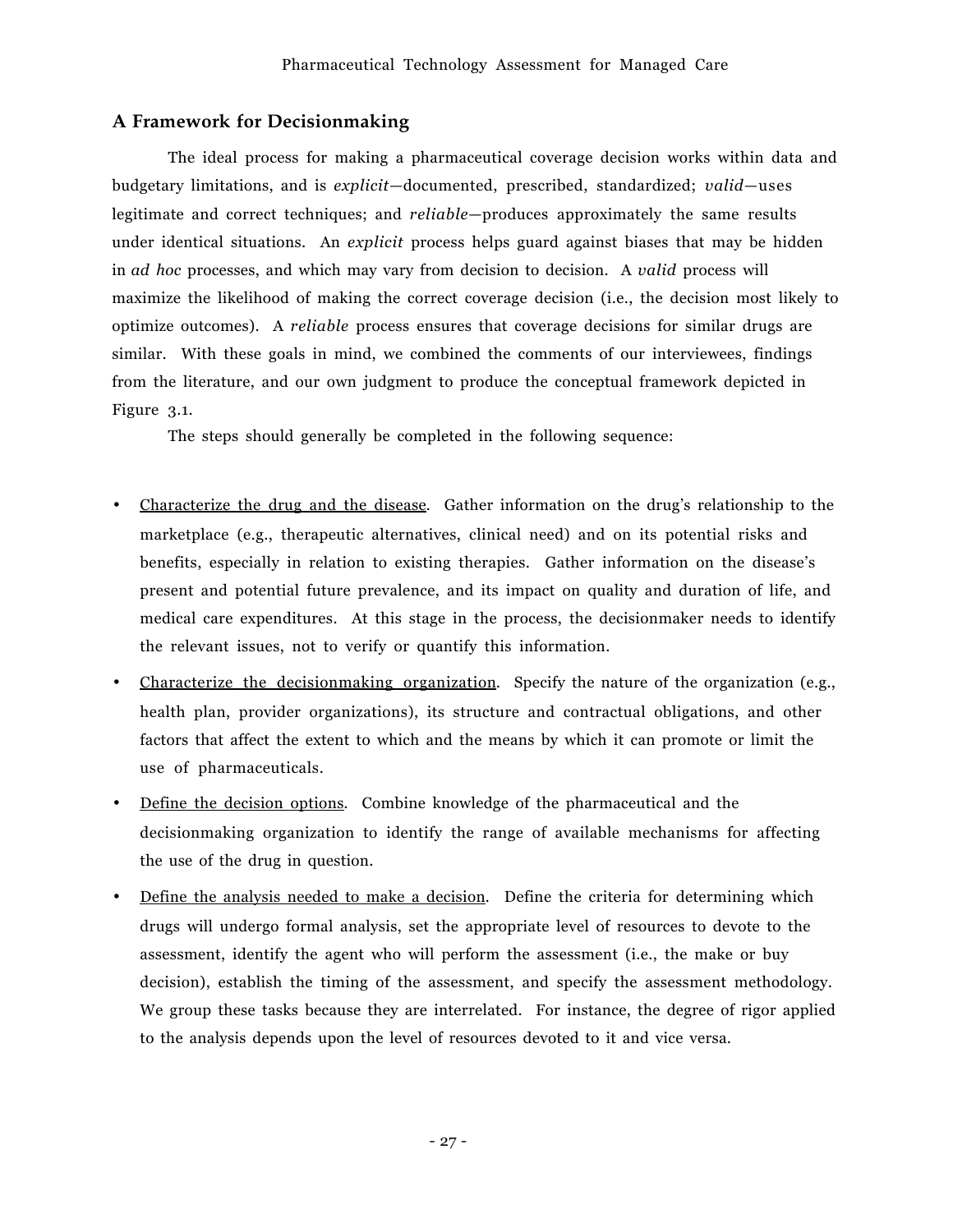# **A Framework for Decisionmaking**

The ideal process for making a pharmaceutical coverage decision works within data and budgetary limitations, and is *explicit*-documented, prescribed, standardized; *valid*-uses legitimate and correct techniques; and *reliable*-produces approximately the same results under identical situations. An *explicit* process helps guard against biases that may be hidden in *ad hoc* processes, and which may vary from decision to decision. A *valid* process will maximize the likelihood of making the correct coverage decision (i.e., the decision most likely to optimize outcomes). A *reliable* process ensures that coverage decisions for similar drugs are similar. With these goals in mind, we combined the comments of our interviewees, findings from the literature, and our own judgment to produce the conceptual framework depicted in Figure 3.1.

The steps should generally be completed in the following sequence:

- Characterize the drug and the disease. Gather information on the drug's relationship to the marketplace (e.g., therapeutic alternatives, clinical need) and on its potential risks and benefits, especially in relation to existing therapies. Gather information on the disease's present and potential future prevalence, and its impact on quality and duration of life, and medical care expenditures. At this stage in the process, the decisionmaker needs to identify the relevant issues, not to verify or quantify this information.
- Characterize the decisionmaking organization. Specify the nature of the organization (e.g., health plan, provider organizations), its structure and contractual obligations, and other factors that affect the extent to which and the means by which it can promote or limit the use of pharmaceuticals.
- Define the decision options *.* Combine knowledge of the pharmaceutical and the decisionmaking organization to identify the range of available mechanisms for affecting the use of the drug in question.
- Define the analysis needed to make a decision *.* Define the criteria for determining which drugs will undergo formal analysis, set the appropriate level of resources to devote to the assessment, identify the agent who will perform the assessment (i.e., the make or buy decision), establish the timing of the assessment, and specify the assessment methodology. We group these tasks because they are interrelated. For instance, the degree of rigor applied to the analysis depends upon the level of resources devoted to it and vice versa.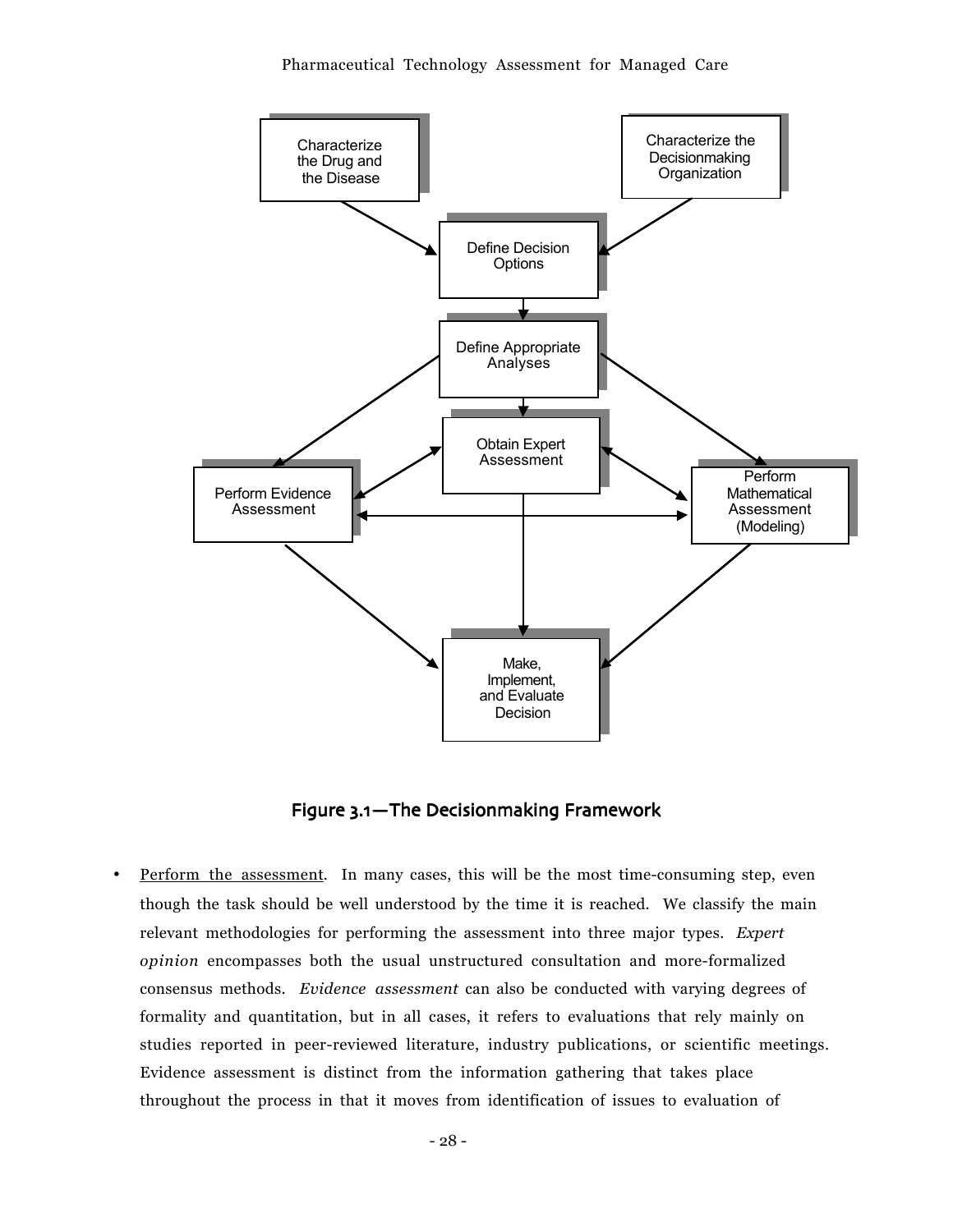

Figure 3.1-The Decisionmaking Framework

Perform the assessment. In many cases, this will be the most time-consuming step, even though the task should be well understood by the time it is reached. We classify the main relevant methodologies for performing the assessment into three major types. *Expert opinion* encompasses both the usual unstructured consultation and more-formalized consensus methods. *Evidence assessment* can also be conducted with varying degrees of formality and quantitation, but in all cases, it refers to evaluations that rely mainly on studies reported in peer-reviewed literature, industry publications, or scientific meetings. Evidence assessment is distinct from the information gathering that takes place throughout the process in that it moves from identification of issues to evaluation of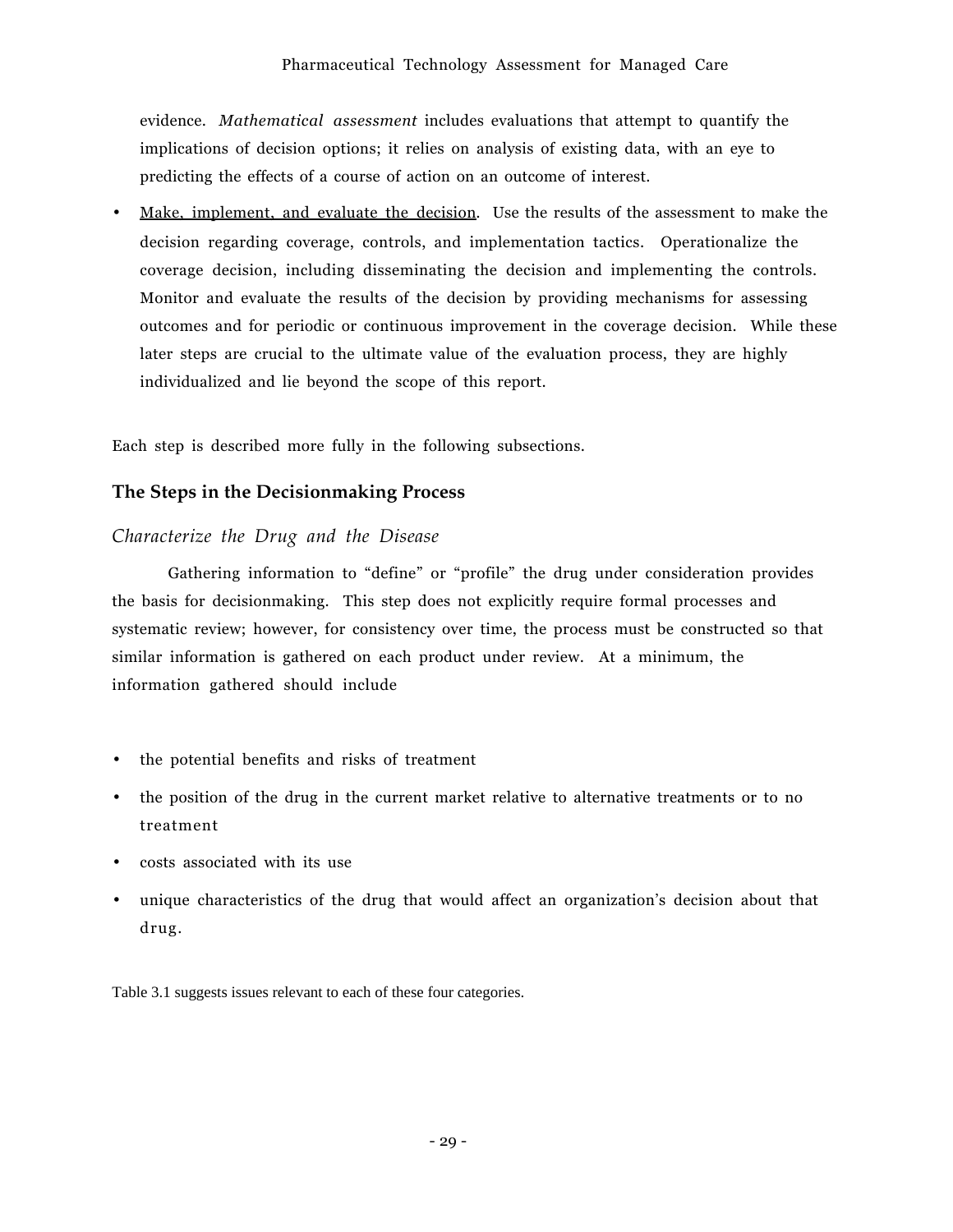evidence. *Mathematical assessment* includes evaluations that attempt to quantify the implications of decision options; it relies on analysis of existing data, with an eye to predicting the effects of a course of action on an outcome of interest.

Make, implement, and evaluate the decision. Use the results of the assessment to make the decision regarding coverage, controls, and implementation tactics. Operationalize the coverage decision, including disseminating the decision and implementing the controls. Monitor and evaluate the results of the decision by providing mechanisms for assessing outcomes and for periodic or continuous improvement in the coverage decision. While these later steps are crucial to the ultimate value of the evaluation process, they are highly individualized and lie beyond the scope of this report.

Each step is described more fully in the following subsections.

## **The Steps in the Decisionmaking Process**

## *Characterize the Drug and the Disease*

Gathering information to "define" or "profile" the drug under consideration provides the basis for decisionmaking. This step does not explicitly require formal processes and systematic review; however, for consistency over time, the process must be constructed so that similar information is gathered on each product under review. At a minimum, the information gathered should include

- the potential benefits and risks of treatment
- the position of the drug in the current market relative to alternative treatments or to no treatment
- costs associated with its use
- unique characteristics of the drug that would affect an organizationís decision about that drug.

Table 3.1 suggests issues relevant to each of these four categories.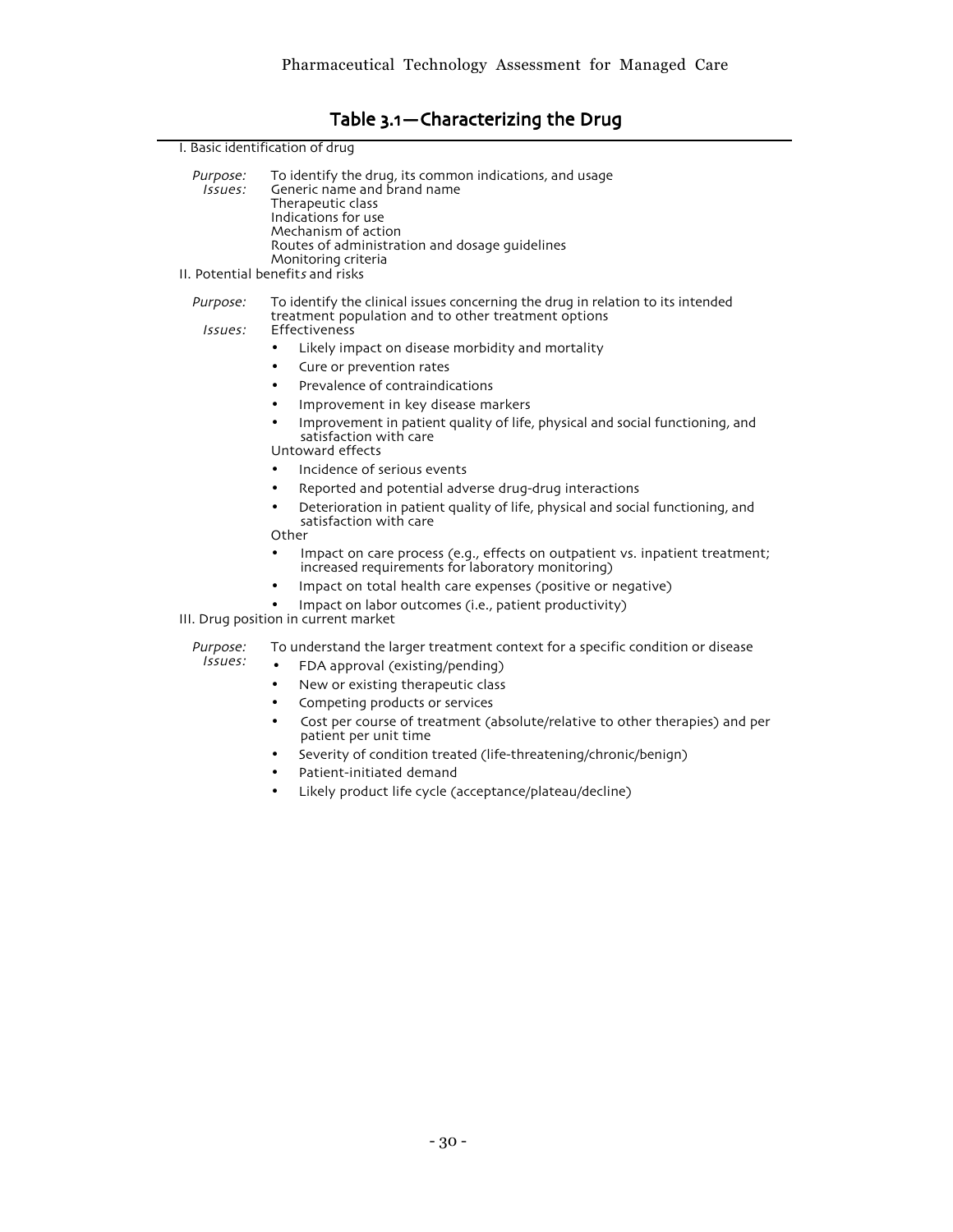# Table 3.1-Characterizing the Drug

| I. Basic identification of drug |                                                                                                                                                                                                                                    |  |  |  |
|---------------------------------|------------------------------------------------------------------------------------------------------------------------------------------------------------------------------------------------------------------------------------|--|--|--|
| Purpose:<br>Issues:             | To identify the drug, its common indications, and usage<br>Generic name and brand name<br>Therapeutic class<br>Indications for use<br>Mechanism of action<br>Routes of administration and dosage guidelines<br>Monitoring criteria |  |  |  |
|                                 | II. Potential benefits and risks                                                                                                                                                                                                   |  |  |  |
| Purpose:<br>Issues:             | To identify the clinical issues concerning the drug in relation to its intended<br>treatment population and to other treatment options<br>Effectiveness                                                                            |  |  |  |
|                                 | Likely impact on disease morbidity and mortality<br>٠                                                                                                                                                                              |  |  |  |
|                                 | Cure or prevention rates                                                                                                                                                                                                           |  |  |  |
|                                 | Prevalence of contraindications<br>٠                                                                                                                                                                                               |  |  |  |
|                                 | Improvement in key disease markers                                                                                                                                                                                                 |  |  |  |
|                                 | Improvement in patient quality of life, physical and social functioning, and<br>$\bullet$<br>satisfaction with care<br>Untoward effects                                                                                            |  |  |  |
|                                 | Incidence of serious events                                                                                                                                                                                                        |  |  |  |
|                                 | Reported and potential adverse drug-drug interactions<br>٠                                                                                                                                                                         |  |  |  |
|                                 | Deterioration in patient quality of life, physical and social functioning, and<br>٠<br>satisfaction with care<br>Other                                                                                                             |  |  |  |
|                                 | Impact on care process (e.g., effects on outpatient vs. inpatient treatment;<br>$\bullet$<br>increased requirements for laboratory monitoring)                                                                                     |  |  |  |
|                                 | Impact on total health care expenses (positive or negative)                                                                                                                                                                        |  |  |  |
|                                 | Impact on labor outcomes (i.e., patient productivity)<br>III. Drug position in current market                                                                                                                                      |  |  |  |
| Purpose:                        | To understand the larger treatment context for a specific condition or disease                                                                                                                                                     |  |  |  |
| Issues:                         | FDA approval (existing/pending)<br>$\bullet$                                                                                                                                                                                       |  |  |  |
|                                 | New or existing therapeutic class<br>٠                                                                                                                                                                                             |  |  |  |
|                                 | Competing products or services<br>٠                                                                                                                                                                                                |  |  |  |
|                                 | Cost per course of treatment (absolute/relative to other therapies) and per<br>٠<br>patient per unit time                                                                                                                          |  |  |  |
|                                 | Severity of condition treated (life-threatening/chronic/benign)<br>٠                                                                                                                                                               |  |  |  |
|                                 | Patient-initiated demand<br>٠                                                                                                                                                                                                      |  |  |  |
|                                 | Likely product life cycle (acceptance/plateau/decline)<br>$\bullet$                                                                                                                                                                |  |  |  |
|                                 |                                                                                                                                                                                                                                    |  |  |  |
|                                 |                                                                                                                                                                                                                                    |  |  |  |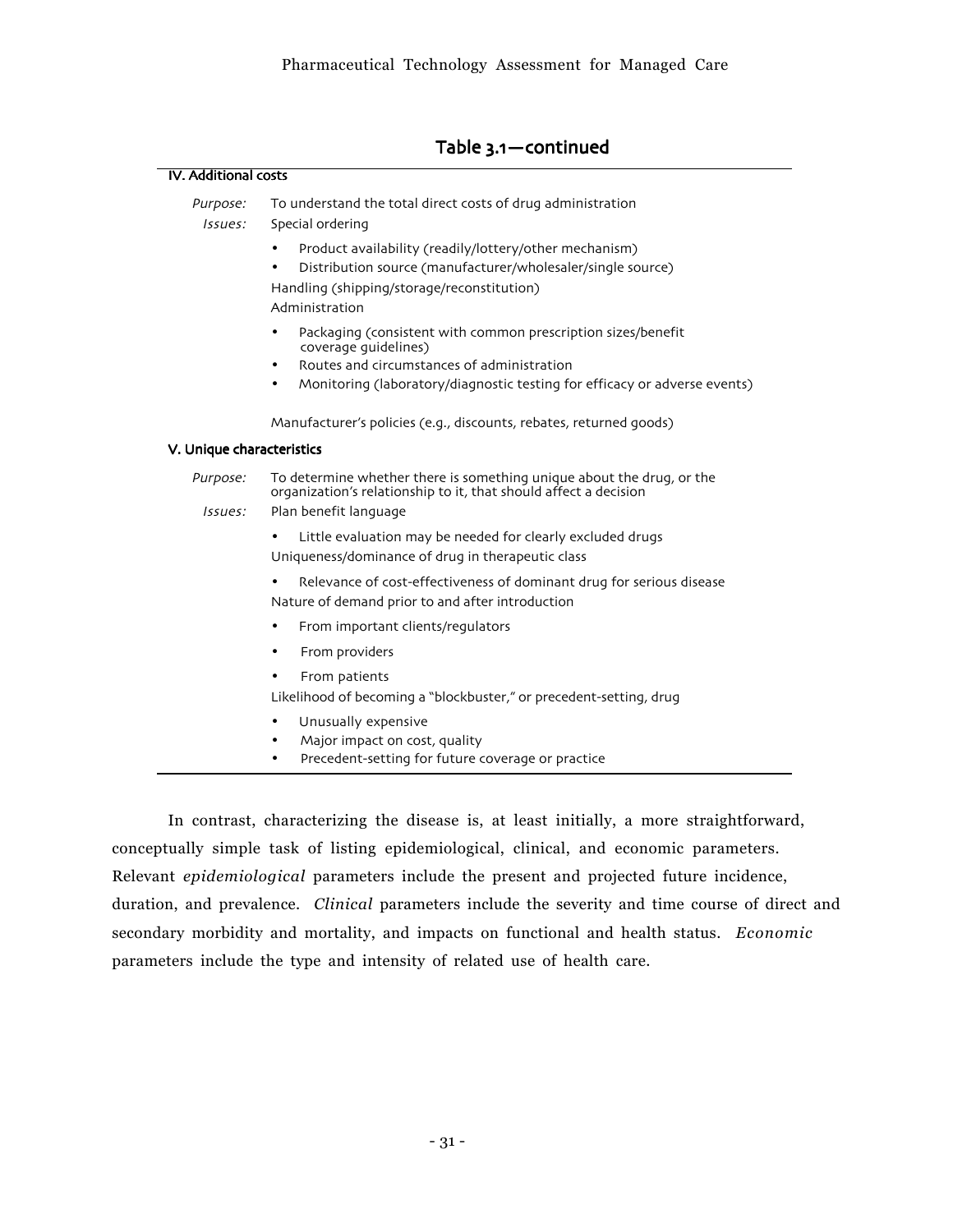| <b>IV.</b> Additional costs |                                                                                                                                                                                       |  |  |  |
|-----------------------------|---------------------------------------------------------------------------------------------------------------------------------------------------------------------------------------|--|--|--|
| Purpose:<br>Issues:         | To understand the total direct costs of drug administration<br>Special ordering                                                                                                       |  |  |  |
|                             | Product availability (readily/lottery/other mechanism)<br>Distribution source (manufacturer/wholesaler/single source)<br>Handling (shipping/storage/reconstitution)<br>Administration |  |  |  |
|                             | Packaging (consistent with common prescription sizes/benefit<br>$\bullet$<br>coverage quidelines)<br>Routes and circumstances of administration<br>$\bullet$                          |  |  |  |
|                             | Monitoring (laboratory/diagnostic testing for efficacy or adverse events)                                                                                                             |  |  |  |
|                             | Manufacturer's policies (e.g., discounts, rebates, returned goods)                                                                                                                    |  |  |  |
| V. Unique characteristics   |                                                                                                                                                                                       |  |  |  |
| Purpose:                    | To determine whether there is something unique about the drug, or the<br>organization's relationship to it, that should affect a decision                                             |  |  |  |
| <i>Issues:</i>              | Plan benefit language                                                                                                                                                                 |  |  |  |
|                             | Little evaluation may be needed for clearly excluded drugs<br>Uniqueness/dominance of drug in therapeutic class                                                                       |  |  |  |
|                             | Relevance of cost-effectiveness of dominant drug for serious disease<br>Nature of demand prior to and after introduction                                                              |  |  |  |
|                             | From important clients/regulators<br>$\bullet$                                                                                                                                        |  |  |  |
|                             | From providers<br>٠                                                                                                                                                                   |  |  |  |
|                             | From patients                                                                                                                                                                         |  |  |  |
|                             | Likelihood of becoming a "blockbuster," or precedent-setting, drug                                                                                                                    |  |  |  |
|                             | Unusually expensive<br>$\bullet$<br>Major impact on cost, quality<br>Precedent-setting for future coverage or practice                                                                |  |  |  |

In contrast, characterizing the disease is, at least initially, a more straightforward, conceptually simple task of listing epidemiological, clinical, and economic parameters. Relevant *epidemiological* parameters include the present and projected future incidence, duration, and prevalence. *Clinical* parameters include the severity and time course of direct and secondary morbidity and mortality, and impacts on functional and health status. *Economic* parameters include the type and intensity of related use of health care.

## Table 3.1-continued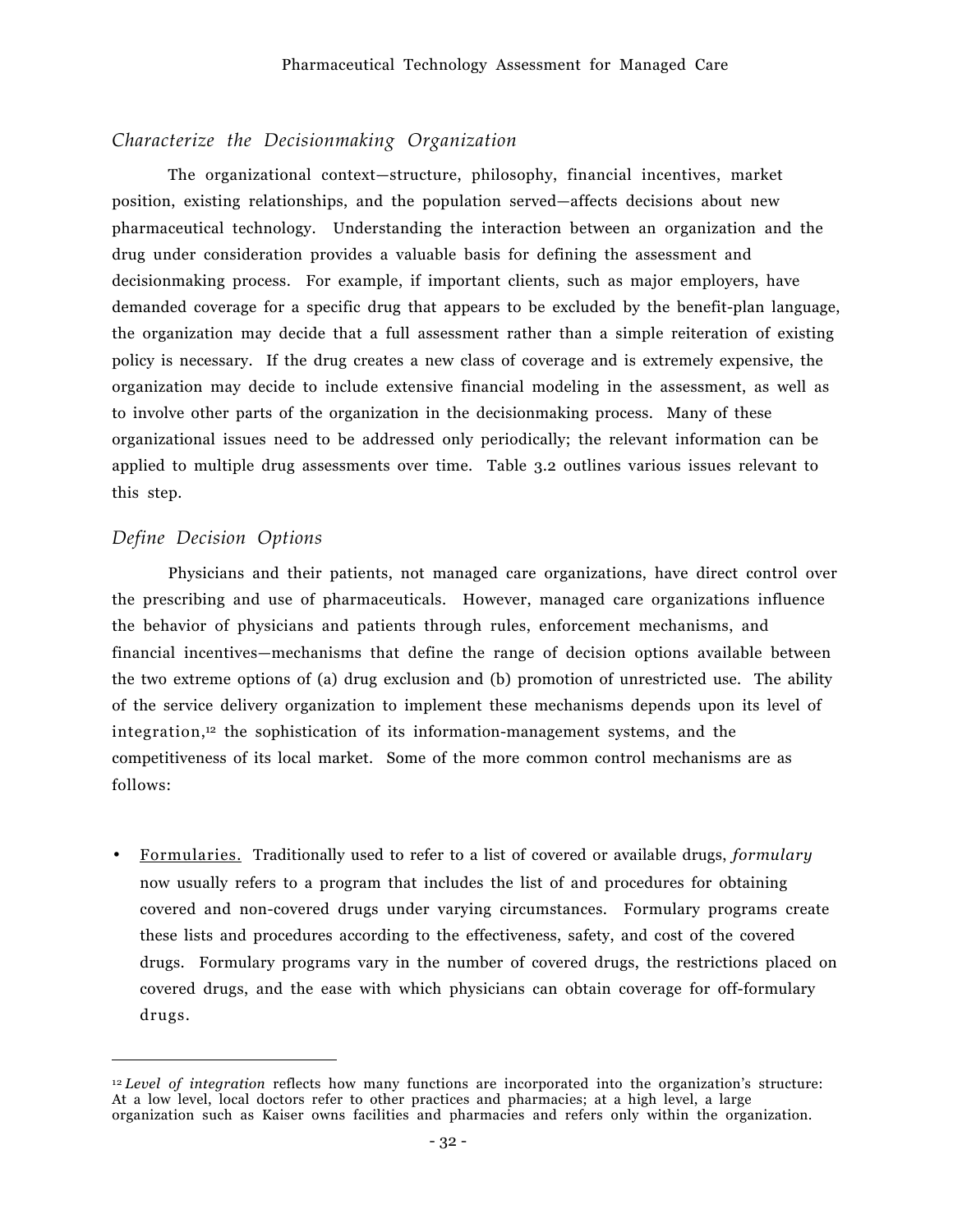## *Characterize the Decisionmaking Organization*

The organizational context—structure, philosophy, financial incentives, market position, existing relationships, and the population served—affects decisions about new pharmaceutical technology. Understanding the interaction between an organization and the drug under consideration provides a valuable basis for defining the assessment and decisionmaking process. For example, if important clients, such as major employers, have demanded coverage for a specific drug that appears to be excluded by the benefit-plan language, the organization may decide that a full assessment rather than a simple reiteration of existing policy is necessary. If the drug creates a new class of coverage and is extremely expensive, the organization may decide to include extensive financial modeling in the assessment, as well as to involve other parts of the organization in the decisionmaking process. Many of these organizational issues need to be addressed only periodically; the relevant information can be applied to multiple drug assessments over time. Table 3.2 outlines various issues relevant to this step.

## *Define Decision Options*

 $\overline{a}$ 

Physicians and their patients, not managed care organizations, have direct control over the prescribing and use of pharmaceuticals. However, managed care organizations influence the behavior of physicians and patients through rules, enforcement mechanisms, and financial incentives—mechanisms that define the range of decision options available between the two extreme options of (a) drug exclusion and (b) promotion of unrestricted use. The ability of the service delivery organization to implement these mechanisms depends upon its level of integration,<sup>12</sup> the sophistication of its information-management systems, and the competitiveness of its local market. Some of the more common control mechanisms are as follows:

• Formularies. Traditionally used to refer to a list of covered or available drugs, *formulary* now usually refers to a program that includes the list of and procedures for obtaining covered and non-covered drugs under varying circumstances. Formulary programs create these lists and procedures according to the effectiveness, safety, and cost of the covered drugs. Formulary programs vary in the number of covered drugs, the restrictions placed on covered drugs, and the ease with which physicians can obtain coverage for off-formulary drugs.

<sup>&</sup>lt;sup>12</sup> *Level of integration* reflects how many functions are incorporated into the organization's structure: At a low level, local doctors refer to other practices and pharmacies; at a high level, a large organization such as Kaiser owns facilities and pharmacies and refers only within the organization.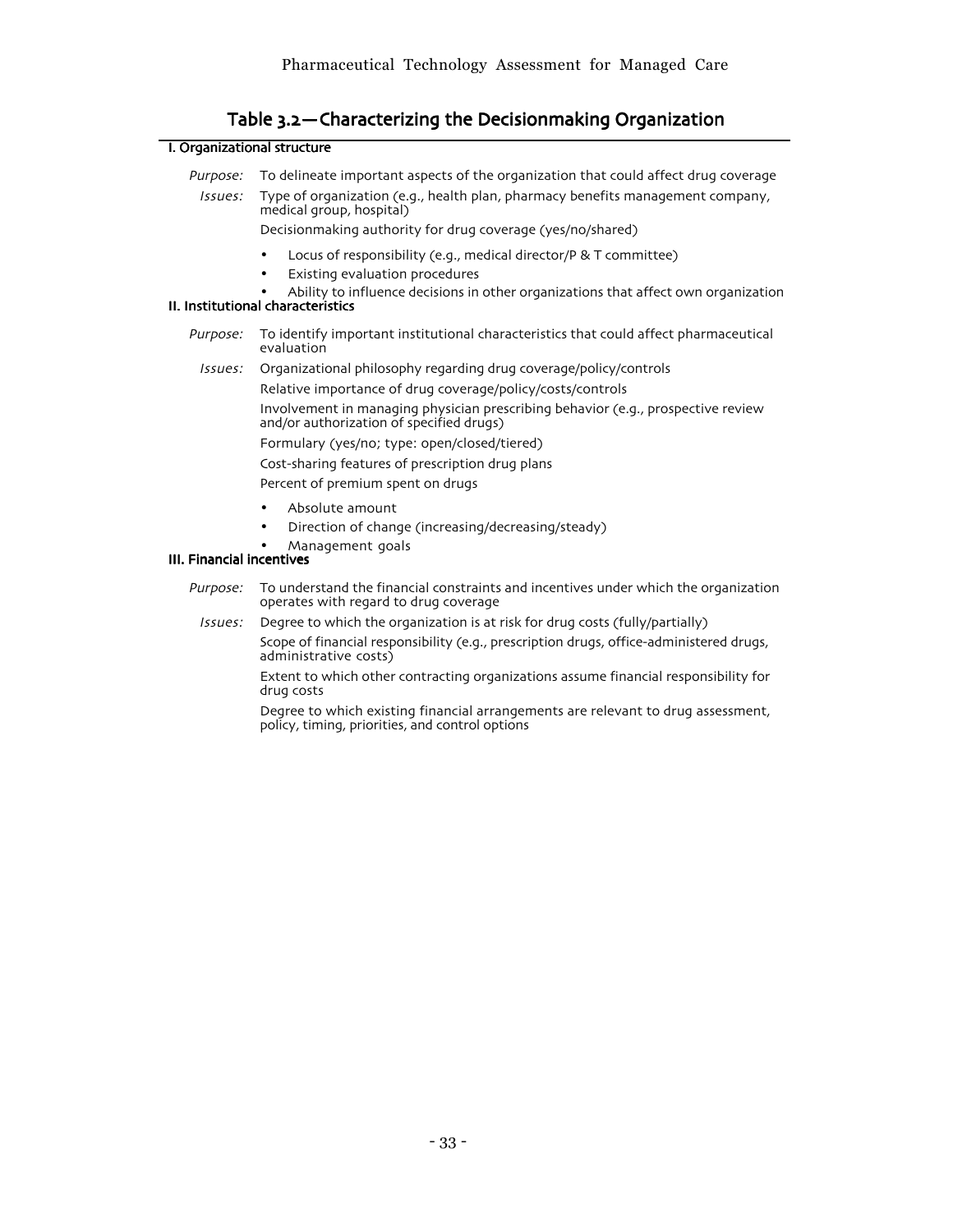| Table 3.2 - Characterizing the Decisionmaking Organization |  |
|------------------------------------------------------------|--|
|------------------------------------------------------------|--|

## I. Organizational structure

| Purpose:<br>Issues:       | To delineate important aspects of the organization that could affect drug coverage<br>Type of organization (e.g., health plan, pharmacy benefits management company,<br>medical group, hospital)<br>Decisionmaking authority for drug coverage (yes/no/shared) |  |  |  |
|---------------------------|----------------------------------------------------------------------------------------------------------------------------------------------------------------------------------------------------------------------------------------------------------------|--|--|--|
|                           | Locus of responsibility (e.g., medical director/P & T committee)<br>$\bullet$<br>Existing evaluation procedures<br>Ability to influence decisions in other organizations that affect own organization<br>II. Institutional characteristics                     |  |  |  |
| Purpose:                  | To identify important institutional characteristics that could affect pharmaceutical<br>evaluation                                                                                                                                                             |  |  |  |
| Issues:                   | Organizational philosophy regarding drug coverage/policy/controls                                                                                                                                                                                              |  |  |  |
|                           | Relative importance of drug coverage/policy/costs/controls                                                                                                                                                                                                     |  |  |  |
|                           | Involvement in managing physician prescribing behavior (e.g., prospective review<br>and/or authorization of specified drugs)                                                                                                                                   |  |  |  |
|                           | Formulary (yes/no; type: open/closed/tiered)                                                                                                                                                                                                                   |  |  |  |
|                           | Cost-sharing features of prescription drug plans                                                                                                                                                                                                               |  |  |  |
|                           | Percent of premium spent on drugs                                                                                                                                                                                                                              |  |  |  |
| III. Financial incentives | Absolute amount<br>Direction of change (increasing/decreasing/steady)<br>Management goals                                                                                                                                                                      |  |  |  |
|                           | Dupeaco — Te undeversed the financial concrucinto and incontinuo undeversity the executation                                                                                                                                                                   |  |  |  |

- Purpose: To understand the financial constraints and incentives under which the organization operates with regard to drug coverage
	- Issues: Degree to which the organization is at risk for drug costs (fully/partially)

Scope of financial responsibility (e.g., prescription drugs, office-administered drugs, administrative costs)

Extent to which other contracting organizations assume financial responsibility for drug costs

Degree to which existing financial arrangements are relevant to drug assessment, policy, timing, priorities, and control options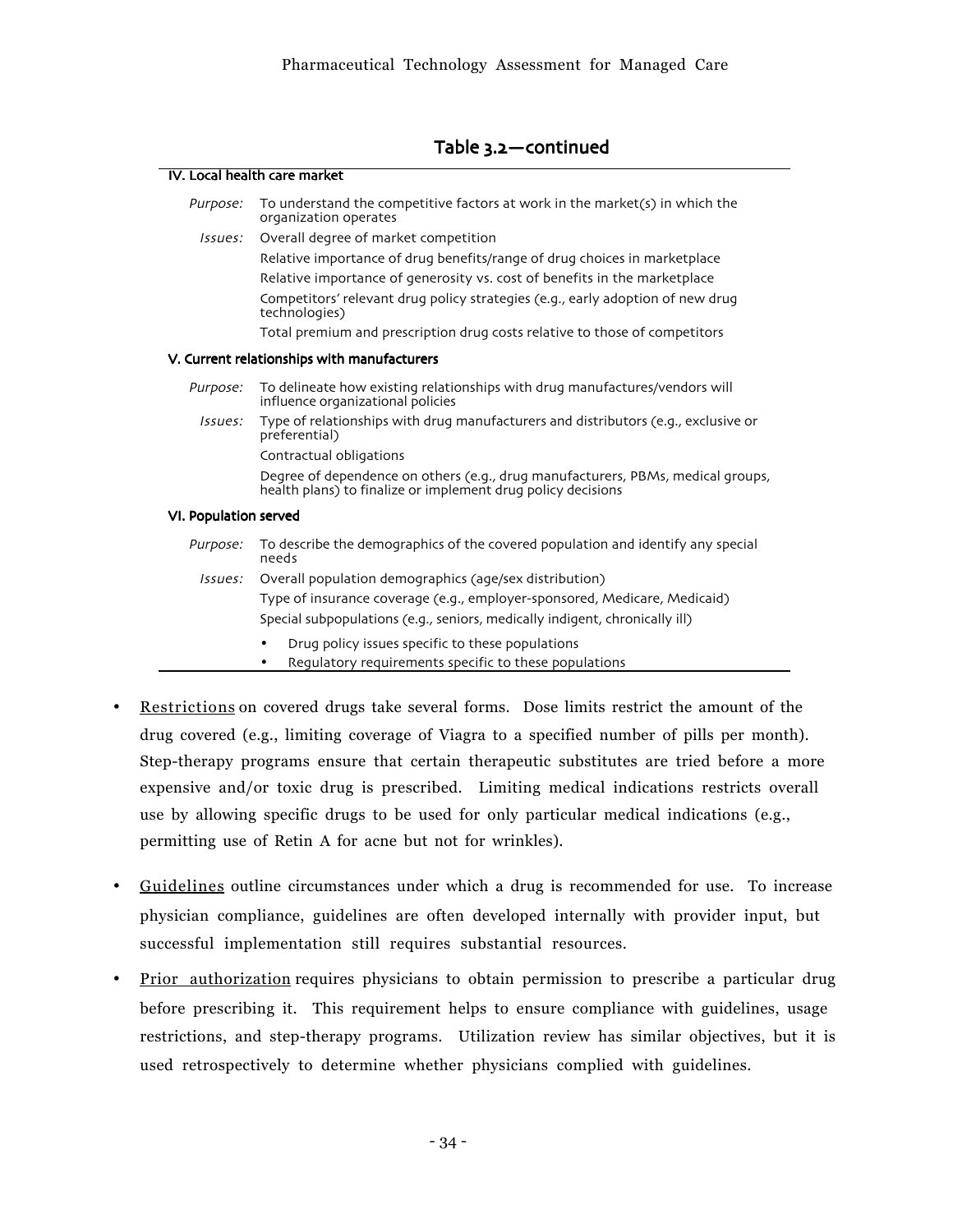## Table 3.2-continued

|                       | IV. Local health care market                                                                                                                             |  |  |
|-----------------------|----------------------------------------------------------------------------------------------------------------------------------------------------------|--|--|
| Purpose:              | To understand the competitive factors at work in the market(s) in which the<br>organization operates                                                     |  |  |
| Issues:               | Overall degree of market competition                                                                                                                     |  |  |
|                       | Relative importance of drug benefits/range of drug choices in marketplace                                                                                |  |  |
|                       | Relative importance of generosity vs. cost of benefits in the marketplace                                                                                |  |  |
|                       | Competitors' relevant drug policy strategies (e.g., early adoption of new drug<br>technologies)                                                          |  |  |
|                       | Total premium and prescription drug costs relative to those of competitors                                                                               |  |  |
|                       | V. Current relationships with manufacturers                                                                                                              |  |  |
| Purpose:              | To delineate how existing relationships with drug manufactures/vendors will<br>influence organizational policies                                         |  |  |
| Issues:               | Type of relationships with drug manufacturers and distributors (e.g., exclusive or<br>preferential)                                                      |  |  |
|                       | Contractual obligations                                                                                                                                  |  |  |
|                       | Degree of dependence on others (e.g., drug manufacturers, PBMs, medical groups,<br>health plans) to finalize or implement drug policy decisions          |  |  |
| VI. Population served |                                                                                                                                                          |  |  |
| Purpose:              | To describe the demographics of the covered population and identify any special<br>needs                                                                 |  |  |
| Issues:               | Overall population demographics (age/sex distribution)                                                                                                   |  |  |
|                       | Type of insurance coverage (e.g., employer-sponsored, Medicare, Medicaid)<br>Special subpopulations (e.g., seniors, medically indigent, chronically ill) |  |  |
|                       | Drug policy issues specific to these populations<br>Regulatory requirements specific to these populations                                                |  |  |

- Restrictions on covered drugs take several forms. Dose limits restrict the amount of the drug covered (e.g., limiting coverage of Viagra to a specified number of pills per month). Step-therapy programs ensure that certain therapeutic substitutes are tried before a more expensive and/or toxic drug is prescribed. Limiting medical indications restricts overall use by allowing specific drugs to be used for only particular medical indications (e.g., permitting use of Retin A for acne but not for wrinkles).
- Guidelines outline circumstances under which a drug is recommended for use. To increase physician compliance, guidelines are often developed internally with provider input, but successful implementation still requires substantial resources.
- Prior authorization requires physicians to obtain permission to prescribe a particular drug before prescribing it. This requirement helps to ensure compliance with guidelines, usage restrictions, and step-therapy programs. Utilization review has similar objectives, but it is used retrospectively to determine whether physicians complied with guidelines.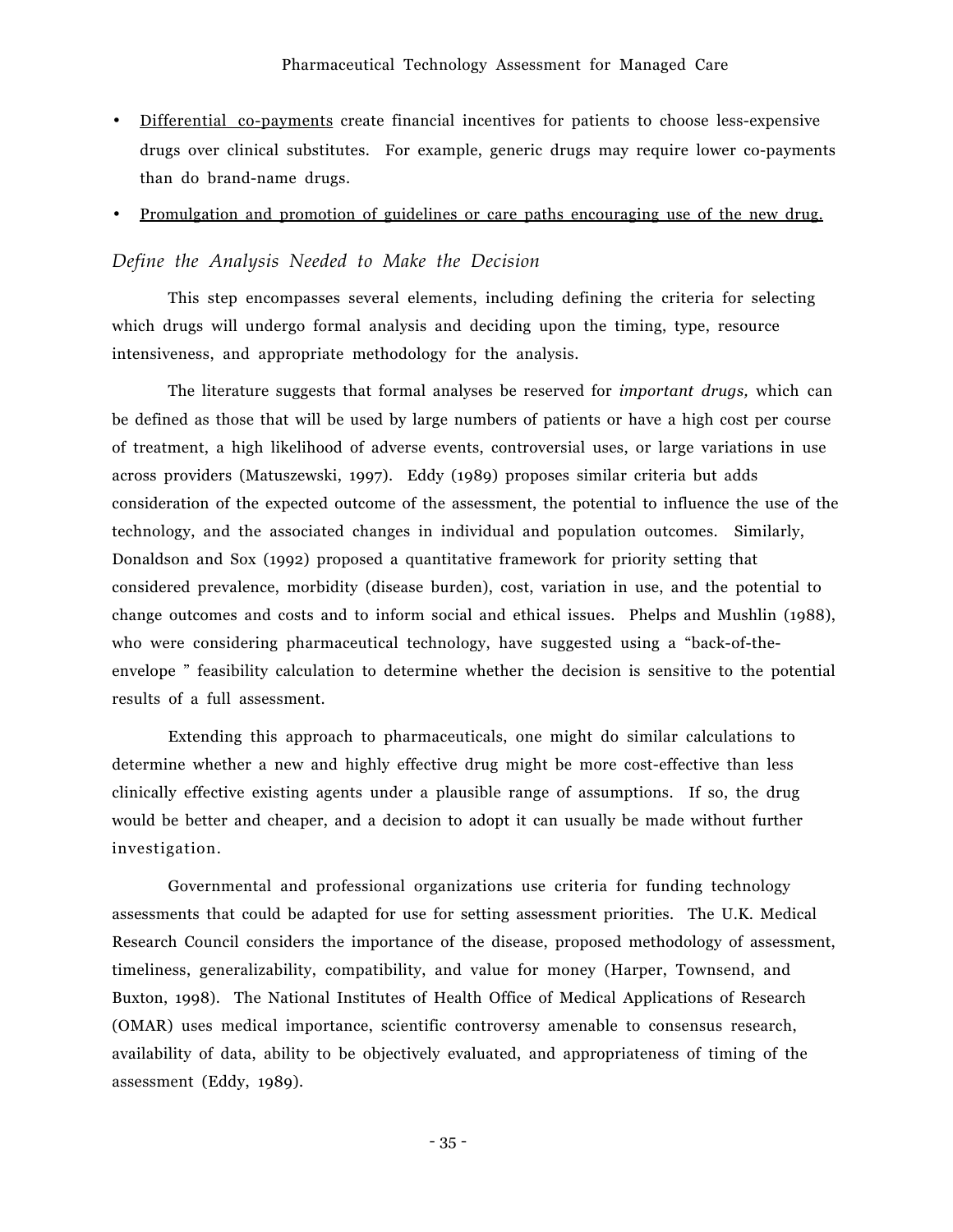- Differential co-payments create financial incentives for patients to choose less-expensive drugs over clinical substitutes. For example, generic drugs may require lower co-payments than do brand-name drugs.
- Promulgation and promotion of guidelines or care paths encouraging use of the new drug.

## *Define the Analysis Needed to Make the Decision*

This step encompasses several elements, including defining the criteria for selecting which drugs will undergo formal analysis and deciding upon the timing, type, resource intensiveness, and appropriate methodology for the analysis.

The literature suggests that formal analyses be reserved for *important drugs,* which can be defined as those that will be used by large numbers of patients or have a high cost per course of treatment, a high likelihood of adverse events, controversial uses, or large variations in use across providers (Matuszewski, 1997). Eddy (1989) proposes similar criteria but adds consideration of the expected outcome of the assessment, the potential to influence the use of the technology, and the associated changes in individual and population outcomes. Similarly, Donaldson and Sox (1992) proposed a quantitative framework for priority setting that considered prevalence, morbidity (disease burden), cost, variation in use, and the potential to change outcomes and costs and to inform social and ethical issues. Phelps and Mushlin (1988), who were considering pharmaceutical technology, have suggested using a "back-of-theenvelope " feasibility calculation to determine whether the decision is sensitive to the potential results of a full assessment.

Extending this approach to pharmaceuticals, one might do similar calculations to determine whether a new and highly effective drug might be more cost-effective than less clinically effective existing agents under a plausible range of assumptions. If so, the drug would be better and cheaper, and a decision to adopt it can usually be made without further investigation.

Governmental and professional organizations use criteria for funding technology assessments that could be adapted for use for setting assessment priorities. The U.K. Medical Research Council considers the importance of the disease, proposed methodology of assessment, timeliness, generalizability, compatibility, and value for money (Harper, Townsend, and Buxton, 1998). The National Institutes of Health Office of Medical Applications of Research (OMAR) uses medical importance, scientific controversy amenable to consensus research, availability of data, ability to be objectively evaluated, and appropriateness of timing of the assessment (Eddy, 1989).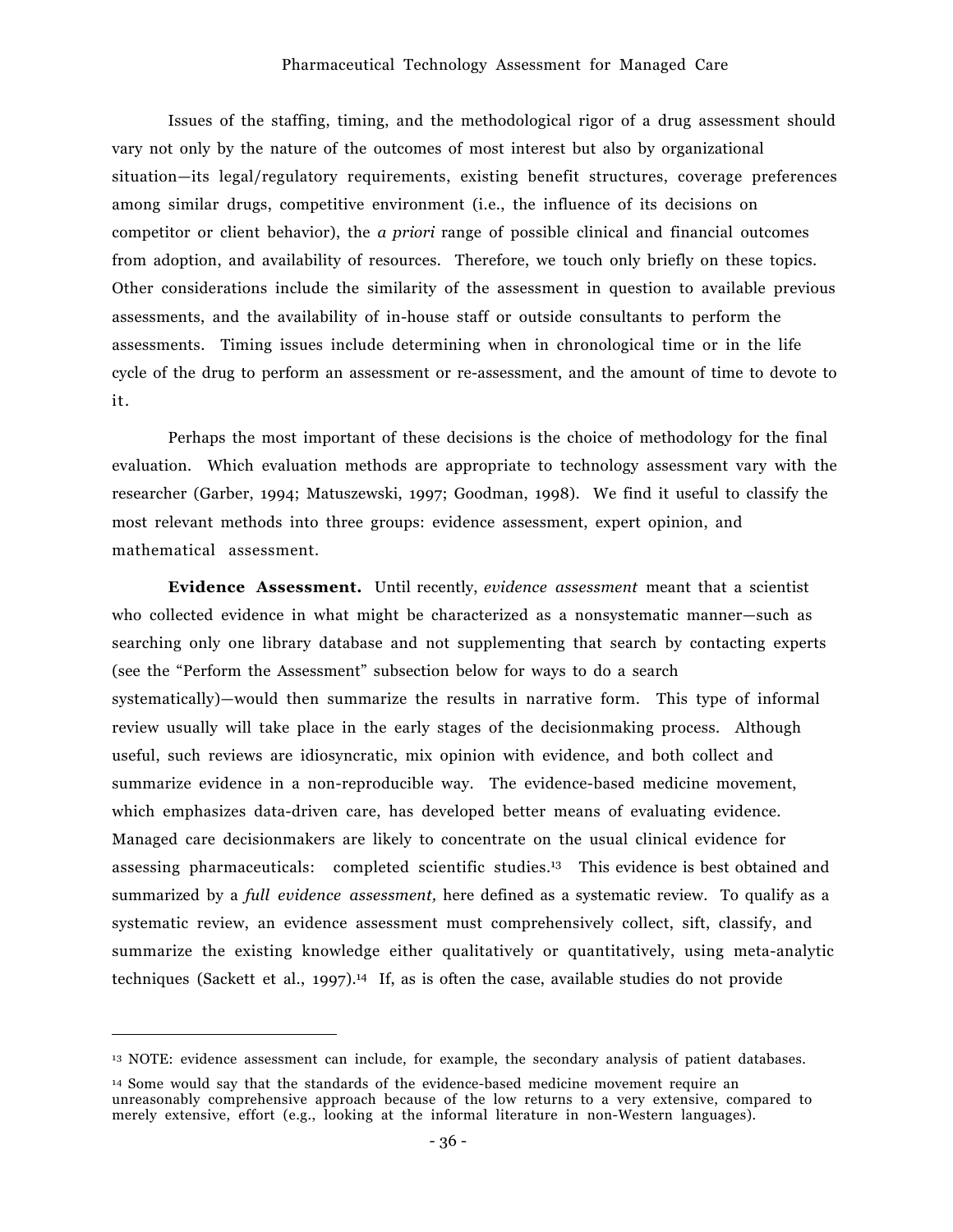Issues of the staffing, timing, and the methodological rigor of a drug assessment should vary not only by the nature of the outcomes of most interest but also by organizational situation–its legal/regulatory requirements, existing benefit structures, coverage preferences among similar drugs, competitive environment (i.e., the influence of its decisions on competitor or client behavior), the *a priori* range of possible clinical and financial outcomes from adoption, and availability of resources. Therefore, we touch only briefly on these topics. Other considerations include the similarity of the assessment in question to available previous assessments, and the availability of in-house staff or outside consultants to perform the assessments. Timing issues include determining when in chronological time or in the life cycle of the drug to perform an assessment or re-assessment, and the amount of time to devote to it.

Perhaps the most important of these decisions is the choice of methodology for the final evaluation. Which evaluation methods are appropriate to technology assessment vary with the researcher (Garber, 1994; Matuszewski, 1997; Goodman, 1998). We find it useful to classify the most relevant methods into three groups: evidence assessment, expert opinion, and mathematical assessment.

**Evidence Assessment.** Until recently, *evidence assessment* meant that a scientist who collected evidence in what might be characterized as a nonsystematic manner–such as searching only one library database and not supplementing that search by contacting experts (see the "Perform the Assessment" subsection below for ways to do a search systematically)—would then summarize the results in narrative form. This type of informal review usually will take place in the early stages of the decisionmaking process. Although useful, such reviews are idiosyncratic, mix opinion with evidence, and both collect and summarize evidence in a non-reproducible way. The evidence-based medicine movement, which emphasizes data-driven care, has developed better means of evaluating evidence. Managed care decisionmakers are likely to concentrate on the usual clinical evidence for assessing pharmaceuticals: completed scientific studies.13 This evidence is best obtained and summarized by a *full evidence assessment,* here defined as a systematic review. To qualify as a systematic review, an evidence assessment must comprehensively collect, sift, classify, and summarize the existing knowledge either qualitatively or quantitatively, using meta-analytic techniques (Sackett et al., 1997).14 If, as is often the case, available studies do not provide

<sup>13</sup> NOTE: evidence assessment can include, for example, the secondary analysis of patient databases.

<sup>14</sup> Some would say that the standards of the evidence-based medicine movement require an unreasonably comprehensive approach because of the low returns to a very extensive, compared to merely extensive, effort (e.g., looking at the informal literature in non-Western languages).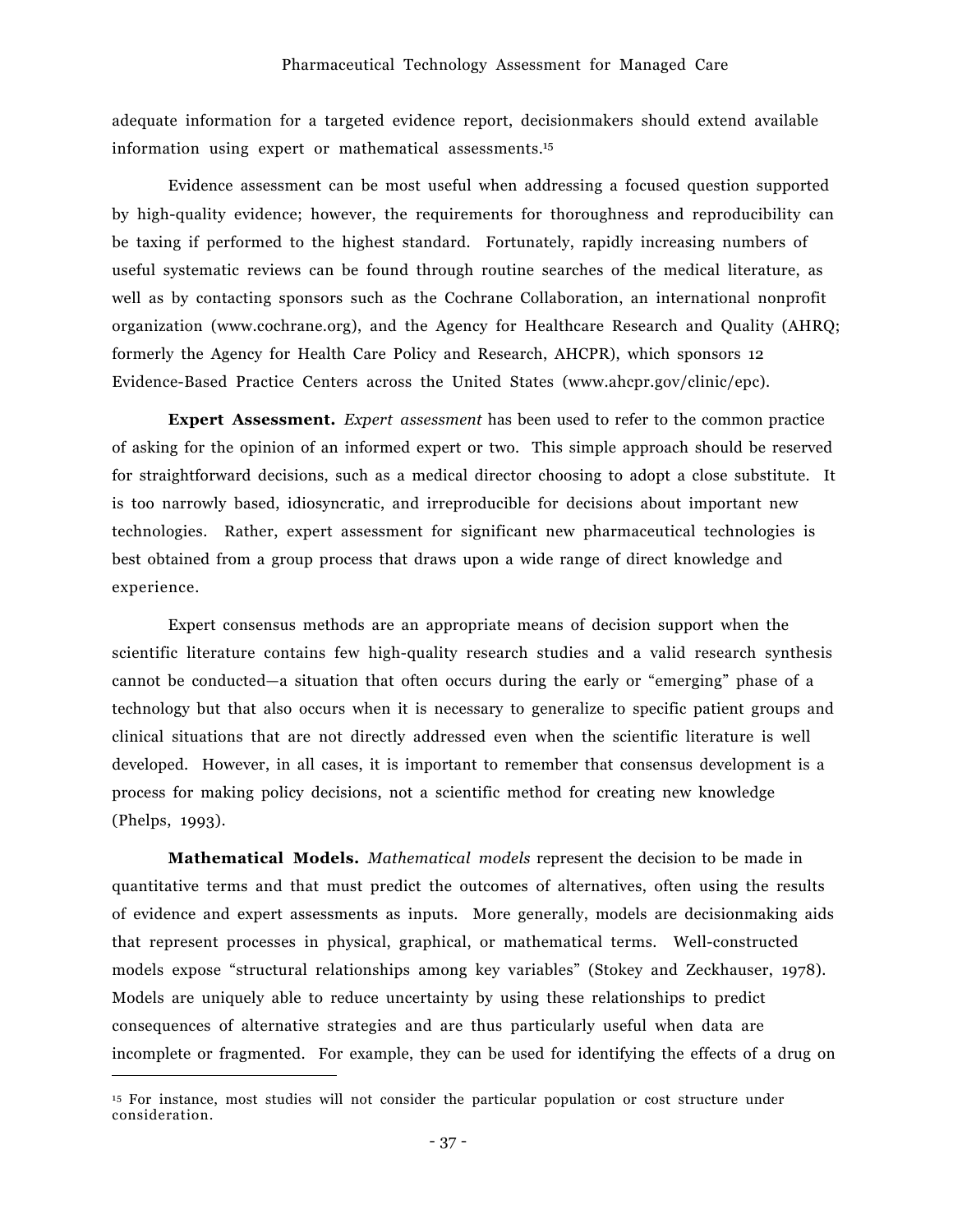adequate information for a targeted evidence report, decisionmakers should extend available information using expert or mathematical assessments.15

Evidence assessment can be most useful when addressing a focused question supported by high-quality evidence; however, the requirements for thoroughness and reproducibility can be taxing if performed to the highest standard. Fortunately, rapidly increasing numbers of useful systematic reviews can be found through routine searches of the medical literature, as well as by contacting sponsors such as the Cochrane Collaboration, an international nonprofit organization (www.cochrane.org), and the Agency for Healthcare Research and Quality (AHRQ; formerly the Agency for Health Care Policy and Research, AHCPR), which sponsors 12 Evidence-Based Practice Centers across the United States (www.ahcpr.gov/clinic/epc).

**Expert Assessment.** *Expert assessment* has been used to refer to the common practice of asking for the opinion of an informed expert or two. This simple approach should be reserved for straightforward decisions, such as a medical director choosing to adopt a close substitute. It is too narrowly based, idiosyncratic, and irreproducible for decisions about important new technologies. Rather, expert assessment for significant new pharmaceutical technologies is best obtained from a group process that draws upon a wide range of direct knowledge and experience.

Expert consensus methods are an appropriate means of decision support when the scientific literature contains few high-quality research studies and a valid research synthesis cannot be conducted—a situation that often occurs during the early or "emerging" phase of a technology but that also occurs when it is necessary to generalize to specific patient groups and clinical situations that are not directly addressed even when the scientific literature is well developed. However, in all cases, it is important to remember that consensus development is a process for making policy decisions, not a scientific method for creating new knowledge (Phelps, 1993).

**Mathematical Models.** *Mathematical models* represent the decision to be made in quantitative terms and that must predict the outcomes of alternatives, often using the results of evidence and expert assessments as inputs. More generally, models are decisionmaking aids that represent processes in physical, graphical, or mathematical terms. Well-constructed models expose "structural relationships among key variables" (Stokey and Zeckhauser, 1978). Models are uniquely able to reduce uncertainty by using these relationships to predict consequences of alternative strategies and are thus particularly useful when data are incomplete or fragmented. For example, they can be used for identifying the effects of a drug on

<sup>15</sup> For instance, most studies will not consider the particular population or cost structure under consideration.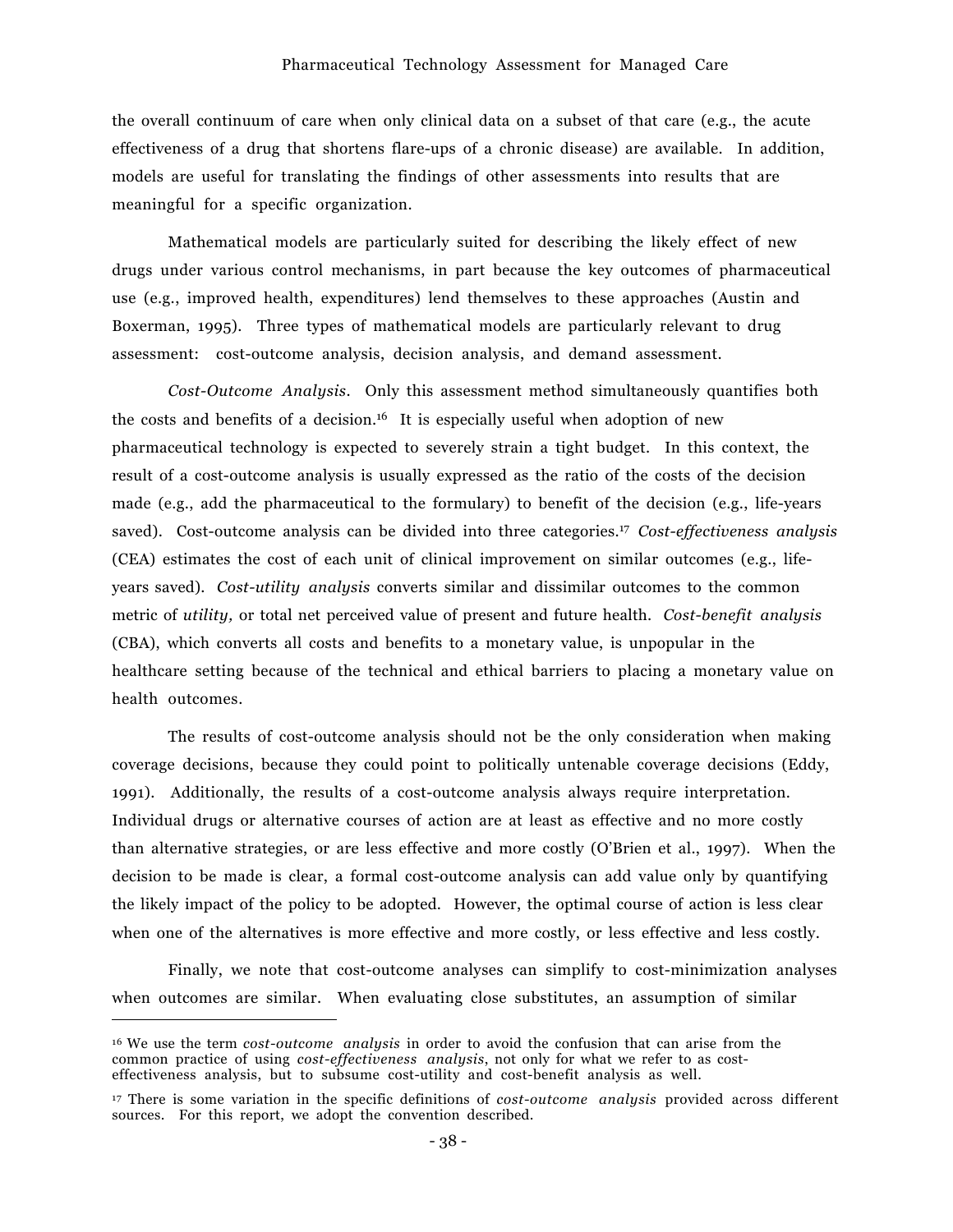the overall continuum of care when only clinical data on a subset of that care (e.g., the acute effectiveness of a drug that shortens flare-ups of a chronic disease) are available. In addition, models are useful for translating the findings of other assessments into results that are meaningful for a specific organization.

Mathematical models are particularly suited for describing the likely effect of new drugs under various control mechanisms, in part because the key outcomes of pharmaceutical use (e.g., improved health, expenditures) lend themselves to these approaches (Austin and Boxerman, 1995). Three types of mathematical models are particularly relevant to drug assessment: cost-outcome analysis, decision analysis, and demand assessment.

*Cost-Outcome Analysis*. Only this assessment method simultaneously quantifies both the costs and benefits of a decision.16 It is especially useful when adoption of new pharmaceutical technology is expected to severely strain a tight budget. In this context, the result of a cost-outcome analysis is usually expressed as the ratio of the costs of the decision made (e.g., add the pharmaceutical to the formulary) to benefit of the decision (e.g., life-years saved). Cost-outcome analysis can be divided into three categories.17 *Cost-effectiveness analysis* (CEA) estimates the cost of each unit of clinical improvement on similar outcomes (e.g., lifeyears saved). *Cost-utility analysis* converts similar and dissimilar outcomes to the common metric of *utility,* or total net perceived value of present and future health. *Cost-benefit analysis* (CBA), which converts all costs and benefits to a monetary value, is unpopular in the healthcare setting because of the technical and ethical barriers to placing a monetary value on health outcomes.

The results of cost-outcome analysis should not be the only consideration when making coverage decisions, because they could point to politically untenable coverage decisions (Eddy, 1991). Additionally, the results of a cost-outcome analysis always require interpretation. Individual drugs or alternative courses of action are at least as effective and no more costly than alternative strategies, or are less effective and more costly (OíBrien et al., 1997). When the decision to be made is clear, a formal cost-outcome analysis can add value only by quantifying the likely impact of the policy to be adopted. However, the optimal course of action is less clear when one of the alternatives is more effective and more costly, or less effective and less costly.

Finally, we note that cost-outcome analyses can simplify to cost-minimization analyses when outcomes are similar. When evaluating close substitutes, an assumption of similar

<sup>16</sup> We use the term *cost-outcome analysis* in order to avoid the confusion that can arise from the common practice of using *cost-effectiveness analysis*, not only for what we refer to as costeffectiveness analysis, but to subsume cost-utility and cost-benefit analysis as well.

<sup>17</sup> There is some variation in the specific definitions of *cost-outcome analysis* provided across different sources. For this report, we adopt the convention described.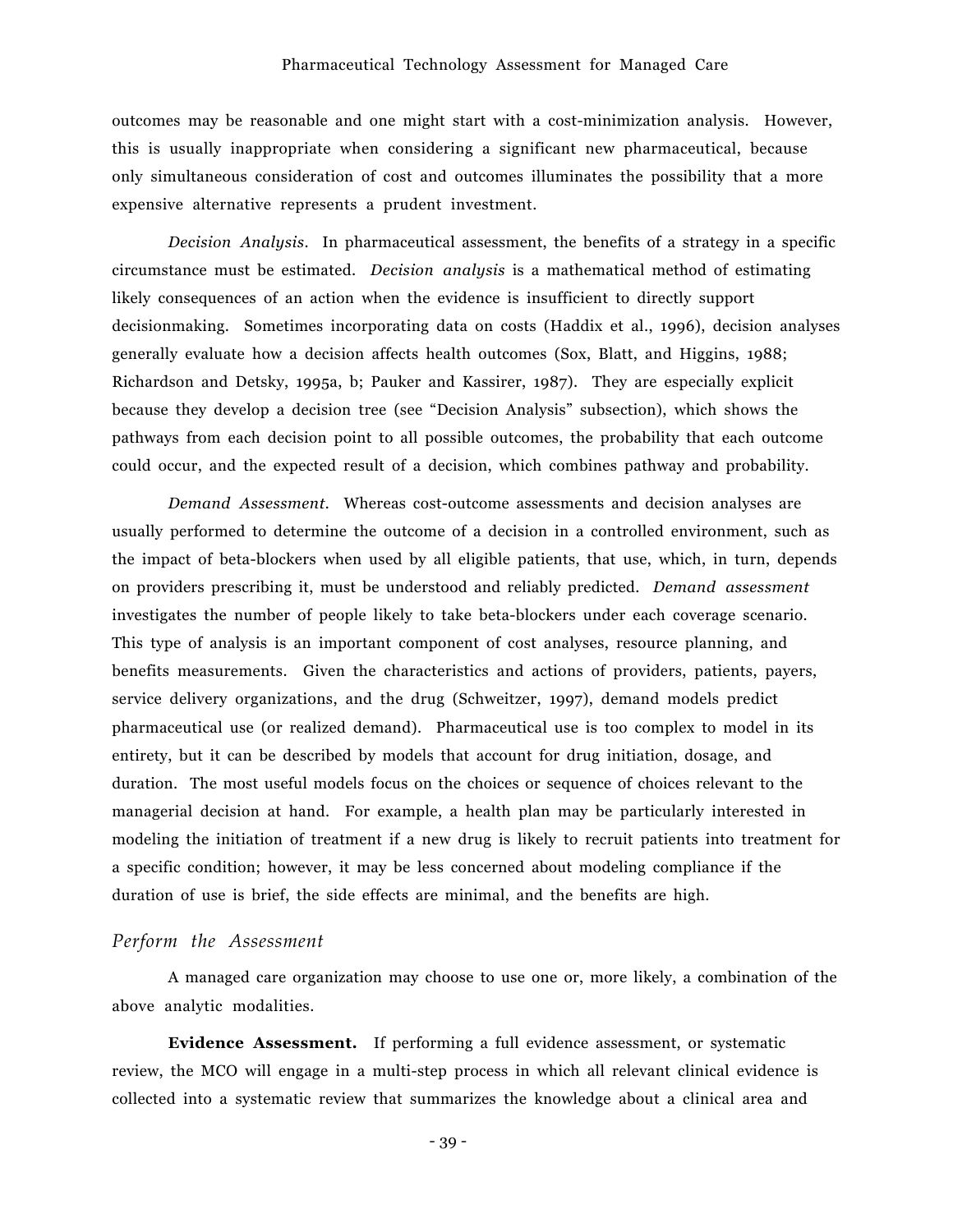outcomes may be reasonable and one might start with a cost-minimization analysis. However, this is usually inappropriate when considering a significant new pharmaceutical, because only simultaneous consideration of cost and outcomes illuminates the possibility that a more expensive alternative represents a prudent investment.

*Decision Analysis*. In pharmaceutical assessment, the benefits of a strategy in a specific circumstance must be estimated. *Decision analysis* is a mathematical method of estimating likely consequences of an action when the evidence is insufficient to directly support decisionmaking. Sometimes incorporating data on costs (Haddix et al., 1996), decision analyses generally evaluate how a decision affects health outcomes (Sox, Blatt, and Higgins, 1988; Richardson and Detsky, 1995a, b; Pauker and Kassirer, 1987). They are especially explicit because they develop a decision tree (see "Decision Analysis" subsection), which shows the pathways from each decision point to all possible outcomes, the probability that each outcome could occur, and the expected result of a decision, which combines pathway and probability.

*Demand Assessment.* Whereas cost-outcome assessments and decision analyses are usually performed to determine the outcome of a decision in a controlled environment, such as the impact of beta-blockers when used by all eligible patients, that use, which, in turn, depends on providers prescribing it, must be understood and reliably predicted. *Demand assessment* investigates the number of people likely to take beta-blockers under each coverage scenario. This type of analysis is an important component of cost analyses, resource planning, and benefits measurements. Given the characteristics and actions of providers, patients, payers, service delivery organizations, and the drug (Schweitzer, 1997), demand models predict pharmaceutical use (or realized demand). Pharmaceutical use is too complex to model in its entirety, but it can be described by models that account for drug initiation, dosage, and duration. The most useful models focus on the choices or sequence of choices relevant to the managerial decision at hand. For example, a health plan may be particularly interested in modeling the initiation of treatment if a new drug is likely to recruit patients into treatment for a specific condition; however, it may be less concerned about modeling compliance if the duration of use is brief, the side effects are minimal, and the benefits are high.

## *Perform the Assessment*

A managed care organization may choose to use one or, more likely, a combination of the above analytic modalities.

**Evidence Assessment.** If performing a full evidence assessment, or systematic review, the MCO will engage in a multi-step process in which all relevant clinical evidence is collected into a systematic review that summarizes the knowledge about a clinical area and

- 39 -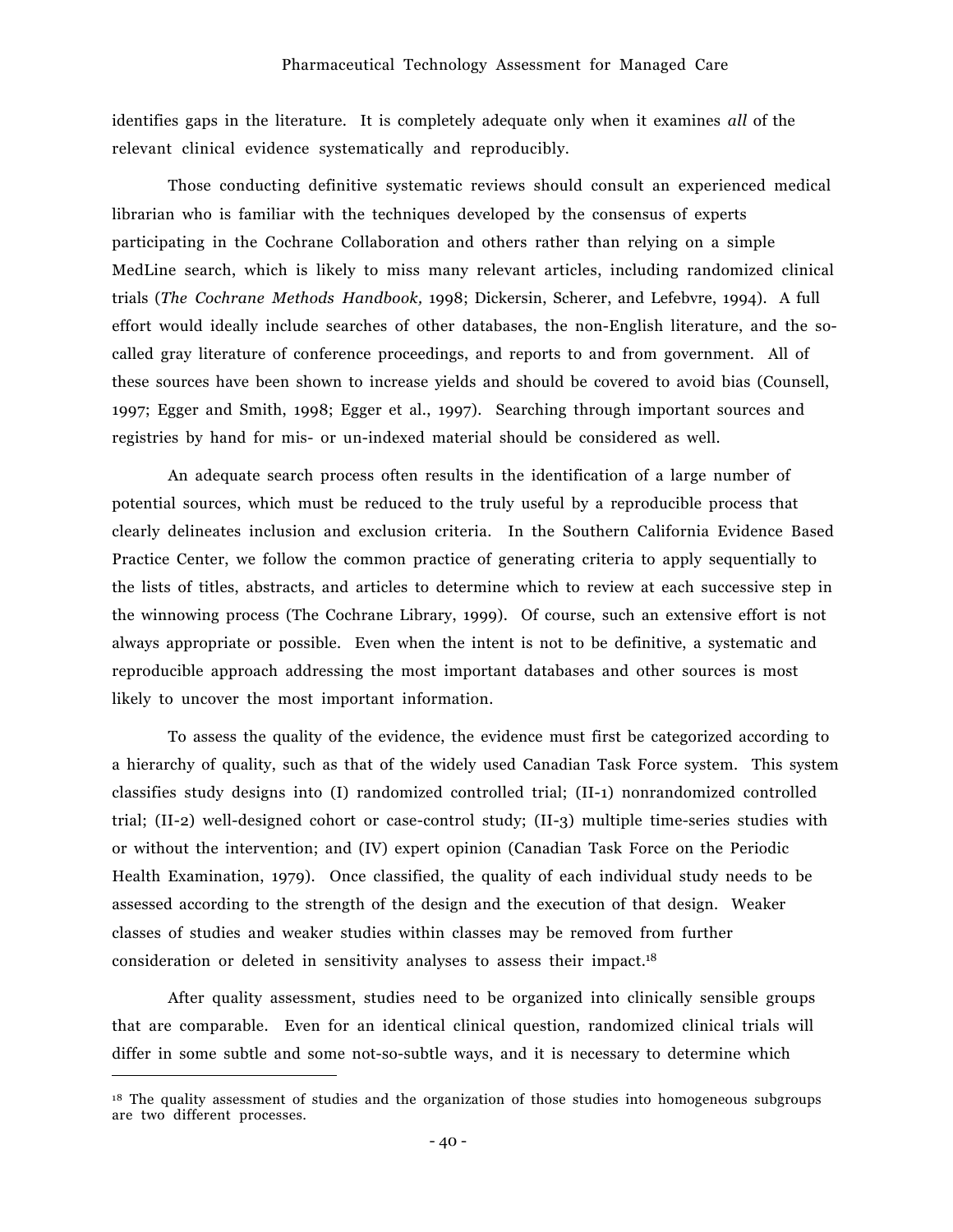identifies gaps in the literature. It is completely adequate only when it examines *all* of the relevant clinical evidence systematically and reproducibly.

Those conducting definitive systematic reviews should consult an experienced medical librarian who is familiar with the techniques developed by the consensus of experts participating in the Cochrane Collaboration and others rather than relying on a simple MedLine search, which is likely to miss many relevant articles, including randomized clinical trials (*The Cochrane Methods Handbook,* 1998; Dickersin, Scherer, and Lefebvre, 1994). A full effort would ideally include searches of other databases, the non-English literature, and the socalled gray literature of conference proceedings, and reports to and from government. All of these sources have been shown to increase yields and should be covered to avoid bias (Counsell, 1997; Egger and Smith, 1998; Egger et al., 1997). Searching through important sources and registries by hand for mis- or un-indexed material should be considered as well.

An adequate search process often results in the identification of a large number of potential sources, which must be reduced to the truly useful by a reproducible process that clearly delineates inclusion and exclusion criteria. In the Southern California Evidence Based Practice Center, we follow the common practice of generating criteria to apply sequentially to the lists of titles, abstracts, and articles to determine which to review at each successive step in the winnowing process (The Cochrane Library, 1999). Of course, such an extensive effort is not always appropriate or possible. Even when the intent is not to be definitive, a systematic and reproducible approach addressing the most important databases and other sources is most likely to uncover the most important information.

To assess the quality of the evidence, the evidence must first be categorized according to a hierarchy of quality, such as that of the widely used Canadian Task Force system. This system classifies study designs into (I) randomized controlled trial; (II-1) nonrandomized controlled trial; (II-2) well-designed cohort or case-control study; (II-3) multiple time-series studies with or without the intervention; and (IV) expert opinion (Canadian Task Force on the Periodic Health Examination, 1979). Once classified, the quality of each individual study needs to be assessed according to the strength of the design and the execution of that design. Weaker classes of studies and weaker studies within classes may be removed from further consideration or deleted in sensitivity analyses to assess their impact.18

After quality assessment, studies need to be organized into clinically sensible groups that are comparable. Even for an identical clinical question, randomized clinical trials will differ in some subtle and some not-so-subtle ways, and it is necessary to determine which

<sup>&</sup>lt;sup>18</sup> The quality assessment of studies and the organization of those studies into homogeneous subgroups are two different processes.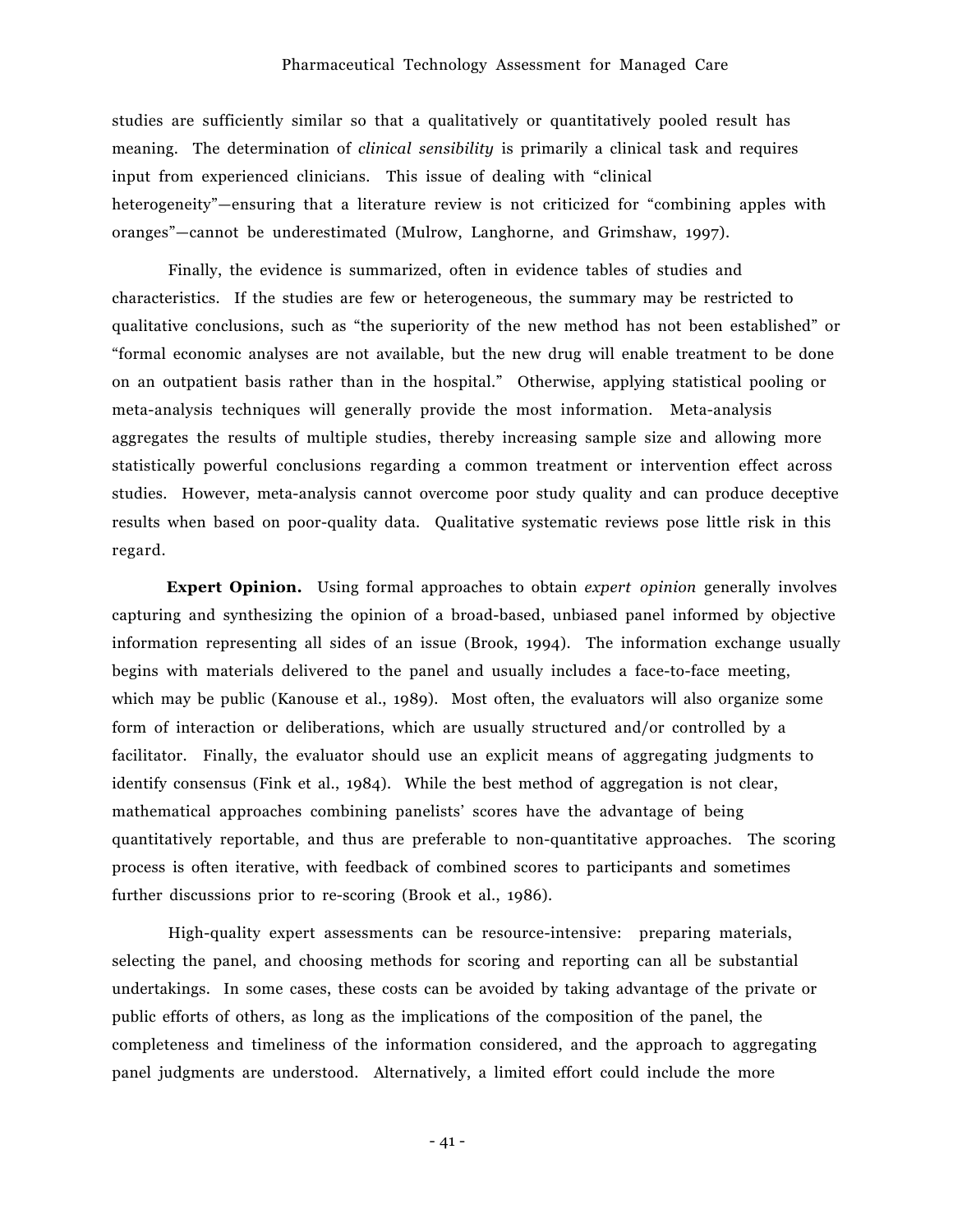studies are sufficiently similar so that a qualitatively or quantitatively pooled result has meaning. The determination of *clinical sensibility* is primarily a clinical task and requires input from experienced clinicians. This issue of dealing with "clinical" heterogeneity"—ensuring that a literature review is not criticized for "combining apples with oranges<sup>"</sup>—cannot be underestimated (Mulrow, Langhorne, and Grimshaw, 1997).

Finally, the evidence is summarized, often in evidence tables of studies and characteristics. If the studies are few or heterogeneous, the summary may be restricted to qualitative conclusions, such as "the superiority of the new method has not been established" or ìformal economic analyses are not available, but the new drug will enable treatment to be done on an outpatient basis rather than in the hospital.î Otherwise, applying statistical pooling or meta-analysis techniques will generally provide the most information. Meta-analysis aggregates the results of multiple studies, thereby increasing sample size and allowing more statistically powerful conclusions regarding a common treatment or intervention effect across studies. However, meta-analysis cannot overcome poor study quality and can produce deceptive results when based on poor-quality data. Qualitative systematic reviews pose little risk in this regard.

**Expert Opinion.** Using formal approaches to obtain *expert opinion* generally involves capturing and synthesizing the opinion of a broad-based, unbiased panel informed by objective information representing all sides of an issue (Brook, 1994). The information exchange usually begins with materials delivered to the panel and usually includes a face-to-face meeting, which may be public (Kanouse et al., 1989). Most often, the evaluators will also organize some form of interaction or deliberations, which are usually structured and/or controlled by a facilitator. Finally, the evaluator should use an explicit means of aggregating judgments to identify consensus (Fink et al., 1984). While the best method of aggregation is not clear, mathematical approaches combining panelists' scores have the advantage of being quantitatively reportable, and thus are preferable to non-quantitative approaches. The scoring process is often iterative, with feedback of combined scores to participants and sometimes further discussions prior to re-scoring (Brook et al., 1986).

High-quality expert assessments can be resource-intensive: preparing materials, selecting the panel, and choosing methods for scoring and reporting can all be substantial undertakings. In some cases, these costs can be avoided by taking advantage of the private or public efforts of others, as long as the implications of the composition of the panel, the completeness and timeliness of the information considered, and the approach to aggregating panel judgments are understood. Alternatively, a limited effort could include the more

- 41 -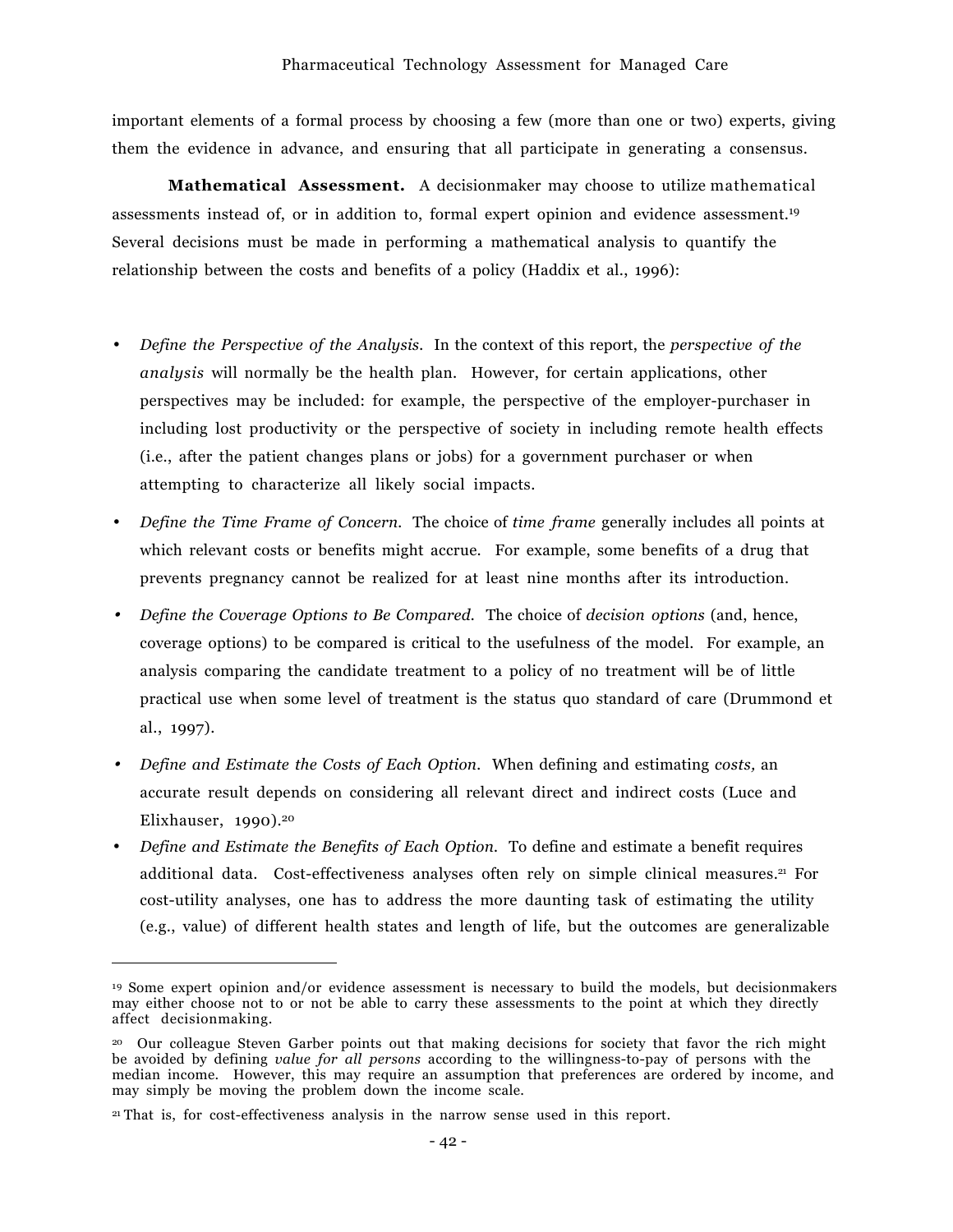important elements of a formal process by choosing a few (more than one or two) experts, giving them the evidence in advance, and ensuring that all participate in generating a consensus.

**Mathematical Assessment.** A decisionmaker may choose to utilize mathematical assessments instead of, or in addition to, formal expert opinion and evidence assessment.19 Several decisions must be made in performing a mathematical analysis to quantify the relationship between the costs and benefits of a policy (Haddix et al., 1996):

- *Define the Perspective of the Analysis.* In the context of this report, the *perspective of the analysis* will normally be the health plan. However, for certain applications, other perspectives may be included: for example, the perspective of the employer-purchaser in including lost productivity or the perspective of society in including remote health effects (i.e., after the patient changes plans or jobs) for a government purchaser or when attempting to characterize all likely social impacts.
- *Define the Time Frame of Concern.* The choice of *time frame* generally includes all points at which relevant costs or benefits might accrue. For example, some benefits of a drug that prevents pregnancy cannot be realized for at least nine months after its introduction.
- • *Define the Coverage Options to Be Compared.* The choice of *decision options* (and, hence, coverage options) to be compared is critical to the usefulness of the model. For example, an analysis comparing the candidate treatment to a policy of no treatment will be of little practical use when some level of treatment is the status quo standard of care (Drummond et al., 1997).
- • *Define and Estimate the Costs of Each Option.* When defining and estimating *costs,* an accurate result depends on considering all relevant direct and indirect costs (Luce and Elixhauser,  $1990$ .<sup>20</sup>
- *Define and Estimate the Benefits of Each Option.* To define and estimate a benefit requires additional data. Cost-effectiveness analyses often rely on simple clinical measures.<sup>21</sup> For cost-utility analyses, one has to address the more daunting task of estimating the utility (e.g., value) of different health states and length of life, but the outcomes are generalizable

<sup>19</sup> Some expert opinion and/or evidence assessment is necessary to build the models, but decisionmakers may either choose not to or not be able to carry these assessments to the point at which they directly affect decisionmaking.

<sup>20</sup> Our colleague Steven Garber points out that making decisions for society that favor the rich might be avoided by defining *value for all persons* according to the willingness-to-pay of persons with the median income. However, this may require an assumption that preferences are ordered by income, and may simply be moving the problem down the income scale.

<sup>21</sup> That is, for cost-effectiveness analysis in the narrow sense used in this report.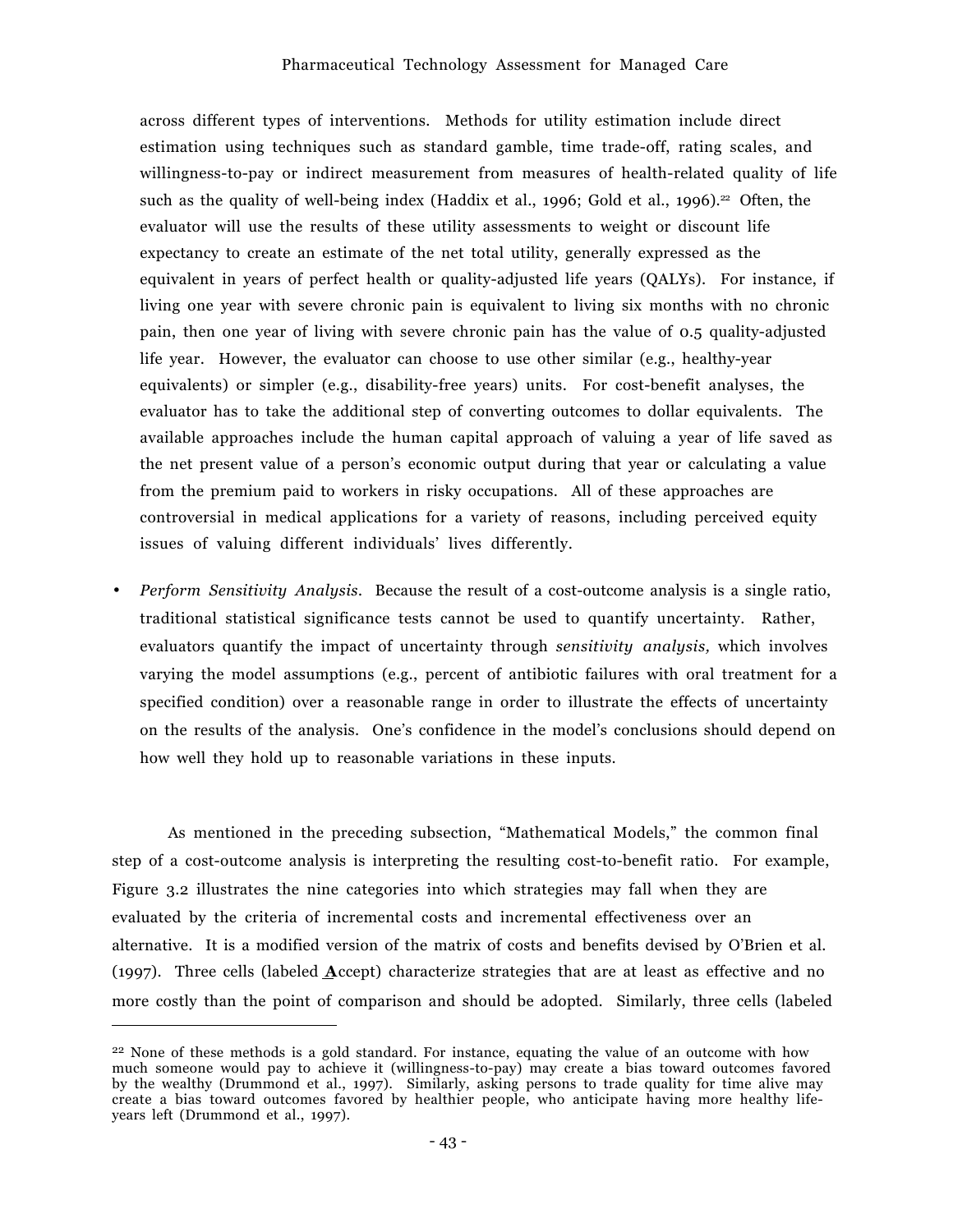across different types of interventions. Methods for utility estimation include direct estimation using techniques such as standard gamble, time trade-off, rating scales, and willingness-to-pay or indirect measurement from measures of health-related quality of life such as the quality of well-being index (Haddix et al., 1996; Gold et al., 1996).<sup>22</sup> Often, the evaluator will use the results of these utility assessments to weight or discount life expectancy to create an estimate of the net total utility, generally expressed as the equivalent in years of perfect health or quality-adjusted life years (QALYs). For instance, if living one year with severe chronic pain is equivalent to living six months with no chronic pain, then one year of living with severe chronic pain has the value of 0.5 quality-adjusted life year. However, the evaluator can choose to use other similar (e.g., healthy-year equivalents) or simpler (e.g., disability-free years) units. For cost-benefit analyses, the evaluator has to take the additional step of converting outcomes to dollar equivalents. The available approaches include the human capital approach of valuing a year of life saved as the net present value of a personís economic output during that year or calculating a value from the premium paid to workers in risky occupations. All of these approaches are controversial in medical applications for a variety of reasons, including perceived equity issues of valuing different individuals' lives differently.

• *Perform Sensitivity Analysis.* Because the result of a cost-outcome analysis is a single ratio, traditional statistical significance tests cannot be used to quantify uncertainty. Rather, evaluators quantify the impact of uncertainty through *sensitivity analysis,* which involves varying the model assumptions (e.g., percent of antibiotic failures with oral treatment for a specified condition) over a reasonable range in order to illustrate the effects of uncertainty on the results of the analysis. One's confidence in the model's conclusions should depend on how well they hold up to reasonable variations in these inputs.

As mentioned in the preceding subsection, "Mathematical Models," the common final step of a cost-outcome analysis is interpreting the resulting cost-to-benefit ratio. For example, Figure 3.2 illustrates the nine categories into which strategies may fall when they are evaluated by the criteria of incremental costs and incremental effectiveness over an alternative. It is a modified version of the matrix of costs and benefits devised by O'Brien et al. (1997). Three cells (labeled **A**ccept) characterize strategies that are at least as effective and no more costly than the point of comparison and should be adopted. Similarly, three cells (labeled

<sup>&</sup>lt;sup>22</sup> None of these methods is a gold standard. For instance, equating the value of an outcome with how much someone would pay to achieve it (willingness-to-pay) may create a bias toward outcomes favored by the wealthy (Drummond et al., 1997). Similarly, asking persons to trade quality for time alive may create a bias toward outcomes favored by healthier people, who anticipate having more healthy lifeyears left (Drummond et al., 1997).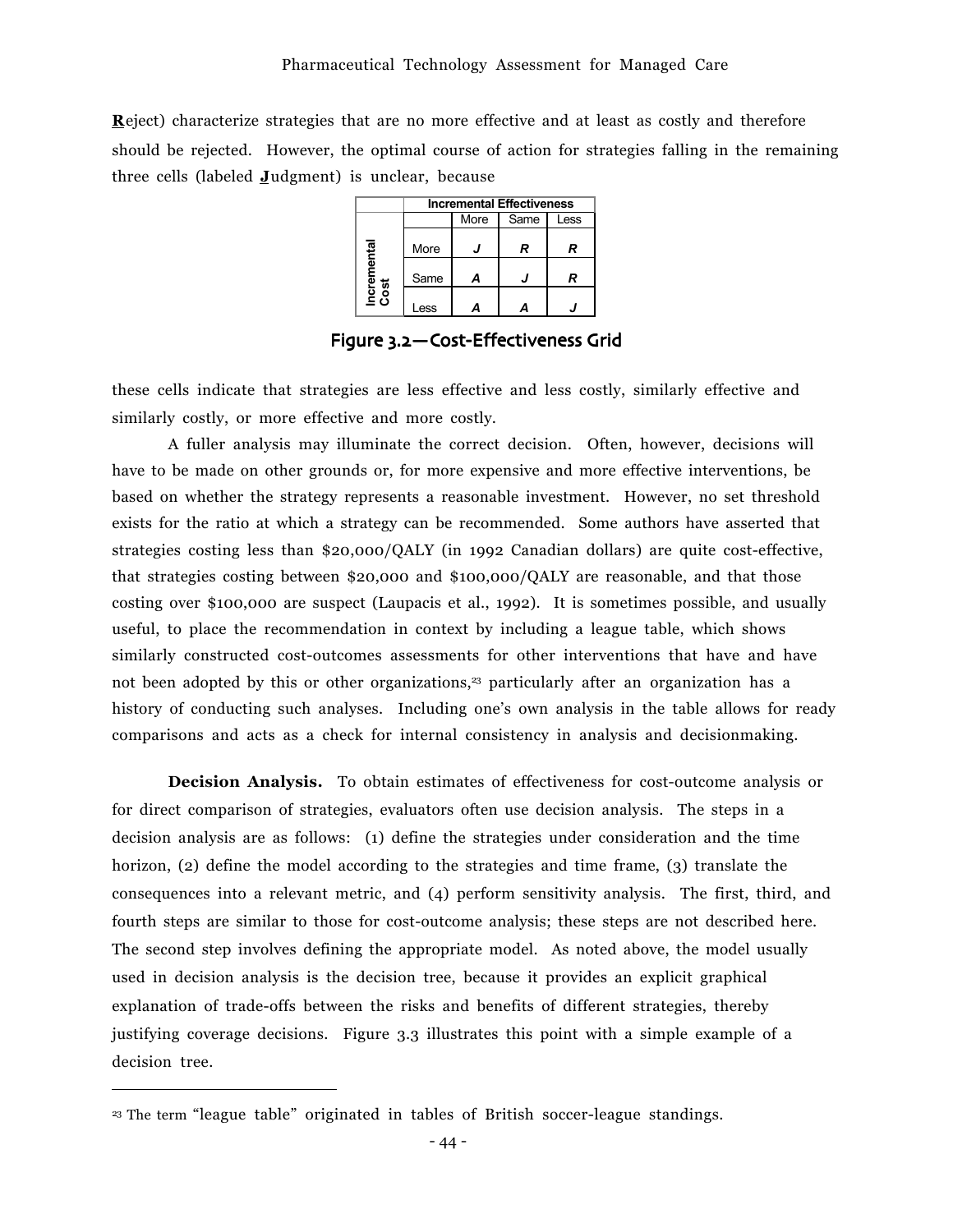**R**eject) characterize strategies that are no more effective and at least as costly and therefore should be rejected. However, the optimal course of action for strategies falling in the remaining three cells (labeled **J**udgment) is unclear, because

|                     | <b>Incremental Effectiveness</b> |      |      |      |
|---------------------|----------------------------------|------|------|------|
|                     |                                  | More | Same | Less |
|                     | More                             |      | R    | R    |
| Incremental<br>Cost | Same                             | Д    |      | R    |
|                     | _ess                             |      |      |      |

Figure 3.2-Cost-Effectiveness Grid

these cells indicate that strategies are less effective and less costly, similarly effective and similarly costly, or more effective and more costly.

A fuller analysis may illuminate the correct decision. Often, however, decisions will have to be made on other grounds or, for more expensive and more effective interventions, be based on whether the strategy represents a reasonable investment. However, no set threshold exists for the ratio at which a strategy can be recommended. Some authors have asserted that strategies costing less than \$20,000/QALY (in 1992 Canadian dollars) are quite cost-effective, that strategies costing between \$20,000 and \$100,000/QALY are reasonable, and that those costing over \$100,000 are suspect (Laupacis et al., 1992). It is sometimes possible, and usually useful, to place the recommendation in context by including a league table, which shows similarly constructed cost-outcomes assessments for other interventions that have and have not been adopted by this or other organizations,<sup>23</sup> particularly after an organization has a history of conducting such analyses. Including one's own analysis in the table allows for ready comparisons and acts as a check for internal consistency in analysis and decisionmaking.

**Decision Analysis.** To obtain estimates of effectiveness for cost-outcome analysis or for direct comparison of strategies, evaluators often use decision analysis. The steps in a decision analysis are as follows: (1) define the strategies under consideration and the time horizon, (2) define the model according to the strategies and time frame, (3) translate the consequences into a relevant metric, and (4) perform sensitivity analysis. The first, third, and fourth steps are similar to those for cost-outcome analysis; these steps are not described here. The second step involves defining the appropriate model. As noted above, the model usually used in decision analysis is the decision tree, because it provides an explicit graphical explanation of trade-offs between the risks and benefits of different strategies, thereby justifying coverage decisions. Figure 3.3 illustrates this point with a simple example of a decision tree.

<sup>&</sup>lt;sup>23</sup> The term "league table" originated in tables of British soccer-league standings.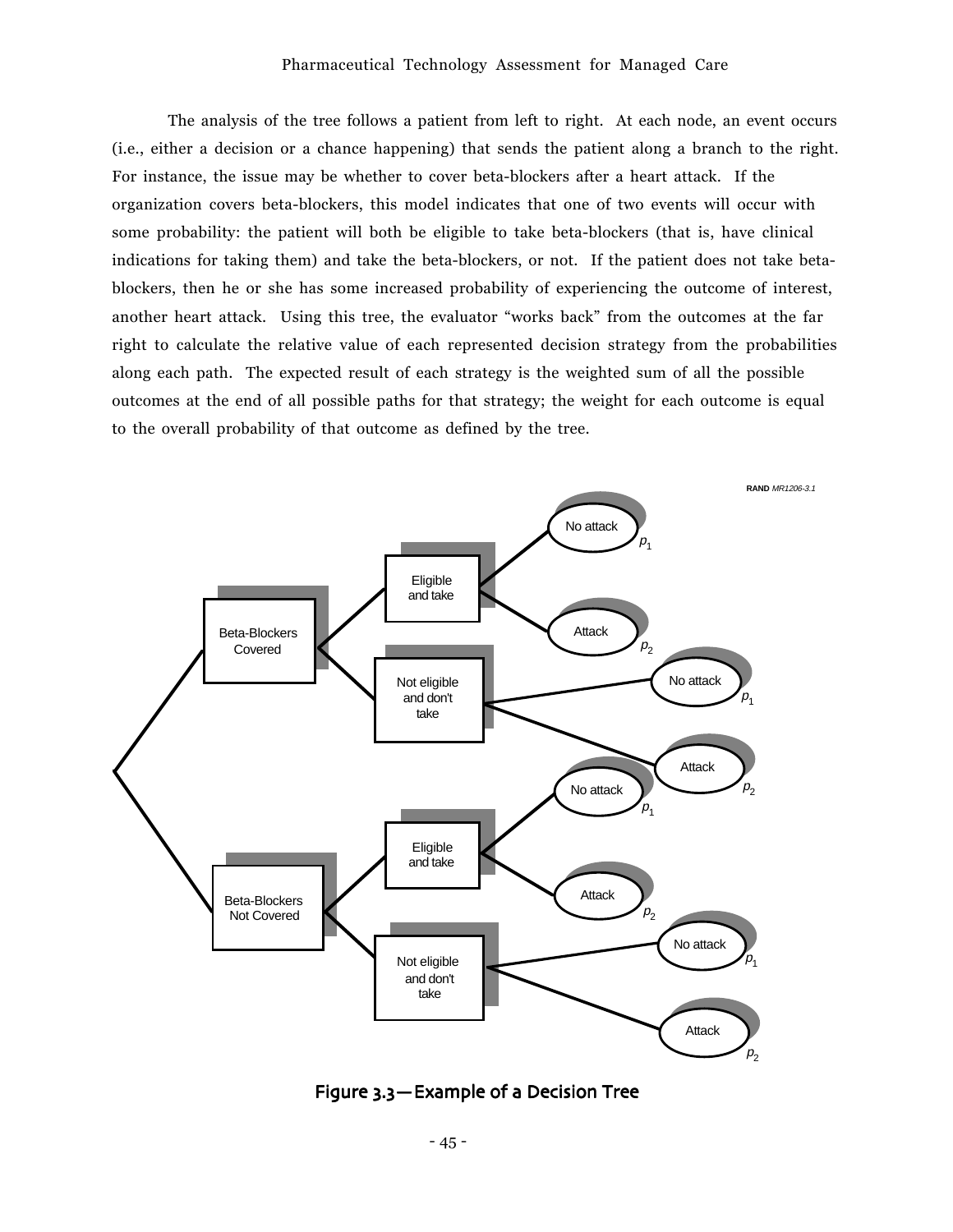The analysis of the tree follows a patient from left to right. At each node, an event occurs (i.e., either a decision or a chance happening) that sends the patient along a branch to the right. For instance, the issue may be whether to cover beta-blockers after a heart attack. If the organization covers beta-blockers, this model indicates that one of two events will occur with some probability: the patient will both be eligible to take beta-blockers (that is, have clinical indications for taking them) and take the beta-blockers, or not. If the patient does not take betablockers, then he or she has some increased probability of experiencing the outcome of interest, another heart attack. Using this tree, the evaluator "works back" from the outcomes at the far right to calculate the relative value of each represented decision strategy from the probabilities along each path. The expected result of each strategy is the weighted sum of all the possible outcomes at the end of all possible paths for that strategy; the weight for each outcome is equal to the overall probability of that outcome as defined by the tree.



Figure 3.3 – Example of a Decision Tree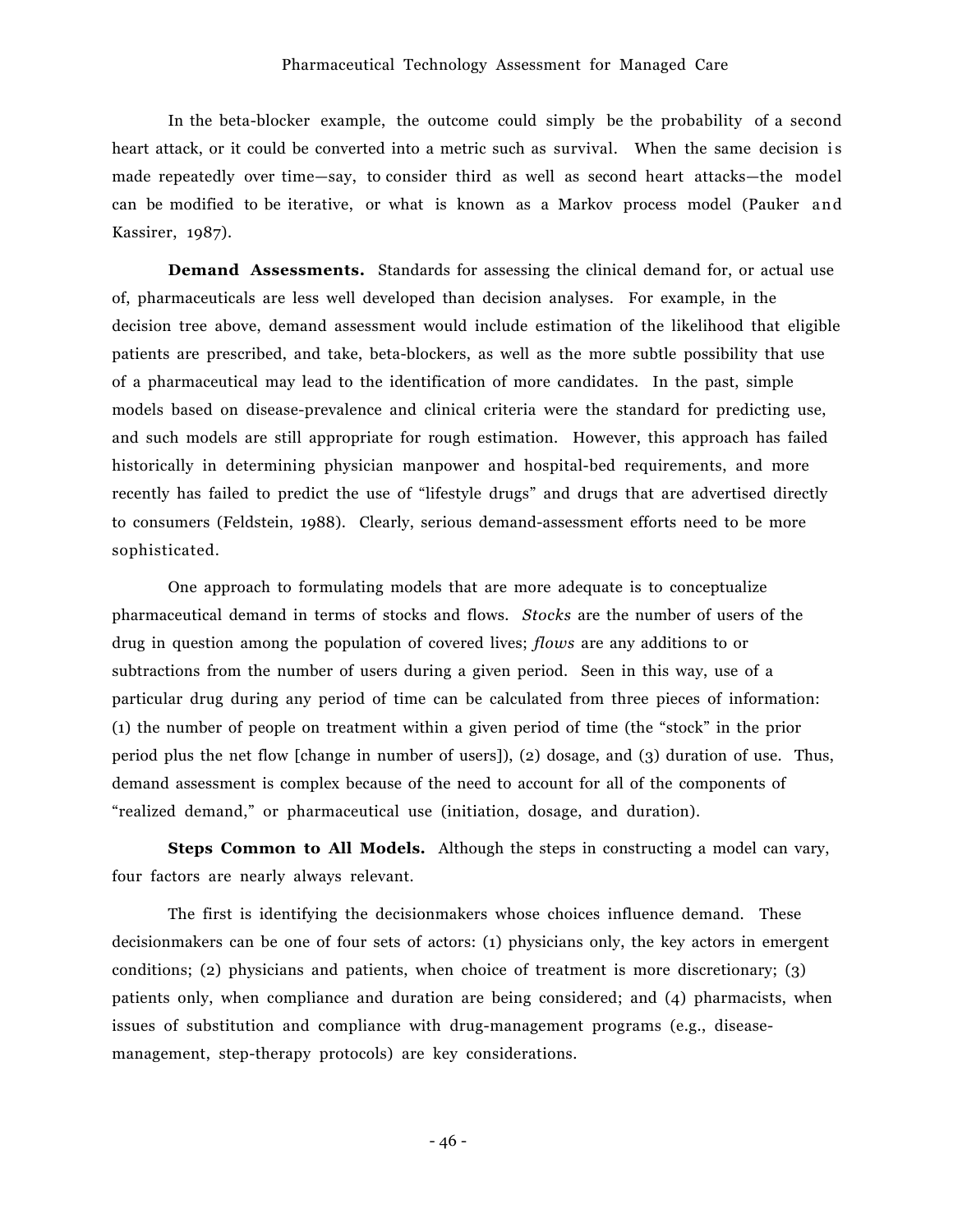In the beta-blocker example, the outcome could simply be the probability of a second heart attack, or it could be converted into a metric such as survival. When the same decision is made repeatedly over time—say, to consider third as well as second heart attacks—the model can be modified to be iterative, or what is known as a Markov process model (Pauker and Kassirer, 1987).

**Demand Assessments.** Standards for assessing the clinical demand for, or actual use of, pharmaceuticals are less well developed than decision analyses. For example, in the decision tree above, demand assessment would include estimation of the likelihood that eligible patients are prescribed, and take, beta-blockers, as well as the more subtle possibility that use of a pharmaceutical may lead to the identification of more candidates. In the past, simple models based on disease-prevalence and clinical criteria were the standard for predicting use, and such models are still appropriate for rough estimation. However, this approach has failed historically in determining physician manpower and hospital-bed requirements, and more recently has failed to predict the use of "lifestyle drugs" and drugs that are advertised directly to consumers (Feldstein, 1988). Clearly, serious demand-assessment efforts need to be more sophisticated.

One approach to formulating models that are more adequate is to conceptualize pharmaceutical demand in terms of stocks and flows. *Stocks* are the number of users of the drug in question among the population of covered lives; *flows* are any additions to or subtractions from the number of users during a given period. Seen in this way, use of a particular drug during any period of time can be calculated from three pieces of information:  $(1)$  the number of people on treatment within a given period of time (the "stock" in the prior period plus the net flow [change in number of users]), (2) dosage, and (3) duration of use. Thus, demand assessment is complex because of the need to account for all of the components of ìrealized demand,î or pharmaceutical use (initiation, dosage, and duration).

**Steps Common to All Models.** Although the steps in constructing a model can vary, four factors are nearly always relevant.

The first is identifying the decisionmakers whose choices influence demand. These decisionmakers can be one of four sets of actors: (1) physicians only, the key actors in emergent conditions; (2) physicians and patients, when choice of treatment is more discretionary; (3) patients only, when compliance and duration are being considered; and (4) pharmacists, when issues of substitution and compliance with drug-management programs (e.g., diseasemanagement, step-therapy protocols) are key considerations.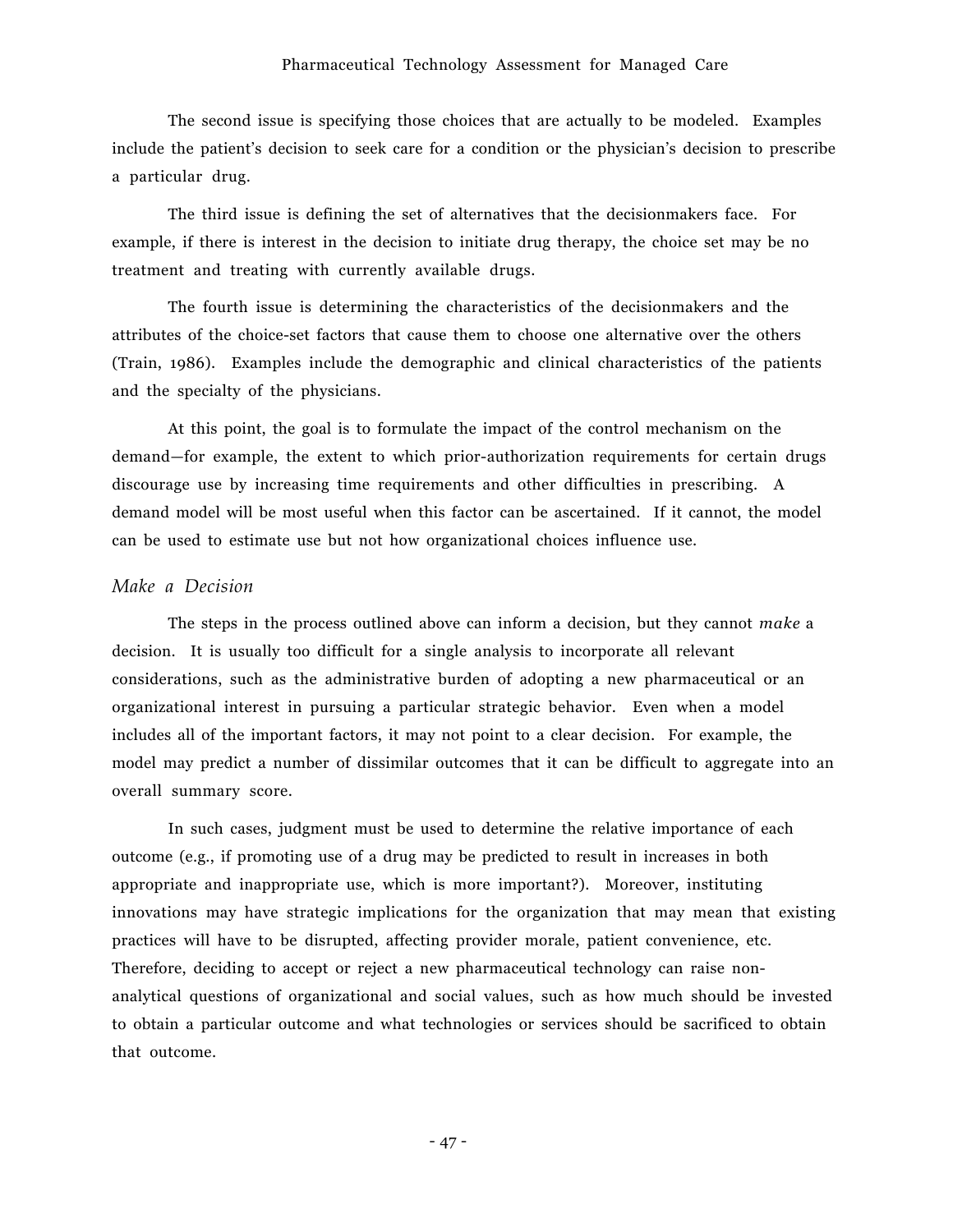The second issue is specifying those choices that are actually to be modeled. Examples include the patient's decision to seek care for a condition or the physician's decision to prescribe a particular drug.

The third issue is defining the set of alternatives that the decisionmakers face. For example, if there is interest in the decision to initiate drug therapy, the choice set may be no treatment and treating with currently available drugs.

The fourth issue is determining the characteristics of the decisionmakers and the attributes of the choice-set factors that cause them to choose one alternative over the others (Train, 1986). Examples include the demographic and clinical characteristics of the patients and the specialty of the physicians.

At this point, the goal is to formulate the impact of the control mechanism on the demand–for example, the extent to which prior-authorization requirements for certain drugs discourage use by increasing time requirements and other difficulties in prescribing. A demand model will be most useful when this factor can be ascertained. If it cannot, the model can be used to estimate use but not how organizational choices influence use.

#### *Make a Decision*

The steps in the process outlined above can inform a decision, but they cannot *make* a decision. It is usually too difficult for a single analysis to incorporate all relevant considerations, such as the administrative burden of adopting a new pharmaceutical or an organizational interest in pursuing a particular strategic behavior. Even when a model includes all of the important factors, it may not point to a clear decision. For example, the model may predict a number of dissimilar outcomes that it can be difficult to aggregate into an overall summary score.

In such cases, judgment must be used to determine the relative importance of each outcome (e.g., if promoting use of a drug may be predicted to result in increases in both appropriate and inappropriate use, which is more important?). Moreover, instituting innovations may have strategic implications for the organization that may mean that existing practices will have to be disrupted, affecting provider morale, patient convenience, etc. Therefore, deciding to accept or reject a new pharmaceutical technology can raise nonanalytical questions of organizational and social values, such as how much should be invested to obtain a particular outcome and what technologies or services should be sacrificed to obtain that outcome.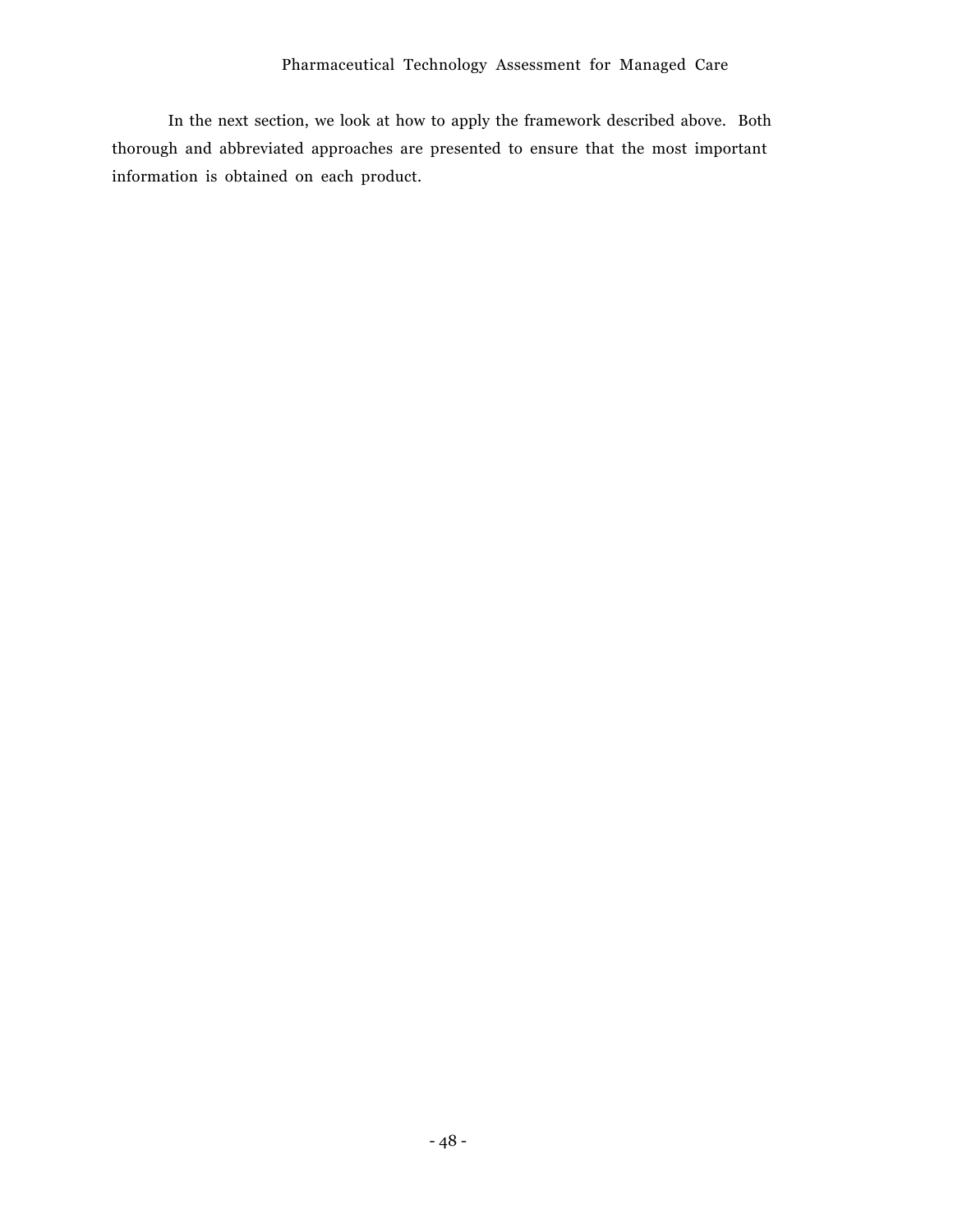In the next section, we look at how to apply the framework described above. Both thorough and abbreviated approaches are presented to ensure that the most important information is obtained on each product.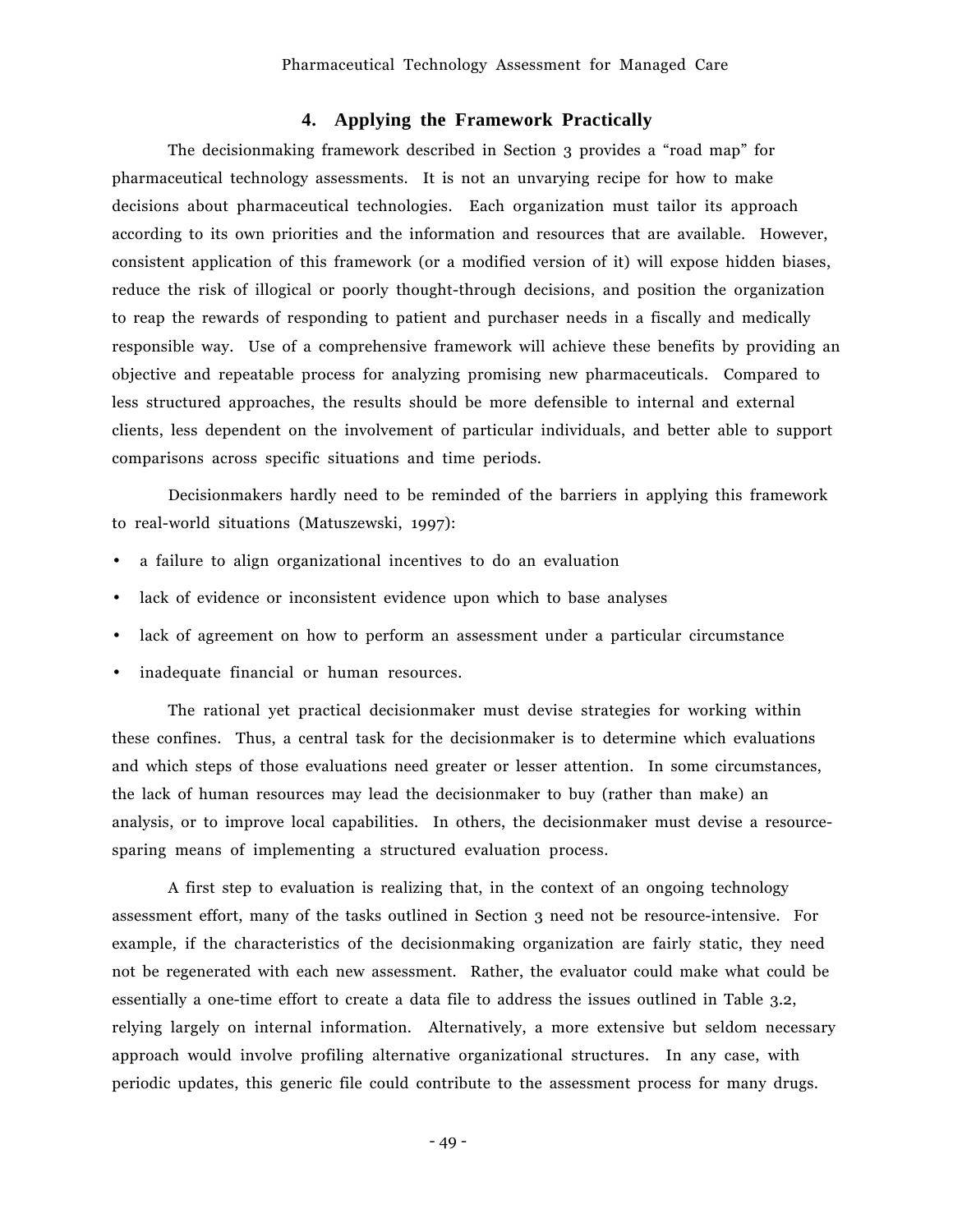## **4. Applying the Framework Practically**

The decisionmaking framework described in Section 3 provides a "road map" for pharmaceutical technology assessments. It is not an unvarying recipe for how to make decisions about pharmaceutical technologies. Each organization must tailor its approach according to its own priorities and the information and resources that are available. However, consistent application of this framework (or a modified version of it) will expose hidden biases, reduce the risk of illogical or poorly thought-through decisions, and position the organization to reap the rewards of responding to patient and purchaser needs in a fiscally and medically responsible way. Use of a comprehensive framework will achieve these benefits by providing an objective and repeatable process for analyzing promising new pharmaceuticals. Compared to less structured approaches, the results should be more defensible to internal and external clients, less dependent on the involvement of particular individuals, and better able to support comparisons across specific situations and time periods.

Decisionmakers hardly need to be reminded of the barriers in applying this framework to real-world situations (Matuszewski, 1997):

- a failure to align organizational incentives to do an evaluation
- lack of evidence or inconsistent evidence upon which to base analyses
- lack of agreement on how to perform an assessment under a particular circumstance
- inadequate financial or human resources.

The rational yet practical decisionmaker must devise strategies for working within these confines. Thus, a central task for the decisionmaker is to determine which evaluations and which steps of those evaluations need greater or lesser attention. In some circumstances, the lack of human resources may lead the decisionmaker to buy (rather than make) an analysis, or to improve local capabilities. In others, the decisionmaker must devise a resourcesparing means of implementing a structured evaluation process.

A first step to evaluation is realizing that, in the context of an ongoing technology assessment effort, many of the tasks outlined in Section 3 need not be resource-intensive. For example, if the characteristics of the decisionmaking organization are fairly static, they need not be regenerated with each new assessment. Rather, the evaluator could make what could be essentially a one-time effort to create a data file to address the issues outlined in Table 3.2, relying largely on internal information. Alternatively, a more extensive but seldom necessary approach would involve profiling alternative organizational structures. In any case, with periodic updates, this generic file could contribute to the assessment process for many drugs.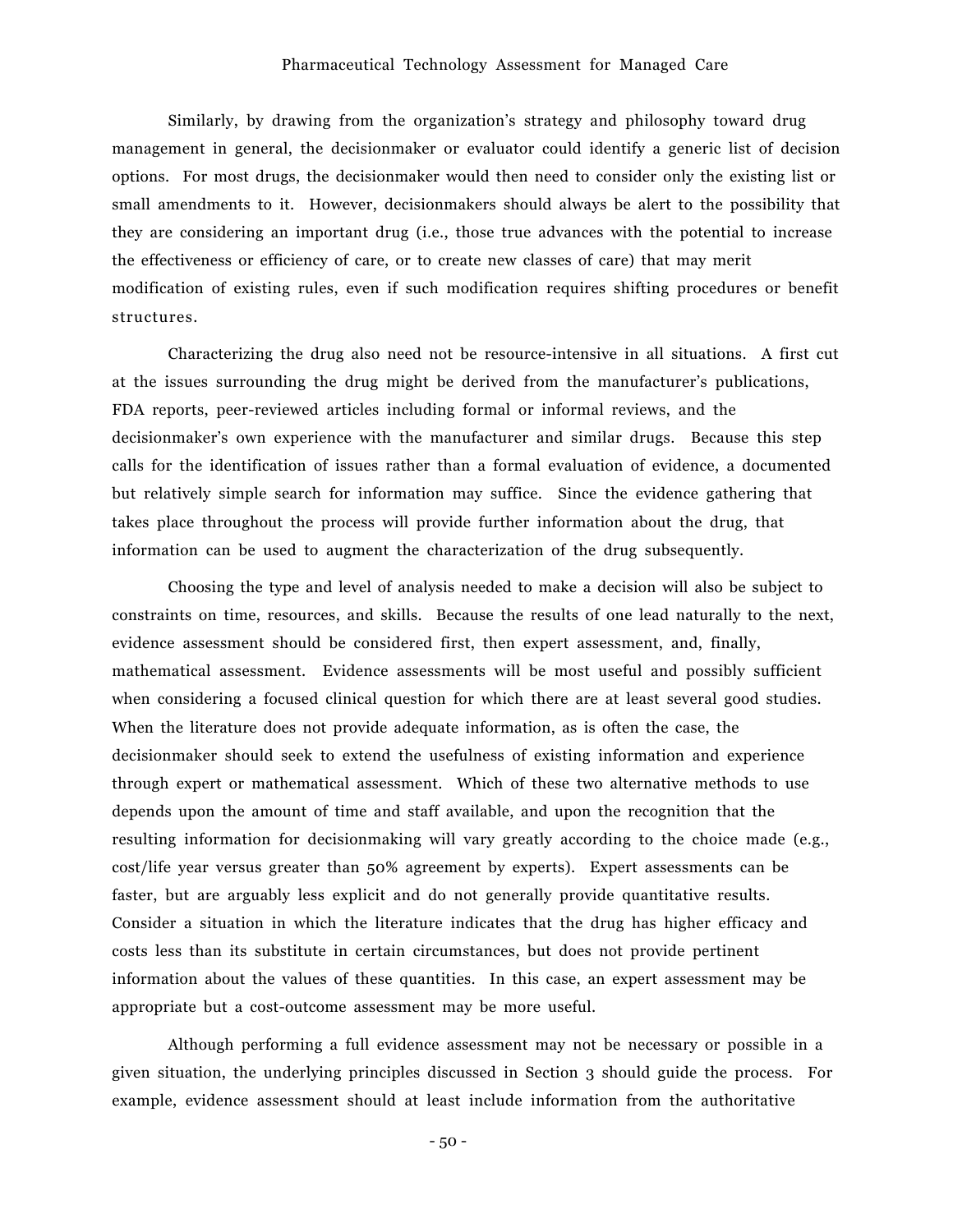#### Pharmaceutical Technology Assessment for Managed Care

Similarly, by drawing from the organization's strategy and philosophy toward drug management in general, the decisionmaker or evaluator could identify a generic list of decision options. For most drugs, the decisionmaker would then need to consider only the existing list or small amendments to it. However, decisionmakers should always be alert to the possibility that they are considering an important drug (i.e., those true advances with the potential to increase the effectiveness or efficiency of care, or to create new classes of care) that may merit modification of existing rules, even if such modification requires shifting procedures or benefit structures.

Characterizing the drug also need not be resource-intensive in all situations. A first cut at the issues surrounding the drug might be derived from the manufacturer's publications, FDA reports, peer-reviewed articles including formal or informal reviews, and the decisionmaker's own experience with the manufacturer and similar drugs. Because this step calls for the identification of issues rather than a formal evaluation of evidence, a documented but relatively simple search for information may suffice. Since the evidence gathering that takes place throughout the process will provide further information about the drug, that information can be used to augment the characterization of the drug subsequently.

Choosing the type and level of analysis needed to make a decision will also be subject to constraints on time, resources, and skills. Because the results of one lead naturally to the next, evidence assessment should be considered first, then expert assessment, and, finally, mathematical assessment. Evidence assessments will be most useful and possibly sufficient when considering a focused clinical question for which there are at least several good studies. When the literature does not provide adequate information, as is often the case, the decisionmaker should seek to extend the usefulness of existing information and experience through expert or mathematical assessment. Which of these two alternative methods to use depends upon the amount of time and staff available, and upon the recognition that the resulting information for decisionmaking will vary greatly according to the choice made (e.g., cost/life year versus greater than 50% agreement by experts). Expert assessments can be faster, but are arguably less explicit and do not generally provide quantitative results. Consider a situation in which the literature indicates that the drug has higher efficacy and costs less than its substitute in certain circumstances, but does not provide pertinent information about the values of these quantities. In this case, an expert assessment may be appropriate but a cost-outcome assessment may be more useful.

Although performing a full evidence assessment may not be necessary or possible in a given situation, the underlying principles discussed in Section 3 should guide the process. For example, evidence assessment should at least include information from the authoritative

- 50 -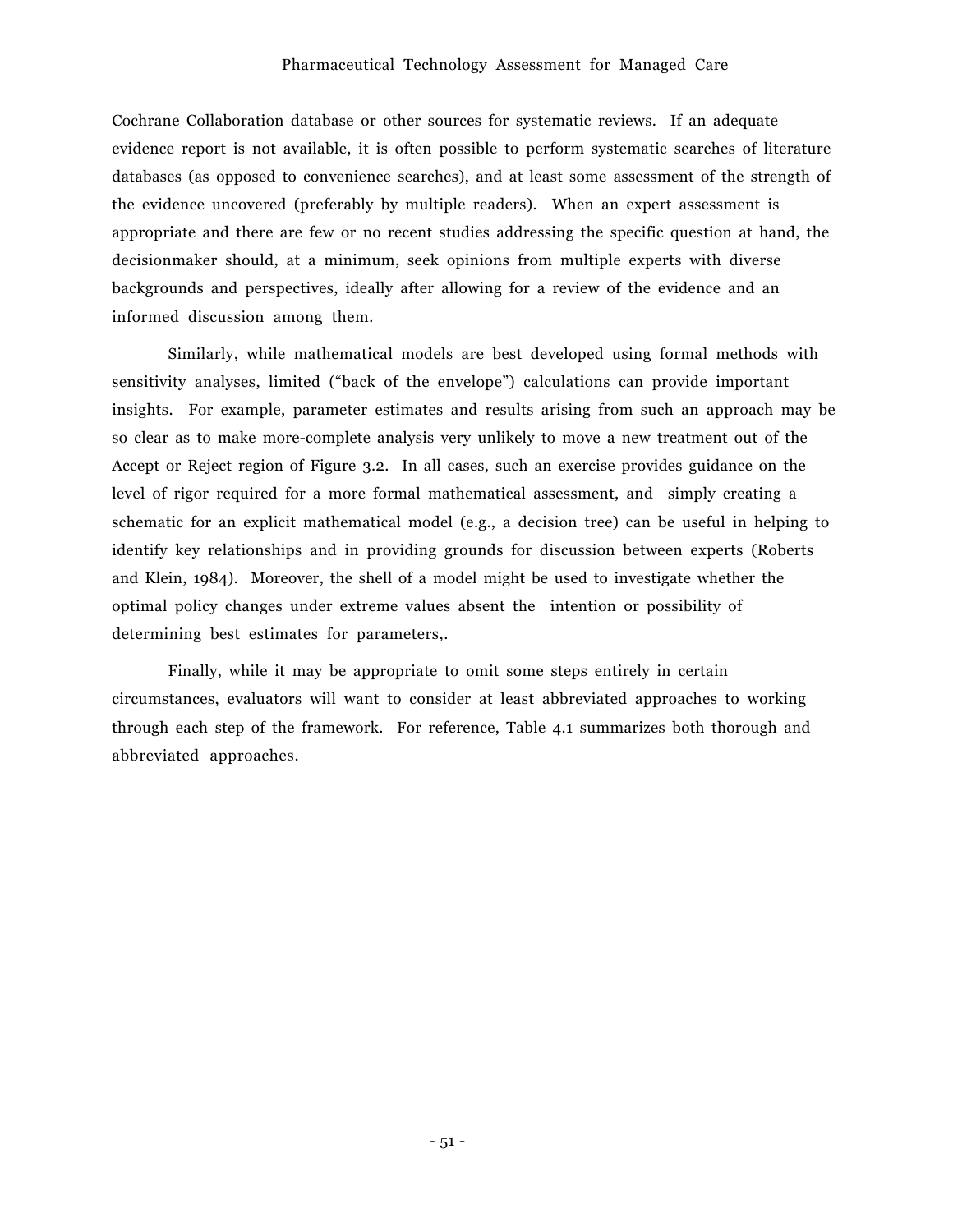#### Pharmaceutical Technology Assessment for Managed Care

Cochrane Collaboration database or other sources for systematic reviews. If an adequate evidence report is not available, it is often possible to perform systematic searches of literature databases (as opposed to convenience searches), and at least some assessment of the strength of the evidence uncovered (preferably by multiple readers). When an expert assessment is appropriate and there are few or no recent studies addressing the specific question at hand, the decisionmaker should, at a minimum, seek opinions from multiple experts with diverse backgrounds and perspectives, ideally after allowing for a review of the evidence and an informed discussion among them.

Similarly, while mathematical models are best developed using formal methods with sensitivity analyses, limited ("back of the envelope") calculations can provide important insights. For example, parameter estimates and results arising from such an approach may be so clear as to make more-complete analysis very unlikely to move a new treatment out of the Accept or Reject region of Figure 3.2. In all cases, such an exercise provides guidance on the level of rigor required for a more formal mathematical assessment, and simply creating a schematic for an explicit mathematical model (e.g., a decision tree) can be useful in helping to identify key relationships and in providing grounds for discussion between experts (Roberts and Klein, 1984). Moreover, the shell of a model might be used to investigate whether the optimal policy changes under extreme values absent the intention or possibility of determining best estimates for parameters,.

Finally, while it may be appropriate to omit some steps entirely in certain circumstances, evaluators will want to consider at least abbreviated approaches to working through each step of the framework. For reference, Table 4.1 summarizes both thorough and abbreviated approaches.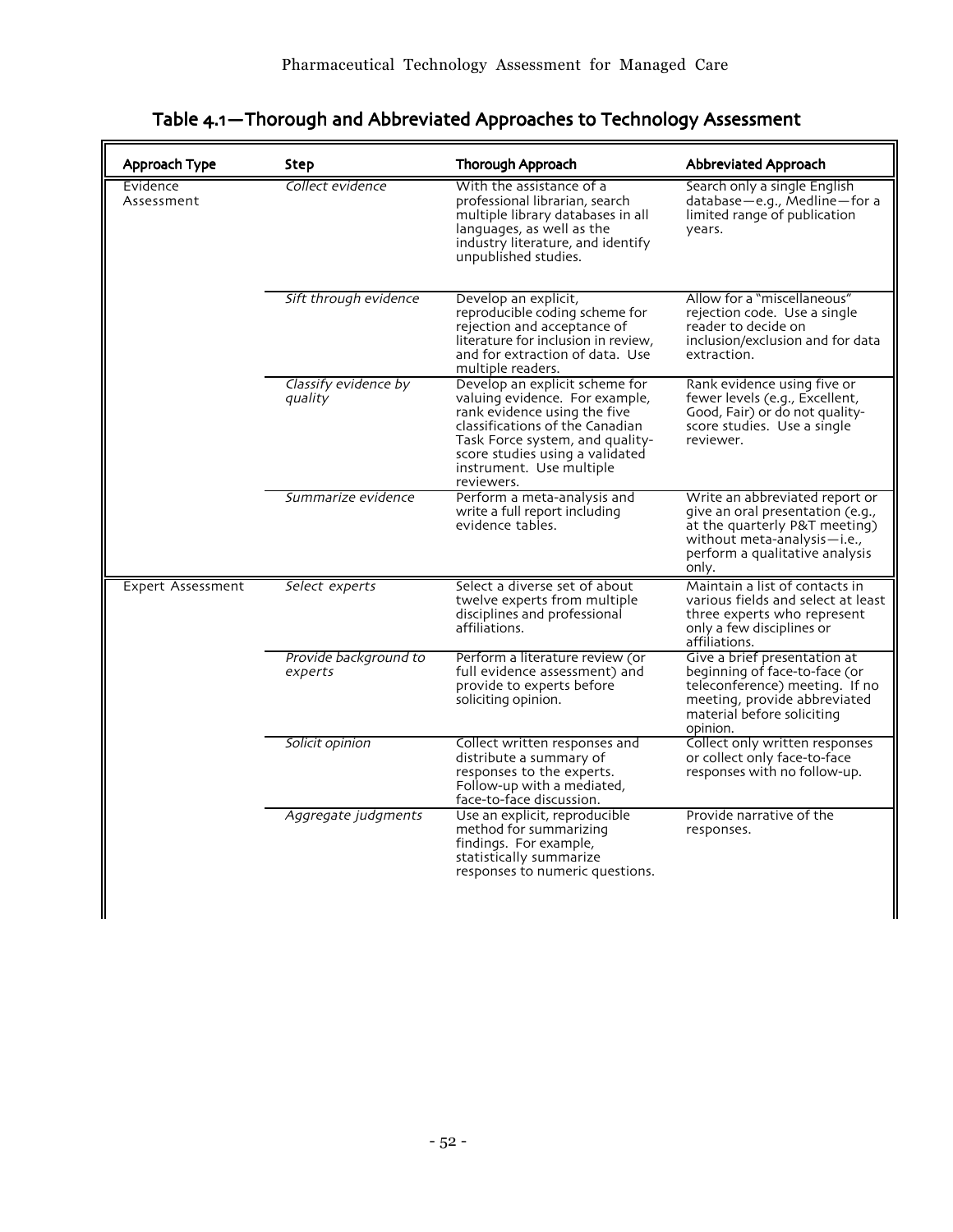| Approach Type          | <b>Step</b>                      | Thorough Approach                                                                                                                                                                                                                                   | Abbreviated Approach                                                                                                                                                          |
|------------------------|----------------------------------|-----------------------------------------------------------------------------------------------------------------------------------------------------------------------------------------------------------------------------------------------------|-------------------------------------------------------------------------------------------------------------------------------------------------------------------------------|
| Evidence<br>Assessment | Collect evidence                 | With the assistance of a<br>professional librarian, search<br>multiple library databases in all<br>languages, as well as the<br>industry literature, and identify<br>unpublished studies.                                                           | Search only a single English<br>database-e.g., Medline-for a<br>limited range of publication<br>years.                                                                        |
|                        | Sift through evidence            | Develop an explicit,<br>reproducible coding scheme for<br>rejection and acceptance of<br>literature for inclusion in review,<br>and for extraction of data. Use<br>multiple readers.                                                                | Allow for a "miscellaneous"<br>rejection code. Use a single<br>reader to decide on<br>inclusion/exclusion and for data<br>extraction.                                         |
|                        | Classify evidence by<br>quality  | Develop an explicit scheme for<br>valuing evidence. For example,<br>rank evidence using the five<br>classifications of the Canadian<br>Task Force system, and quality-<br>score studies using a validated<br>instrument. Use multiple<br>reviewers. | Rank evidence using five or<br>fewer levels (e.g., Excellent,<br>Good, Fair) or do not quality-<br>score studies. Use a single<br>reviewer.                                   |
|                        | Summarize evidence               | Perform a meta-analysis and<br>write a full report including<br>evidence tables.                                                                                                                                                                    | Write an abbreviated report or<br>give an oral presentation (e.g.,<br>at the quarterly P&T meeting)<br>without meta-analysis-i.e.,<br>perform a qualitative analysis<br>only. |
| Expert Assessment      | Select experts                   | Select a diverse set of about<br>twelve experts from multiple<br>disciplines and professional<br>affiliations.                                                                                                                                      | Maintain a list of contacts in<br>various fields and select at least<br>three experts who represent<br>only a few disciplines or<br>affiliations.                             |
|                        | Provide background to<br>experts | Perform a literature review (or<br>full evidence assessment) and<br>provide to experts before<br>soliciting opinion.                                                                                                                                | Give a brief presentation at<br>beginning of face-to-face (or<br>teleconference) meeting. If no<br>meeting, provide abbreviated<br>material before soliciting<br>opinion.     |
|                        | Solicit opinion                  | Collect written responses and<br>distribute a summary of<br>responses to the experts.<br>Follow-up with a mediated,<br>face-to-face discussion.                                                                                                     | Collect only written responses<br>or collect only face-to-face<br>responses with no follow-up.                                                                                |
|                        | Aggregate judgments              | Use an explicit, reproducible<br>method for summarizing<br>findings. For example,<br>statistically summarize<br>responses to numeric questions.                                                                                                     | Provide narrative of the<br>responses.                                                                                                                                        |

# Table 4.1-Thorough and Abbreviated Approaches to Technology Assessment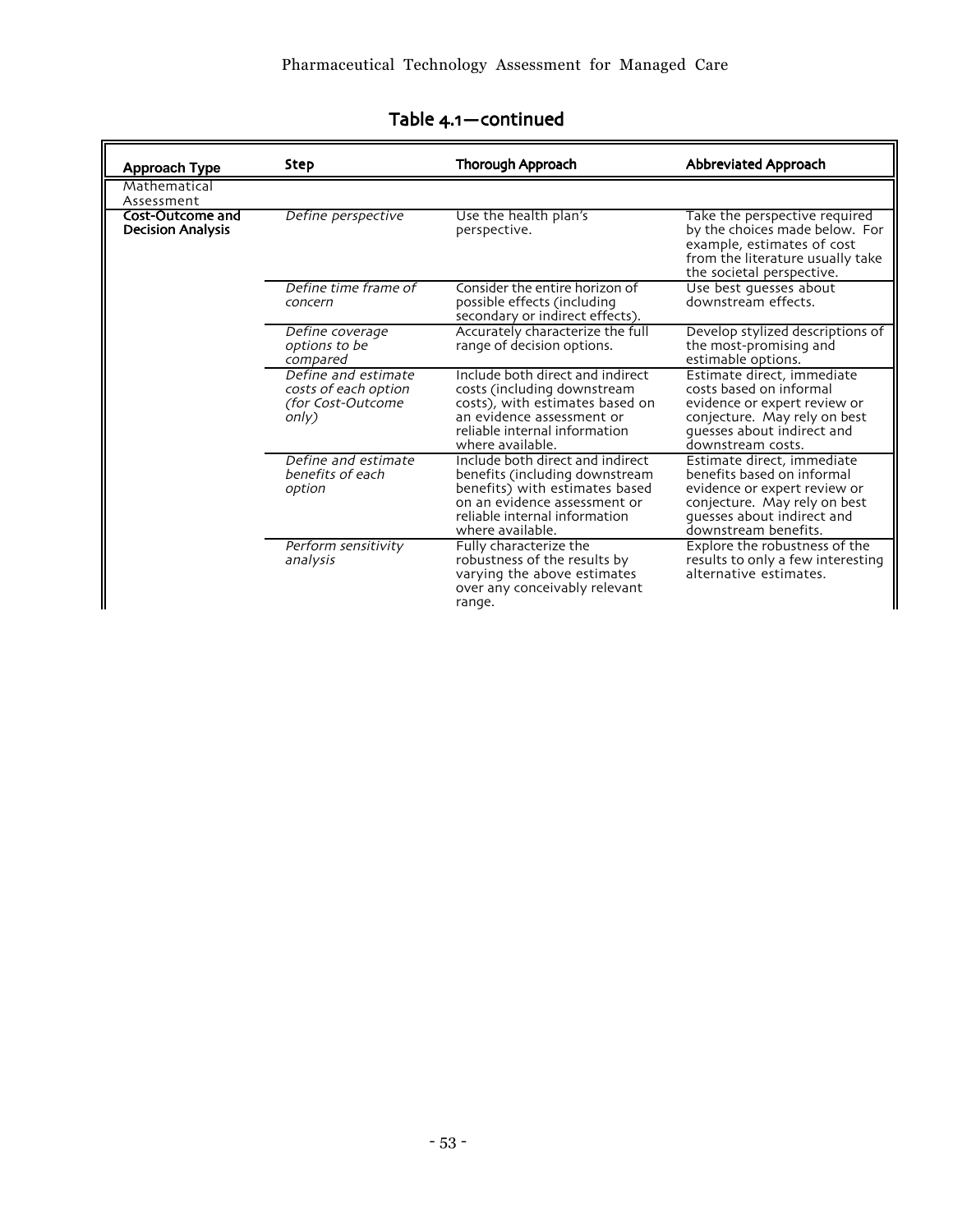| <b>Approach Type</b>                         | <b>Step</b>                                                               | Thorough Approach                                                                                                                                                                         | Abbreviated Approach                                                                                                                                                           |
|----------------------------------------------|---------------------------------------------------------------------------|-------------------------------------------------------------------------------------------------------------------------------------------------------------------------------------------|--------------------------------------------------------------------------------------------------------------------------------------------------------------------------------|
| Mathematical<br>Assessment                   |                                                                           |                                                                                                                                                                                           |                                                                                                                                                                                |
| Cost-Outcome and<br><b>Decision Analysis</b> | Define perspective                                                        | Use the health plan's<br>perspective.                                                                                                                                                     | Take the perspective required<br>by the choices made below. For<br>example, estimates of cost<br>from the literature usually take<br>the societal perspective.                 |
|                                              | Define time frame of<br>concern                                           | Consider the entire horizon of<br>possible effects (including<br>secondary or indirect effects).                                                                                          | Use best quesses about<br>downstream effects.                                                                                                                                  |
|                                              | Define coverage<br>options to be<br>compared                              | Accurately characterize the full<br>range of decision options.                                                                                                                            | Develop stylized descriptions of<br>the most-promising and<br>estimable options.                                                                                               |
|                                              | Define and estimate<br>costs of each option<br>(for Cost-Outcome<br>only) | Include both direct and indirect<br>costs (including downstream<br>costs), with estimates based on<br>an evidence assessment or<br>reliable internal information<br>where available.      | Estimate direct, immediate<br>costs based on informal<br>evidence or expert review or<br>conjecture. May rely on best<br>quesses about indirect and<br>downstream costs.       |
|                                              | Define and estimate<br>benefits of each<br>option                         | Include both direct and indirect<br>benefits (including downstream<br>benefits) with estimates based<br>on an evidence assessment or<br>reliable internal information<br>where available. | Estimate direct, immediate<br>benefits based on informal<br>evidence or expert review or<br>conjecture. May rely on best<br>quesses about indirect and<br>downstream benefits. |
|                                              | Perform sensitivity<br>analysis                                           | Fully characterize the<br>robustness of the results by<br>varying the above estimates<br>over any conceivably relevant<br>range.                                                          | Explore the robustness of the<br>results to only a few interesting<br>alternative estimates.                                                                                   |

# Table 4.1-continued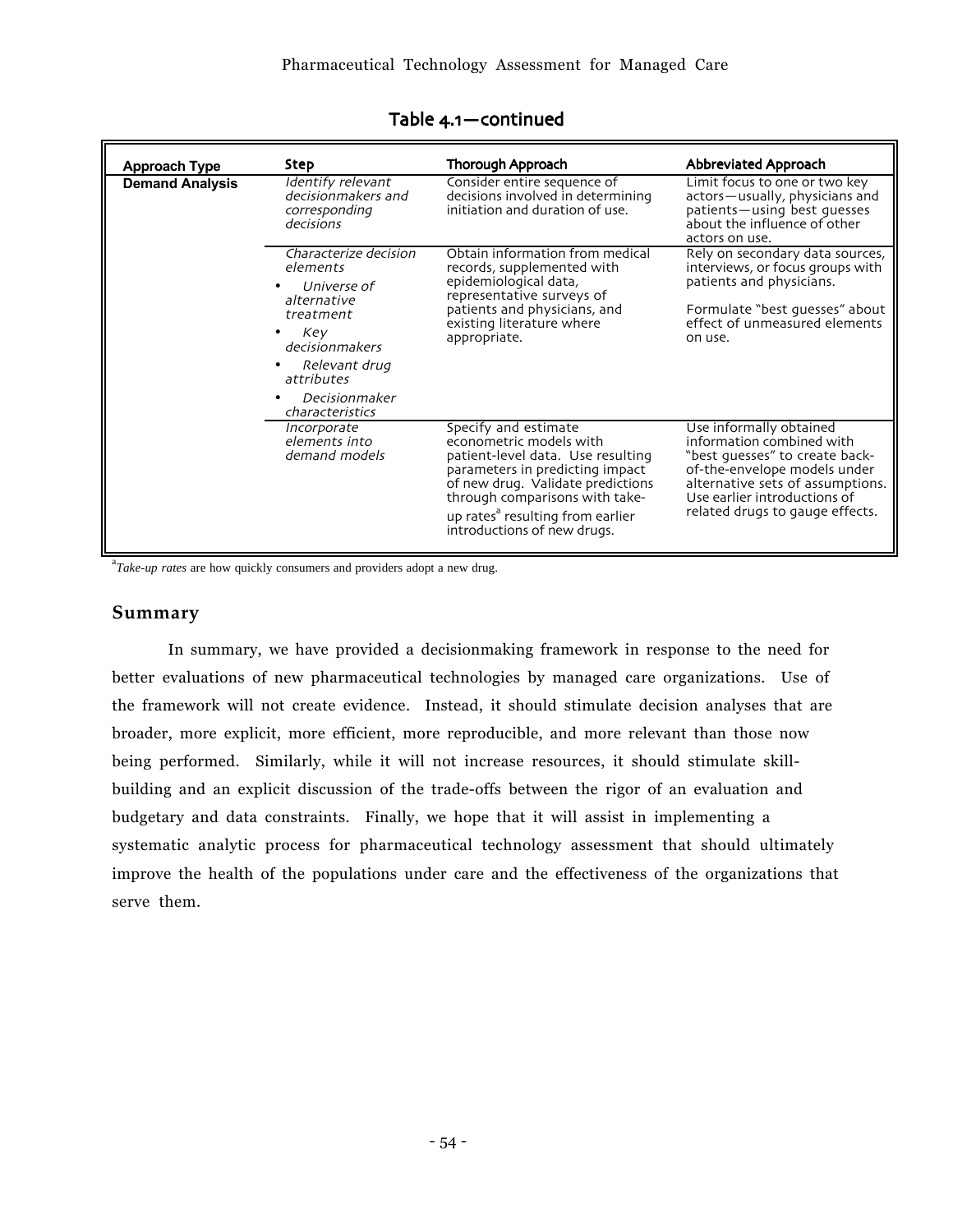| <b>Approach Type</b>   | Step                                                                                                                                                                     | Thorough Approach                                                                                                                                                                                                                                                             | Abbreviated Approach                                                                                                                                                                                                          |
|------------------------|--------------------------------------------------------------------------------------------------------------------------------------------------------------------------|-------------------------------------------------------------------------------------------------------------------------------------------------------------------------------------------------------------------------------------------------------------------------------|-------------------------------------------------------------------------------------------------------------------------------------------------------------------------------------------------------------------------------|
| <b>Demand Analysis</b> | Identify relevant<br>decisionmakers and<br>corresponding<br>decisions                                                                                                    | Consider entire sequence of<br>decisions involved in determining<br>initiation and duration of use.                                                                                                                                                                           | Limit focus to one or two key<br>actors-usually, physicians and<br>patients-using best quesses<br>about the influence of other<br>actors on use.                                                                              |
|                        | Characterize decision<br>elements<br>Universe of<br>alternative<br>treatment<br>Key<br>decisionmakers<br>Relevant drug<br>attributes<br>Decisionmaker<br>characteristics | Obtain information from medical<br>records, supplemented with<br>epidemiological data,<br>representative surveys of<br>patients and physicians, and<br>existing literature where<br>appropriate.                                                                              | Rely on secondary data sources,<br>interviews, or focus groups with<br>patients and physicians.<br>Formulate "best quesses" about<br>effect of unmeasured elements<br>on use.                                                 |
|                        | Incorporate<br>elements into<br>demand models                                                                                                                            | Specify and estimate<br>econometric models with<br>patient-level data. Use resulting<br>parameters in predicting impact<br>of new drug. Validate predictions<br>through comparisons with take-<br>up rates <sup>a</sup> resulting from earlier<br>introductions of new drugs. | Use informally obtained<br>information combined with<br>"best guesses" to create back-<br>of-the-envelope models under<br>alternative sets of assumptions.<br>Use earlier introductions of<br>related drugs to gauge effects. |

## Table 4.1-continued

<sup>a</sup>Take-up rates are how quickly consumers and providers adopt a new drug.

## **Summary**

In summary, we have provided a decisionmaking framework in response to the need for better evaluations of new pharmaceutical technologies by managed care organizations. Use of the framework will not create evidence. Instead, it should stimulate decision analyses that are broader, more explicit, more efficient, more reproducible, and more relevant than those now being performed. Similarly, while it will not increase resources, it should stimulate skillbuilding and an explicit discussion of the trade-offs between the rigor of an evaluation and budgetary and data constraints. Finally, we hope that it will assist in implementing a systematic analytic process for pharmaceutical technology assessment that should ultimately improve the health of the populations under care and the effectiveness of the organizations that serve them.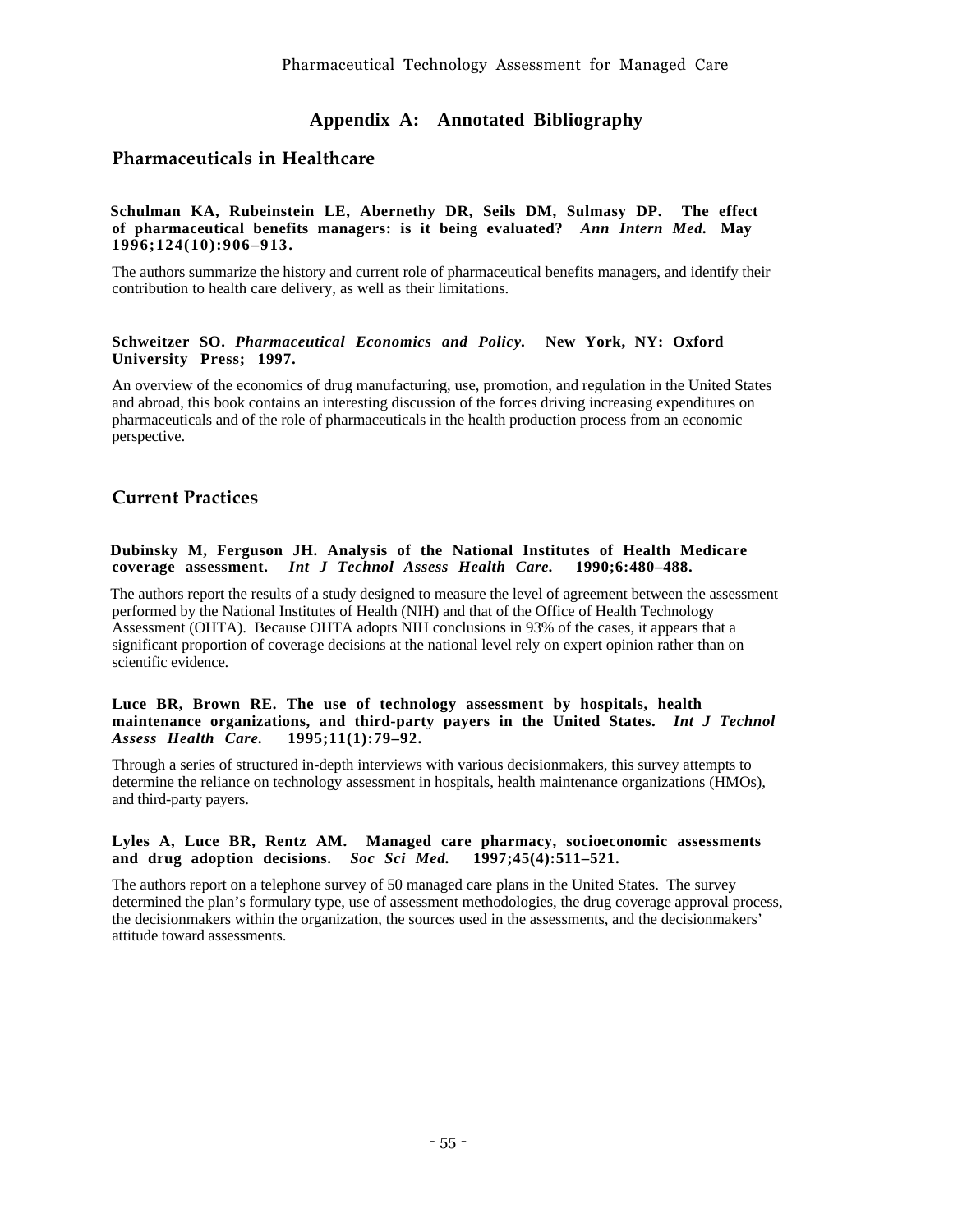## **Appendix A: Annotated Bibliography**

## **Pharmaceuticals in Healthcare**

#### **Schulman KA, Rubeinstein LE, Abernethy DR, Seils DM, Sulmasy DP. The effect of pharmaceutical benefits managers: is it being evaluated?** *Ann Intern Med.* **May 1996;124(10):906–913.**

The authors summarize the history and current role of pharmaceutical benefits managers, and identify their contribution to health care delivery, as well as their limitations.

#### **Schweitzer SO.** *Pharmaceutical Economics and Policy.* **New York, NY: Oxford University Press; 1997.**

An overview of the economics of drug manufacturing, use, promotion, and regulation in the United States and abroad, this book contains an interesting discussion of the forces driving increasing expenditures on pharmaceuticals and of the role of pharmaceuticals in the health production process from an economic perspective.

## **Current Practices**

#### **Dubinsky M, Ferguson JH. Analysis of the National Institutes of Health Medicare coverage assessment.** *Int J Technol Assess Health Care.* **1990;6:480–488.**

The authors report the results of a study designed to measure the level of agreement between the assessment performed by the National Institutes of Health (NIH) and that of the Office of Health Technology Assessment (OHTA). Because OHTA adopts NIH conclusions in 93% of the cases, it appears that a significant proportion of coverage decisions at the national level rely on expert opinion rather than on scientific evidence.

#### **Luce BR, Brown RE. The use of technology assessment by hospitals, health maintenance organizations, and third-party payers in the United States.** *Int J Technol*  $Assess$  **Health Care.**

Through a series of structured in-depth interviews with various decisionmakers, this survey attempts to determine the reliance on technology assessment in hospitals, health maintenance organizations (HMOs), and third-party payers.

#### **Lyles A, Luce BR, Rentz AM. Managed care pharmacy, socioeconomic assessments and drug adoption decisions.** *Soc Sci Med.* **1997;45(4):511–521.**

The authors report on a telephone survey of 50 managed care plans in the United States. The survey determined the plan's formulary type, use of assessment methodologies, the drug coverage approval process, the decisionmakers within the organization, the sources used in the assessments, and the decisionmakers' attitude toward assessments.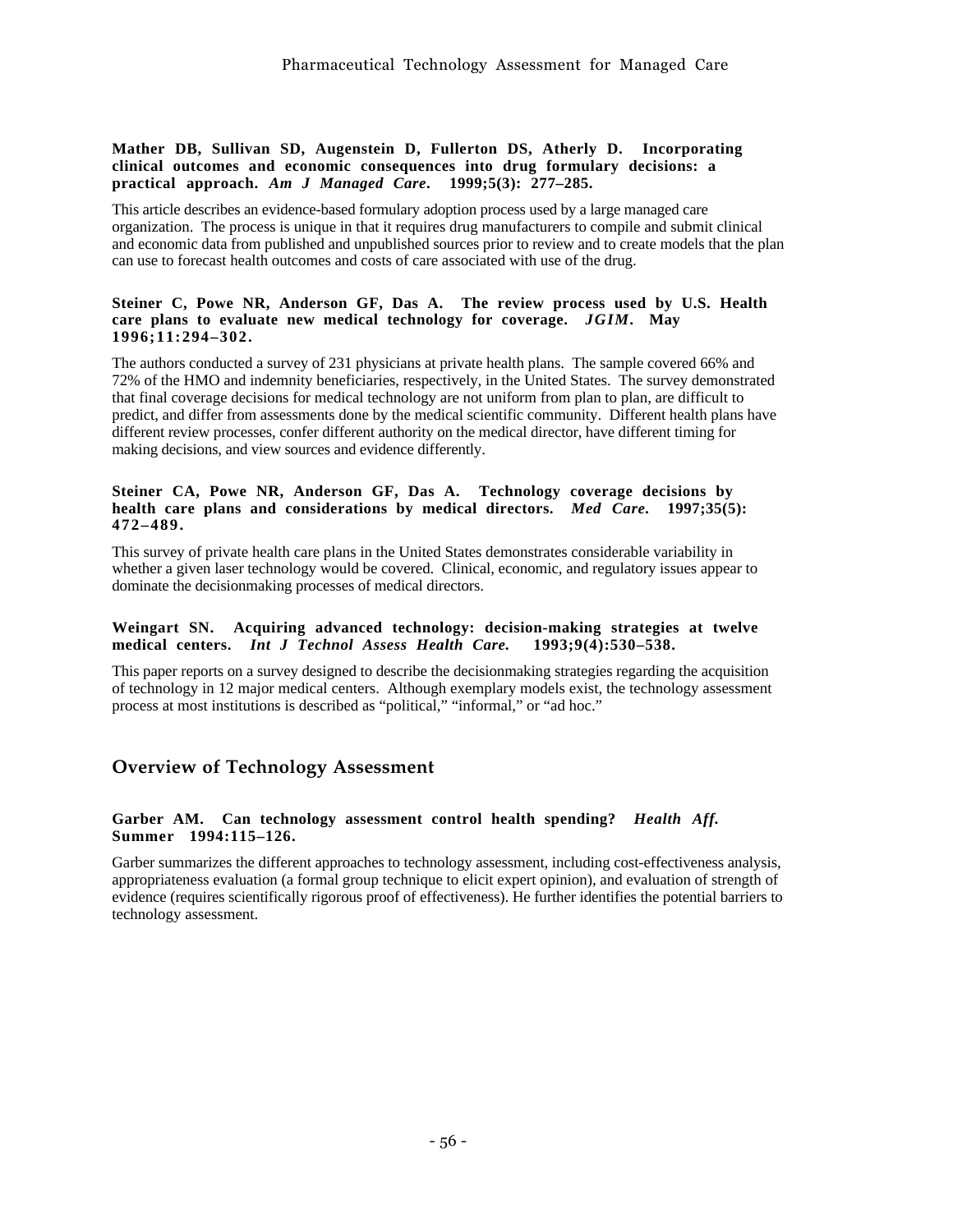#### **Mather DB, Sullivan SD, Augenstein D, Fullerton DS, Atherly D. Incorporating clinical outcomes and economic consequences into drug formulary decisions: a practical approach.** *Am J Managed Care***. 1999;5(3): 277–285.**

This article describes an evidence-based formulary adoption process used by a large managed care organization. The process is unique in that it requires drug manufacturers to compile and submit clinical and economic data from published and unpublished sources prior to review and to create models that the plan can use to forecast health outcomes and costs of care associated with use of the drug.

#### **Steiner C, Powe NR, Anderson GF, Das A. The review process used by U.S. Health care plans to evaluate new medical technology for coverage.** *JGIM.* **May 1996;11:294–302.**

The authors conducted a survey of 231 physicians at private health plans. The sample covered 66% and 72% of the HMO and indemnity beneficiaries, respectively, in the United States. The survey demonstrated that final coverage decisions for medical technology are not uniform from plan to plan, are difficult to predict, and differ from assessments done by the medical scientific community. Different health plans have different review processes, confer different authority on the medical director, have different timing for making decisions, and view sources and evidence differently.

#### **Steiner CA, Powe NR, Anderson GF, Das A. Technology coverage decisions by health care plans and considerations by medical directors.** *Med Care.* **1997;35(5): 472–489.**

This survey of private health care plans in the United States demonstrates considerable variability in whether a given laser technology would be covered. Clinical, economic, and regulatory issues appear to dominate the decisionmaking processes of medical directors.

#### **Weingart SN. Acquiring advanced technology: decision-making strategies at twelve medical centers.** *Int J Technol Assess Health Care.* **1993;9(4):530–538.**

This paper reports on a survey designed to describe the decisionmaking strategies regarding the acquisition of technology in 12 major medical centers. Although exemplary models exist, the technology assessment process at most institutions is described as "political," "informal," or "ad hoc."

## **Overview of Technology Assessment**

#### **Garber AM. Can technology assessment control health spending?** *Health Aff.* **Summer 1994:115–126.**

Garber summarizes the different approaches to technology assessment, including cost-effectiveness analysis, appropriateness evaluation (a formal group technique to elicit expert opinion), and evaluation of strength of evidence (requires scientifically rigorous proof of effectiveness). He further identifies the potential barriers to technology assessment.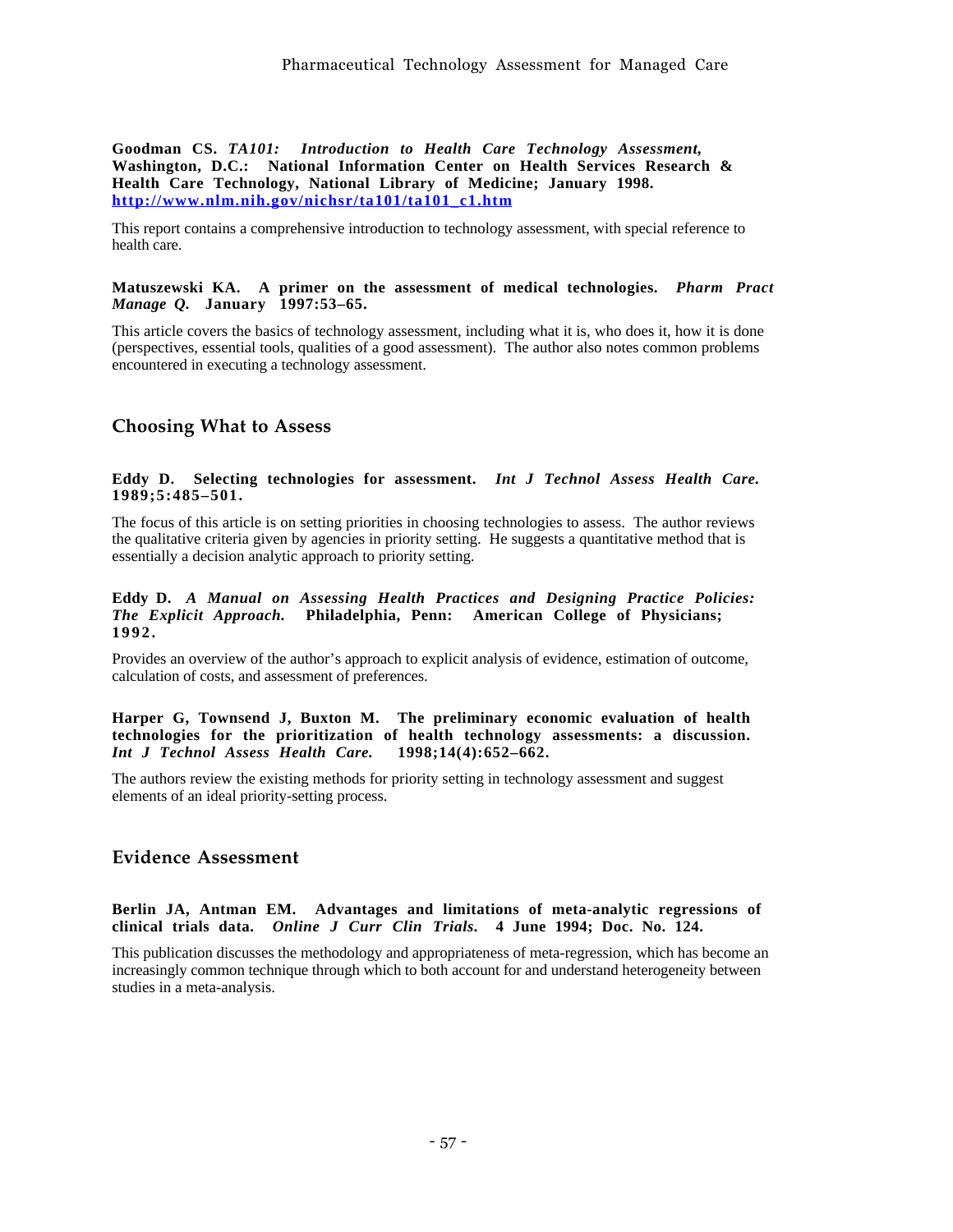**Goodman CS.** *TA101: Introduction to Health Care Technology Assessment,* **Washington, D.C.: National Information Center on Health Services Research & Health Care Technology, National Library of Medicine; January 1998. http://www.nlm.nih.gov/nichsr/ta101/ta101\_c1.htm**

This report contains a comprehensive introduction to technology assessment, with special reference to health care.

#### **Matuszewski KA. A primer on the assessment of medical technologies.** *Pharm Pract Manage Q.* **January 1997:53–65.**

This article covers the basics of technology assessment, including what it is, who does it, how it is done (perspectives, essential tools, qualities of a good assessment). The author also notes common problems encountered in executing a technology assessment.

## **Choosing What to Assess**

#### **Eddy D. Selecting technologies for assessment.** *Int J Technol Assess Health Care.* **1989;5:485–501.**

The focus of this article is on setting priorities in choosing technologies to assess. The author reviews the qualitative criteria given by agencies in priority setting. He suggests a quantitative method that is essentially a decision analytic approach to priority setting.

#### **Eddy D.** *A Manual on Assessing Health Practices and Designing Practice Policies: The Explicit Approach.* **Philadelphia, Penn: American College of Physicians; 1992.**

Provides an overview of the author's approach to explicit analysis of evidence, estimation of outcome, calculation of costs, and assessment of preferences.

#### **Harper G, Townsend J, Buxton M. The preliminary economic evaluation of health technologies for the prioritization of health technology assessments: a discussion.** *Int J Technol Assess Health Care.*

The authors review the existing methods for priority setting in technology assessment and suggest elements of an ideal priority-setting process.

## **Evidence Assessment**

#### **Berlin JA, Antman EM. Advantages and limitations of meta-analytic regressions of clinical trials data.** *Online J Curr Clin Trials.* **4 June 1994; Doc. No. 124.**

This publication discusses the methodology and appropriateness of meta-regression, which has become an increasingly common technique through which to both account for and understand heterogeneity between studies in a meta-analysis.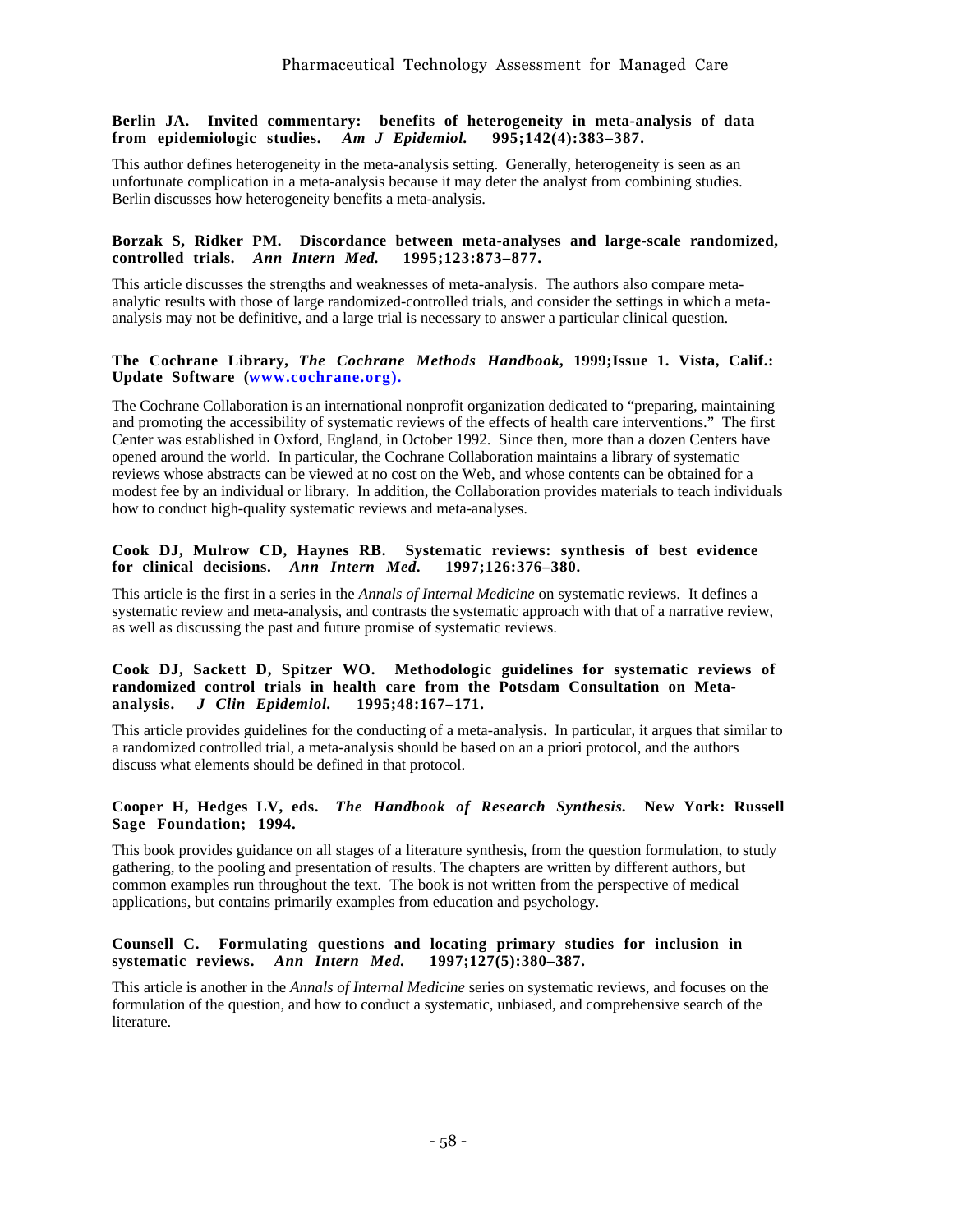#### **Berlin JA. Invited commentary: benefits of heterogeneity in meta-analysis of data from epidemiologic studies.** *Am J Epidemiol.* **995;142(4):383–387.**

This author defines heterogeneity in the meta-analysis setting. Generally, heterogeneity is seen as an unfortunate complication in a meta-analysis because it may deter the analyst from combining studies. Berlin discusses how heterogeneity benefits a meta-analysis.

#### **Borzak S, Ridker PM. Discordance between meta-analyses and large-scale randomized, controlled trials.** *Ann Intern Med.*

This article discusses the strengths and weaknesses of meta-analysis. The authors also compare metaanalytic results with those of large randomized-controlled trials, and consider the settings in which a metaanalysis may not be definitive, and a large trial is necessary to answer a particular clinical question.

#### **The Cochrane Library,** *The Cochrane Methods Handbook,* **1999;Issue 1. Vista, Calif.:** Update Software (www.cochrane.org).

The Cochrane Collaboration is an international nonprofit organization dedicated to "preparing, maintaining and promoting the accessibility of systematic reviews of the effects of health care interventions." The first Center was established in Oxford, England, in October 1992. Since then, more than a dozen Centers have opened around the world. In particular, the Cochrane Collaboration maintains a library of systematic reviews whose abstracts can be viewed at no cost on the Web, and whose contents can be obtained for a modest fee by an individual or library. In addition, the Collaboration provides materials to teach individuals how to conduct high-quality systematic reviews and meta-analyses.

#### **Cook DJ, Mulrow CD, Haynes RB. Systematic reviews: synthesis of best evidence for clinical decisions.** *Ann Intern Med.* **1997;126:376–380.**

This article is the first in a series in the *Annals of Internal Medicine* on systematic reviews. It defines a systematic review and meta-analysis, and contrasts the systematic approach with that of a narrative review, as well as discussing the past and future promise of systematic reviews.

#### **Cook DJ, Sackett D, Spitzer WO. Methodologic guidelines for systematic reviews of** randomized control trials in health care from the Potsdam Consultation on Meta-<br>analysis. *J Clin Epidemiol.* 1995;48:167-171. **analysis.** *J Clin Epidemiol.*

This article provides guidelines for the conducting of a meta-analysis. In particular, it argues that similar to a randomized controlled trial, a meta-analysis should be based on an a priori protocol, and the authors discuss what elements should be defined in that protocol.

#### **Cooper H, Hedges LV, eds.** *The Handbook of Research Synthesis.* **New York: Russell Sage Foundation; 1994.**

This book provides guidance on all stages of a literature synthesis, from the question formulation, to study gathering, to the pooling and presentation of results. The chapters are written by different authors, but common examples run throughout the text. The book is not written from the perspective of medical applications, but contains primarily examples from education and psychology.

#### **Counsell C. Formulating questions and locating primary studies for inclusion in systematic reviews.** *Ann Intern Med.* **1997;127(5):380–387.**

This article is another in the *Annals of Internal Medicine* series on systematic reviews, and focuses on the formulation of the question, and how to conduct a systematic, unbiased, and comprehensive search of the literature.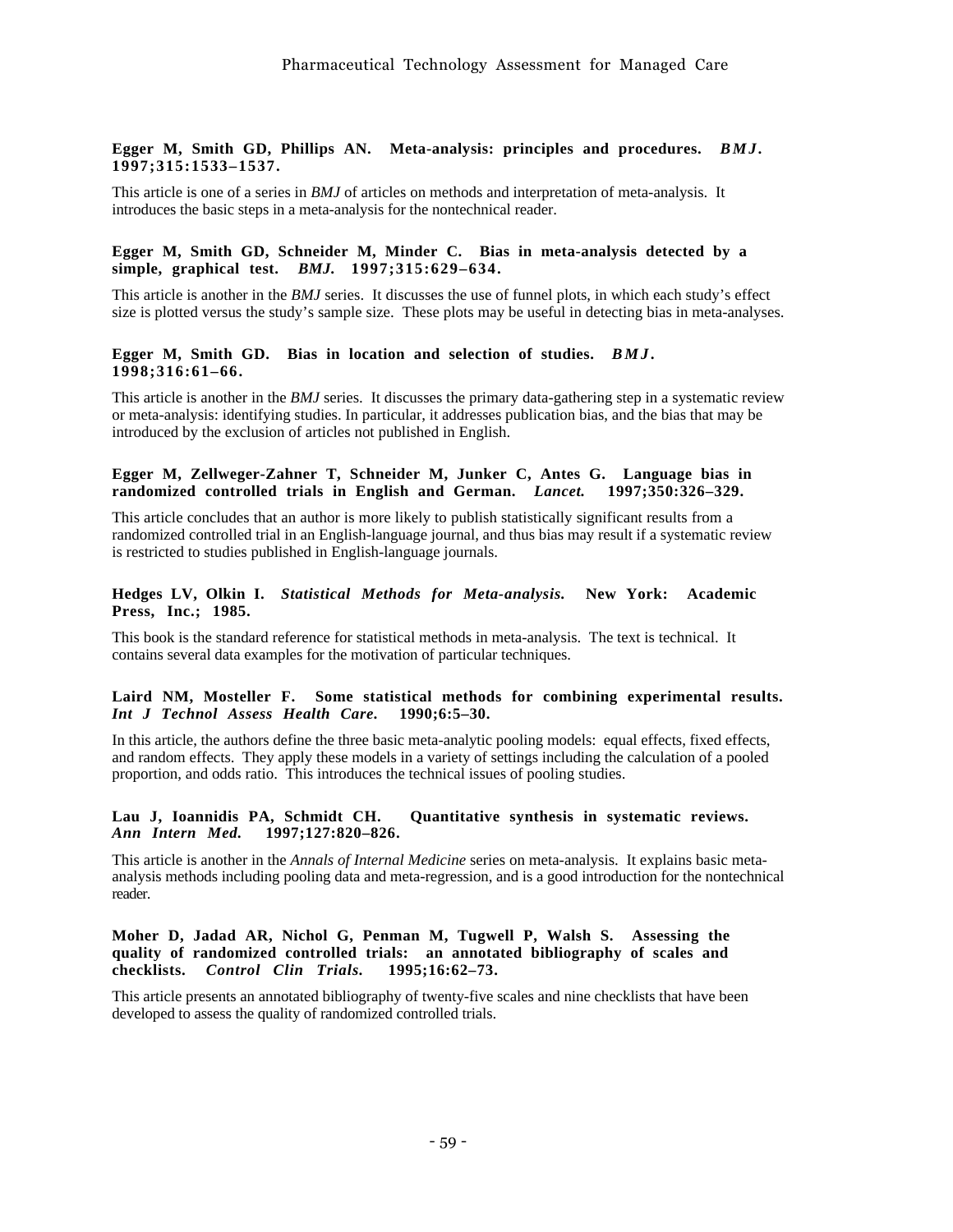#### **Egger M, Smith GD, Phillips AN. Meta-analysis: principles and procedures.** *BMJ.* **1997;315:1533–1537.**

This article is one of a series in *BMJ* of articles on methods and interpretation of meta-analysis. It introduces the basic steps in a meta-analysis for the nontechnical reader.

#### **Egger M, Smith GD, Schneider M, Minder C. Bias in meta-analysis detected by a simple, graphical test.** *BMJ.* **1997;315:629–634.**

This article is another in the *BMJ* series. It discusses the use of funnel plots, in which each study's effect size is plotted versus the study's sample size. These plots may be useful in detecting bias in meta-analyses.

#### **Egger M, Smith GD. Bias in location and selection of studies.** *BMJ.* **1998;316:61–66.**

This article is another in the *BMJ* series. It discusses the primary data-gathering step in a systematic review or meta-analysis: identifying studies. In particular, it addresses publication bias, and the bias that may be introduced by the exclusion of articles not published in English.

#### **Egger M, Zellweger-Zahner T, Schneider M, Junker C, Antes G. Language bias in randomized controlled trials in English and German.** *Lancet.* **1997;350:326–329.**

This article concludes that an author is more likely to publish statistically significant results from a randomized controlled trial in an English-language journal, and thus bias may result if a systematic review is restricted to studies published in English-language journals.

#### **Hedges LV, Olkin I.** *Statistical Methods for Meta-analysis.* **New York: Academic Press, Inc.; 1985.**

This book is the standard reference for statistical methods in meta-analysis. The text is technical. It contains several data examples for the motivation of particular techniques.

#### **Laird NM, Mosteller F. Some statistical methods for combining experimental results.** *Int J Technol Assess Health Care.* **1990;6:5–30.**

In this article, the authors define the three basic meta-analytic pooling models: equal effects, fixed effects, and random effects. They apply these models in a variety of settings including the calculation of a pooled proportion, and odds ratio. This introduces the technical issues of pooling studies.

#### **Lau J, Ioannidis PA, Schmidt CH. Quantitative synthesis in systematic reviews.** *Ann Intern Med.* **1997;127:820–826.**

This article is another in the *Annals of Internal Medicine* series on meta-analysis. It explains basic metaanalysis methods including pooling data and meta-regression, and is a good introduction for the nontechnical reader.

#### **Moher D, Jadad AR, Nichol G, Penman M, Tugwell P, Walsh S. Assessing the quality of randomized controlled trials: an annotated bibliography of scales and**  $\ddot{c}$ **hecklists.** *Control Clin Trials.*

This article presents an annotated bibliography of twenty-five scales and nine checklists that have been developed to assess the quality of randomized controlled trials.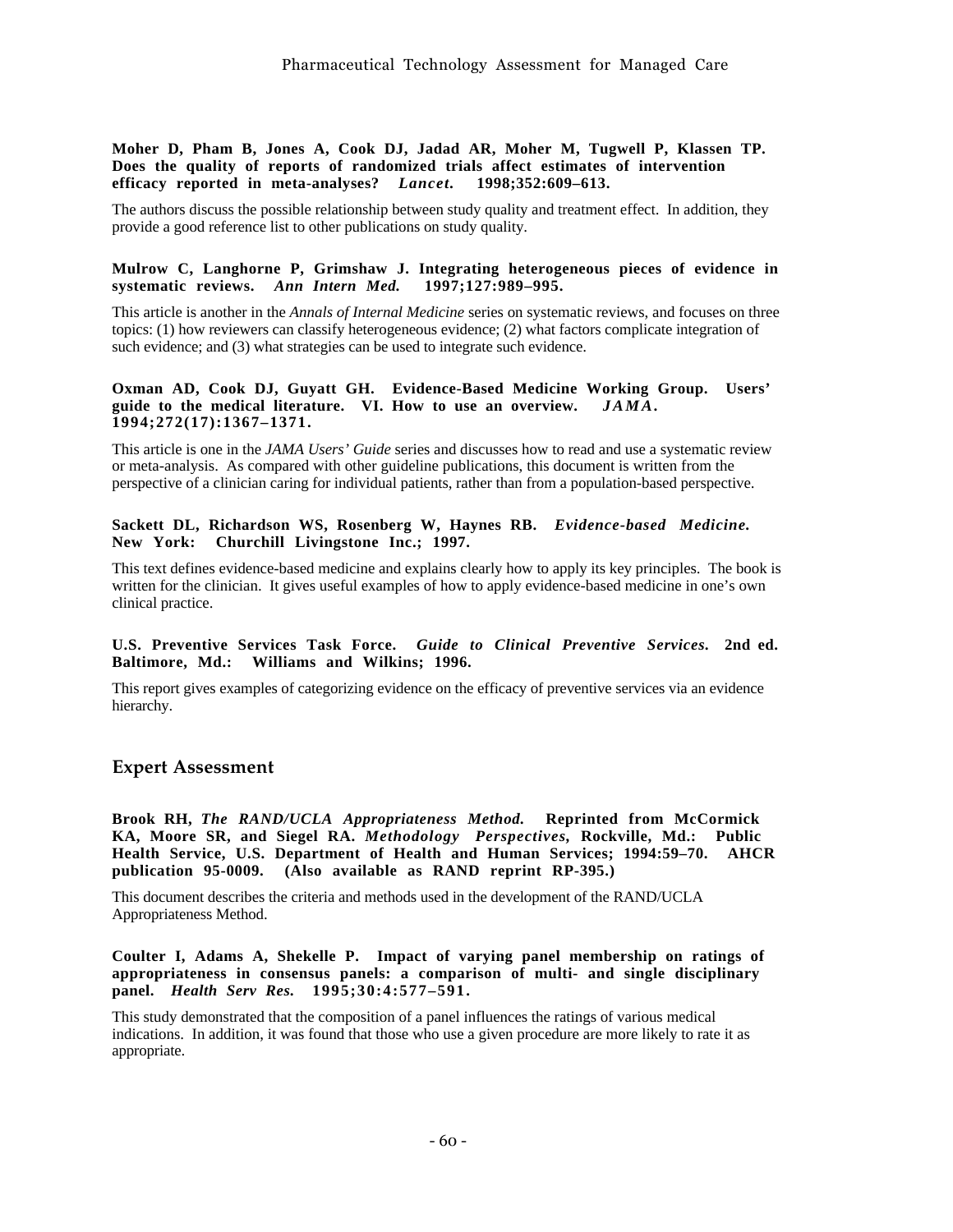#### **Moher D, Pham B, Jones A, Cook DJ, Jadad AR, Moher M, Tugwell P, Klassen TP. Does the quality of reports of randomized trials affect estimates of intervention efficacy reported in meta-analyses?** *Lancet.* **1998;352:609–613.**

The authors discuss the possible relationship between study quality and treatment effect. In addition, they provide a good reference list to other publications on study quality.

#### **Mulrow C, Langhorne P, Grimshaw J. Integrating heterogeneous pieces of evidence in systematic reviews.** *Ann Intern Med.* **1997;127:989–995.**

This article is another in the *Annals of Internal Medicine* series on systematic reviews, and focuses on three topics: (1) how reviewers can classify heterogeneous evidence; (2) what factors complicate integration of such evidence; and (3) what strategies can be used to integrate such evidence.

#### **Oxman AD, Cook DJ, Guyatt GH. Evidence-Based Medicine Working Group. Users' guide to the medical literature. VI. How to use an overview.** *JAMA.* **1994;272(17):1367–1371.**

This article is one in the *JAMA Users' Guide* series and discusses how to read and use a systematic review or meta-analysis. As compared with other guideline publications, this document is written from the perspective of a clinician caring for individual patients, rather than from a population-based perspective.

#### **Sackett DL, Richardson WS, Rosenberg W, Haynes RB.** *Evidence-based Medicine.* **New York: Churchill Livingstone Inc.; 1997.**

This text defines evidence-based medicine and explains clearly how to apply its key principles. The book is written for the clinician. It gives useful examples of how to apply evidence-based medicine in one's own clinical practice.

#### **U.S. Preventive Services Task Force.** *Guide to Clinical Preventive Services.* **2nd ed. Baltimore, Md.: Williams and Wilkins; 1996.**

This report gives examples of categorizing evidence on the efficacy of preventive services via an evidence hierarchy.

## **Expert Assessment**

**Brook RH,** *The RAND/UCLA Appropriateness Method.* **Reprinted from McCormick KA, Moore SR, and Siegel RA.** *Methodology Perspectives,* **Rockville, Md.: Public Health Service, U.S. Department of Health and Human Services; 1994:59–70. AHCR publication 95-0009. (Also available as RAND reprint RP-395.)**

This document describes the criteria and methods used in the development of the RAND/UCLA Appropriateness Method.

**Coulter I, Adams A, Shekelle P. Impact of varying panel membership on ratings of appropriateness in consensus panels: a comparison of multi- and single disciplinary panel.** *Health Serv Res.* **1995;30:4:577–591.**

This study demonstrated that the composition of a panel influences the ratings of various medical indications. In addition, it was found that those who use a given procedure are more likely to rate it as appropriate.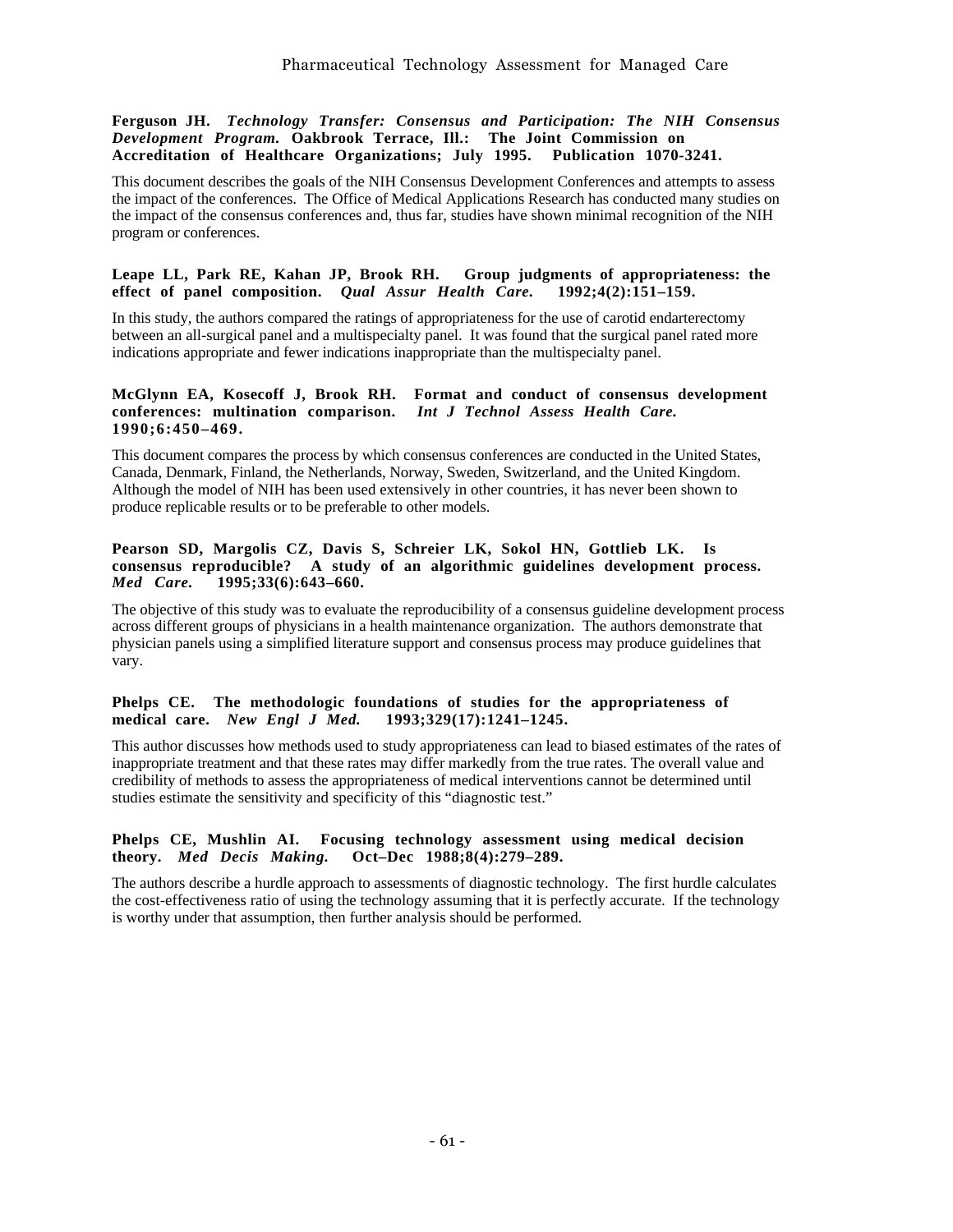#### **Ferguson JH.** *Technology Transfer: Consensus and Participation: The NIH Consensus Development Program.* **Oakbrook Terrace, Ill.: The Joint Commission on Accreditation of Healthcare Organizations; July 1995. Publication 1070-3241.**

This document describes the goals of the NIH Consensus Development Conferences and attempts to assess the impact of the conferences. The Office of Medical Applications Research has conducted many studies on the impact of the consensus conferences and, thus far, studies have shown minimal recognition of the NIH program or conferences.

#### **Leape LL, Park RE, Kahan JP, Brook RH. Group judgments of appropriateness: the effect of panel composition.** *Qual Assur Health Care.* **1992;4(2):151–159.**

In this study, the authors compared the ratings of appropriateness for the use of carotid endarterectomy between an all-surgical panel and a multispecialty panel. It was found that the surgical panel rated more indications appropriate and fewer indications inappropriate than the multispecialty panel.

#### **McGlynn EA, Kosecoff J, Brook RH. Format and conduct of consensus development conferences: multination comparison.** *Int J Technol Assess Health Care.* **1990;6:450–469.**

This document compares the process by which consensus conferences are conducted in the United States, Canada, Denmark, Finland, the Netherlands, Norway, Sweden, Switzerland, and the United Kingdom. Although the model of NIH has been used extensively in other countries, it has never been shown to produce replicable results or to be preferable to other models.

#### **Pearson SD, Margolis CZ, Davis S, Schreier LK, Sokol HN, Gottlieb LK. Is consensus reproducible? A study of an algorithmic guidelines development process.** *Med Care.* **1995;33(6):643–660.**

The objective of this study was to evaluate the reproducibility of a consensus guideline development process across different groups of physicians in a health maintenance organization. The authors demonstrate that physician panels using a simplified literature support and consensus process may produce guidelines that vary.

#### Phelps CE. The methodologic foundations of studies for the appropriateness of medical care. *New Engl J Med.* 1993;329(17):1241-1245. **medical care.** *New Engl J Med.*

This author discusses how methods used to study appropriateness can lead to biased estimates of the rates of inappropriate treatment and that these rates may differ markedly from the true rates. The overall value and credibility of methods to assess the appropriateness of medical interventions cannot be determined until studies estimate the sensitivity and specificity of this "diagnostic test."

#### **Phelps CE, Mushlin AI. Focusing technology assessment using medical decision theory.** *Med Decis Making.* **Oct–Dec 1988;8(4):279–289.**

The authors describe a hurdle approach to assessments of diagnostic technology. The first hurdle calculates the cost-effectiveness ratio of using the technology assuming that it is perfectly accurate. If the technology is worthy under that assumption, then further analysis should be performed.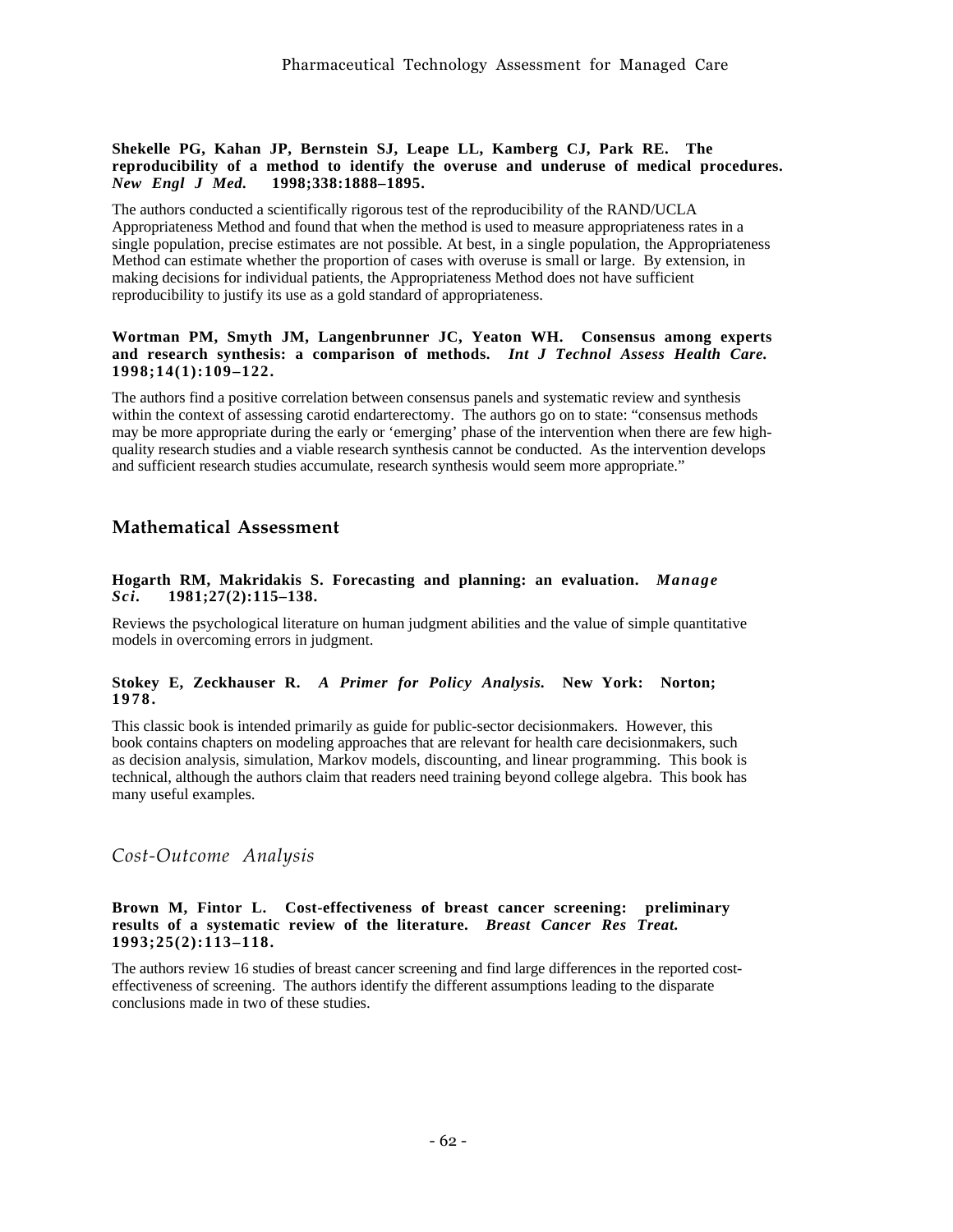#### **Shekelle PG, Kahan JP, Bernstein SJ, Leape LL, Kamberg CJ, Park RE. The reproducibility of a method to identify the overuse and underuse of medical procedures.** *New Engl J Med.* **1998;338:1888–1895.**

The authors conducted a scientifically rigorous test of the reproducibility of the RAND/UCLA Appropriateness Method and found that when the method is used to measure appropriateness rates in a single population, precise estimates are not possible. At best, in a single population, the Appropriateness Method can estimate whether the proportion of cases with overuse is small or large. By extension, in making decisions for individual patients, the Appropriateness Method does not have sufficient reproducibility to justify its use as a gold standard of appropriateness.

#### **Wortman PM, Smyth JM, Langenbrunner JC, Yeaton WH. Consensus among experts and research synthesis: a comparison of methods.** *Int J Technol Assess Health Care.* **1998;14(1):109–122.**

The authors find a positive correlation between consensus panels and systematic review and synthesis within the context of assessing carotid endarterectomy. The authors go on to state: "consensus methods" may be more appropriate during the early or 'emerging' phase of the intervention when there are few highquality research studies and a viable research synthesis cannot be conducted. As the intervention develops and sufficient research studies accumulate, research synthesis would seem more appropriate."

## **Mathematical Assessment**

#### **Hogarth RM, Makridakis S. Forecasting and planning: an evaluation.** *Manage Sci.* **1981;27(2):115–138.**

Reviews the psychological literature on human judgment abilities and the value of simple quantitative models in overcoming errors in judgment.

#### **Stokey E, Zeckhauser R.** *A Primer for Policy Analysis.* **New York: Norton; 1978.**

This classic book is intended primarily as guide for public-sector decisionmakers. However, this book contains chapters on modeling approaches that are relevant for health care decisionmakers, such as decision analysis, simulation, Markov models, discounting, and linear programming. This book is technical, although the authors claim that readers need training beyond college algebra. This book has many useful examples.

*Cost-Outcome Analysis*

#### **Brown M, Fintor L. Cost-effectiveness of breast cancer screening: preliminary results of a systematic review of the literature.** *Breast Cancer Res Treat.* **1993;25(2):113–118.**

The authors review 16 studies of breast cancer screening and find large differences in the reported costeffectiveness of screening. The authors identify the different assumptions leading to the disparate conclusions made in two of these studies.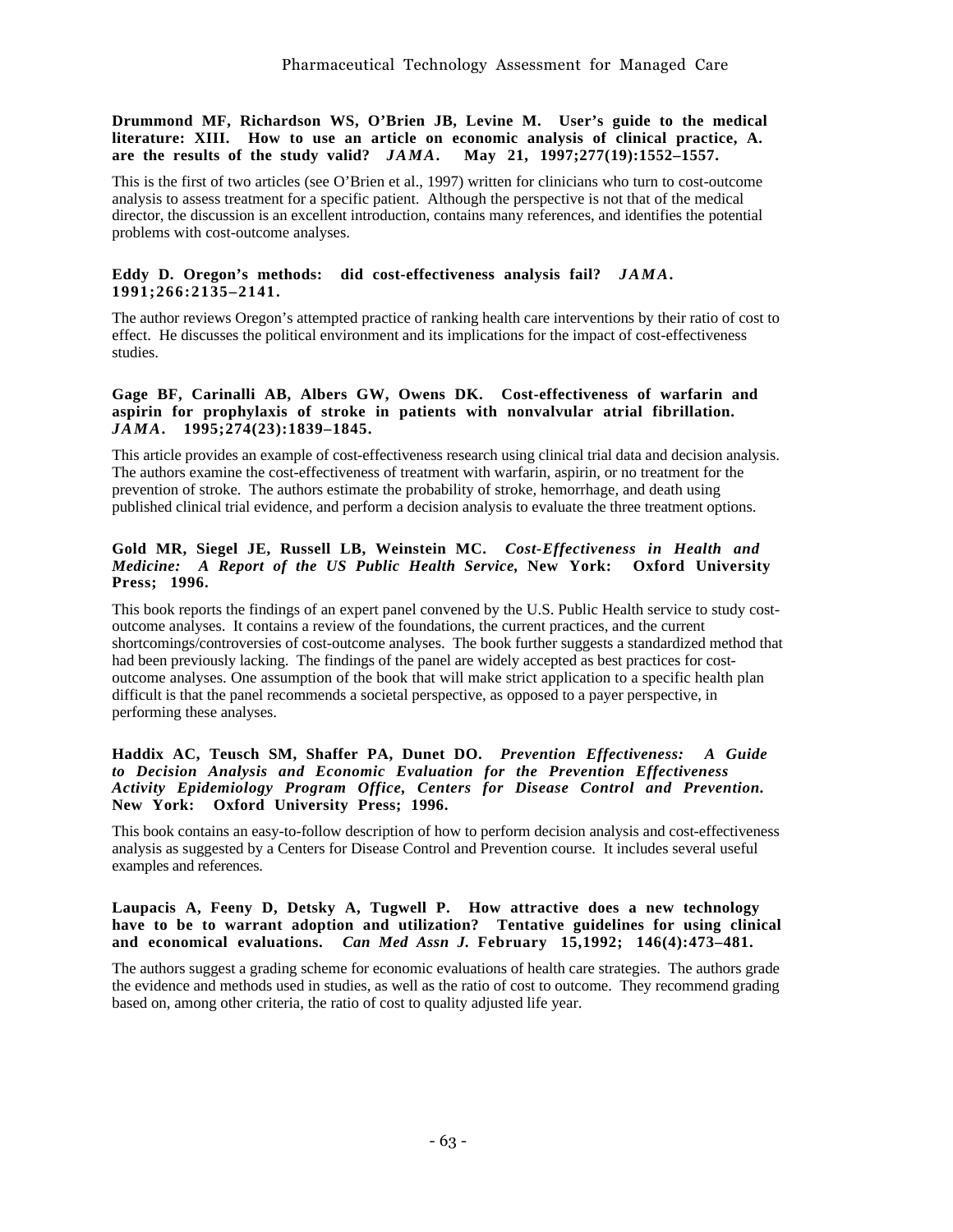**Drummond MF, Richardson WS, O'Brien JB, Levine M. User's guide to the medical literature: XIII. How to use an article on economic analysis of clinical practice, A. are the results of the study valid?** *JAMA.* **May 21, 1997;277(19):1552–1557.**

This is the first of two articles (see O'Brien et al., 1997) written for clinicians who turn to cost-outcome analysis to assess treatment for a specific patient. Although the perspective is not that of the medical director, the discussion is an excellent introduction, contains many references, and identifies the potential problems with cost-outcome analyses.

#### **Eddy D. Oregon's methods: did cost-effectiveness analysis fail?** *JAMA.* **1991;266:2135–2141.**

The author reviews Oregon's attempted practice of ranking health care interventions by their ratio of cost to effect. He discusses the political environment and its implications for the impact of cost-effectiveness studies.

#### **Gage BF, Carinalli AB, Albers GW, Owens DK. Cost-effectiveness of warfarin and aspirin for prophylaxis of stroke in patients with nonvalvular atrial fibrillation.** *JAMA.* **1995;274(23):1839–1845.**

This article provides an example of cost-effectiveness research using clinical trial data and decision analysis. The authors examine the cost-effectiveness of treatment with warfarin, aspirin, or no treatment for the prevention of stroke. The authors estimate the probability of stroke, hemorrhage, and death using published clinical trial evidence, and perform a decision analysis to evaluate the three treatment options.

#### **Gold MR, Siegel JE, Russell LB, Weinstein MC.** *Cost-Effectiveness in Health and Medicine: A Report of the US Public Health Service,* **New York: Oxford University Press; 1996.**

This book reports the findings of an expert panel convened by the U.S. Public Health service to study costoutcome analyses. It contains a review of the foundations, the current practices, and the current shortcomings/controversies of cost-outcome analyses. The book further suggests a standardized method that had been previously lacking. The findings of the panel are widely accepted as best practices for costoutcome analyses. One assumption of the book that will make strict application to a specific health plan difficult is that the panel recommends a societal perspective, as opposed to a payer perspective, in performing these analyses.

#### **Haddix AC, Teusch SM, Shaffer PA, Dunet DO.** *Prevention Effectiveness: A Guide to Decision Analysis and Economic Evaluation for the Prevention Effectiveness Activity Epidemiology Program Office, Centers for Disease Control and Prevention.* **New York: Oxford University Press; 1996.**

This book contains an easy-to-follow description of how to perform decision analysis and cost-effectiveness analysis as suggested by a Centers for Disease Control and Prevention course. It includes several useful examples and references.

#### **Laupacis A, Feeny D, Detsky A, Tugwell P. How attractive does a new technology have to be to warrant adoption and utilization? Tentative guidelines for using clinical and economical evaluations.** *Can Med Assn J.* **February 15,1992; 146(4):473–481.**

The authors suggest a grading scheme for economic evaluations of health care strategies. The authors grade the evidence and methods used in studies, as well as the ratio of cost to outcome. They recommend grading based on, among other criteria, the ratio of cost to quality adjusted life year.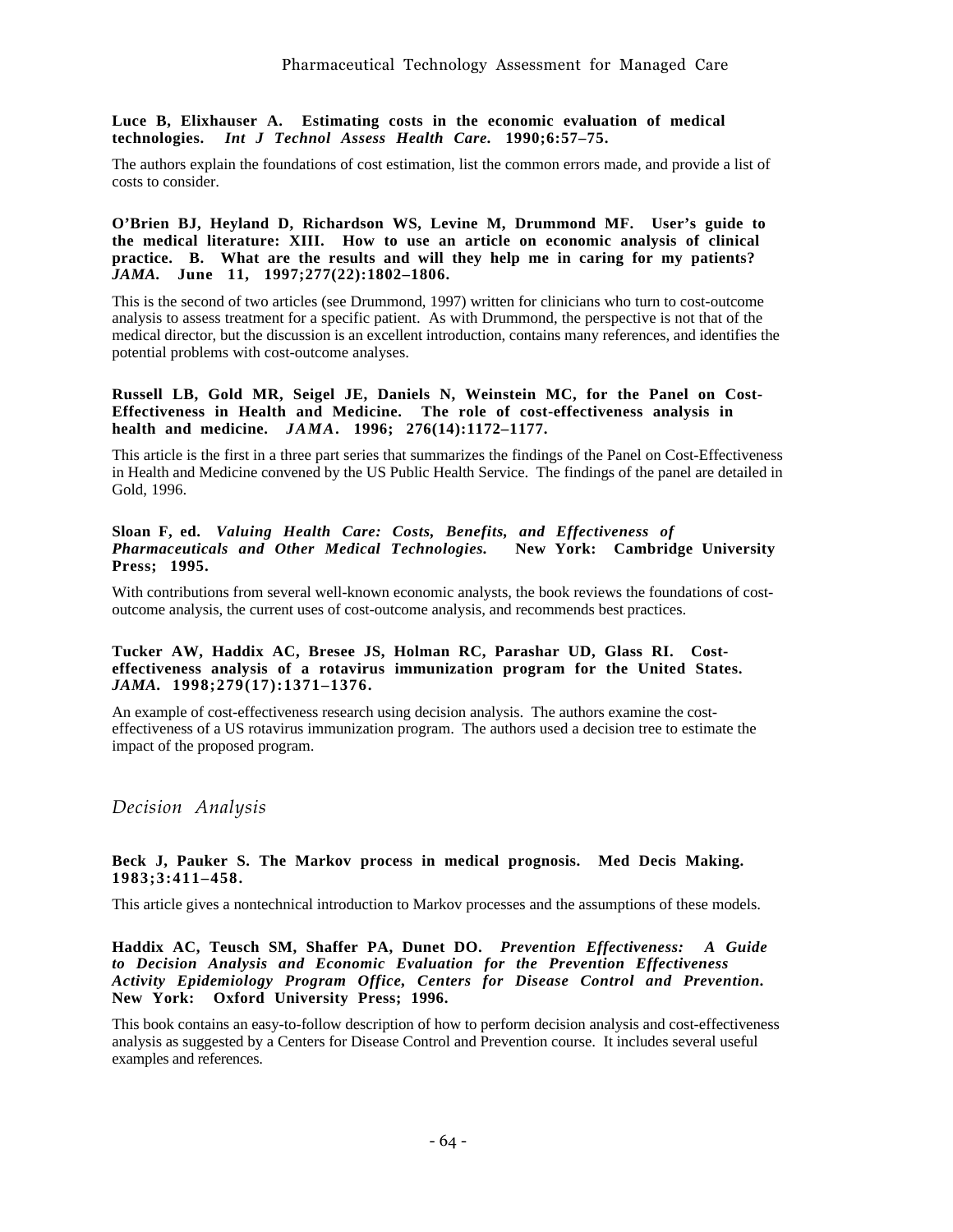**Luce B, Elixhauser A. Estimating costs in the economic evaluation of medical technologies.** *Int J Technol Assess Health Care.* **1990;6:57–75.**

The authors explain the foundations of cost estimation, list the common errors made, and provide a list of costs to consider.

**O'Brien BJ, Heyland D, Richardson WS, Levine M, Drummond MF. User's guide to the medical literature: XIII. How to use an article on economic analysis of clinical practice. B. What are the results and will they help me in caring for my patients?** *JAMA.* **June 11, 1997;277(22):1802–1806.**

This is the second of two articles (see Drummond, 1997) written for clinicians who turn to cost-outcome analysis to assess treatment for a specific patient. As with Drummond, the perspective is not that of the medical director, but the discussion is an excellent introduction, contains many references, and identifies the potential problems with cost-outcome analyses.

## **Russell LB, Gold MR, Seigel JE, Daniels N, Weinstein MC, for the Panel on Cost-Effectiveness in Health and Medicine. The role of cost-effectiveness analysis in health and medicine.** *JAMA.* **1996; 276(14):1172–1177.**

This article is the first in a three part series that summarizes the findings of the Panel on Cost-Effectiveness in Health and Medicine convened by the US Public Health Service. The findings of the panel are detailed in Gold, 1996.

### **Sloan F, ed.** *Valuing Health Care: Costs, Benefits, and Effectiveness of Pharmaceuticals and Other Medical Technologies.* **New York: Cambridge University Press; 1995.**

With contributions from several well-known economic analysts, the book reviews the foundations of costoutcome analysis, the current uses of cost-outcome analysis, and recommends best practices.

## **Tucker AW, Haddix AC, Bresee JS, Holman RC, Parashar UD, Glass RI. Costeffectiveness analysis of a rotavirus immunization program for the United States.** *JAMA.* **1998;279(17):1371–1376.**

An example of cost-effectiveness research using decision analysis. The authors examine the costeffectiveness of a US rotavirus immunization program. The authors used a decision tree to estimate the impact of the proposed program.

## *Decision Analysis*

#### **Beck J, Pauker S. The Markov process in medical prognosis. Med Decis Making. 1983;3:411–458.**

This article gives a nontechnical introduction to Markov processes and the assumptions of these models.

**Haddix AC, Teusch SM, Shaffer PA, Dunet DO.** *Prevention Effectiveness: A Guide to Decision Analysis and Economic Evaluation for the Prevention Effectiveness Activity Epidemiology Program Office, Centers for Disease Control and Prevention.* **New York: Oxford University Press; 1996.**

This book contains an easy-to-follow description of how to perform decision analysis and cost-effectiveness analysis as suggested by a Centers for Disease Control and Prevention course. It includes several useful examples and references.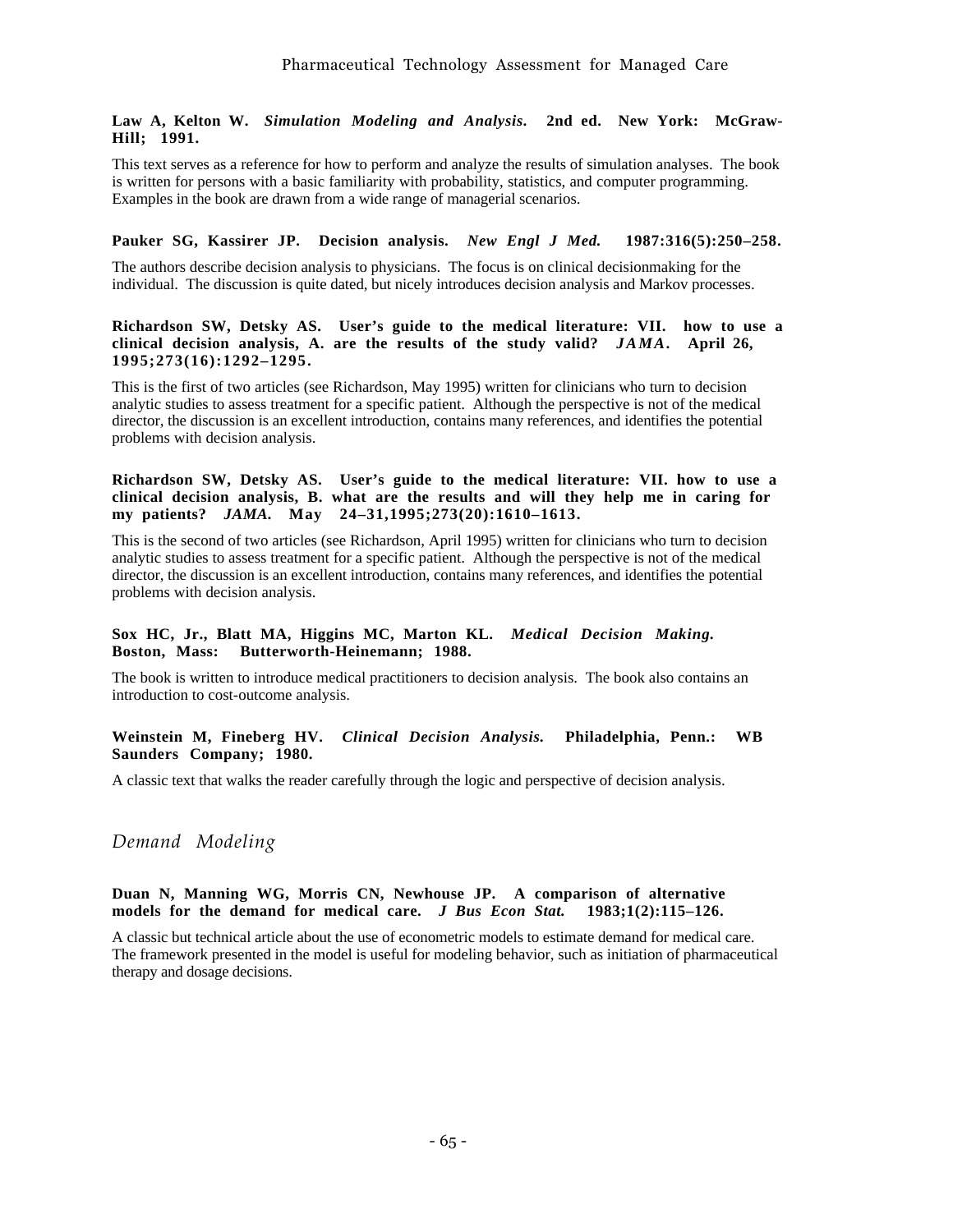## **Law A, Kelton W.** *Simulation Modeling and Analysis.* **2nd ed. New York: McGraw-Hill; 1991.**

This text serves as a reference for how to perform and analyze the results of simulation analyses. The book is written for persons with a basic familiarity with probability, statistics, and computer programming. Examples in the book are drawn from a wide range of managerial scenarios.

## **Pauker SG, Kassirer JP. Decision analysis.** *New Engl J Med.* **1987:316(5):250–258.**

The authors describe decision analysis to physicians. The focus is on clinical decisionmaking for the individual. The discussion is quite dated, but nicely introduces decision analysis and Markov processes.

### **Richardson SW, Detsky AS. User's guide to the medical literature: VII. how to use a clinical decision analysis, A. are the results of the study valid?** *JAMA.* **April 26, 1995;273(16):1292–1295.**

This is the first of two articles (see Richardson, May 1995) written for clinicians who turn to decision analytic studies to assess treatment for a specific patient. Although the perspective is not of the medical director, the discussion is an excellent introduction, contains many references, and identifies the potential problems with decision analysis.

#### **Richardson SW, Detsky AS. User's guide to the medical literature: VII. how to use a clinical decision analysis, B. what are the results and will they help me in caring for my patients?** *JAMA.* **May 24–31,1995;273(20):1610–1613.**

This is the second of two articles (see Richardson, April 1995) written for clinicians who turn to decision analytic studies to assess treatment for a specific patient. Although the perspective is not of the medical director, the discussion is an excellent introduction, contains many references, and identifies the potential problems with decision analysis.

## **Sox HC, Jr., Blatt MA, Higgins MC, Marton KL.** *Medical Decision Making.* **Boston, Mass: Butterworth-Heinemann; 1988.**

The book is written to introduce medical practitioners to decision analysis. The book also contains an introduction to cost-outcome analysis.

## **Weinstein M, Fineberg HV.** *Clinical Decision Analysis.* **Philadelphia, Penn.: WB Saunders Company; 1980.**

A classic text that walks the reader carefully through the logic and perspective of decision analysis.

*Demand Modeling*

## **Duan N, Manning WG, Morris CN, Newhouse JP. A comparison of alternative models for the demand for medical care.** *J Bus Econ Stat.* **1983;1(2):115–126.**

A classic but technical article about the use of econometric models to estimate demand for medical care. The framework presented in the model is useful for modeling behavior, such as initiation of pharmaceutical therapy and dosage decisions.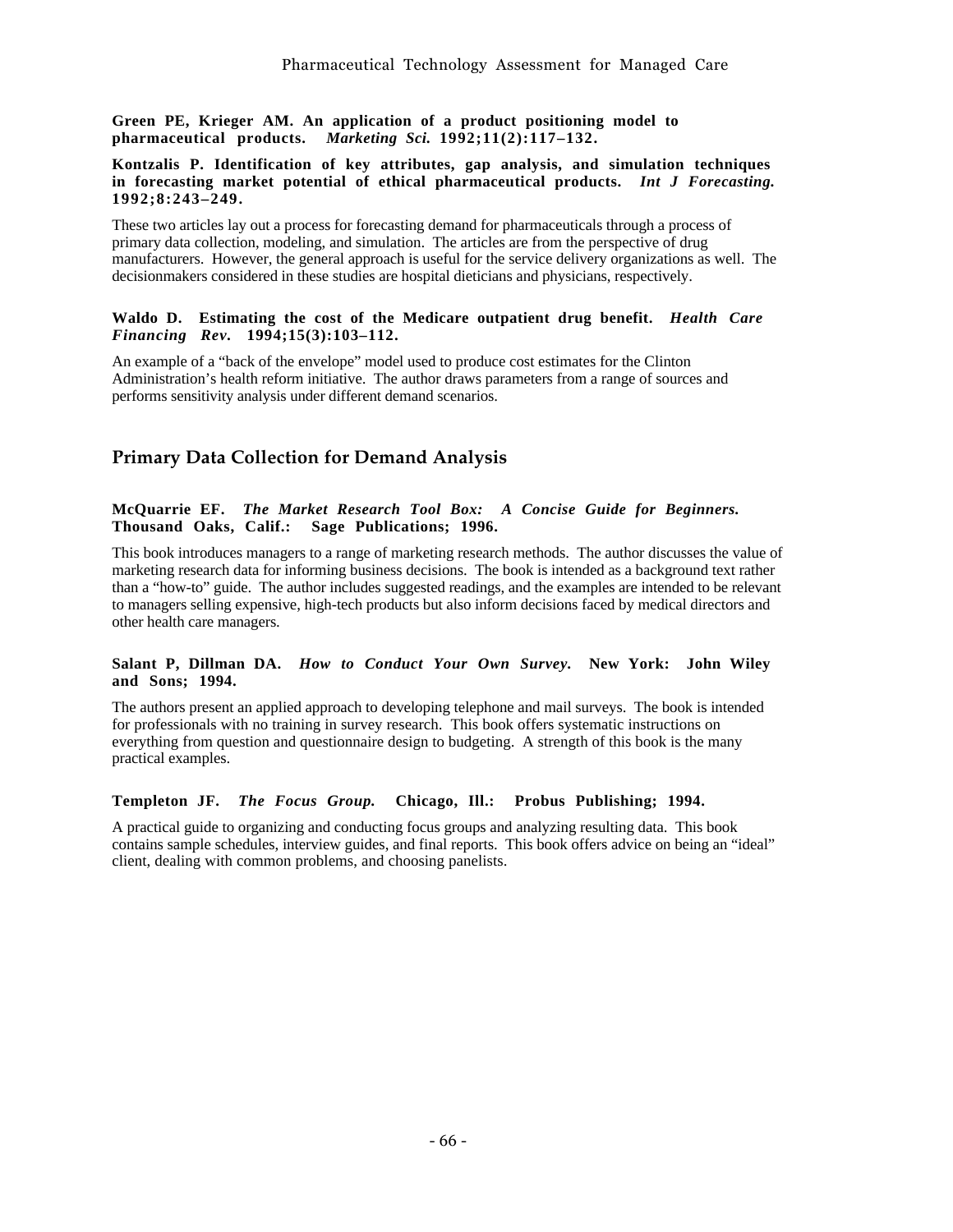**Green PE, Krieger AM. An application of a product positioning model to pharmaceutical products.** *Marketing Sci.* **1992;11(2):117–132.**

### **Kontzalis P. Identification of key attributes, gap analysis, and simulation techniques in forecasting market potential of ethical pharmaceutical products.** *Int J Forecasting.* **1992;8:243–249.**

These two articles lay out a process for forecasting demand for pharmaceuticals through a process of primary data collection, modeling, and simulation. The articles are from the perspective of drug manufacturers. However, the general approach is useful for the service delivery organizations as well. The decisionmakers considered in these studies are hospital dieticians and physicians, respectively.

## **Waldo D. Estimating the cost of the Medicare outpatient drug benefit.** *Health Care Financing Rev.* **1994;15(3):103–112.**

An example of a "back of the envelope" model used to produce cost estimates for the Clinton Administration's health reform initiative. The author draws parameters from a range of sources and performs sensitivity analysis under different demand scenarios.

# **Primary Data Collection for Demand Analysis**

### **McQuarrie EF.** *The Market Research Tool Box: A Concise Guide for Beginners.* **Thousand Oaks, Calif.: Sage Publications; 1996.**

This book introduces managers to a range of marketing research methods. The author discusses the value of marketing research data for informing business decisions. The book is intended as a background text rather than a "how-to" guide. The author includes suggested readings, and the examples are intended to be relevant to managers selling expensive, high-tech products but also inform decisions faced by medical directors and other health care managers.

## **Salant P, Dillman DA.** *How to Conduct Your Own Survey.* **New York: John Wiley and Sons; 1994.**

The authors present an applied approach to developing telephone and mail surveys. The book is intended for professionals with no training in survey research. This book offers systematic instructions on everything from question and questionnaire design to budgeting. A strength of this book is the many practical examples.

## **Templeton JF.** *The Focus Group.* **Chicago, Ill.: Probus Publishing; 1994.**

A practical guide to organizing and conducting focus groups and analyzing resulting data. This book contains sample schedules, interview guides, and final reports. This book offers advice on being an "ideal" client, dealing with common problems, and choosing panelists.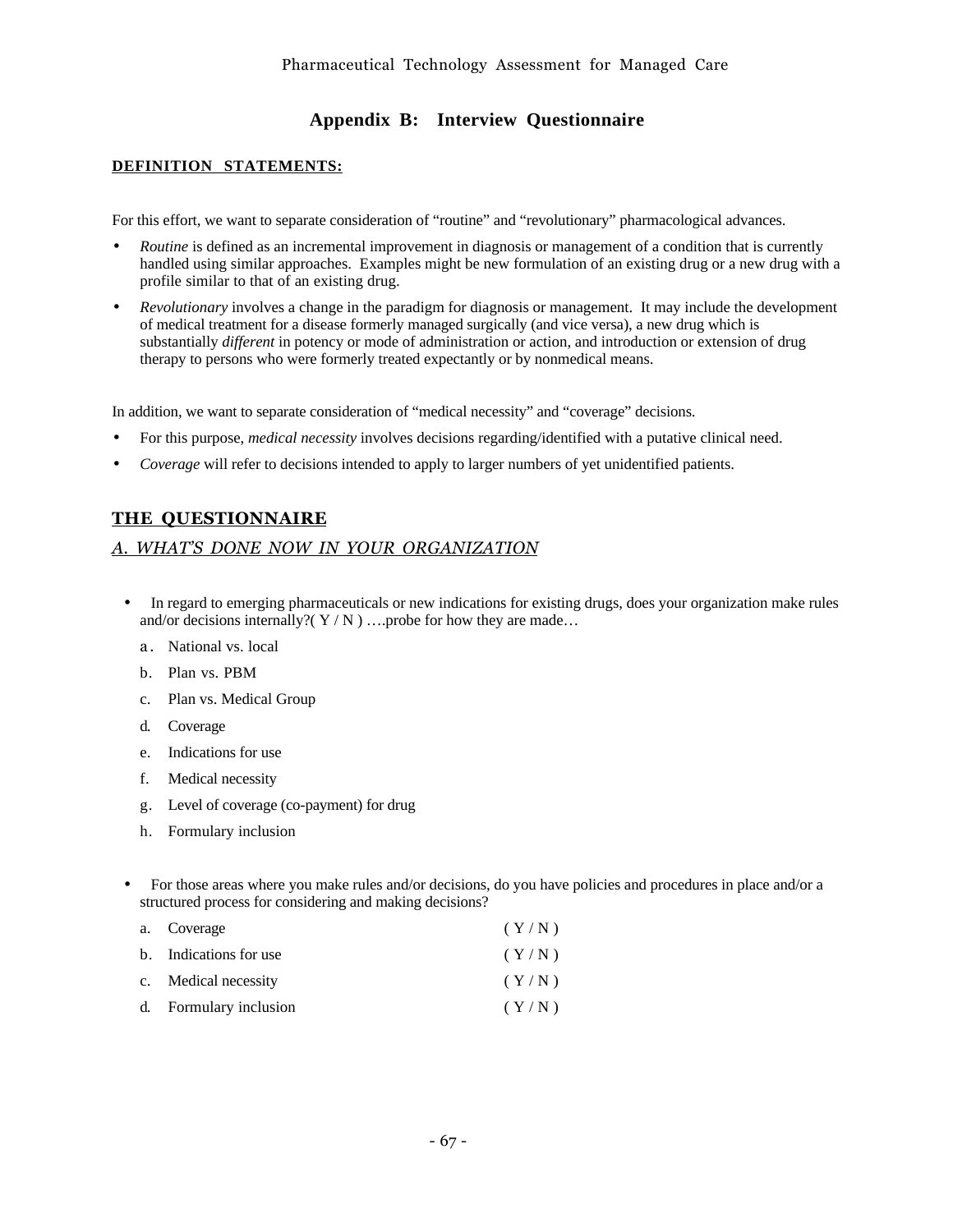# **Appendix B: Interview Questionnaire**

## **DEFINITION STATEMENTS:**

For this effort, we want to separate consideration of "routine" and "revolutionary" pharmacological advances.

- *Routine* is defined as an incremental improvement in diagnosis or management of a condition that is currently handled using similar approaches. Examples might be new formulation of an existing drug or a new drug with a profile similar to that of an existing drug.
- *Revolutionary* involves a change in the paradigm for diagnosis or management. It may include the development of medical treatment for a disease formerly managed surgically (and vice versa), a new drug which is substantially *different* in potency or mode of administration or action, and introduction or extension of drug therapy to persons who were formerly treated expectantly or by nonmedical means.

In addition, we want to separate consideration of "medical necessity" and "coverage" decisions.

- For this purpose, *medical necessity* involves decisions regarding/identified with a putative clinical need.
- *Coverage* will refer to decisions intended to apply to larger numbers of yet unidentified patients.

# **THE QUESTIONNAIRE**

## *A. WHATíS DONE NOW IN YOUR ORGANIZATION*

- In regard to emerging pharmaceuticals or new indications for existing drugs, does your organization make rules and/or decisions internally?( $Y/N$ ) ....probe for how they are made...
	- a. National vs. local
	- b. Plan vs. PBM
	- c. Plan vs. Medical Group
	- d. Coverage
	- e. Indications for use
	- f. Medical necessity
	- g. Level of coverage (co-payment) for drug
	- h. Formulary inclusion
- For those areas where you make rules and/or decisions, do you have policies and procedures in place and/or a structured process for considering and making decisions?

| a. Coverage            | (Y/N) |
|------------------------|-------|
| b. Indications for use | (Y/N) |
| c. Medical necessity   | (Y/N) |
| d. Formulary inclusion | (Y/N) |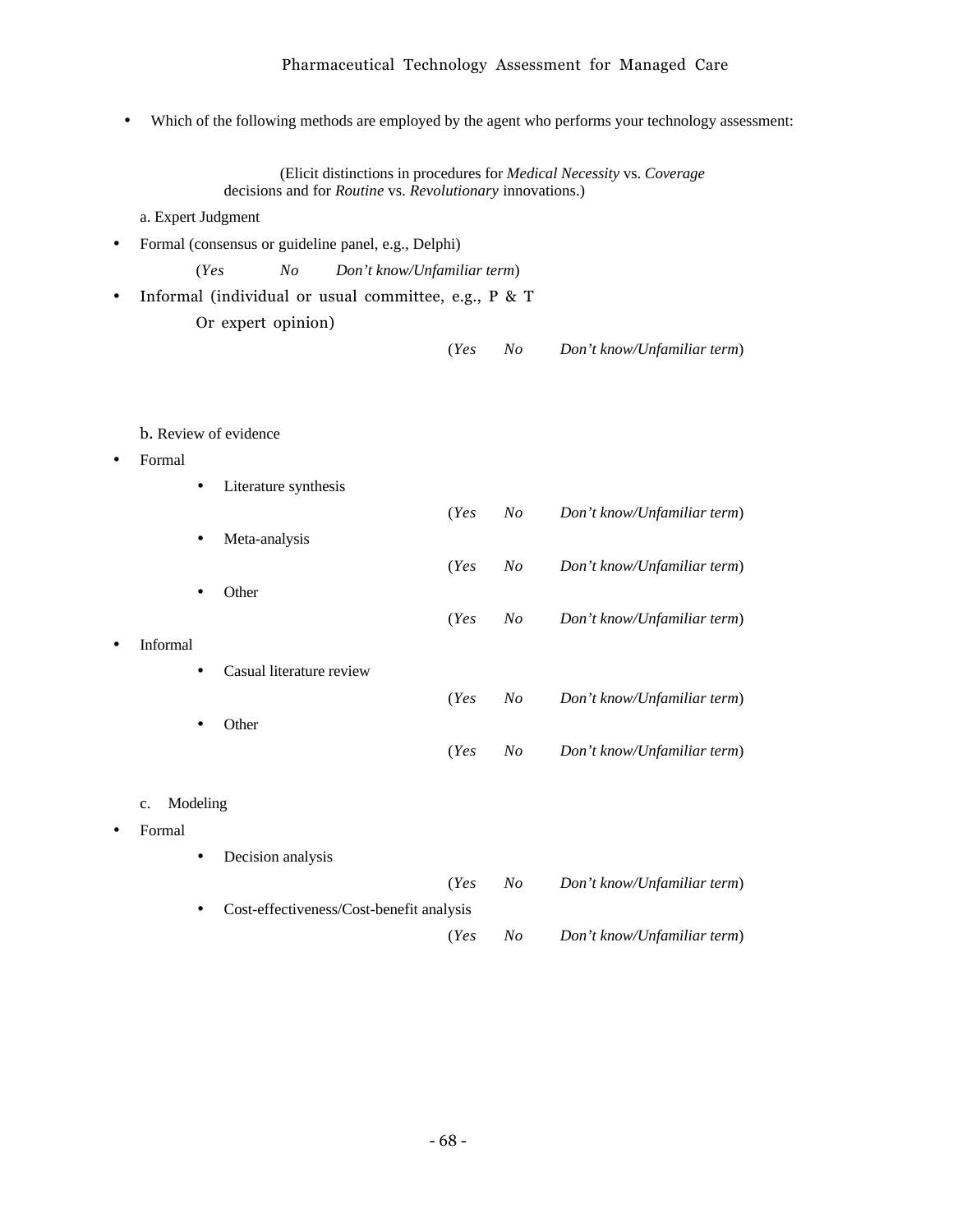## Pharmaceutical Technology Assessment for Managed Care

• Which of the following methods are employed by the agent who performs your technology assessment:

(Elicit distinctions in procedures for *Medical Necessity* vs. *Coverage* decisions and for *Routine* vs. *Revolutionary* innovations.)

a. Expert Judgment

• Formal (consensus or guideline panel, e.g., Delphi)

(*Yes No Don't know/Unfamiliar term*)

- Informal (individual or usual committee, e.g., P & T Or expert opinion)
	- (*Yes No Don't know/Unfamiliar term*)

b. Review of evidence

- Formal
	- Literature synthesis (*Yes No Don't know/Unfamiliar term*) • Meta-analysis (*Yes No Don't know/Unfamiliar term*) • Other (*Yes No Don't know/Unfamiliar term*) • Informal • Casual literature review (*Yes No Don't know/Unfamiliar term*) **Other** (*Yes No Don't know/Unfamiliar term*)
	- c. Modeling
- Formal
- Decision analysis (*Yes No Don't know/Unfamiliar term*) • Cost-effectiveness/Cost-benefit analysis (*Yes No Don't know/Unfamiliar term*)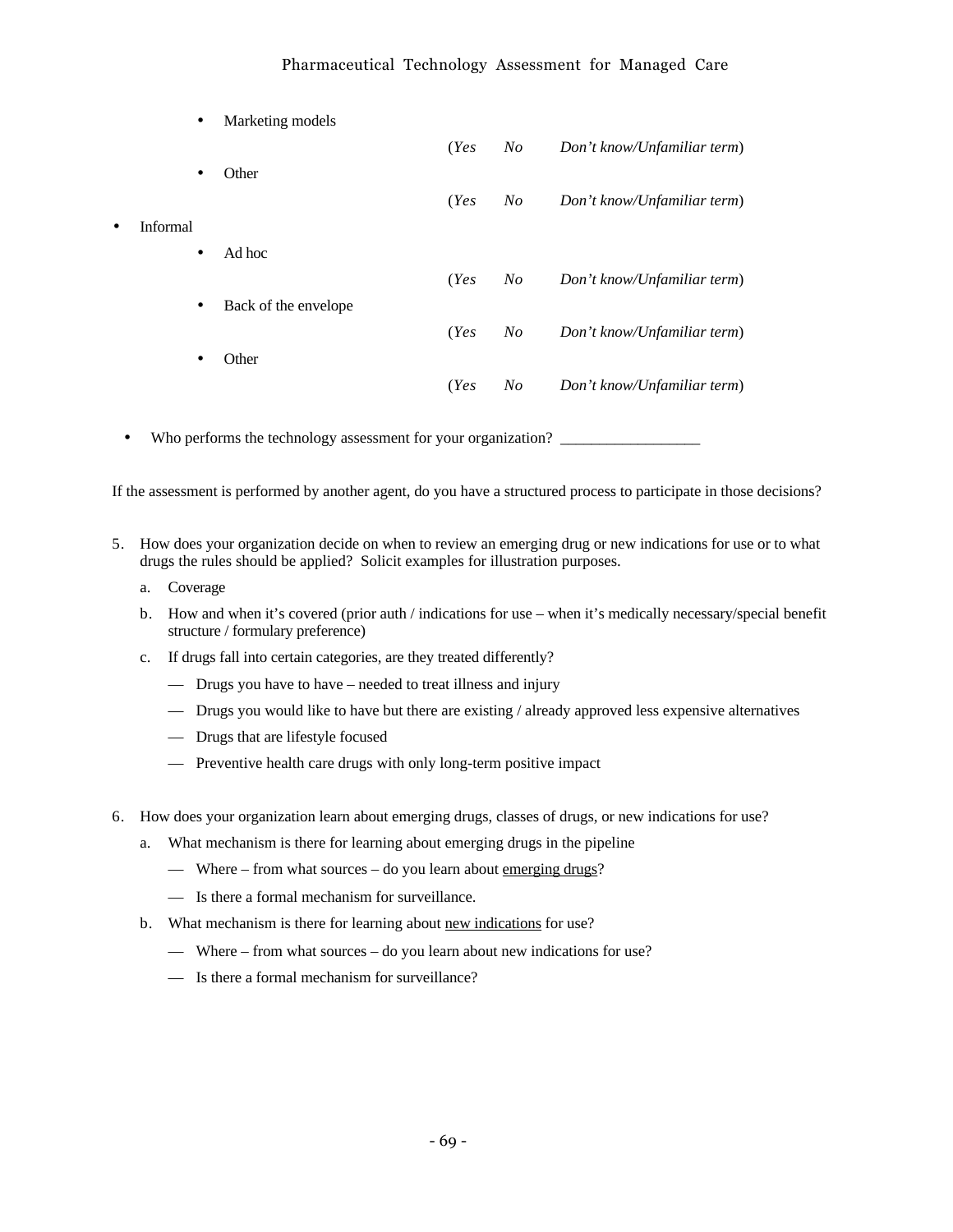## Pharmaceutical Technology Assessment for Managed Care

| $\bullet$       | Marketing models     |      |         |                             |
|-----------------|----------------------|------|---------|-----------------------------|
|                 |                      | (Yes | $N_{O}$ | Don't know/Unfamiliar term) |
| ٠               | Other                |      |         |                             |
|                 |                      | (Yes | $N_{O}$ | Don't know/Unfamiliar term) |
| <b>Informal</b> |                      |      |         |                             |
| $\bullet$       | Ad hoc               |      |         |                             |
|                 |                      | (Yes | $N_{O}$ | Don't know/Unfamiliar term) |
| $\bullet$       | Back of the envelope |      |         |                             |
|                 |                      | (Yes | $N_{O}$ | Don't know/Unfamiliar term) |
| ٠               | Other                |      |         |                             |
|                 |                      | (Yes | $N_{O}$ | Don't know/Unfamiliar term) |
|                 |                      |      |         |                             |

• Who performs the technology assessment for your organization?

If the assessment is performed by another agent, do you have a structured process to participate in those decisions?

- 5. How does your organization decide on when to review an emerging drug or new indications for use or to what drugs the rules should be applied? Solicit examples for illustration purposes.
	- a. Coverage
	- b. How and when it's covered (prior auth / indications for use when it's medically necessary/special benefit structure / formulary preference)
	- c. If drugs fall into certain categories, are they treated differently?
		- Drugs you have to have needed to treat illness and injury
		- Drugs you would like to have but there are existing / already approved less expensive alternatives
		- Drugs that are lifestyle focused
		- Preventive health care drugs with only long-term positive impact
- 6. How does your organization learn about emerging drugs, classes of drugs, or new indications for use?
	- a. What mechanism is there for learning about emerging drugs in the pipeline
		- Where from what sources do you learn about <u>emerging drugs</u>?
		- Is there a formal mechanism for surveillance.
	- b. What mechanism is there for learning about new indications for use?
		- Where from what sources do you learn about new indications for use?
		- Is there a formal mechanism for surveillance?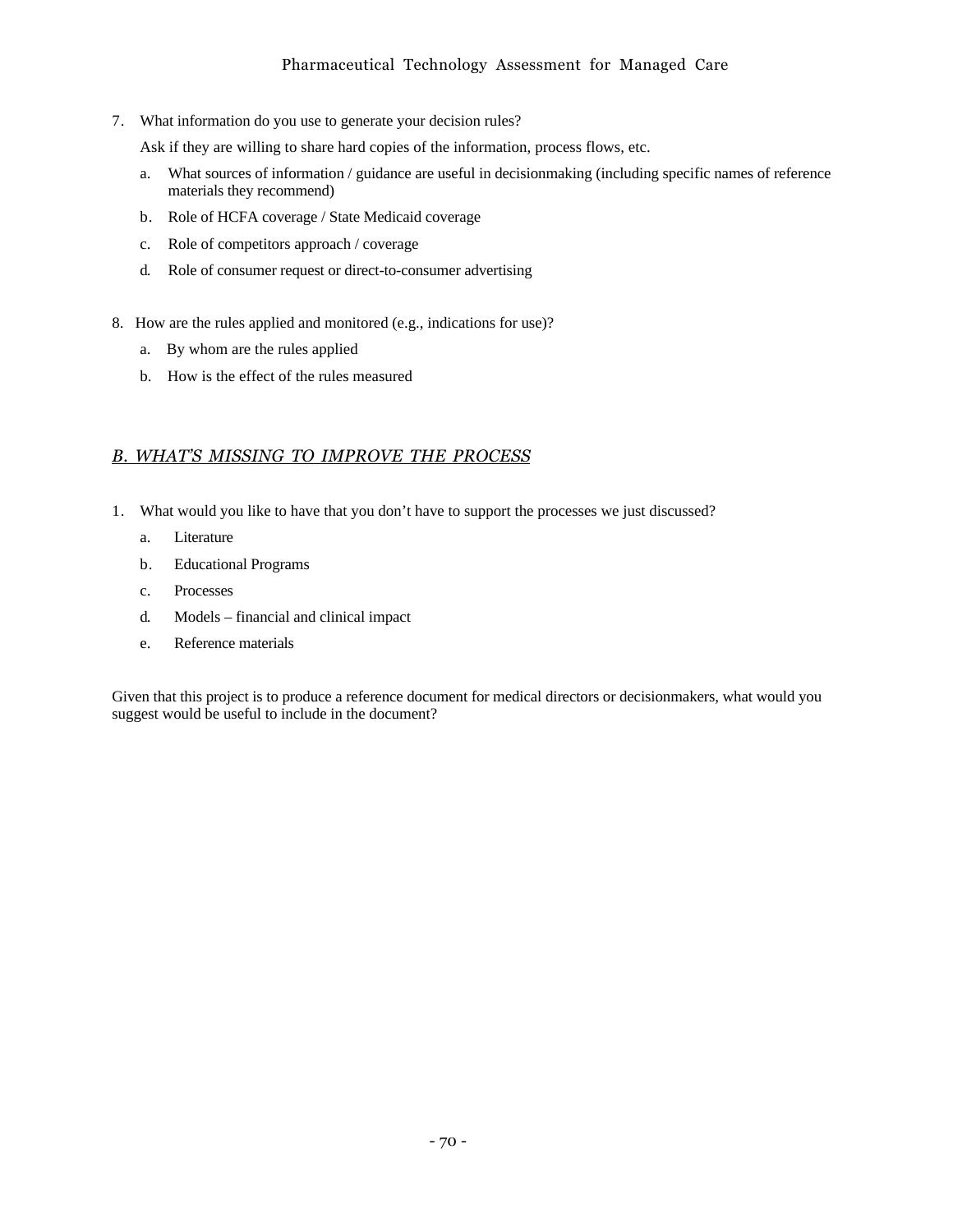7. What information do you use to generate your decision rules?

Ask if they are willing to share hard copies of the information, process flows, etc.

- a. What sources of information / guidance are useful in decisionmaking (including specific names of reference materials they recommend)
- b. Role of HCFA coverage / State Medicaid coverage
- c. Role of competitors approach / coverage
- d. Role of consumer request or direct-to-consumer advertising
- 8. How are the rules applied and monitored (e.g., indications for use)?
	- a. By whom are the rules applied
	- b. How is the effect of the rules measured

# *B. WHATíS MISSING TO IMPROVE THE PROCESS*

- 1. What would you like to have that you don't have to support the processes we just discussed?
	- a. Literature
	- b. Educational Programs
	- c. Processes
	- d. Models financial and clinical impact
	- e. Reference materials

Given that this project is to produce a reference document for medical directors or decisionmakers, what would you suggest would be useful to include in the document?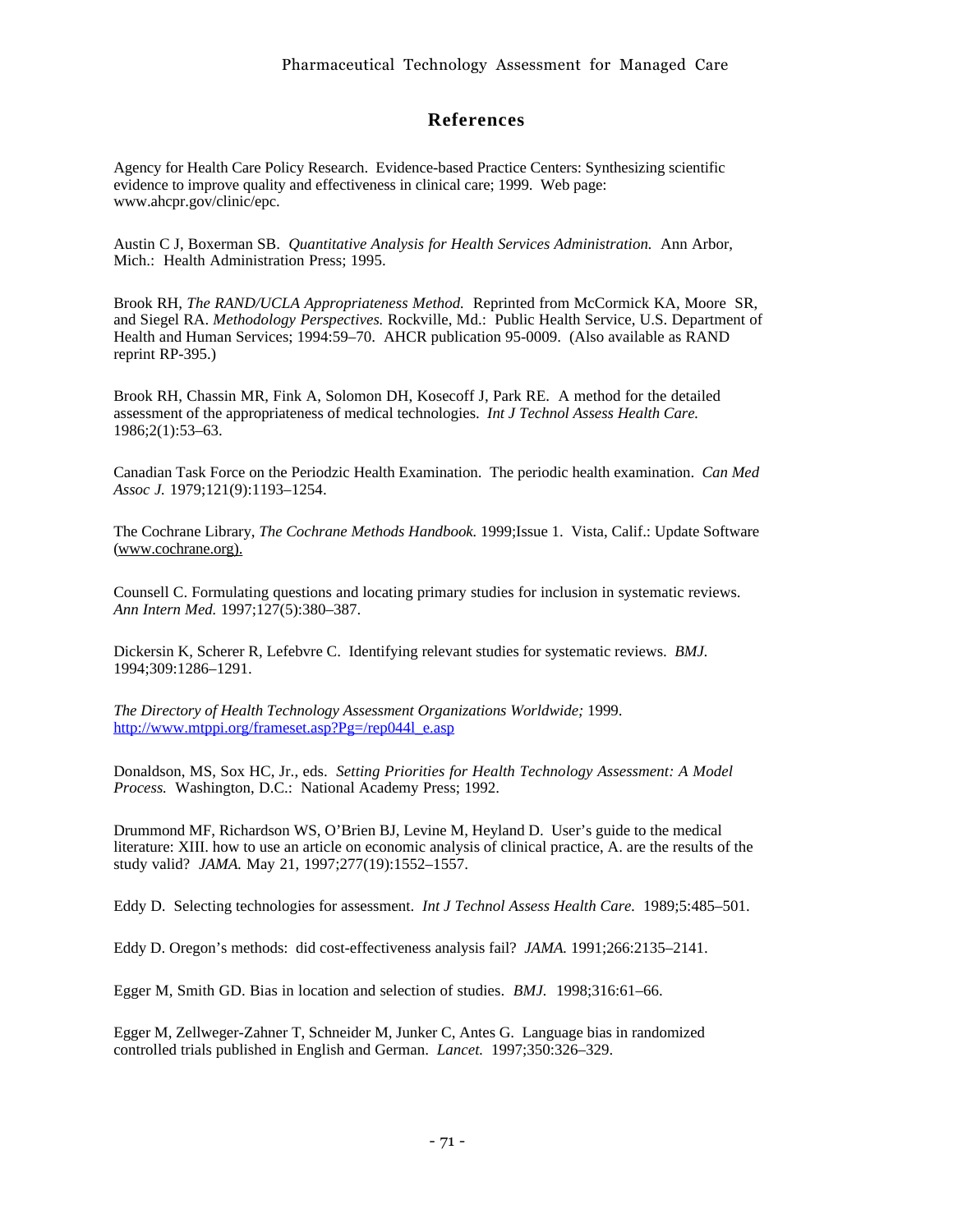# **References**

Agency for Health Care Policy Research. Evidence-based Practice Centers: Synthesizing scientific evidence to improve quality and effectiveness in clinical care; 1999. Web page: www.ahcpr.gov/clinic/epc.

Austin C J, Boxerman SB. *Quantitative Analysis for Health Services Administration.* Ann Arbor, Mich.: Health Administration Press; 1995.

Brook RH, *The RAND/UCLA Appropriateness Method.* Reprinted from McCormick KA, Moore SR, and Siegel RA. *Methodology Perspectives.* Rockville, Md.: Public Health Service, U.S. Department of Health and Human Services; 1994:59–70. AHCR publication 95-0009. (Also available as RAND reprint RP-395.)

Brook RH, Chassin MR, Fink A, Solomon DH, Kosecoff J, Park RE. A method for the detailed assessment of the appropriateness of medical technologies. *Int J Technol Assess Health Care.* 1986;2(1):53–63.

Canadian Task Force on the Periodzic Health Examination. The periodic health examination. *Can Med Assoc J.* 1979;121(9):1193–1254.

The Cochrane Library, *The Cochrane Methods Handbook.* 1999;Issue 1. Vista, Calif.: Update Software (www.cochrane.org).

Counsell C. Formulating questions and locating primary studies for inclusion in systematic reviews. *Ann Intern Med.* 1997;127(5):380–387.

Dickersin K, Scherer R, Lefebvre C. Identifying relevant studies for systematic reviews. *BMJ.* 1994;309:1286–1291.

*The Directory of Health Technology Assessment Organizations Worldwide;* 1999. http://www.mtppi.org/frameset.asp?Pg=/rep044l\_e.asp

Donaldson, MS, Sox HC, Jr., eds. *Setting Priorities for Health Technology Assessment: A Model Process.* Washington, D.C.: National Academy Press; 1992.

Drummond MF, Richardson WS, O'Brien BJ, Levine M, Heyland D. User's guide to the medical literature: XIII. how to use an article on economic analysis of clinical practice, A. are the results of the study valid? *JAMA.* May 21, 1997;277(19):1552–1557.

Eddy D. Selecting technologies for assessment. *Int J Technol Assess Health Care.* 1989;5:485–501.

Eddy D. Oregon's methods: did cost-effectiveness analysis fail? *JAMA.* 1991;266:2135–2141.

Egger M, Smith GD. Bias in location and selection of studies. *BMJ.* 1998;316:61–66.

Egger M, Zellweger-Zahner T, Schneider M, Junker C, Antes G. Language bias in randomized controlled trials published in English and German. *Lancet.* 1997;350:326–329.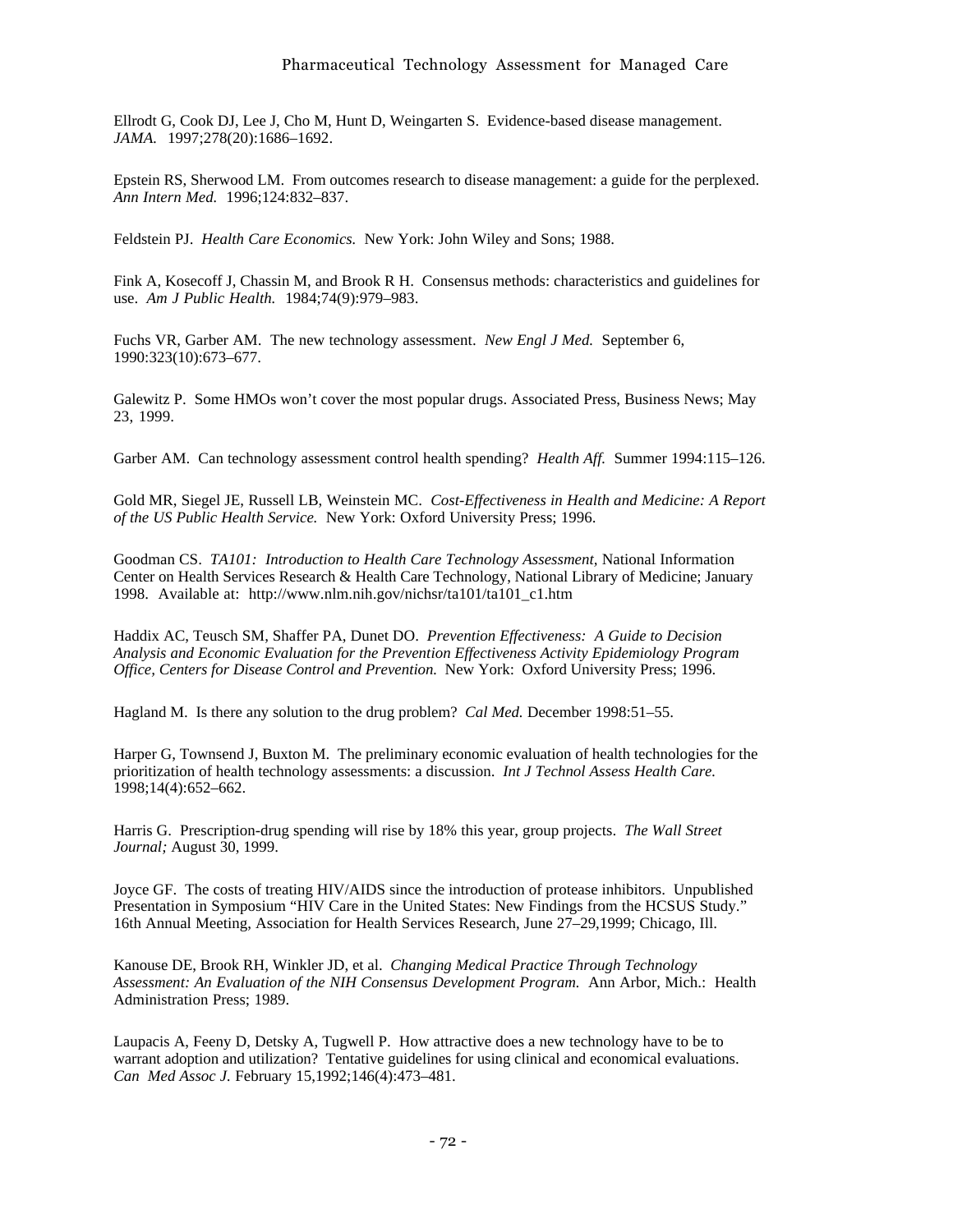Ellrodt G, Cook DJ, Lee J, Cho M, Hunt D, Weingarten S. Evidence-based disease management. *JAMA.* 1997;278(20):1686–1692.

Epstein RS, Sherwood LM. From outcomes research to disease management: a guide for the perplexed. *Ann Intern Med.* 1996;124:832–837.

Feldstein PJ. *Health Care Economics.* New York: John Wiley and Sons; 1988.

Fink A, Kosecoff J, Chassin M, and Brook R H. Consensus methods: characteristics and guidelines for use. *Am J Public Health.* 1984;74(9):979–983.

Fuchs VR, Garber AM. The new technology assessment. *New Engl J Med.* September 6, 1990:323(10):673–677.

Galewitz P. Some HMOs won't cover the most popular drugs. Associated Press, Business News; May 23, 1999.

Garber AM. Can technology assessment control health spending? *Health Aff.* Summer 1994:115–126.

Gold MR, Siegel JE, Russell LB, Weinstein MC. *Cost-Effectiveness in Health and Medicine: A Report of the US Public Health Service.* New York: Oxford University Press; 1996.

Goodman CS. *TA101: Introduction to Health Care Technology Assessment,* National Information Center on Health Services Research & Health Care Technology, National Library of Medicine; January 1998. Available at: http://www.nlm.nih.gov/nichsr/ta101/ta101\_c1.htm

Haddix AC, Teusch SM, Shaffer PA, Dunet DO. *Prevention Effectiveness: A Guide to Decision Analysis and Economic Evaluation for the Prevention Effectiveness Activity Epidemiology Program Office, Centers for Disease Control and Prevention.* New York: Oxford University Press; 1996.

Hagland M. Is there any solution to the drug problem? *Cal Med.* December 1998:51–55.

Harper G, Townsend J, Buxton M. The preliminary economic evaluation of health technologies for the prioritization of health technology assessments: a discussion. *Int J Technol Assess Health Care.* 1998;14(4):652–662.

Harris G. Prescription-drug spending will rise by 18% this year, group projects. *The Wall Street Journal;* August 30, 1999.

Joyce GF. The costs of treating HIV/AIDS since the introduction of protease inhibitors. Unpublished Presentation in Symposium "HIV Care in the United States: New Findings from the HCSUS Study." 16th Annual Meeting, Association for Health Services Research, June 27–29,1999; Chicago, Ill.

Kanouse DE, Brook RH, Winkler JD, et al. *Changing Medical Practice Through Technology Assessment: An Evaluation of the NIH Consensus Development Program.* Ann Arbor, Mich.: Health Administration Press; 1989.

Laupacis A, Feeny D, Detsky A, Tugwell P. How attractive does a new technology have to be to warrant adoption and utilization? Tentative guidelines for using clinical and economical evaluations. *Can Med Assoc J.* February 15,1992;146(4):473–481.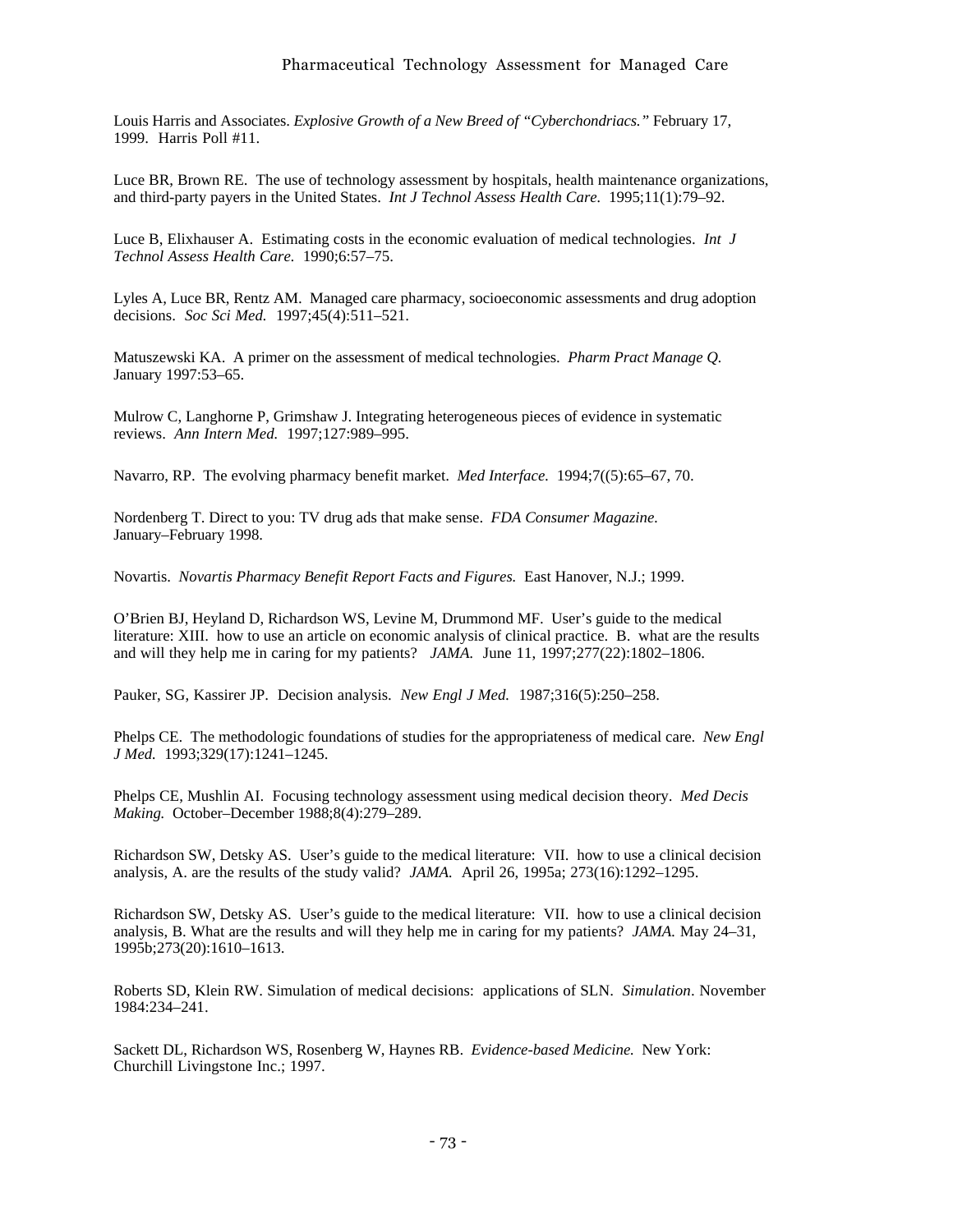Louis Harris and Associates. *Explosive Growth of a New Breed of "Cyberchondriacs."* February 17, 1999. Harris Poll #11.

Luce BR, Brown RE. The use of technology assessment by hospitals, health maintenance organizations, and third-party payers in the United States. *Int J Technol Assess Health Care.* 1995;11(1):79–92.

Luce B, Elixhauser A. Estimating costs in the economic evaluation of medical technologies. *Int J Technol Assess Health Care.* 1990;6:57–75.

Lyles A, Luce BR, Rentz AM. Managed care pharmacy, socioeconomic assessments and drug adoption decisions. *Soc Sci Med.* 1997;45(4):511–521.

Matuszewski KA. A primer on the assessment of medical technologies. *Pharm Pract Manage Q.* January 1997:53–65.

Mulrow C, Langhorne P, Grimshaw J. Integrating heterogeneous pieces of evidence in systematic reviews. *Ann Intern Med.* 1997;127:989–995.

Navarro, RP. The evolving pharmacy benefit market. *Med Interface.* 1994;7((5):65–67, 70.

Nordenberg T. Direct to you: TV drug ads that make sense. *FDA Consumer Magazine.* January–February 1998.

Novartis. *Novartis Pharmacy Benefit Report Facts and Figures.* East Hanover, N.J.; 1999.

O'Brien BJ, Heyland D, Richardson WS, Levine M, Drummond MF. User's guide to the medical literature: XIII. how to use an article on economic analysis of clinical practice. B. what are the results and will they help me in caring for my patients? *JAMA.* June 11, 1997;277(22):1802–1806.

Pauker, SG, Kassirer JP. Decision analysis. *New Engl J Med.* 1987;316(5):250–258.

Phelps CE. The methodologic foundations of studies for the appropriateness of medical care. *New Engl J Med.* 1993;329(17):1241–1245.

Phelps CE, Mushlin AI. Focusing technology assessment using medical decision theory. *Med Decis Making.* October–December 1988;8(4):279–289.

Richardson SW, Detsky AS. User's guide to the medical literature: VII. how to use a clinical decision analysis, A. are the results of the study valid? *JAMA.* April 26, 1995a; 273(16):1292–1295.

Richardson SW, Detsky AS. User's guide to the medical literature: VII. how to use a clinical decision analysis, B. What are the results and will they help me in caring for my patients? *JAMA.* May 24–31, 1995b;273(20):1610–1613.

Roberts SD, Klein RW. Simulation of medical decisions: applications of SLN. *Simulation*. November 1984:234–241.

Sackett DL, Richardson WS, Rosenberg W, Haynes RB. *Evidence-based Medicine.* New York: Churchill Livingstone Inc.; 1997.